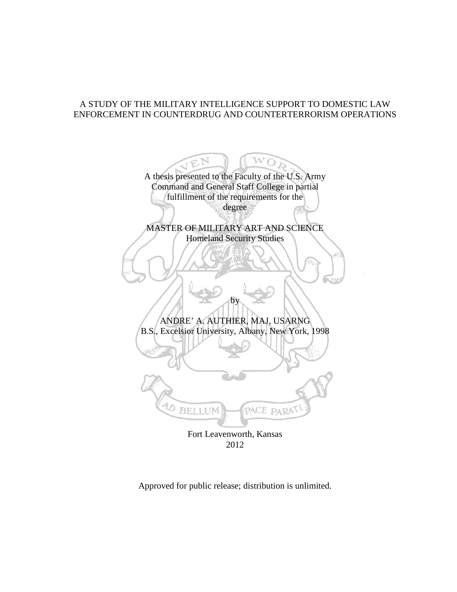## A STUDY OF THE MILITARY INTELLIGENCE SUPPORT TO DOMESTIC LAW ENFORCEMENT IN COUNTERDRUG AND COUNTERTERRORISM OPERATIONS

A thesis presented to the Faculty of the U.S. Army Command and General Staff College in partial fulfillment of the requirements for the degree

MASTER OF MILITARY ART AND SCIENCE Homeland Security Studies

ANDRE' A. AUTHIER, MAJ, USARNG B.S., Excelsior University, Albany, New York, 1998

by



Fort Leavenworth, Kansas 2012

Approved for public release; distribution is unlimited.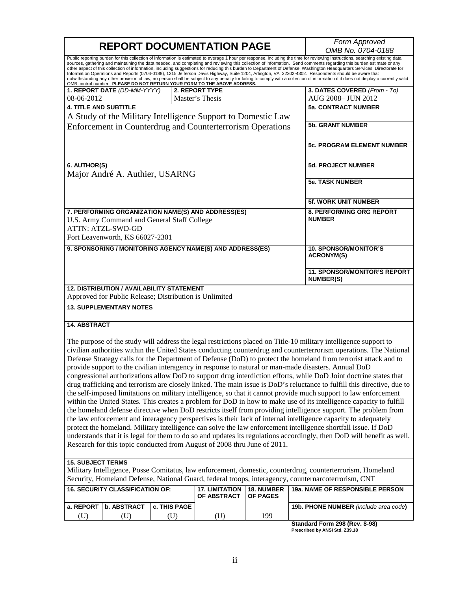|                                                                                                                                                                                                                                                                                                                                                                                                                                                                                                                                                                                                                                                                                                                                                                                                                                                                                                                                                                   |                                                                                                            |              | <b>REPORT DOCUMENTATION PAGE</b>                             |          | Form Approved                                                                                                           |  |  |
|-------------------------------------------------------------------------------------------------------------------------------------------------------------------------------------------------------------------------------------------------------------------------------------------------------------------------------------------------------------------------------------------------------------------------------------------------------------------------------------------------------------------------------------------------------------------------------------------------------------------------------------------------------------------------------------------------------------------------------------------------------------------------------------------------------------------------------------------------------------------------------------------------------------------------------------------------------------------|------------------------------------------------------------------------------------------------------------|--------------|--------------------------------------------------------------|----------|-------------------------------------------------------------------------------------------------------------------------|--|--|
|                                                                                                                                                                                                                                                                                                                                                                                                                                                                                                                                                                                                                                                                                                                                                                                                                                                                                                                                                                   |                                                                                                            |              |                                                              |          | OMB No. 0704-0188                                                                                                       |  |  |
| Public reporting burden for this collection of information is estimated to average 1 hour per response, including the time for reviewing instructions, searching existing data<br>sources, gathering and maintaining the data needed, and completing and reviewing this collection of information. Send comments regarding this burden estimate or any<br>other aspect of this collection of information, including suggestions for reducing this burden to Department of Defense, Washington Headquarters Services, Directorate for<br>Information Operations and Reports (0704-0188), 1215 Jefferson Davis Highway, Suite 1204, Arlington, VA 22202-4302. Respondents should be aware that<br>notwithstanding any other provision of law, no person shall be subject to any penalty for failing to comply with a collection of information if it does not display a currently valid<br>OMB control number. PLEASE DO NOT RETURN YOUR FORM TO THE ABOVE ADDRESS. |                                                                                                            |              |                                                              |          |                                                                                                                         |  |  |
| 08-06-2012                                                                                                                                                                                                                                                                                                                                                                                                                                                                                                                                                                                                                                                                                                                                                                                                                                                                                                                                                        | 1. REPORT DATE (DD-MM-YYYY)                                                                                |              | <b>2. REPORT TYPE</b><br>Master's Thesis                     |          | 3. DATES COVERED (From - To)<br>AUG 2008- JUN 2012                                                                      |  |  |
| <b>4. TITLE AND SUBTITLE</b>                                                                                                                                                                                                                                                                                                                                                                                                                                                                                                                                                                                                                                                                                                                                                                                                                                                                                                                                      |                                                                                                            |              |                                                              |          | <b>5a. CONTRACT NUMBER</b>                                                                                              |  |  |
|                                                                                                                                                                                                                                                                                                                                                                                                                                                                                                                                                                                                                                                                                                                                                                                                                                                                                                                                                                   |                                                                                                            |              | A Study of the Military Intelligence Support to Domestic Law |          |                                                                                                                         |  |  |
| Enforcement in Counterdrug and Counterterrorism Operations                                                                                                                                                                                                                                                                                                                                                                                                                                                                                                                                                                                                                                                                                                                                                                                                                                                                                                        |                                                                                                            |              |                                                              |          | <b>5b. GRANT NUMBER</b>                                                                                                 |  |  |
|                                                                                                                                                                                                                                                                                                                                                                                                                                                                                                                                                                                                                                                                                                                                                                                                                                                                                                                                                                   |                                                                                                            |              |                                                              |          | <b>5c. PROGRAM ELEMENT NUMBER</b>                                                                                       |  |  |
| 6. AUTHOR(S)                                                                                                                                                                                                                                                                                                                                                                                                                                                                                                                                                                                                                                                                                                                                                                                                                                                                                                                                                      |                                                                                                            |              |                                                              |          | <b>5d. PROJECT NUMBER</b>                                                                                               |  |  |
|                                                                                                                                                                                                                                                                                                                                                                                                                                                                                                                                                                                                                                                                                                                                                                                                                                                                                                                                                                   | Major André A. Authier, USARNG                                                                             |              |                                                              |          |                                                                                                                         |  |  |
|                                                                                                                                                                                                                                                                                                                                                                                                                                                                                                                                                                                                                                                                                                                                                                                                                                                                                                                                                                   |                                                                                                            |              |                                                              |          | <b>5e. TASK NUMBER</b>                                                                                                  |  |  |
|                                                                                                                                                                                                                                                                                                                                                                                                                                                                                                                                                                                                                                                                                                                                                                                                                                                                                                                                                                   |                                                                                                            |              |                                                              |          | <b>5f. WORK UNIT NUMBER</b>                                                                                             |  |  |
| 7. PERFORMING ORGANIZATION NAME(S) AND ADDRESS(ES)<br>U.S. Army Command and General Staff College<br>ATTN: ATZL-SWD-GD<br>Fort Leavenworth, KS 66027-2301                                                                                                                                                                                                                                                                                                                                                                                                                                                                                                                                                                                                                                                                                                                                                                                                         |                                                                                                            |              |                                                              |          | 8. PERFORMING ORG REPORT<br><b>NUMBER</b>                                                                               |  |  |
|                                                                                                                                                                                                                                                                                                                                                                                                                                                                                                                                                                                                                                                                                                                                                                                                                                                                                                                                                                   |                                                                                                            |              | 9. SPONSORING / MONITORING AGENCY NAME(S) AND ADDRESS(ES)    |          | <b>10. SPONSOR/MONITOR'S</b>                                                                                            |  |  |
|                                                                                                                                                                                                                                                                                                                                                                                                                                                                                                                                                                                                                                                                                                                                                                                                                                                                                                                                                                   |                                                                                                            |              |                                                              |          | <b>ACRONYM(S)</b>                                                                                                       |  |  |
|                                                                                                                                                                                                                                                                                                                                                                                                                                                                                                                                                                                                                                                                                                                                                                                                                                                                                                                                                                   |                                                                                                            |              |                                                              |          | <b>11. SPONSOR/MONITOR'S REPORT</b><br><b>NUMBER(S)</b>                                                                 |  |  |
|                                                                                                                                                                                                                                                                                                                                                                                                                                                                                                                                                                                                                                                                                                                                                                                                                                                                                                                                                                   | <b>12. DISTRIBUTION / AVAILABILITY STATEMENT</b><br>Approved for Public Release; Distribution is Unlimited |              |                                                              |          |                                                                                                                         |  |  |
|                                                                                                                                                                                                                                                                                                                                                                                                                                                                                                                                                                                                                                                                                                                                                                                                                                                                                                                                                                   | <b>13. SUPPLEMENTARY NOTES</b>                                                                             |              |                                                              |          |                                                                                                                         |  |  |
| <b>14. ABSTRACT</b>                                                                                                                                                                                                                                                                                                                                                                                                                                                                                                                                                                                                                                                                                                                                                                                                                                                                                                                                               |                                                                                                            |              |                                                              |          |                                                                                                                         |  |  |
|                                                                                                                                                                                                                                                                                                                                                                                                                                                                                                                                                                                                                                                                                                                                                                                                                                                                                                                                                                   |                                                                                                            |              |                                                              |          |                                                                                                                         |  |  |
| The purpose of the study will address the legal restrictions placed on Title-10 military intelligence support to                                                                                                                                                                                                                                                                                                                                                                                                                                                                                                                                                                                                                                                                                                                                                                                                                                                  |                                                                                                            |              |                                                              |          |                                                                                                                         |  |  |
| civilian authorities within the United States conducting counterdrug and counterterrorism operations. The National<br>Defense Strategy calls for the Department of Defense (DoD) to protect the homeland from terrorist attack and to                                                                                                                                                                                                                                                                                                                                                                                                                                                                                                                                                                                                                                                                                                                             |                                                                                                            |              |                                                              |          |                                                                                                                         |  |  |
| provide support to the civilian interagency in response to natural or man-made disasters. Annual DoD                                                                                                                                                                                                                                                                                                                                                                                                                                                                                                                                                                                                                                                                                                                                                                                                                                                              |                                                                                                            |              |                                                              |          |                                                                                                                         |  |  |
| congressional authorizations allow DoD to support drug interdiction efforts, while DoD Joint doctrine states that                                                                                                                                                                                                                                                                                                                                                                                                                                                                                                                                                                                                                                                                                                                                                                                                                                                 |                                                                                                            |              |                                                              |          |                                                                                                                         |  |  |
|                                                                                                                                                                                                                                                                                                                                                                                                                                                                                                                                                                                                                                                                                                                                                                                                                                                                                                                                                                   |                                                                                                            |              |                                                              |          | drug trafficking and terrorism are closely linked. The main issue is DoD's reluctance to fulfill this directive, due to |  |  |
| the self-imposed limitations on military intelligence, so that it cannot provide much support to law enforcement                                                                                                                                                                                                                                                                                                                                                                                                                                                                                                                                                                                                                                                                                                                                                                                                                                                  |                                                                                                            |              |                                                              |          |                                                                                                                         |  |  |
|                                                                                                                                                                                                                                                                                                                                                                                                                                                                                                                                                                                                                                                                                                                                                                                                                                                                                                                                                                   |                                                                                                            |              |                                                              |          | within the United States. This creates a problem for DoD in how to make use of its intelligence capacity to fulfill     |  |  |
|                                                                                                                                                                                                                                                                                                                                                                                                                                                                                                                                                                                                                                                                                                                                                                                                                                                                                                                                                                   |                                                                                                            |              |                                                              |          | the homeland defense directive when DoD restricts itself from providing intelligence support. The problem from          |  |  |
| the law enforcement and interagency perspectives is their lack of internal intelligence capacity to adequately                                                                                                                                                                                                                                                                                                                                                                                                                                                                                                                                                                                                                                                                                                                                                                                                                                                    |                                                                                                            |              |                                                              |          |                                                                                                                         |  |  |
| protect the homeland. Military intelligence can solve the law enforcement intelligence shortfall issue. If DoD                                                                                                                                                                                                                                                                                                                                                                                                                                                                                                                                                                                                                                                                                                                                                                                                                                                    |                                                                                                            |              |                                                              |          |                                                                                                                         |  |  |
| understands that it is legal for them to do so and updates its regulations accordingly, then DoD will benefit as well.<br>Research for this topic conducted from August of 2008 thru June of 2011.                                                                                                                                                                                                                                                                                                                                                                                                                                                                                                                                                                                                                                                                                                                                                                |                                                                                                            |              |                                                              |          |                                                                                                                         |  |  |
|                                                                                                                                                                                                                                                                                                                                                                                                                                                                                                                                                                                                                                                                                                                                                                                                                                                                                                                                                                   |                                                                                                            |              |                                                              |          |                                                                                                                         |  |  |
| <b>15. SUBJECT TERMS</b>                                                                                                                                                                                                                                                                                                                                                                                                                                                                                                                                                                                                                                                                                                                                                                                                                                                                                                                                          |                                                                                                            |              |                                                              |          |                                                                                                                         |  |  |
| Military Intelligence, Posse Comitatus, law enforcement, domestic, counterdrug, counterterrorism, Homeland<br>Security, Homeland Defense, National Guard, federal troops, interagency, counternarcoterrorism, CNT                                                                                                                                                                                                                                                                                                                                                                                                                                                                                                                                                                                                                                                                                                                                                 |                                                                                                            |              |                                                              |          |                                                                                                                         |  |  |
| <b>16. SECURITY CLASSIFICATION OF:</b><br><b>17. LIMITATION</b><br><b>18. NUMBER</b><br>19a. NAME OF RESPONSIBLE PERSON                                                                                                                                                                                                                                                                                                                                                                                                                                                                                                                                                                                                                                                                                                                                                                                                                                           |                                                                                                            |              |                                                              |          |                                                                                                                         |  |  |
|                                                                                                                                                                                                                                                                                                                                                                                                                                                                                                                                                                                                                                                                                                                                                                                                                                                                                                                                                                   |                                                                                                            |              | OF ABSTRACT                                                  | OF PAGES |                                                                                                                         |  |  |
| a. REPORT                                                                                                                                                                                                                                                                                                                                                                                                                                                                                                                                                                                                                                                                                                                                                                                                                                                                                                                                                         | <b>b. ABSTRACT</b>                                                                                         | c. THIS PAGE |                                                              |          | 19b. PHONE NUMBER (include area code)                                                                                   |  |  |
| (U)                                                                                                                                                                                                                                                                                                                                                                                                                                                                                                                                                                                                                                                                                                                                                                                                                                                                                                                                                               | (U)                                                                                                        | (U)          | (U)                                                          | 199      |                                                                                                                         |  |  |

**Standard Form 298 (Rev. 8-98) Prescribed by ANSI Std. Z39.18**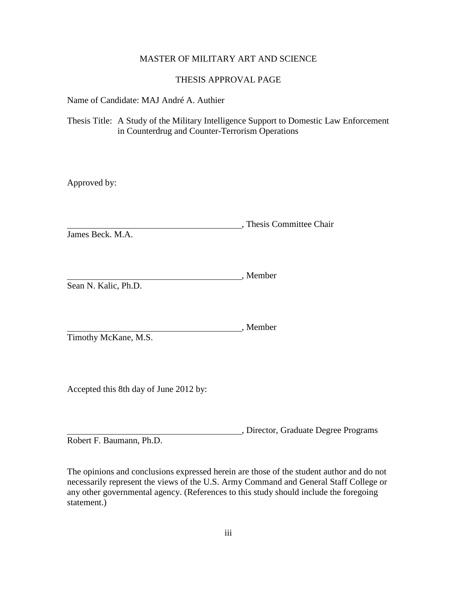## MASTER OF MILITARY ART AND SCIENCE

### THESIS APPROVAL PAGE

Name of Candidate: MAJ André A. Authier

Thesis Title: A Study of the Military Intelligence Support to Domestic Law Enforcement in Counterdrug and Counter-Terrorism Operations

Approved by:

, Thesis Committee Chair James Beck. M.A.

, Member Sean N. Kalic, Ph.D.

, Member Timothy McKane, M.S.

Accepted this 8th day of June 2012 by:

, Director, Graduate Degree Programs Robert F. Baumann, Ph.D.

The opinions and conclusions expressed herein are those of the student author and do not necessarily represent the views of the U.S. Army Command and General Staff College or any other governmental agency. (References to this study should include the foregoing statement.)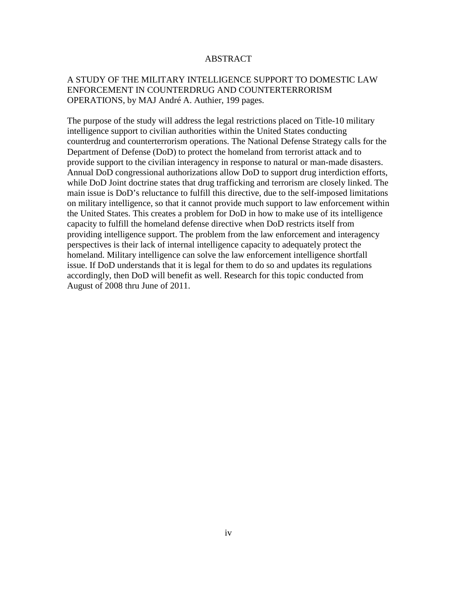## ABSTRACT

## A STUDY OF THE MILITARY INTELLIGENCE SUPPORT TO DOMESTIC LAW ENFORCEMENT IN COUNTERDRUG AND COUNTERTERRORISM OPERATIONS, by MAJ André A. Authier, 199 pages.

The purpose of the study will address the legal restrictions placed on Title-10 military intelligence support to civilian authorities within the United States conducting counterdrug and counterterrorism operations. The National Defense Strategy calls for the Department of Defense (DoD) to protect the homeland from terrorist attack and to provide support to the civilian interagency in response to natural or man-made disasters. Annual DoD congressional authorizations allow DoD to support drug interdiction efforts, while DoD Joint doctrine states that drug trafficking and terrorism are closely linked. The main issue is DoD's reluctance to fulfill this directive, due to the self-imposed limitations on military intelligence, so that it cannot provide much support to law enforcement within the United States. This creates a problem for DoD in how to make use of its intelligence capacity to fulfill the homeland defense directive when DoD restricts itself from providing intelligence support. The problem from the law enforcement and interagency perspectives is their lack of internal intelligence capacity to adequately protect the homeland. Military intelligence can solve the law enforcement intelligence shortfall issue. If DoD understands that it is legal for them to do so and updates its regulations accordingly, then DoD will benefit as well. Research for this topic conducted from August of 2008 thru June of 2011.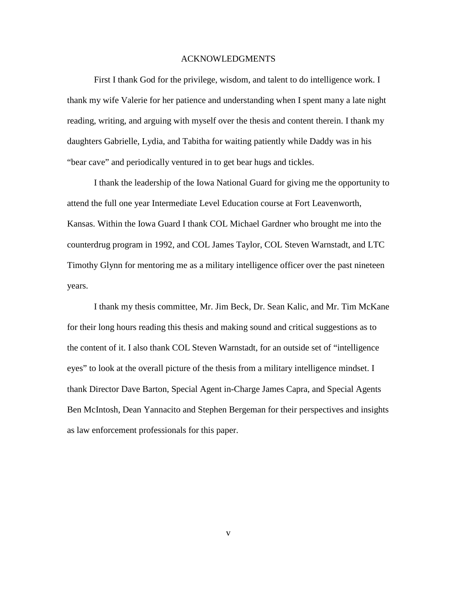#### ACKNOWLEDGMENTS

First I thank God for the privilege, wisdom, and talent to do intelligence work. I thank my wife Valerie for her patience and understanding when I spent many a late night reading, writing, and arguing with myself over the thesis and content therein. I thank my daughters Gabrielle, Lydia, and Tabitha for waiting patiently while Daddy was in his "bear cave" and periodically ventured in to get bear hugs and tickles.

I thank the leadership of the Iowa National Guard for giving me the opportunity to attend the full one year Intermediate Level Education course at Fort Leavenworth, Kansas. Within the Iowa Guard I thank COL Michael Gardner who brought me into the counterdrug program in 1992, and COL James Taylor, COL Steven Warnstadt, and LTC Timothy Glynn for mentoring me as a military intelligence officer over the past nineteen years.

I thank my thesis committee, Mr. Jim Beck, Dr. Sean Kalic, and Mr. Tim McKane for their long hours reading this thesis and making sound and critical suggestions as to the content of it. I also thank COL Steven Warnstadt, for an outside set of "intelligence eyes" to look at the overall picture of the thesis from a military intelligence mindset. I thank Director Dave Barton, Special Agent in-Charge James Capra, and Special Agents Ben McIntosh, Dean Yannacito and Stephen Bergeman for their perspectives and insights as law enforcement professionals for this paper.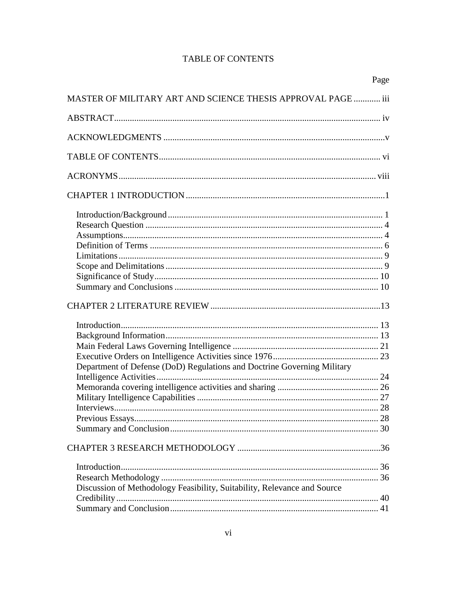# **TABLE OF CONTENTS**

|                                                                          | Page |
|--------------------------------------------------------------------------|------|
| MASTER OF MILITARY ART AND SCIENCE THESIS APPROVAL PAGE  iii             |      |
|                                                                          |      |
|                                                                          |      |
|                                                                          |      |
|                                                                          |      |
|                                                                          |      |
|                                                                          |      |
|                                                                          |      |
| Department of Defense (DoD) Regulations and Doctrine Governing Military  |      |
|                                                                          |      |
|                                                                          |      |
|                                                                          |      |
|                                                                          |      |
| Discussion of Methodology Feasibility, Suitability, Relevance and Source |      |
|                                                                          |      |
|                                                                          |      |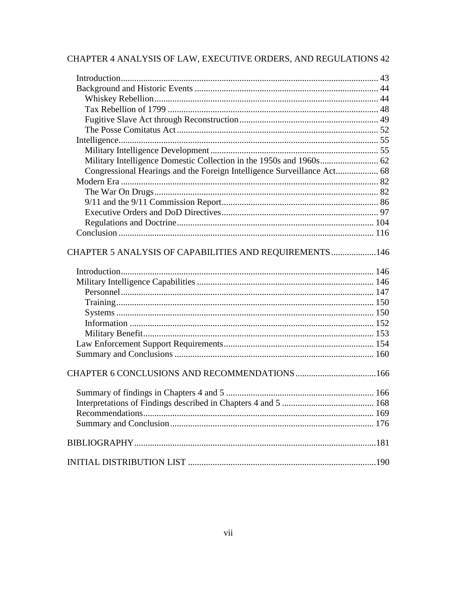# CHAPTER 4 ANALYSIS OF LAW, EXECUTIVE ORDERS, AND REGULATIONS 42

| Congressional Hearings and the Foreign Intelligence Surveillance Act 68 |  |
|-------------------------------------------------------------------------|--|
|                                                                         |  |
|                                                                         |  |
|                                                                         |  |
|                                                                         |  |
|                                                                         |  |
|                                                                         |  |
| CHAPTER 5 ANALYSIS OF CAPABILITIES AND REQUIREMENTS146                  |  |
|                                                                         |  |
|                                                                         |  |
|                                                                         |  |
|                                                                         |  |
|                                                                         |  |
|                                                                         |  |
|                                                                         |  |
|                                                                         |  |
|                                                                         |  |
|                                                                         |  |
|                                                                         |  |
|                                                                         |  |
|                                                                         |  |
|                                                                         |  |
|                                                                         |  |
|                                                                         |  |
|                                                                         |  |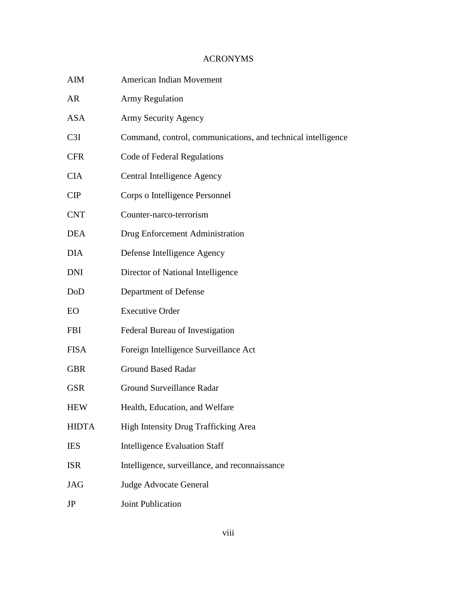# ACRONYMS

| <b>AIM</b>   | <b>American Indian Movement</b>                              |
|--------------|--------------------------------------------------------------|
| <b>AR</b>    | <b>Army Regulation</b>                                       |
| <b>ASA</b>   | <b>Army Security Agency</b>                                  |
| C3I          | Command, control, communications, and technical intelligence |
| <b>CFR</b>   | Code of Federal Regulations                                  |
| <b>CIA</b>   | Central Intelligence Agency                                  |
| CIP          | Corps o Intelligence Personnel                               |
| <b>CNT</b>   | Counter-narco-terrorism                                      |
| <b>DEA</b>   | Drug Enforcement Administration                              |
| <b>DIA</b>   | Defense Intelligence Agency                                  |
| <b>DNI</b>   | Director of National Intelligence                            |
| DoD          | Department of Defense                                        |
| EO           | <b>Executive Order</b>                                       |
| <b>FBI</b>   | Federal Bureau of Investigation                              |
| <b>FISA</b>  | Foreign Intelligence Surveillance Act                        |
| <b>GBR</b>   | <b>Ground Based Radar</b>                                    |
| <b>GSR</b>   | <b>Ground Surveillance Radar</b>                             |
| HEW          | Health, Education, and Welfare                               |
| <b>HIDTA</b> | High Intensity Drug Trafficking Area                         |
| <b>IES</b>   | <b>Intelligence Evaluation Staff</b>                         |
| <b>ISR</b>   | Intelligence, surveillance, and reconnaissance               |
| <b>JAG</b>   | <b>Judge Advocate General</b>                                |
| JP           | Joint Publication                                            |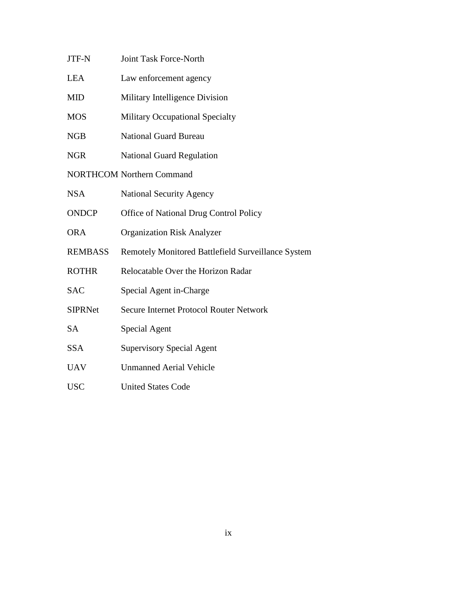- JTF-N Joint Task Force-North
- LEA Law enforcement agency
- MID Military Intelligence Division
- MOS Military Occupational Specialty
- NGB National Guard Bureau
- NGR National Guard Regulation
- NORTHCOM Northern Command
- NSA National Security Agency
- ONDCP Office of National Drug Control Policy
- ORA Organization Risk Analyzer
- REMBASS Remotely Monitored Battlefield Surveillance System
- ROTHR Relocatable Over the Horizon Radar
- SAC Special Agent in-Charge
- SIPRNet Secure Internet Protocol Router Network
- SA Special Agent
- SSA Supervisory Special Agent
- UAV Unmanned Aerial Vehicle
- USC United States Code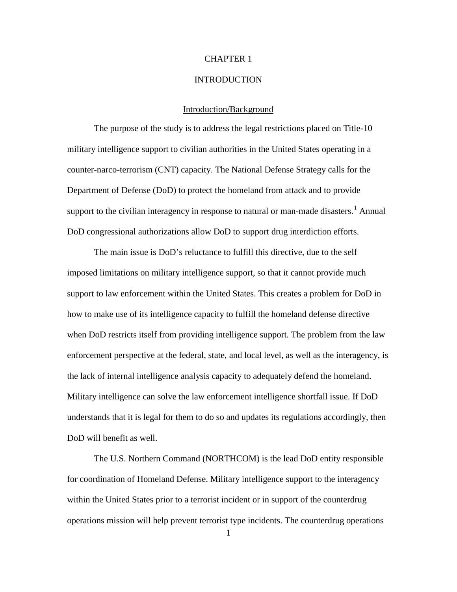## CHAPTER 1

### **INTRODUCTION**

### Introduction/Background

The purpose of the study is to address the legal restrictions placed on Title-10 military intelligence support to civilian authorities in the United States operating in a counter-narco-terrorism (CNT) capacity. The National Defense Strategy calls for the Department of Defense (DoD) to protect the homeland from attack and to provide support to the civilian interagency in response to natural or man-made disasters.<sup>[1](#page-19-0)</sup> Annual DoD congressional authorizations allow DoD to support drug interdiction efforts.

The main issue is DoD's reluctance to fulfill this directive, due to the self imposed limitations on military intelligence support, so that it cannot provide much support to law enforcement within the United States. This creates a problem for DoD in how to make use of its intelligence capacity to fulfill the homeland defense directive when DoD restricts itself from providing intelligence support. The problem from the law enforcement perspective at the federal, state, and local level, as well as the interagency, is the lack of internal intelligence analysis capacity to adequately defend the homeland. Military intelligence can solve the law enforcement intelligence shortfall issue. If DoD understands that it is legal for them to do so and updates its regulations accordingly, then DoD will benefit as well.

The U.S. Northern Command (NORTHCOM) is the lead DoD entity responsible for coordination of Homeland Defense. Military intelligence support to the interagency within the United States prior to a terrorist incident or in support of the counterdrug operations mission will help prevent terrorist type incidents. The counterdrug operations

1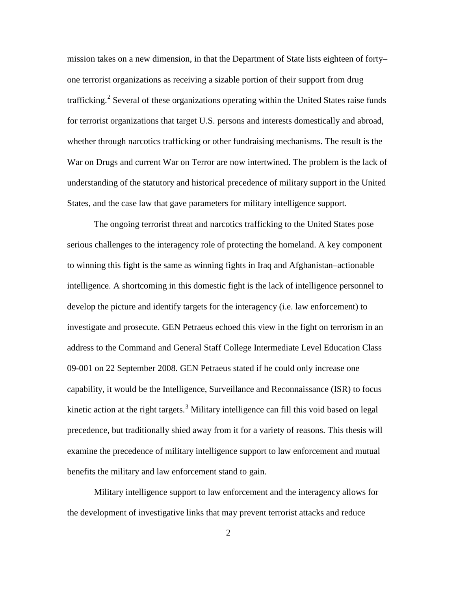mission takes on a new dimension, in that the Department of State lists eighteen of forty– one terrorist organizations as receiving a sizable portion of their support from drug trafficking.<sup>[2](#page-20-0)</sup> Several of these organizations operating within the United States raise funds for terrorist organizations that target U.S. persons and interests domestically and abroad, whether through narcotics trafficking or other fundraising mechanisms. The result is the War on Drugs and current War on Terror are now intertwined. The problem is the lack of understanding of the statutory and historical precedence of military support in the United States, and the case law that gave parameters for military intelligence support.

The ongoing terrorist threat and narcotics trafficking to the United States pose serious challenges to the interagency role of protecting the homeland. A key component to winning this fight is the same as winning fights in Iraq and Afghanistan–actionable intelligence. A shortcoming in this domestic fight is the lack of intelligence personnel to develop the picture and identify targets for the interagency (i.e. law enforcement) to investigate and prosecute. GEN Petraeus echoed this view in the fight on terrorism in an address to the Command and General Staff College Intermediate Level Education Class 09-001 on 22 September 2008. GEN Petraeus stated if he could only increase one capability, it would be the Intelligence, Surveillance and Reconnaissance (ISR) to focus kinetic action at the right targets.<sup>[3](#page-20-1)</sup> Military intelligence can fill this void based on legal precedence, but traditionally shied away from it for a variety of reasons. This thesis will examine the precedence of military intelligence support to law enforcement and mutual benefits the military and law enforcement stand to gain.

Military intelligence support to law enforcement and the interagency allows for the development of investigative links that may prevent terrorist attacks and reduce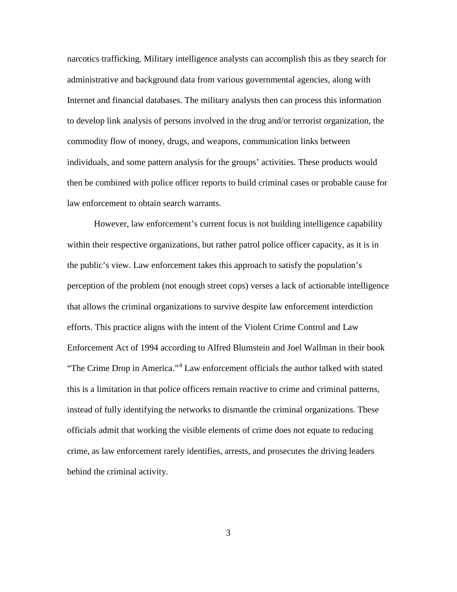narcotics trafficking. Military intelligence analysts can accomplish this as they search for administrative and background data from various governmental agencies, along with Internet and financial databases. The military analysts then can process this information to develop link analysis of persons involved in the drug and/or terrorist organization, the commodity flow of money, drugs, and weapons, communication links between individuals, and some pattern analysis for the groups' activities. These products would then be combined with police officer reports to build criminal cases or probable cause for law enforcement to obtain search warrants.

However, law enforcement's current focus is not building intelligence capability within their respective organizations, but rather patrol police officer capacity, as it is in the public's view. Law enforcement takes this approach to satisfy the population's perception of the problem (not enough street cops) verses a lack of actionable intelligence that allows the criminal organizations to survive despite law enforcement interdiction efforts. This practice aligns with the intent of the Violent Crime Control and Law Enforcement Act of 1994 according to Alfred Blumstein and Joel Wallman in their book "The Crime Drop in America."[4](#page-21-0) Law enforcement officials the author talked with stated this is a limitation in that police officers remain reactive to crime and criminal patterns, instead of fully identifying the networks to dismantle the criminal organizations. These officials admit that working the visible elements of crime does not equate to reducing crime, as law enforcement rarely identifies, arrests, and prosecutes the driving leaders behind the criminal activity.

3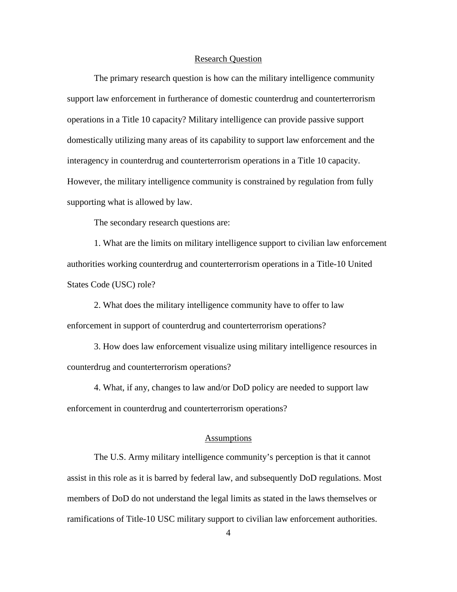## Research Question

The primary research question is how can the military intelligence community support law enforcement in furtherance of domestic counterdrug and counterterrorism operations in a Title 10 capacity? Military intelligence can provide passive support domestically utilizing many areas of its capability to support law enforcement and the interagency in counterdrug and counterterrorism operations in a Title 10 capacity. However, the military intelligence community is constrained by regulation from fully supporting what is allowed by law.

The secondary research questions are:

1. What are the limits on military intelligence support to civilian law enforcement authorities working counterdrug and counterterrorism operations in a Title-10 United States Code (USC) role?

2. What does the military intelligence community have to offer to law enforcement in support of counterdrug and counterterrorism operations?

3. How does law enforcement visualize using military intelligence resources in counterdrug and counterterrorism operations?

4. What, if any, changes to law and/or DoD policy are needed to support law enforcement in counterdrug and counterterrorism operations?

### **Assumptions**

The U.S. Army military intelligence community's perception is that it cannot assist in this role as it is barred by federal law, and subsequently DoD regulations. Most members of DoD do not understand the legal limits as stated in the laws themselves or ramifications of Title-10 USC military support to civilian law enforcement authorities.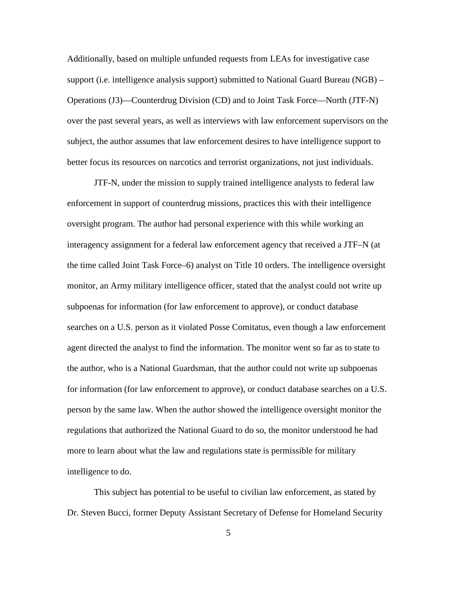Additionally, based on multiple unfunded requests from LEAs for investigative case support (i.e. intelligence analysis support) submitted to National Guard Bureau (NGB) – Operations (J3)—Counterdrug Division (CD) and to Joint Task Force—North (JTF-N) over the past several years, as well as interviews with law enforcement supervisors on the subject, the author assumes that law enforcement desires to have intelligence support to better focus its resources on narcotics and terrorist organizations, not just individuals.

JTF-N, under the mission to supply trained intelligence analysts to federal law enforcement in support of counterdrug missions, practices this with their intelligence oversight program. The author had personal experience with this while working an interagency assignment for a federal law enforcement agency that received a JTF–N (at the time called Joint Task Force–6) analyst on Title 10 orders. The intelligence oversight monitor, an Army military intelligence officer, stated that the analyst could not write up subpoenas for information (for law enforcement to approve), or conduct database searches on a U.S. person as it violated Posse Comitatus, even though a law enforcement agent directed the analyst to find the information. The monitor went so far as to state to the author, who is a National Guardsman, that the author could not write up subpoenas for information (for law enforcement to approve), or conduct database searches on a U.S. person by the same law. When the author showed the intelligence oversight monitor the regulations that authorized the National Guard to do so, the monitor understood he had more to learn about what the law and regulations state is permissible for military intelligence to do.

This subject has potential to be useful to civilian law enforcement, as stated by Dr. Steven Bucci, former Deputy Assistant Secretary of Defense for Homeland Security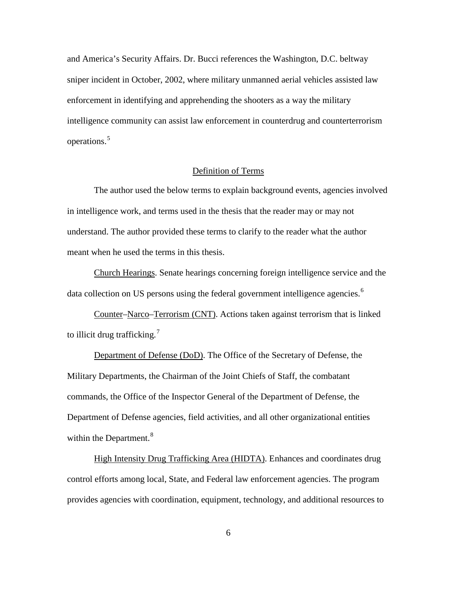and America's Security Affairs. Dr. Bucci references the Washington, D.C. beltway sniper incident in October, 2002, where military unmanned aerial vehicles assisted law enforcement in identifying and apprehending the shooters as a way the military intelligence community can assist law enforcement in counterdrug and counterterrorism operations. [5](#page-22-0)

## Definition of Terms

The author used the below terms to explain background events, agencies involved in intelligence work, and terms used in the thesis that the reader may or may not understand. The author provided these terms to clarify to the reader what the author meant when he used the terms in this thesis.

Church Hearings. Senate hearings concerning foreign intelligence service and the data collection on US persons using the federal government intelligence agencies.<sup>[6](#page-22-1)</sup>

Counter–Narco–Terrorism (CNT). Actions taken against terrorism that is linked to illicit drug trafficking.<sup>[7](#page-22-2)</sup>

Department of Defense (DoD). The Office of the Secretary of Defense, the Military Departments, the Chairman of the Joint Chiefs of Staff, the combatant commands, the Office of the Inspector General of the Department of Defense, the Department of Defense agencies, field activities, and all other organizational entities within the Department.<sup>[8](#page-22-3)</sup>

High Intensity Drug Trafficking Area (HIDTA). Enhances and coordinates drug control efforts among local, State, and Federal law enforcement agencies. The program provides agencies with coordination, equipment, technology, and additional resources to

6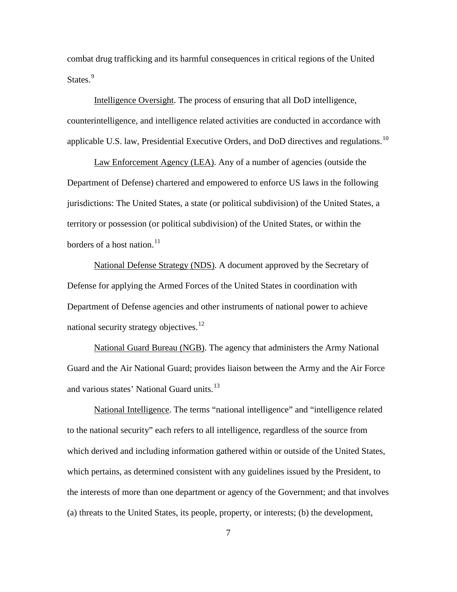combat drug trafficking and its harmful consequences in critical regions of the United States.<sup>[9](#page-23-0)</sup>

Intelligence Oversight. The process of ensuring that all DoD intelligence, counterintelligence, and intelligence related activities are conducted in accordance with applicable U.S. law, Presidential Executive Orders, and DoD directives and regulations.<sup>[10](#page-23-1)</sup>

Law Enforcement Agency (LEA). Any of a number of agencies (outside the Department of Defense) chartered and empowered to enforce US laws in the following jurisdictions: The United States, a state (or political subdivision) of the United States, a territory or possession (or political subdivision) of the United States, or within the borders of a host nation.<sup>[11](#page-23-2)</sup>

National Defense Strategy (NDS). A document approved by the Secretary of Defense for applying the Armed Forces of the United States in coordination with Department of Defense agencies and other instruments of national power to achieve national security strategy objectives.<sup>[12](#page-23-3)</sup>

National Guard Bureau (NGB). The agency that administers the Army National Guard and the Air National Guard; provides liaison between the Army and the Air Force and various states' National Guard units.<sup>[13](#page-23-4)</sup>

National Intelligence. The terms "national intelligence" and "intelligence related to the national security" each refers to all intelligence, regardless of the source from which derived and including information gathered within or outside of the United States, which pertains, as determined consistent with any guidelines issued by the President, to the interests of more than one department or agency of the Government; and that involves (a) threats to the United States, its people, property, or interests; (b) the development,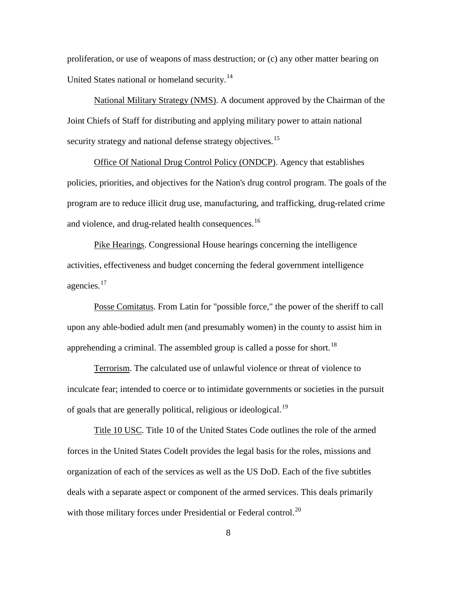proliferation, or use of weapons of mass destruction; or (c) any other matter bearing on United States national or homeland security.<sup>[14](#page-24-0)</sup>

National Military Strategy (NMS). A document approved by the Chairman of the Joint Chiefs of Staff for distributing and applying military power to attain national security strategy and national defense strategy objectives.<sup>[15](#page-24-1)</sup>

Office Of National Drug Control Policy (ONDCP). Agency that establishes policies, priorities, and objectives for the Nation's drug control program. The goals of the program are to reduce illicit drug use, manufacturing, and trafficking, drug-related crime and violence, and drug-related health consequences.<sup>[16](#page-24-2)</sup>

Pike Hearings. Congressional House hearings concerning the intelligence activities, effectiveness and budget concerning the federal government intelligence agencies.<sup>[17](#page-24-3)</sup>

Posse Comitatus. From Latin for "possible force," the power of the sheriff to call upon any able-bodied adult men (and presumably women) in the county to assist him in apprehending a criminal. The assembled group is called a posse for short.<sup>[18](#page-24-4)</sup>

Terrorism. The calculated use of unlawful violence or threat of violence to inculcate fear; intended to coerce or to intimidate governments or societies in the pursuit of goals that are generally political, religious or ideological.<sup>[19](#page-24-5)</sup>

Title 10 USC. Title 10 of the United States Code outlines the role of the armed forces in the United States CodeIt provides the legal basis for the roles, missions and organization of each of the services as well as the US DoD. Each of the five subtitles deals with a separate aspect or component of the armed services. This deals primarily with those military forces under Presidential or Federal control.<sup>[20](#page-24-6)</sup>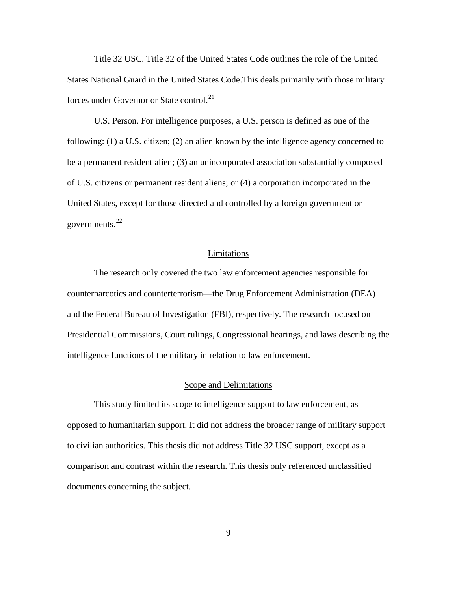Title 32 USC. Title 32 of the United States Code outlines the role of the United States National Guard in the United States Code.This deals primarily with those military forces under Governor or State control.<sup>[21](#page-25-0)</sup>

U.S. Person. For intelligence purposes, a U.S. person is defined as one of the following: (1) a U.S. citizen; (2) an alien known by the intelligence agency concerned to be a permanent resident alien; (3) an unincorporated association substantially composed of U.S. citizens or permanent resident aliens; or (4) a corporation incorporated in the United States, except for those directed and controlled by a foreign government or governments. [22](#page-25-1)

## Limitations

The research only covered the two law enforcement agencies responsible for counternarcotics and counterterrorism—the Drug Enforcement Administration (DEA) and the Federal Bureau of Investigation (FBI), respectively. The research focused on Presidential Commissions, Court rulings, Congressional hearings, and laws describing the intelligence functions of the military in relation to law enforcement.

### Scope and Delimitations

This study limited its scope to intelligence support to law enforcement, as opposed to humanitarian support. It did not address the broader range of military support to civilian authorities. This thesis did not address Title 32 USC support, except as a comparison and contrast within the research. This thesis only referenced unclassified documents concerning the subject.

9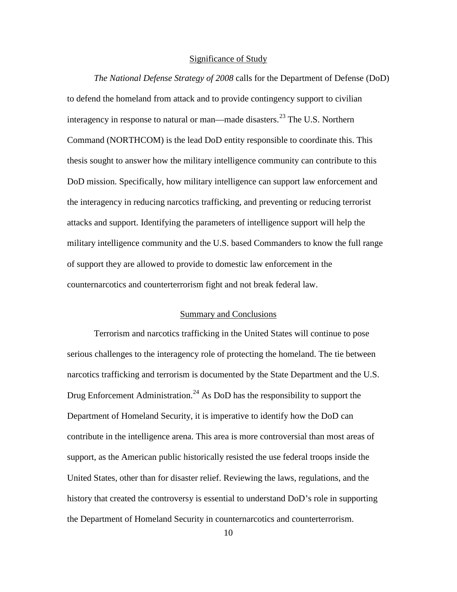### Significance of Study

*The National Defense Strategy of 2008* calls for the Department of Defense (DoD) to defend the homeland from attack and to provide contingency support to civilian interagency in response to natural or man—made disasters.<sup>[23](#page-26-0)</sup> The U.S. Northern Command (NORTHCOM) is the lead DoD entity responsible to coordinate this. This thesis sought to answer how the military intelligence community can contribute to this DoD mission. Specifically, how military intelligence can support law enforcement and the interagency in reducing narcotics trafficking, and preventing or reducing terrorist attacks and support. Identifying the parameters of intelligence support will help the military intelligence community and the U.S. based Commanders to know the full range of support they are allowed to provide to domestic law enforcement in the counternarcotics and counterterrorism fight and not break federal law.

## Summary and Conclusions

Terrorism and narcotics trafficking in the United States will continue to pose serious challenges to the interagency role of protecting the homeland. The tie between narcotics trafficking and terrorism is documented by the State Department and the U.S. Drug Enforcement Administration.<sup>[24](#page-26-1)</sup> As DoD has the responsibility to support the Department of Homeland Security, it is imperative to identify how the DoD can contribute in the intelligence arena. This area is more controversial than most areas of support, as the American public historically resisted the use federal troops inside the United States, other than for disaster relief. Reviewing the laws, regulations, and the history that created the controversy is essential to understand DoD's role in supporting the Department of Homeland Security in counternarcotics and counterterrorism.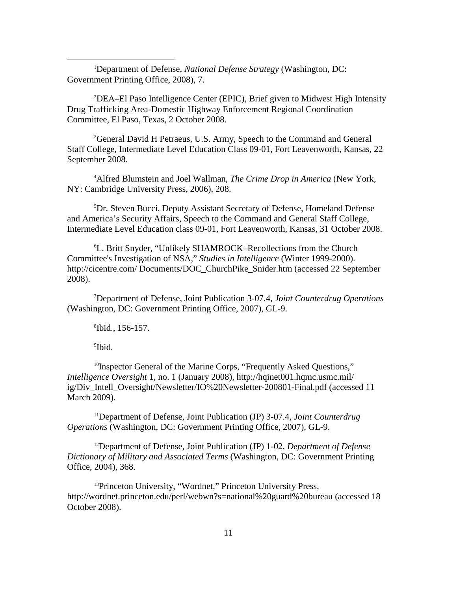<span id="page-19-0"></span>1 Department of Defense, *National Defense Strategy* (Washington, DC: Government Printing Office, 2008), 7.

2 DEA–El Paso Intelligence Center (EPIC), Brief given to Midwest High Intensity Drug Trafficking Area-Domestic Highway Enforcement Regional Coordination Committee, El Paso, Texas, 2 October 2008.

<sup>3</sup>General David H Petraeus, U.S. Army, Speech to the Command and General Staff College, Intermediate Level Education Class 09-01, Fort Leavenworth, Kansas, 22 September 2008.

4 Alfred Blumstein and Joel Wallman, *The Crime Drop in America* (New York, NY: Cambridge University Press, 2006), 208.

5 Dr. Steven Bucci, Deputy Assistant Secretary of Defense, Homeland Defense and America's Security Affairs, Speech to the Command and General Staff College, Intermediate Level Education class 09-01, Fort Leavenworth, Kansas, 31 October 2008.

6 L. Britt Snyder, "Unlikely SHAMROCK–Recollections from the Church Committee's Investigation of NSA," *Studies in Intelligence* (Winter 1999-2000). http://cicentre.com/ Documents/DOC\_ChurchPike\_Snider.htm (accessed 22 September 2008).

7 Department of Defense, Joint Publication 3-07.4, *Joint Counterdrug Operations* (Washington, DC: Government Printing Office, 2007), GL-9.

8 Ibid., 156-157.

9 Ibid.

<sup>10</sup>Inspector General of the Marine Corps, "Frequently Asked Questions," *Intelligence Oversight* 1, no. 1 (January 2008), http://hqinet001.hqmc.usmc.mil/ ig/Div\_Intell\_Oversight/Newsletter/IO%20Newsletter-200801-Final.pdf (accessed 11 March 2009).

11Department of Defense, Joint Publication (JP) 3-07.4, *Joint Counterdrug Operations* (Washington, DC: Government Printing Office, 2007), GL-9.

12Department of Defense, Joint Publication (JP) 1-02, *Department of Defense Dictionary of Military and Associated Terms* (Washington, DC: Government Printing Office, 2004), 368.

<sup>13</sup>Princeton University, "Wordnet," Princeton University Press, http://wordnet.princeton.edu/perl/webwn?s=national%20guard%20bureau (accessed 18 October 2008).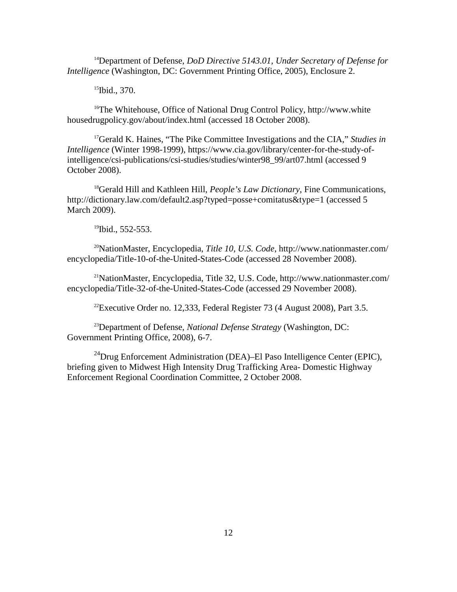14Department of Defense, *DoD Directive 5143.01, Under Secretary of Defense for Intelligence* (Washington, DC: Government Printing Office, 2005), Enclosure 2.

15Ibid., 370.

<span id="page-20-0"></span><sup>16</sup>The Whitehouse, Office of National Drug Control Policy, http://www.white housedrugpolicy.gov/about/index.html (accessed 18 October 2008).

<span id="page-20-1"></span>17Gerald K. Haines, "The Pike Committee Investigations and the CIA," *Studies in Intelligence* (Winter 1998-1999), https://www.cia.gov/library/center-for-the-study-ofintelligence/csi-publications/csi-studies/studies/winter98\_99/art07.html (accessed 9 October 2008).

18Gerald Hill and Kathleen Hill, *People's Law Dictionary*, Fine Communications, http://dictionary.law.com/default2.asp?typed=posse+comitatus&type=1 (accessed 5 March 2009).

<sup>19</sup>Ibid., 552-553.

20NationMaster, Encyclopedia, *Title 10, U.S. Code*, http://www.nationmaster.com/ encyclopedia/Title-10-of-the-United-States-Code (accessed 28 November 2008).

21NationMaster, Encyclopedia, Title 32, U.S. Code, http://www.nationmaster.com/ encyclopedia/Title-32-of-the-United-States-Code (accessed 29 November 2008).

<sup>22</sup>Executive Order no. 12,333, Federal Register 73 (4 August 2008), Part 3.5.

23Department of Defense, *National Defense Strategy* (Washington, DC: Government Printing Office, 2008), 6-7.

 $^{24}$ Drug Enforcement Administration (DEA)–El Paso Intelligence Center (EPIC), briefing given to Midwest High Intensity Drug Trafficking Area- Domestic Highway Enforcement Regional Coordination Committee, 2 October 2008.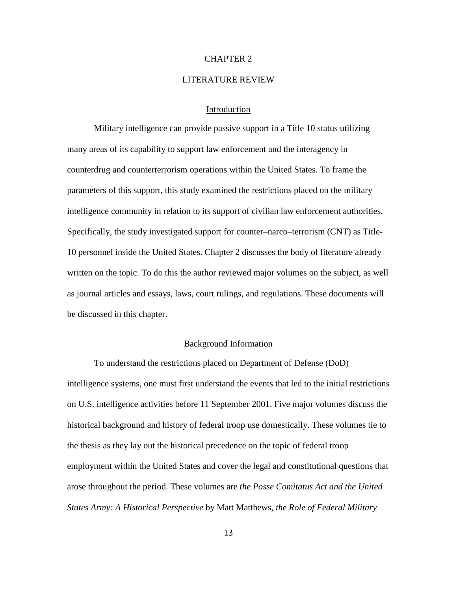### CHAPTER 2

### LITERATURE REVIEW

## Introduction

<span id="page-21-0"></span>Military intelligence can provide passive support in a Title 10 status utilizing many areas of its capability to support law enforcement and the interagency in counterdrug and counterterrorism operations within the United States. To frame the parameters of this support, this study examined the restrictions placed on the military intelligence community in relation to its support of civilian law enforcement authorities. Specifically, the study investigated support for counter–narco–terrorism (CNT) as Title-10 personnel inside the United States. Chapter 2 discusses the body of literature already written on the topic. To do this the author reviewed major volumes on the subject, as well as journal articles and essays, laws, court rulings, and regulations. These documents will be discussed in this chapter.

#### Background Information

To understand the restrictions placed on Department of Defense (DoD) intelligence systems, one must first understand the events that led to the initial restrictions on U.S. intelligence activities before 11 September 2001. Five major volumes discuss the historical background and history of federal troop use domestically. These volumes tie to the thesis as they lay out the historical precedence on the topic of federal troop employment within the United States and cover the legal and constitutional questions that arose throughout the period. These volumes are *the Posse Comitatus Act and the United States Army: A Historical Perspective* by Matt Matthews, *the Role of Federal Military*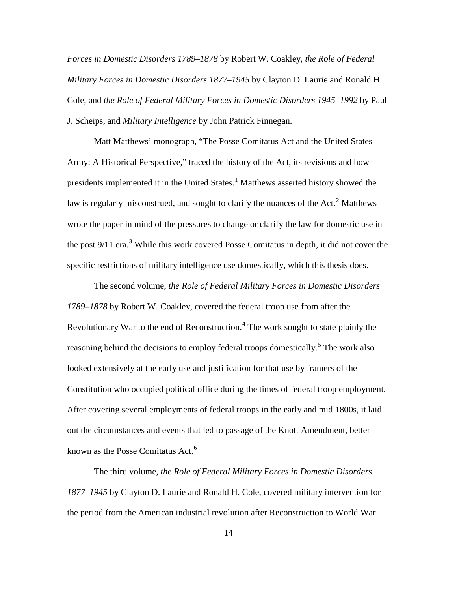*Forces in Domestic Disorders 1789*–*1878* by Robert W. Coakley, *the Role of Federal Military Forces in Domestic Disorders 1877*–*1945* by Clayton D. Laurie and Ronald H. Cole, and *the Role of Federal Military Forces in Domestic Disorders 1945*–*1992* by Paul J. Scheips, and *Military Intelligence* by John Patrick Finnegan.

<span id="page-22-0"></span>Matt Matthews' monograph, "The Posse Comitatus Act and the United States Army: A Historical Perspective," traced the history of the Act, its revisions and how presidents implemented it in the United States.<sup>[1](#page-47-0)</sup> Matthews asserted history showed the law is regularly misconstrued, and sought to clarify the nuances of the Act.<sup>[2](#page-47-1)</sup> Matthews wrote the paper in mind of the pressures to change or clarify the law for domestic use in the post 9/11 era.<sup>[3](#page-47-2)</sup> While this work covered Posse Comitatus in depth, it did not cover the specific restrictions of military intelligence use domestically, which this thesis does.

<span id="page-22-3"></span><span id="page-22-2"></span><span id="page-22-1"></span>The second volume, *the Role of Federal Military Forces in Domestic Disorders 1789*–*1878* by Robert W. Coakley, covered the federal troop use from after the Revolutionary War to the end of Reconstruction.<sup>[4](#page-47-3)</sup> The work sought to state plainly the reasoning behind the decisions to employ federal troops domestically.<sup>[5](#page-47-4)</sup> The work also looked extensively at the early use and justification for that use by framers of the Constitution who occupied political office during the times of federal troop employment. After covering several employments of federal troops in the early and mid 1800s, it laid out the circumstances and events that led to passage of the Knott Amendment, better known as the Posse Comitatus Act. [6](#page-47-5)

The third volume, *the Role of Federal Military Forces in Domestic Disorders 1877*–*1945* by Clayton D. Laurie and Ronald H. Cole, covered military intervention for the period from the American industrial revolution after Reconstruction to World War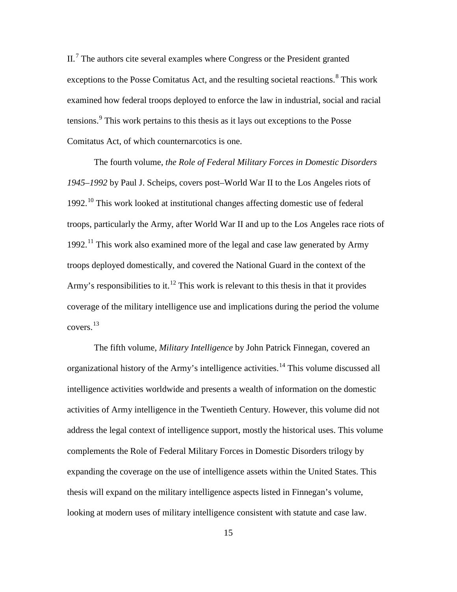II.<sup>[7](#page-47-6)</sup> The authors cite several examples where Congress or the President granted exceptions to the Posse Comitatus Act, and the resulting societal reactions.<sup>[8](#page-48-0)</sup> This work examined how federal troops deployed to enforce the law in industrial, social and racial tensions. [9](#page-48-1) This work pertains to this thesis as it lays out exceptions to the Posse Comitatus Act, of which counternarcotics is one.

The fourth volume, *the Role of Federal Military Forces in Domestic Disorders 1945*–*1992* by Paul J. Scheips, covers post–World War II to the Los Angeles riots of 1992.<sup>[10](#page-48-2)</sup> This work looked at institutional changes affecting domestic use of federal troops, particularly the Army, after World War II and up to the Los Angeles race riots of 1992.<sup>[11](#page-48-3)</sup> This work also examined more of the legal and case law generated by Army troops deployed domestically, and covered the National Guard in the context of the Army's responsibilities to it.<sup>[12](#page-48-4)</sup> This work is relevant to this thesis in that it provides coverage of the military intelligence use and implications during the period the volume covers. [13](#page-48-5)

<span id="page-23-4"></span><span id="page-23-3"></span><span id="page-23-2"></span><span id="page-23-1"></span><span id="page-23-0"></span>The fifth volume, *Military Intelligence* by John Patrick Finnegan, covered an organizational history of the Army's intelligence activities.<sup>[14](#page-48-6)</sup> This volume discussed all intelligence activities worldwide and presents a wealth of information on the domestic activities of Army intelligence in the Twentieth Century. However, this volume did not address the legal context of intelligence support, mostly the historical uses. This volume complements the Role of Federal Military Forces in Domestic Disorders trilogy by expanding the coverage on the use of intelligence assets within the United States. This thesis will expand on the military intelligence aspects listed in Finnegan's volume, looking at modern uses of military intelligence consistent with statute and case law.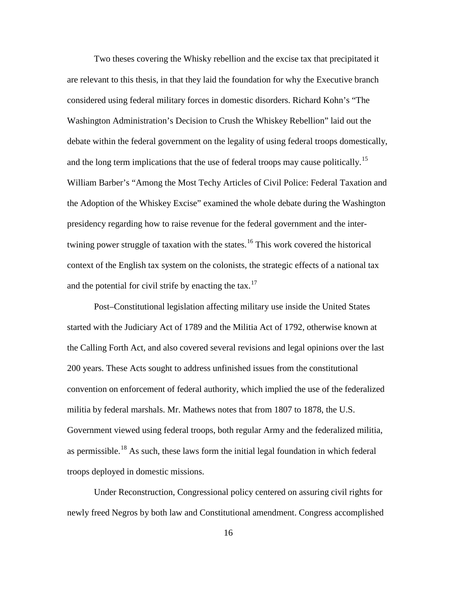<span id="page-24-3"></span><span id="page-24-2"></span><span id="page-24-1"></span><span id="page-24-0"></span>Two theses covering the Whisky rebellion and the excise tax that precipitated it are relevant to this thesis, in that they laid the foundation for why the Executive branch considered using federal military forces in domestic disorders. Richard Kohn's "The Washington Administration's Decision to Crush the Whiskey Rebellion" laid out the debate within the federal government on the legality of using federal troops domestically, and the long term implications that the use of federal troops may cause politically.<sup>[15](#page-49-0)</sup> William Barber's "Among the Most Techy Articles of Civil Police: Federal Taxation and the Adoption of the Whiskey Excise" examined the whole debate during the Washington presidency regarding how to raise revenue for the federal government and the inter-twining power struggle of taxation with the states.<sup>[16](#page-49-1)</sup> This work covered the historical context of the English tax system on the colonists, the strategic effects of a national tax and the potential for civil strife by enacting the tax.<sup>[17](#page-49-2)</sup>

<span id="page-24-6"></span><span id="page-24-5"></span><span id="page-24-4"></span>Post–Constitutional legislation affecting military use inside the United States started with the Judiciary Act of 1789 and the Militia Act of 1792, otherwise known at the Calling Forth Act, and also covered several revisions and legal opinions over the last 200 years. These Acts sought to address unfinished issues from the constitutional convention on enforcement of federal authority, which implied the use of the federalized militia by federal marshals. Mr. Mathews notes that from 1807 to 1878, the U.S. Government viewed using federal troops, both regular Army and the federalized militia, as permissible.<sup>[18](#page-49-3)</sup> As such, these laws form the initial legal foundation in which federal troops deployed in domestic missions.

Under Reconstruction, Congressional policy centered on assuring civil rights for newly freed Negros by both law and Constitutional amendment. Congress accomplished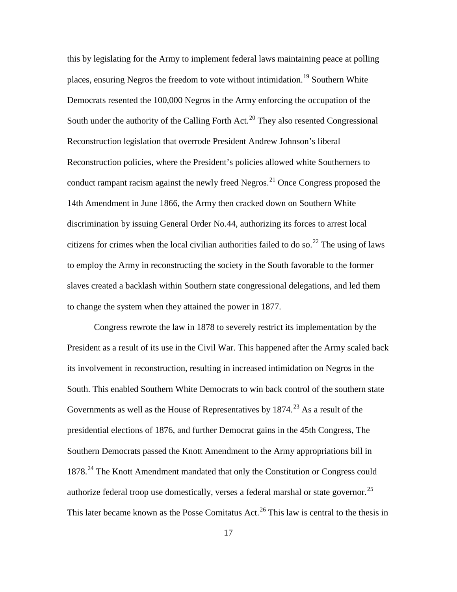this by legislating for the Army to implement federal laws maintaining peace at polling places, ensuring Negros the freedom to vote without intimidation.<sup>[19](#page-50-0)</sup> Southern White Democrats resented the 100,000 Negros in the Army enforcing the occupation of the South under the authority of the Calling Forth Act.<sup>[20](#page-50-1)</sup> They also resented Congressional Reconstruction legislation that overrode President Andrew Johnson's liberal Reconstruction policies, where the President's policies allowed white Southerners to conduct rampant racism against the newly freed Negros.<sup>[21](#page-50-2)</sup> Once Congress proposed the 14th Amendment in June 1866, the Army then cracked down on Southern White discrimination by issuing General Order No.44, authorizing its forces to arrest local citizens for crimes when the local civilian authorities failed to do so.<sup>[22](#page-50-3)</sup> The using of laws to employ the Army in reconstructing the society in the South favorable to the former slaves created a backlash within Southern state congressional delegations, and led them to change the system when they attained the power in 1877.

<span id="page-25-1"></span><span id="page-25-0"></span>Congress rewrote the law in 1878 to severely restrict its implementation by the President as a result of its use in the Civil War. This happened after the Army scaled back its involvement in reconstruction, resulting in increased intimidation on Negros in the South. This enabled Southern White Democrats to win back control of the southern state Governments as well as the House of Representatives by  $1874.<sup>23</sup>$  $1874.<sup>23</sup>$  $1874.<sup>23</sup>$  As a result of the presidential elections of 1876, and further Democrat gains in the 45th Congress, The Southern Democrats passed the Knott Amendment to the Army appropriations bill in 1878.<sup>[24](#page-50-5)</sup> The Knott Amendment mandated that only the Constitution or Congress could authorize federal troop use domestically, verses a federal marshal or state governor.<sup>[25](#page-50-6)</sup> This later became known as the Posse Comitatus Act.<sup>[26](#page-50-7)</sup> This law is central to the thesis in

17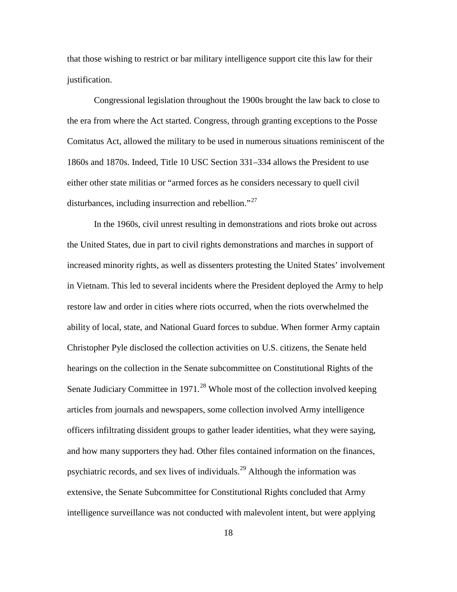that those wishing to restrict or bar military intelligence support cite this law for their justification.

Congressional legislation throughout the 1900s brought the law back to close to the era from where the Act started. Congress, through granting exceptions to the Posse Comitatus Act, allowed the military to be used in numerous situations reminiscent of the 1860s and 1870s. Indeed, Title 10 USC Section 331–334 allows the President to use either other state militias or "armed forces as he considers necessary to quell civil disturbances, including insurrection and rebellion."<sup>[27](#page-51-0)</sup>

<span id="page-26-1"></span><span id="page-26-0"></span>In the 1960s, civil unrest resulting in demonstrations and riots broke out across the United States, due in part to civil rights demonstrations and marches in support of increased minority rights, as well as dissenters protesting the United States' involvement in Vietnam. This led to several incidents where the President deployed the Army to help restore law and order in cities where riots occurred, when the riots overwhelmed the ability of local, state, and National Guard forces to subdue. When former Army captain Christopher Pyle disclosed the collection activities on U.S. citizens, the Senate held hearings on the collection in the Senate subcommittee on Constitutional Rights of the Senate Judiciary Committee in 1971.<sup>[28](#page-51-1)</sup> Whole most of the collection involved keeping articles from journals and newspapers, some collection involved Army intelligence officers infiltrating dissident groups to gather leader identities, what they were saying, and how many supporters they had. Other files contained information on the finances, psychiatric records, and sex lives of individuals.<sup>[29](#page-51-2)</sup> Although the information was extensive, the Senate Subcommittee for Constitutional Rights concluded that Army intelligence surveillance was not conducted with malevolent intent, but were applying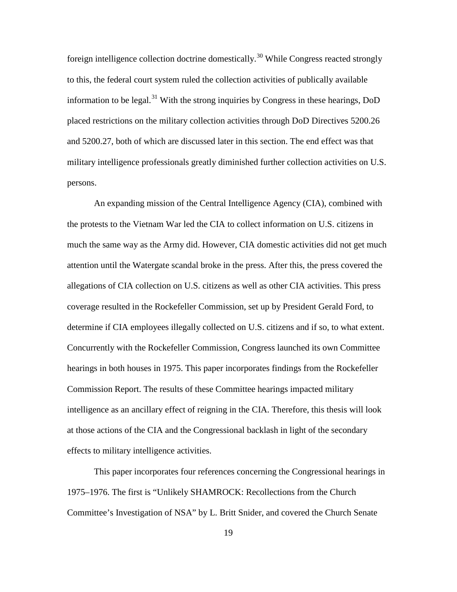foreign intelligence collection doctrine domestically.<sup>[30](#page-52-0)</sup> While Congress reacted strongly to this, the federal court system ruled the collection activities of publically available information to be legal.<sup>[31](#page-52-1)</sup> With the strong inquiries by Congress in these hearings,  $DoD$ placed restrictions on the military collection activities through DoD Directives 5200.26 and 5200.27, both of which are discussed later in this section. The end effect was that military intelligence professionals greatly diminished further collection activities on U.S. persons.

An expanding mission of the Central Intelligence Agency (CIA), combined with the protests to the Vietnam War led the CIA to collect information on U.S. citizens in much the same way as the Army did. However, CIA domestic activities did not get much attention until the Watergate scandal broke in the press. After this, the press covered the allegations of CIA collection on U.S. citizens as well as other CIA activities. This press coverage resulted in the Rockefeller Commission, set up by President Gerald Ford, to determine if CIA employees illegally collected on U.S. citizens and if so, to what extent. Concurrently with the Rockefeller Commission, Congress launched its own Committee hearings in both houses in 1975. This paper incorporates findings from the Rockefeller Commission Report. The results of these Committee hearings impacted military intelligence as an ancillary effect of reigning in the CIA. Therefore, this thesis will look at those actions of the CIA and the Congressional backlash in light of the secondary effects to military intelligence activities.

This paper incorporates four references concerning the Congressional hearings in 1975–1976. The first is "Unlikely SHAMROCK: Recollections from the Church Committee's Investigation of NSA" by L. Britt Snider, and covered the Church Senate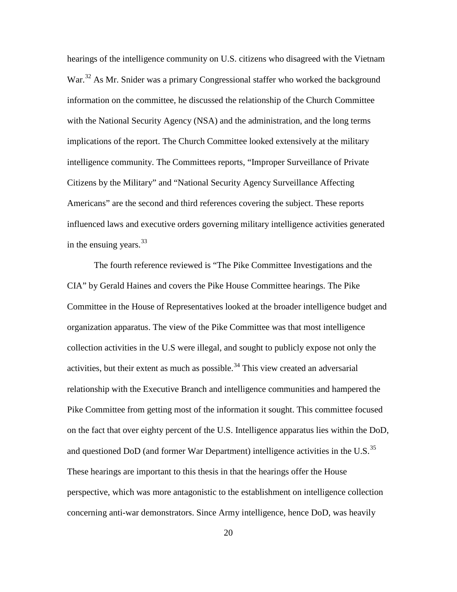hearings of the intelligence community on U.S. citizens who disagreed with the Vietnam War.<sup>[32](#page-53-0)</sup> As Mr. Snider was a primary Congressional staffer who worked the background information on the committee, he discussed the relationship of the Church Committee with the National Security Agency (NSA) and the administration, and the long terms implications of the report. The Church Committee looked extensively at the military intelligence community. The Committees reports, "Improper Surveillance of Private Citizens by the Military" and "National Security Agency Surveillance Affecting Americans" are the second and third references covering the subject. These reports influenced laws and executive orders governing military intelligence activities generated in the ensuing years.<sup>[33](#page-53-1)</sup>

The fourth reference reviewed is "The Pike Committee Investigations and the CIA" by Gerald Haines and covers the Pike House Committee hearings. The Pike Committee in the House of Representatives looked at the broader intelligence budget and organization apparatus. The view of the Pike Committee was that most intelligence collection activities in the U.S were illegal, and sought to publicly expose not only the activities, but their extent as much as possible.<sup>[34](#page-53-2)</sup> This view created an adversarial relationship with the Executive Branch and intelligence communities and hampered the Pike Committee from getting most of the information it sought. This committee focused on the fact that over eighty percent of the U.S. Intelligence apparatus lies within the DoD, and questioned DoD (and former War Department) intelligence activities in the U.S.<sup>[35](#page-53-3)</sup> These hearings are important to this thesis in that the hearings offer the House perspective, which was more antagonistic to the establishment on intelligence collection concerning anti-war demonstrators. Since Army intelligence, hence DoD, was heavily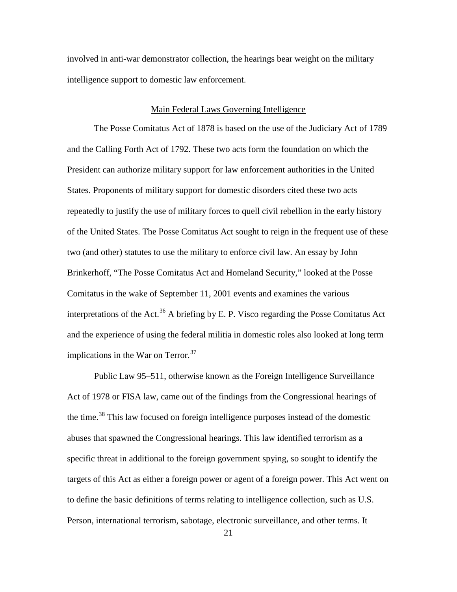involved in anti-war demonstrator collection, the hearings bear weight on the military intelligence support to domestic law enforcement.

## Main Federal Laws Governing Intelligence

The Posse Comitatus Act of 1878 is based on the use of the Judiciary Act of 1789 and the Calling Forth Act of 1792. These two acts form the foundation on which the President can authorize military support for law enforcement authorities in the United States. Proponents of military support for domestic disorders cited these two acts repeatedly to justify the use of military forces to quell civil rebellion in the early history of the United States. The Posse Comitatus Act sought to reign in the frequent use of these two (and other) statutes to use the military to enforce civil law. An essay by John Brinkerhoff, "The Posse Comitatus Act and Homeland Security," looked at the Posse Comitatus in the wake of September 11, 2001 events and examines the various interpretations of the Act.<sup>[36](#page-54-0)</sup> A briefing by E. P. Visco regarding the Posse Comitatus Act and the experience of using the federal militia in domestic roles also looked at long term implications in the War on Terror.<sup>[37](#page-54-1)</sup>

Public Law 95–511, otherwise known as the Foreign Intelligence Surveillance Act of 1978 or FISA law, came out of the findings from the Congressional hearings of the time.<sup>[38](#page-54-2)</sup> This law focused on foreign intelligence purposes instead of the domestic abuses that spawned the Congressional hearings. This law identified terrorism as a specific threat in additional to the foreign government spying, so sought to identify the targets of this Act as either a foreign power or agent of a foreign power. This Act went on to define the basic definitions of terms relating to intelligence collection, such as U.S. Person, international terrorism, sabotage, electronic surveillance, and other terms. It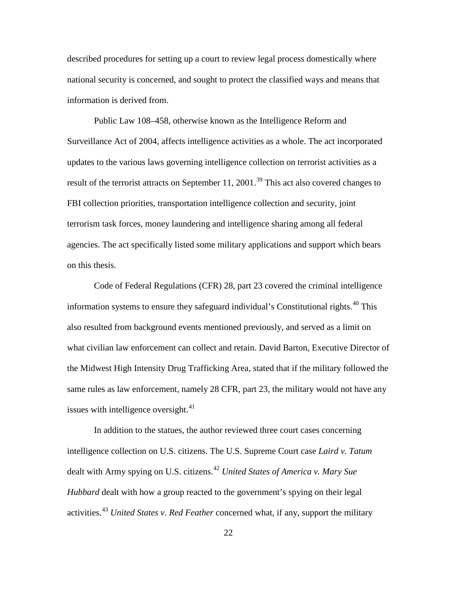described procedures for setting up a court to review legal process domestically where national security is concerned, and sought to protect the classified ways and means that information is derived from.

Public Law 108–458, otherwise known as the Intelligence Reform and Surveillance Act of 2004, affects intelligence activities as a whole. The act incorporated updates to the various laws governing intelligence collection on terrorist activities as a result of the terrorist attracts on September 11, 2001.<sup>[39](#page-55-0)</sup> This act also covered changes to FBI collection priorities, transportation intelligence collection and security, joint terrorism task forces, money laundering and intelligence sharing among all federal agencies. The act specifically listed some military applications and support which bears on this thesis.

Code of Federal Regulations (CFR) 28, part 23 covered the criminal intelligence information systems to ensure they safeguard individual's Constitutional rights.<sup>[40](#page-55-1)</sup> This also resulted from background events mentioned previously, and served as a limit on what civilian law enforcement can collect and retain. David Barton, Executive Director of the Midwest High Intensity Drug Trafficking Area, stated that if the military followed the same rules as law enforcement, namely 28 CFR, part 23, the military would not have any issues with intelligence oversight.<sup>[41](#page-55-2)</sup>

In addition to the statues, the author reviewed three court cases concerning intelligence collection on U.S. citizens. The U.S. Supreme Court case *Laird v. Tatum*  dealt with Army spying on U.S. citizens. [42](#page-55-3) *United States of America v. Mary Sue Hubbard* dealt with how a group reacted to the government's spying on their legal activities. [43](#page-55-4) *United States v. Red Feather* concerned what, if any, support the military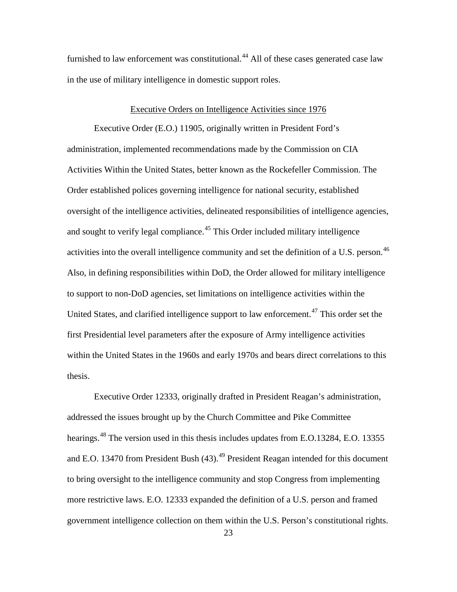furnished to law enforcement was constitutional.<sup>[44](#page-56-0)</sup> All of these cases generated case law in the use of military intelligence in domestic support roles.

## Executive Orders on Intelligence Activities since 1976

Executive Order (E.O.) 11905, originally written in President Ford's administration, implemented recommendations made by the Commission on CIA Activities Within the United States, better known as the Rockefeller Commission. The Order established polices governing intelligence for national security, established oversight of the intelligence activities, delineated responsibilities of intelligence agencies, and sought to verify legal compliance.<sup>[45](#page-56-1)</sup> This Order included military intelligence activities into the overall intelligence community and set the definition of a U.S. person.<sup>[46](#page-56-2)</sup> Also, in defining responsibilities within DoD, the Order allowed for military intelligence to support to non-DoD agencies, set limitations on intelligence activities within the United States, and clarified intelligence support to law enforcement.<sup>[47](#page-56-3)</sup> This order set the first Presidential level parameters after the exposure of Army intelligence activities within the United States in the 1960s and early 1970s and bears direct correlations to this thesis.

Executive Order 12333, originally drafted in President Reagan's administration, addressed the issues brought up by the Church Committee and Pike Committee hearings.<sup>[48](#page-56-4)</sup> The version used in this thesis includes updates from E.O.13284, E.O. 13355 and E.O. 13470 from President Bush (43).<sup>[49](#page-56-5)</sup> President Reagan intended for this document to bring oversight to the intelligence community and stop Congress from implementing more restrictive laws. E.O. 12333 expanded the definition of a U.S. person and framed government intelligence collection on them within the U.S. Person's constitutional rights.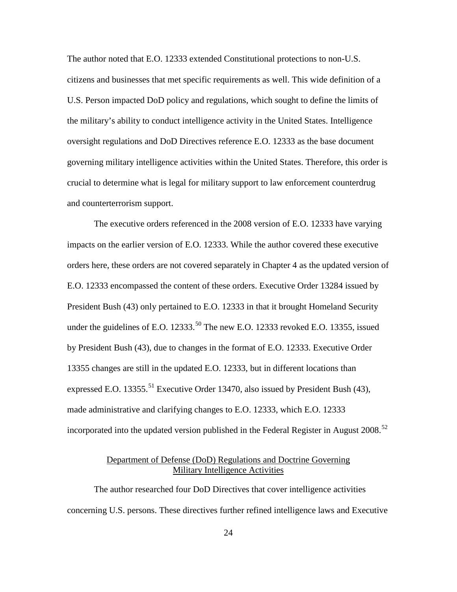The author noted that E.O. 12333 extended Constitutional protections to non-U.S. citizens and businesses that met specific requirements as well. This wide definition of a U.S. Person impacted DoD policy and regulations, which sought to define the limits of the military's ability to conduct intelligence activity in the United States. Intelligence oversight regulations and DoD Directives reference E.O. 12333 as the base document governing military intelligence activities within the United States. Therefore, this order is crucial to determine what is legal for military support to law enforcement counterdrug and counterterrorism support.

The executive orders referenced in the 2008 version of E.O. 12333 have varying impacts on the earlier version of E.O. 12333. While the author covered these executive orders here, these orders are not covered separately in Chapter 4 as the updated version of E.O. 12333 encompassed the content of these orders. Executive Order 13284 issued by President Bush (43) only pertained to E.O. 12333 in that it brought Homeland Security under the guidelines of E.O.  $12333$ .<sup>[50](#page-57-0)</sup> The new E.O.  $12333$  revoked E.O.  $13355$ , issued by President Bush (43), due to changes in the format of E.O. 12333. Executive Order 13355 changes are still in the updated E.O. 12333, but in different locations than expressed E.O. 13355.<sup>[51](#page-57-1)</sup> Executive Order 13470, also issued by President Bush (43), made administrative and clarifying changes to E.O. 12333, which E.O. 12333 incorporated into the updated version published in the Federal Register in August 2008.<sup>[52](#page-57-2)</sup>

## Department of Defense (DoD) Regulations and Doctrine Governing Military Intelligence Activities

The author researched four DoD Directives that cover intelligence activities concerning U.S. persons. These directives further refined intelligence laws and Executive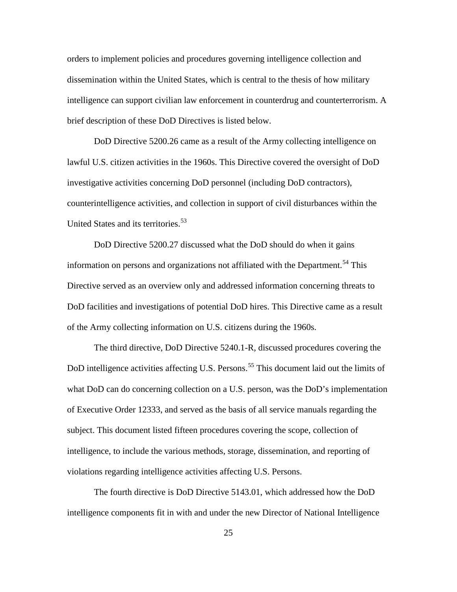orders to implement policies and procedures governing intelligence collection and dissemination within the United States, which is central to the thesis of how military intelligence can support civilian law enforcement in counterdrug and counterterrorism. A brief description of these DoD Directives is listed below.

DoD Directive 5200.26 came as a result of the Army collecting intelligence on lawful U.S. citizen activities in the 1960s. This Directive covered the oversight of DoD investigative activities concerning DoD personnel (including DoD contractors), counterintelligence activities, and collection in support of civil disturbances within the United States and its territories.<sup>[53](#page-58-0)</sup>

DoD Directive 5200.27 discussed what the DoD should do when it gains information on persons and organizations not affiliated with the Department.<sup>[54](#page-58-1)</sup> This Directive served as an overview only and addressed information concerning threats to DoD facilities and investigations of potential DoD hires. This Directive came as a result of the Army collecting information on U.S. citizens during the 1960s.

The third directive, DoD Directive 5240.1-R, discussed procedures covering the DoD intelligence activities affecting U.S. Persons.<sup>[55](#page-58-2)</sup> This document laid out the limits of what DoD can do concerning collection on a U.S. person, was the DoD's implementation of Executive Order 12333, and served as the basis of all service manuals regarding the subject. This document listed fifteen procedures covering the scope, collection of intelligence, to include the various methods, storage, dissemination, and reporting of violations regarding intelligence activities affecting U.S. Persons.

The fourth directive is DoD Directive 5143.01, which addressed how the DoD intelligence components fit in with and under the new Director of National Intelligence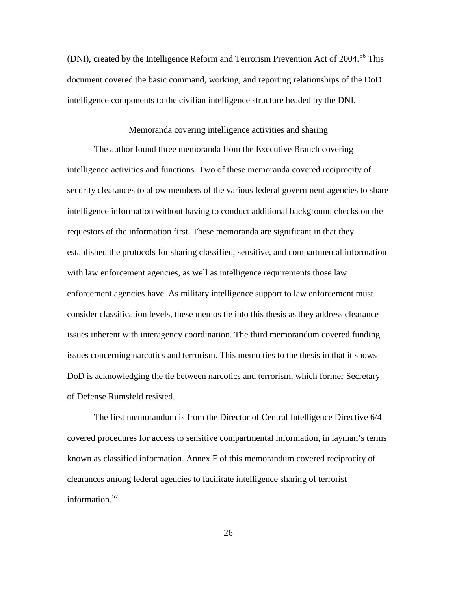(DNI), created by the Intelligence Reform and Terrorism Prevention Act of 2004.<sup>[56](#page-59-0)</sup> This document covered the basic command, working, and reporting relationships of the DoD intelligence components to the civilian intelligence structure headed by the DNI.

#### Memoranda covering intelligence activities and sharing

The author found three memoranda from the Executive Branch covering intelligence activities and functions. Two of these memoranda covered reciprocity of security clearances to allow members of the various federal government agencies to share intelligence information without having to conduct additional background checks on the requestors of the information first. These memoranda are significant in that they established the protocols for sharing classified, sensitive, and compartmental information with law enforcement agencies, as well as intelligence requirements those law enforcement agencies have. As military intelligence support to law enforcement must consider classification levels, these memos tie into this thesis as they address clearance issues inherent with interagency coordination. The third memorandum covered funding issues concerning narcotics and terrorism. This memo ties to the thesis in that it shows DoD is acknowledging the tie between narcotics and terrorism, which former Secretary of Defense Rumsfeld resisted.

The first memorandum is from the Director of Central Intelligence Directive 6/4 covered procedures for access to sensitive compartmental information, in layman's terms known as classified information. Annex F of this memorandum covered reciprocity of clearances among federal agencies to facilitate intelligence sharing of terrorist information. [57](#page-59-1)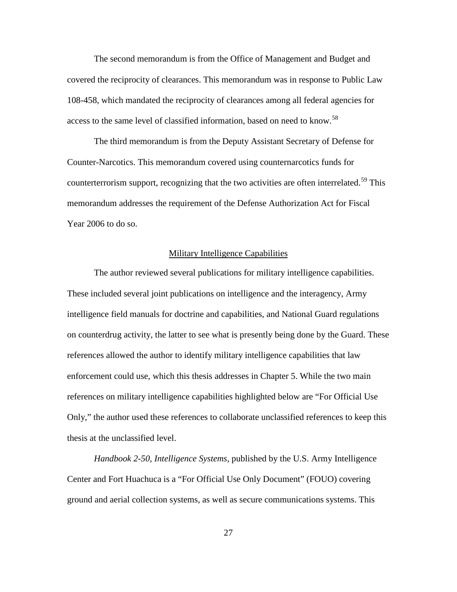The second memorandum is from the Office of Management and Budget and covered the reciprocity of clearances. This memorandum was in response to Public Law 108-458, which mandated the reciprocity of clearances among all federal agencies for access to the same level of classified information, based on need to know.<sup>[58](#page-60-0)</sup>

The third memorandum is from the Deputy Assistant Secretary of Defense for Counter-Narcotics. This memorandum covered using counternarcotics funds for counterterrorism support, recognizing that the two activities are often interrelated.<sup>[59](#page-60-1)</sup> This memorandum addresses the requirement of the Defense Authorization Act for Fiscal Year 2006 to do so.

## Military Intelligence Capabilities

The author reviewed several publications for military intelligence capabilities. These included several joint publications on intelligence and the interagency, Army intelligence field manuals for doctrine and capabilities, and National Guard regulations on counterdrug activity, the latter to see what is presently being done by the Guard. These references allowed the author to identify military intelligence capabilities that law enforcement could use, which this thesis addresses in Chapter 5. While the two main references on military intelligence capabilities highlighted below are "For Official Use Only," the author used these references to collaborate unclassified references to keep this thesis at the unclassified level.

*Handbook 2-50, Intelligence Systems,* published by the U.S. Army Intelligence Center and Fort Huachuca is a "For Official Use Only Document" (FOUO) covering ground and aerial collection systems, as well as secure communications systems. This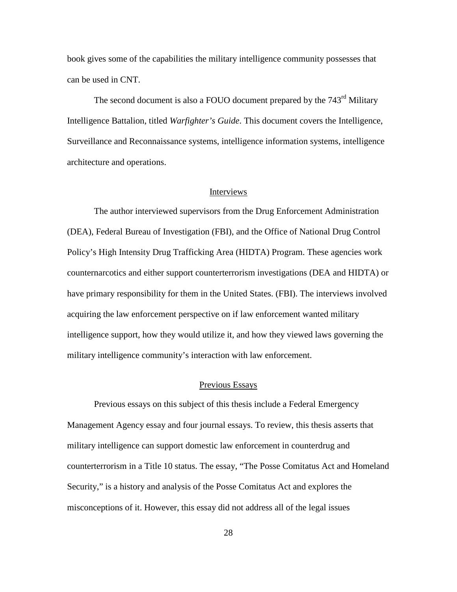book gives some of the capabilities the military intelligence community possesses that can be used in CNT.

The second document is also a FOUO document prepared by the 743<sup>rd</sup> Military Intelligence Battalion, titled *Warfighter's Guide*. This document covers the Intelligence, Surveillance and Reconnaissance systems, intelligence information systems, intelligence architecture and operations.

#### Interviews

The author interviewed supervisors from the Drug Enforcement Administration (DEA), Federal Bureau of Investigation (FBI), and the Office of National Drug Control Policy's High Intensity Drug Trafficking Area (HIDTA) Program. These agencies work counternarcotics and either support counterterrorism investigations (DEA and HIDTA) or have primary responsibility for them in the United States. (FBI). The interviews involved acquiring the law enforcement perspective on if law enforcement wanted military intelligence support, how they would utilize it, and how they viewed laws governing the military intelligence community's interaction with law enforcement.

### Previous Essays

Previous essays on this subject of this thesis include a Federal Emergency Management Agency essay and four journal essays. To review, this thesis asserts that military intelligence can support domestic law enforcement in counterdrug and counterterrorism in a Title 10 status. The essay, "The Posse Comitatus Act and Homeland Security," is a history and analysis of the Posse Comitatus Act and explores the misconceptions of it. However, this essay did not address all of the legal issues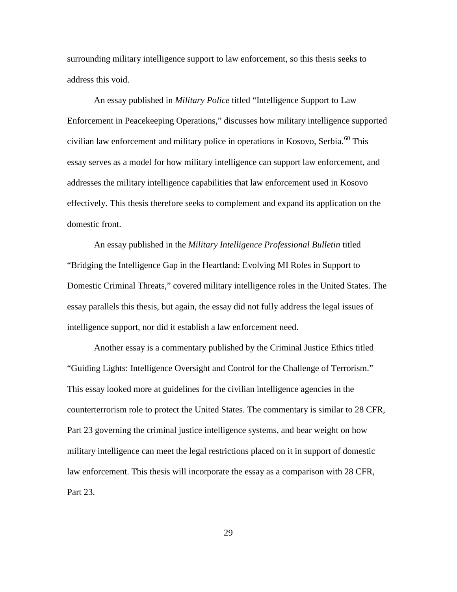surrounding military intelligence support to law enforcement, so this thesis seeks to address this void.

An essay published in *Military Police* titled "Intelligence Support to Law Enforcement in Peacekeeping Operations," discusses how military intelligence supported civilian law enforcement and military police in operations in Kosovo, Serbia. [60](#page-61-0) This essay serves as a model for how military intelligence can support law enforcement, and addresses the military intelligence capabilities that law enforcement used in Kosovo effectively. This thesis therefore seeks to complement and expand its application on the domestic front.

An essay published in the *Military Intelligence Professional Bulletin* titled "Bridging the Intelligence Gap in the Heartland: Evolving MI Roles in Support to Domestic Criminal Threats," covered military intelligence roles in the United States. The essay parallels this thesis, but again, the essay did not fully address the legal issues of intelligence support, nor did it establish a law enforcement need.

Another essay is a commentary published by the Criminal Justice Ethics titled "Guiding Lights: Intelligence Oversight and Control for the Challenge of Terrorism." This essay looked more at guidelines for the civilian intelligence agencies in the counterterrorism role to protect the United States. The commentary is similar to 28 CFR, Part 23 governing the criminal justice intelligence systems, and bear weight on how military intelligence can meet the legal restrictions placed on it in support of domestic law enforcement. This thesis will incorporate the essay as a comparison with 28 CFR, Part 23.

29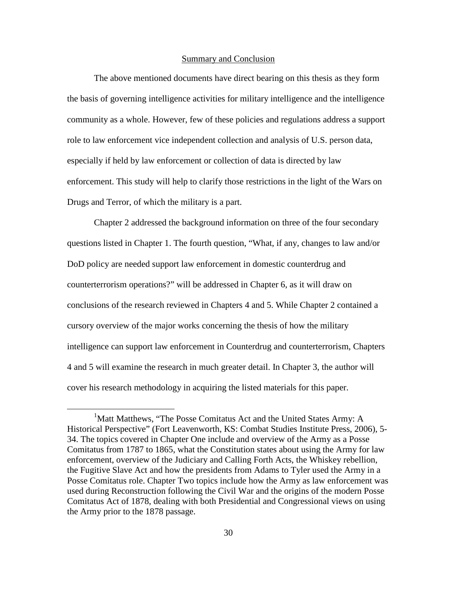#### Summary and Conclusion

The above mentioned documents have direct bearing on this thesis as they form the basis of governing intelligence activities for military intelligence and the intelligence community as a whole. However, few of these policies and regulations address a support role to law enforcement vice independent collection and analysis of U.S. person data, especially if held by law enforcement or collection of data is directed by law enforcement. This study will help to clarify those restrictions in the light of the Wars on Drugs and Terror, of which the military is a part.

Chapter 2 addressed the background information on three of the four secondary questions listed in Chapter 1. The fourth question, "What, if any, changes to law and/or DoD policy are needed support law enforcement in domestic counterdrug and counterterrorism operations?" will be addressed in Chapter 6, as it will draw on conclusions of the research reviewed in Chapters 4 and 5. While Chapter 2 contained a cursory overview of the major works concerning the thesis of how the military intelligence can support law enforcement in Counterdrug and counterterrorism, Chapters 4 and 5 will examine the research in much greater detail. In Chapter 3, the author will cover his research methodology in acquiring the listed materials for this paper.

<sup>&</sup>lt;u>1</u> <sup>1</sup>Matt Matthews, "The Posse Comitatus Act and the United States Army: A Historical Perspective" (Fort Leavenworth, KS: Combat Studies Institute Press, 2006), 5- 34. The topics covered in Chapter One include and overview of the Army as a Posse Comitatus from 1787 to 1865, what the Constitution states about using the Army for law enforcement, overview of the Judiciary and Calling Forth Acts, the Whiskey rebellion, the Fugitive Slave Act and how the presidents from Adams to Tyler used the Army in a Posse Comitatus role. Chapter Two topics include how the Army as law enforcement was used during Reconstruction following the Civil War and the origins of the modern Posse Comitatus Act of 1878, dealing with both Presidential and Congressional views on using the Army prior to the 1878 passage.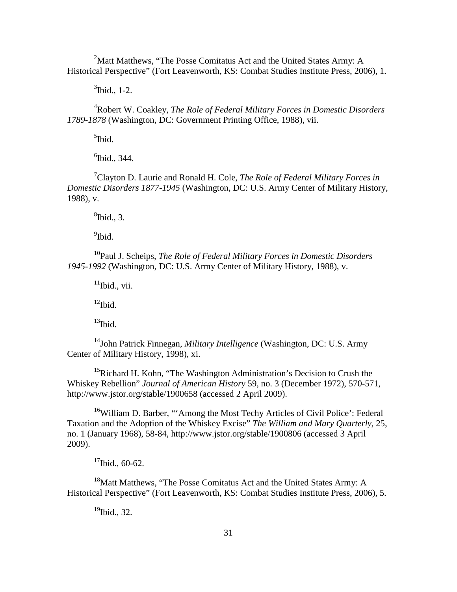$2^2$ Matt Matthews, "The Posse Comitatus Act and the United States Army: A Historical Perspective" (Fort Leavenworth, KS: Combat Studies Institute Press, 2006), 1.

 $3$ Ibid., 1-2.

4 Robert W. Coakley, *The Role of Federal Military Forces in Domestic Disorders 1789-1878* (Washington, DC: Government Printing Office, 1988), vii.

<sup>5</sup>Ibid.

<sup>6</sup>Ibid., 344.

7 Clayton D. Laurie and Ronald H. Cole, *The Role of Federal Military Forces in Domestic Disorders 1877-1945* (Washington, DC: U.S. Army Center of Military History, 1988), v.

 ${}^{8}$ Ibid., 3.

<sup>9</sup>Ibid.

10Paul J. Scheips, *The Role of Federal Military Forces in Domestic Disorders 1945-1992* (Washington, DC: U.S. Army Center of Military History, 1988), v.

 $11$ Ibid., vii.

 $^{12}$ Ibid.

 $^{13}$ Ibid.

14John Patrick Finnegan, *Military Intelligence* (Washington, DC: U.S. Army Center of Military History, 1998), xi.

<sup>15</sup>Richard H. Kohn, "The Washington Administration's Decision to Crush the Whiskey Rebellion" *Journal of American History* 59, no. 3 (December 1972), 570-571, http://www.jstor.org/stable/1900658 (accessed 2 April 2009).

<sup>16</sup>William D. Barber, "'Among the Most Techy Articles of Civil Police': Federal Taxation and the Adoption of the Whiskey Excise" *The William and Mary Quarterly*, 25, no. 1 (January 1968), 58-84, http://www.jstor.org/stable/1900806 (accessed 3 April 2009).

 $17$ Ibid., 60-62.

<sup>18</sup>Matt Matthews, "The Posse Comitatus Act and the United States Army: A Historical Perspective" (Fort Leavenworth, KS: Combat Studies Institute Press, 2006), 5.

 $19$ Ibid., 32.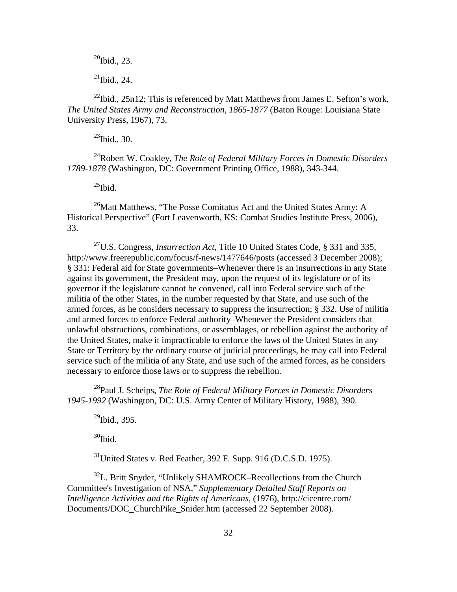$^{20}$ Ibid., 23.

 $^{21}$ Ibid., 24.

<sup>22</sup>Ibid., 25n12; This is referenced by Matt Matthews from James E. Sefton's work, *The United States Army and Reconstruction, 1865-1877* (Baton Rouge: Louisiana State University Press, 1967), 73.

 $^{23}$ Ibid., 30.

24Robert W. Coakley, *The Role of Federal Military Forces in Domestic Disorders 1789-1878* (Washington, DC: Government Printing Office, 1988), 343-344.

 $^{25}$ Ibid.

 $^{26}$ Matt Matthews, "The Posse Comitatus Act and the United States Army: A Historical Perspective" (Fort Leavenworth, KS: Combat Studies Institute Press, 2006), 33.

27U.S. Congress, *Insurrection Act*, Title 10 United States Code, § 331 and 335, http://www.freerepublic.com/focus/f-news/1477646/posts (accessed 3 December 2008); § 331: Federal aid for State governments–Whenever there is an insurrections in any State against its government, the President may, upon the request of its legislature or of its governor if the legislature cannot be convened, call into Federal service such of the militia of the other States, in the number requested by that State, and use such of the armed forces, as he considers necessary to suppress the insurrection; § 332. Use of militia and armed forces to enforce Federal authority–Whenever the President considers that unlawful obstructions, combinations, or assemblages, or rebellion against the authority of the United States, make it impracticable to enforce the laws of the United States in any State or Territory by the ordinary course of judicial proceedings, he may call into Federal service such of the militia of any State, and use such of the armed forces, as he considers necessary to enforce those laws or to suppress the rebellion.

28Paul J. Scheips, *The Role of Federal Military Forces in Domestic Disorders 1945-1992* (Washington, DC: U.S. Army Center of Military History, 1988), 390.

 $^{29}$ Ibid., 395.

 $30$ Ibid.

 $31$ United States v. Red Feather, 392 F. Supp. 916 (D.C.S.D. 1975).

<sup>32</sup>L. Britt Snyder, "Unlikely SHAMROCK–Recollections from the Church Committee's Investigation of NSA," *Supplementary Detailed Staff Reports on Intelligence Activities and the Rights of Americans*, (1976), http://cicentre.com/ Documents/DOC\_ChurchPike\_Snider.htm (accessed 22 September 2008).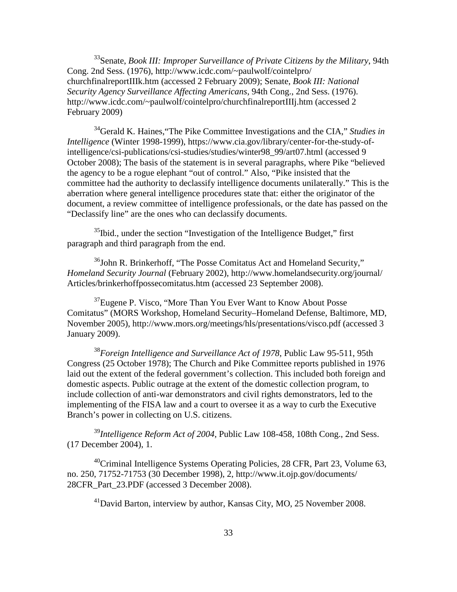33Senate, *Book III: Improper Surveillance of Private Citizens by the Military*, 94th Cong. 2nd Sess. (1976), http://www.icdc.com/~paulwolf/cointelpro/ churchfinalreportIIIk.htm (accessed 2 February 2009); Senate, *Book III: National Security Agency Surveillance Affecting Americans*, 94th Cong., 2nd Sess. (1976). http://www.icdc.com/~paulwolf/cointelpro/churchfinalreportIIIj.htm (accessed 2 February 2009)

34Gerald K. Haines,"The Pike Committee Investigations and the CIA," *Studies in Intelligence* (Winter 1998-1999), https://www.cia.gov/library/center-for-the-study-ofintelligence/csi-publications/csi-studies/studies/winter98\_99/art07.html (accessed 9 October 2008); The basis of the statement is in several paragraphs, where Pike "believed the agency to be a rogue elephant "out of control." Also, "Pike insisted that the committee had the authority to declassify intelligence documents unilaterally." This is the aberration where general intelligence procedures state that: either the originator of the document, a review committee of intelligence professionals, or the date has passed on the "Declassify line" are the ones who can declassify documents.

 $35$ Ibid., under the section "Investigation of the Intelligence Budget," first paragraph and third paragraph from the end.

<sup>36</sup>John R. Brinkerhoff, "The Posse Comitatus Act and Homeland Security," *Homeland Security Journal* (February 2002), http://www.homelandsecurity.org/journal/ Articles/brinkerhoffpossecomitatus.htm (accessed 23 September 2008).

<sup>37</sup>Eugene P. Visco, "More Than You Ever Want to Know About Posse Comitatus" (MORS Workshop, Homeland Security–Homeland Defense, Baltimore, MD, November 2005), http://www.mors.org/meetings/hls/presentations/visco.pdf (accessed 3 January 2009).

<sup>38</sup>*Foreign Intelligence and Surveillance Act of 1978*, Public Law 95-511, 95th Congress (25 October 1978); The Church and Pike Committee reports published in 1976 laid out the extent of the federal government's collection. This included both foreign and domestic aspects. Public outrage at the extent of the domestic collection program, to include collection of anti-war demonstrators and civil rights demonstrators, led to the implementing of the FISA law and a court to oversee it as a way to curb the Executive Branch's power in collecting on U.S. citizens.

<sup>39</sup>*Intelligence Reform Act of 2004*, Public Law 108-458, 108th Cong., 2nd Sess. (17 December 2004), 1.

40Criminal Intelligence Systems Operating Policies, 28 CFR, Part 23, Volume 63, no. 250, 71752-71753 (30 December 1998), 2, http://www.it.ojp.gov/documents/ 28CFR\_Part\_23.PDF (accessed 3 December 2008).

 $^{41}$ David Barton, interview by author, Kansas City, MO, 25 November 2008.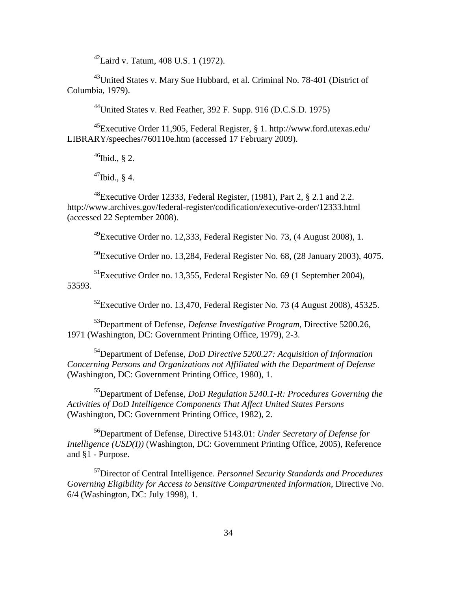42Laird v. Tatum, 408 U.S. 1 (1972).

43United States v. Mary Sue Hubbard, et al. Criminal No. 78-401 (District of Columbia, 1979).

44United States v. Red Feather, 392 F. Supp. 916 (D.C.S.D. 1975)

45Executive Order 11,905, Federal Register, § 1. http://www.ford.utexas.edu/ LIBRARY/speeches/760110e.htm (accessed 17 February 2009).

 $46$ Ibid., § 2.

 $47$ Ibid., § 4.

48Executive Order 12333, Federal Register, (1981), Part 2, § 2.1 and 2.2. http://www.archives.gov/federal-register/codification/executive-order/12333.html (accessed 22 September 2008).

 $^{49}$ Executive Order no. 12,333, Federal Register No. 73, (4 August 2008), 1.

 $^{50}$ Executive Order no. 13,284, Federal Register No. 68, (28 January 2003), 4075.

<sup>51</sup>Executive Order no. 13,355, Federal Register No. 69 (1 September 2004), 53593.

 $52$ Executive Order no. 13,470, Federal Register No. 73 (4 August 2008), 45325.

53Department of Defense, *Defense Investigative Program*, Directive 5200.26, 1971 (Washington, DC: Government Printing Office, 1979), 2-3.

54Department of Defense, *DoD Directive 5200.27: Acquisition of Information Concerning Persons and Organizations not Affiliated with the Department of Defense* (Washington, DC: Government Printing Office, 1980), 1.

55Department of Defense, *DoD Regulation 5240.1-R: Procedures Governing the Activities of DoD Intelligence Components That Affect United States Persons* (Washington, DC: Government Printing Office, 1982), 2.

56Department of Defense, Directive 5143.01: *Under Secretary of Defense for Intelligence (USD(I))* (Washington, DC: Government Printing Office, 2005), Reference and §1 - Purpose.

57Director of Central Intelligence. *Personnel Security Standards and Procedures Governing Eligibility for Access to Sensitive Compartmented Information*, Directive No. 6/4 (Washington, DC: July 1998), 1.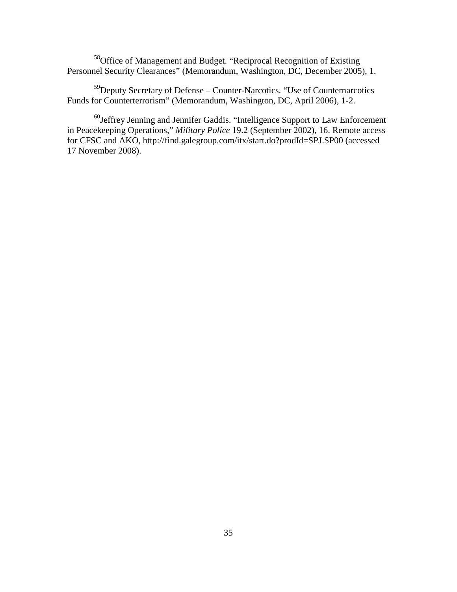58Office of Management and Budget. "Reciprocal Recognition of Existing Personnel Security Clearances" (Memorandum, Washington, DC, December 2005), 1.

59Deputy Secretary of Defense – Counter-Narcotics. "Use of Counternarcotics Funds for Counterterrorism" (Memorandum, Washington, DC, April 2006), 1-2.

60Jeffrey Jenning and Jennifer Gaddis. "Intelligence Support to Law Enforcement in Peacekeeping Operations," *Military Police* 19.2 (September 2002), 16. Remote access for CFSC and AKO, http://find.galegroup.com/itx/start.do?prodId=SPJ.SP00 (accessed 17 November 2008).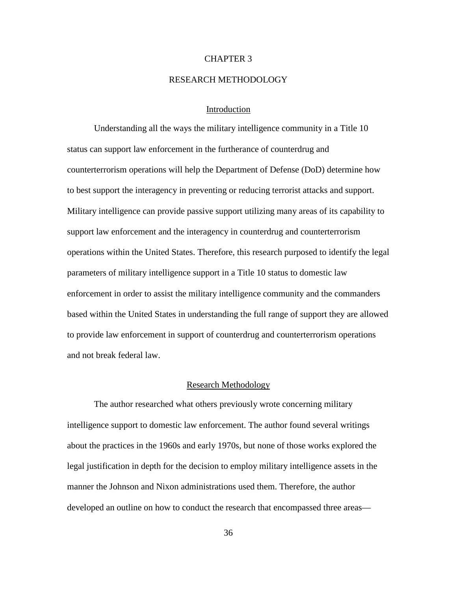### CHAPTER 3

#### RESEARCH METHODOLOGY

### Introduction

Understanding all the ways the military intelligence community in a Title 10 status can support law enforcement in the furtherance of counterdrug and counterterrorism operations will help the Department of Defense (DoD) determine how to best support the interagency in preventing or reducing terrorist attacks and support. Military intelligence can provide passive support utilizing many areas of its capability to support law enforcement and the interagency in counterdrug and counterterrorism operations within the United States. Therefore, this research purposed to identify the legal parameters of military intelligence support in a Title 10 status to domestic law enforcement in order to assist the military intelligence community and the commanders based within the United States in understanding the full range of support they are allowed to provide law enforcement in support of counterdrug and counterterrorism operations and not break federal law.

### Research Methodology

The author researched what others previously wrote concerning military intelligence support to domestic law enforcement. The author found several writings about the practices in the 1960s and early 1970s, but none of those works explored the legal justification in depth for the decision to employ military intelligence assets in the manner the Johnson and Nixon administrations used them. Therefore, the author developed an outline on how to conduct the research that encompassed three areas—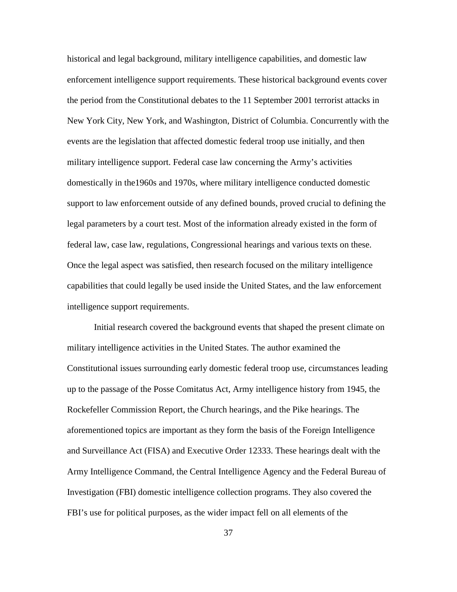historical and legal background, military intelligence capabilities, and domestic law enforcement intelligence support requirements. These historical background events cover the period from the Constitutional debates to the 11 September 2001 terrorist attacks in New York City, New York, and Washington, District of Columbia. Concurrently with the events are the legislation that affected domestic federal troop use initially, and then military intelligence support. Federal case law concerning the Army's activities domestically in the1960s and 1970s, where military intelligence conducted domestic support to law enforcement outside of any defined bounds, proved crucial to defining the legal parameters by a court test. Most of the information already existed in the form of federal law, case law, regulations, Congressional hearings and various texts on these. Once the legal aspect was satisfied, then research focused on the military intelligence capabilities that could legally be used inside the United States, and the law enforcement intelligence support requirements.

Initial research covered the background events that shaped the present climate on military intelligence activities in the United States. The author examined the Constitutional issues surrounding early domestic federal troop use, circumstances leading up to the passage of the Posse Comitatus Act, Army intelligence history from 1945, the Rockefeller Commission Report, the Church hearings, and the Pike hearings. The aforementioned topics are important as they form the basis of the Foreign Intelligence and Surveillance Act (FISA) and Executive Order 12333. These hearings dealt with the Army Intelligence Command, the Central Intelligence Agency and the Federal Bureau of Investigation (FBI) domestic intelligence collection programs. They also covered the FBI's use for political purposes, as the wider impact fell on all elements of the

37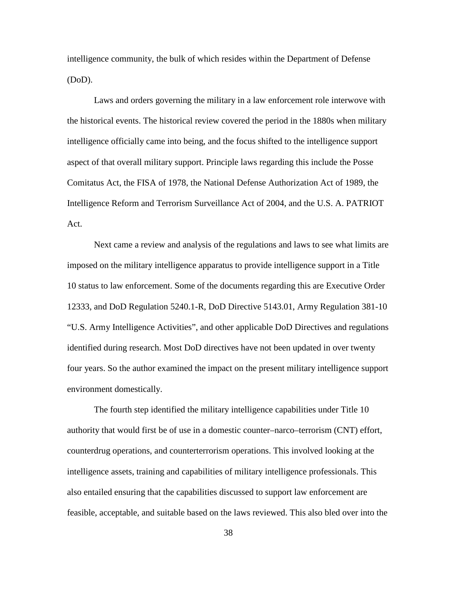intelligence community, the bulk of which resides within the Department of Defense (DoD).

Laws and orders governing the military in a law enforcement role interwove with the historical events. The historical review covered the period in the 1880s when military intelligence officially came into being, and the focus shifted to the intelligence support aspect of that overall military support. Principle laws regarding this include the Posse Comitatus Act, the FISA of 1978, the National Defense Authorization Act of 1989, the Intelligence Reform and Terrorism Surveillance Act of 2004, and the U.S. A. PATRIOT Act.

Next came a review and analysis of the regulations and laws to see what limits are imposed on the military intelligence apparatus to provide intelligence support in a Title 10 status to law enforcement. Some of the documents regarding this are Executive Order 12333, and DoD Regulation 5240.1-R, DoD Directive 5143.01, Army Regulation 381-10 "U.S. Army Intelligence Activities", and other applicable DoD Directives and regulations identified during research. Most DoD directives have not been updated in over twenty four years. So the author examined the impact on the present military intelligence support environment domestically.

The fourth step identified the military intelligence capabilities under Title 10 authority that would first be of use in a domestic counter–narco–terrorism (CNT) effort, counterdrug operations, and counterterrorism operations. This involved looking at the intelligence assets, training and capabilities of military intelligence professionals. This also entailed ensuring that the capabilities discussed to support law enforcement are feasible, acceptable, and suitable based on the laws reviewed. This also bled over into the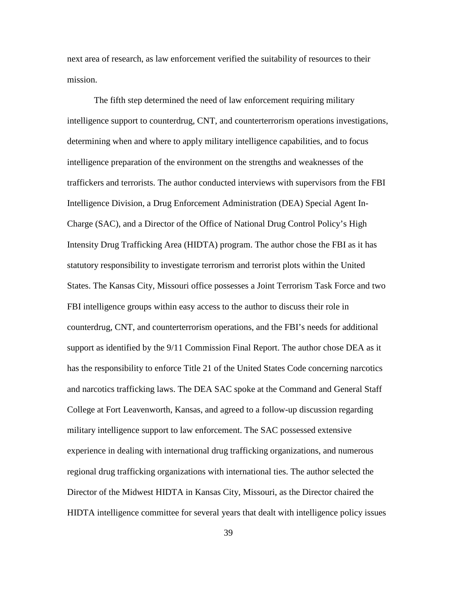next area of research, as law enforcement verified the suitability of resources to their mission.

The fifth step determined the need of law enforcement requiring military intelligence support to counterdrug, CNT, and counterterrorism operations investigations, determining when and where to apply military intelligence capabilities, and to focus intelligence preparation of the environment on the strengths and weaknesses of the traffickers and terrorists. The author conducted interviews with supervisors from the FBI Intelligence Division, a Drug Enforcement Administration (DEA) Special Agent In-Charge (SAC), and a Director of the Office of National Drug Control Policy's High Intensity Drug Trafficking Area (HIDTA) program. The author chose the FBI as it has statutory responsibility to investigate terrorism and terrorist plots within the United States. The Kansas City, Missouri office possesses a Joint Terrorism Task Force and two FBI intelligence groups within easy access to the author to discuss their role in counterdrug, CNT, and counterterrorism operations, and the FBI's needs for additional support as identified by the 9/11 Commission Final Report. The author chose DEA as it has the responsibility to enforce Title 21 of the United States Code concerning narcotics and narcotics trafficking laws. The DEA SAC spoke at the Command and General Staff College at Fort Leavenworth, Kansas, and agreed to a follow-up discussion regarding military intelligence support to law enforcement. The SAC possessed extensive experience in dealing with international drug trafficking organizations, and numerous regional drug trafficking organizations with international ties. The author selected the Director of the Midwest HIDTA in Kansas City, Missouri, as the Director chaired the HIDTA intelligence committee for several years that dealt with intelligence policy issues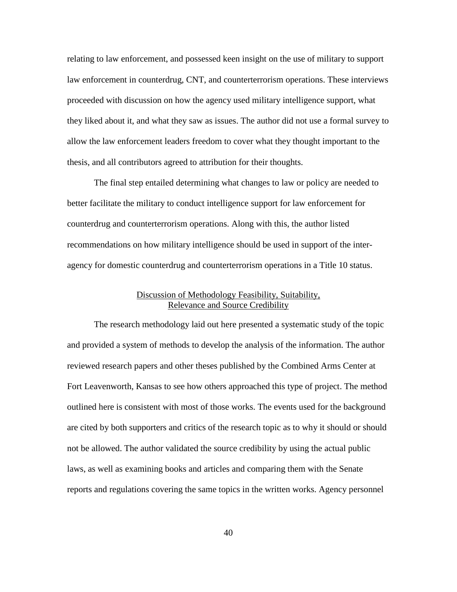relating to law enforcement, and possessed keen insight on the use of military to support law enforcement in counterdrug, CNT, and counterterrorism operations. These interviews proceeded with discussion on how the agency used military intelligence support, what they liked about it, and what they saw as issues. The author did not use a formal survey to allow the law enforcement leaders freedom to cover what they thought important to the thesis, and all contributors agreed to attribution for their thoughts.

The final step entailed determining what changes to law or policy are needed to better facilitate the military to conduct intelligence support for law enforcement for counterdrug and counterterrorism operations. Along with this, the author listed recommendations on how military intelligence should be used in support of the interagency for domestic counterdrug and counterterrorism operations in a Title 10 status.

# Discussion of Methodology Feasibility, Suitability, Relevance and Source Credibility

The research methodology laid out here presented a systematic study of the topic and provided a system of methods to develop the analysis of the information. The author reviewed research papers and other theses published by the Combined Arms Center at Fort Leavenworth, Kansas to see how others approached this type of project. The method outlined here is consistent with most of those works. The events used for the background are cited by both supporters and critics of the research topic as to why it should or should not be allowed. The author validated the source credibility by using the actual public laws, as well as examining books and articles and comparing them with the Senate reports and regulations covering the same topics in the written works. Agency personnel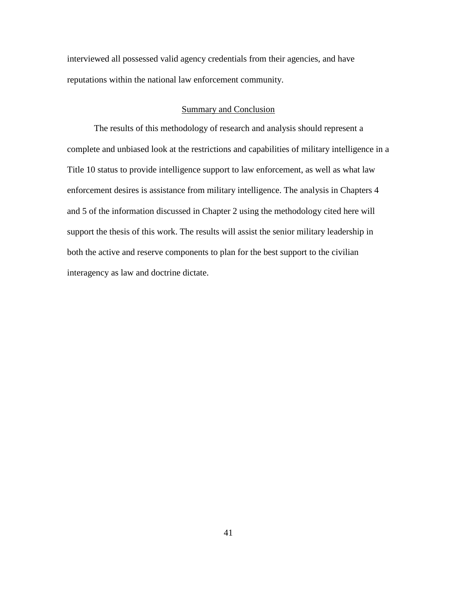interviewed all possessed valid agency credentials from their agencies, and have reputations within the national law enforcement community.

## Summary and Conclusion

The results of this methodology of research and analysis should represent a complete and unbiased look at the restrictions and capabilities of military intelligence in a Title 10 status to provide intelligence support to law enforcement, as well as what law enforcement desires is assistance from military intelligence. The analysis in Chapters 4 and 5 of the information discussed in Chapter 2 using the methodology cited here will support the thesis of this work. The results will assist the senior military leadership in both the active and reserve components to plan for the best support to the civilian interagency as law and doctrine dictate.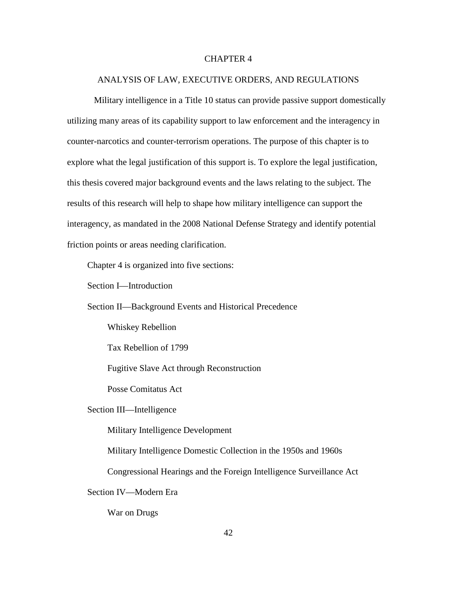## CHAPTER 4

### ANALYSIS OF LAW, EXECUTIVE ORDERS, AND REGULATIONS

Military intelligence in a Title 10 status can provide passive support domestically utilizing many areas of its capability support to law enforcement and the interagency in counter-narcotics and counter-terrorism operations. The purpose of this chapter is to explore what the legal justification of this support is. To explore the legal justification, this thesis covered major background events and the laws relating to the subject. The results of this research will help to shape how military intelligence can support the interagency, as mandated in the 2008 National Defense Strategy and identify potential friction points or areas needing clarification.

Chapter 4 is organized into five sections:

Section I—Introduction

Section II—Background Events and Historical Precedence

Whiskey Rebellion

Tax Rebellion of 1799

Fugitive Slave Act through Reconstruction

Posse Comitatus Act

Section III—Intelligence

Military Intelligence Development

Military Intelligence Domestic Collection in the 1950s and 1960s

Congressional Hearings and the Foreign Intelligence Surveillance Act

Section IV—Modern Era

War on Drugs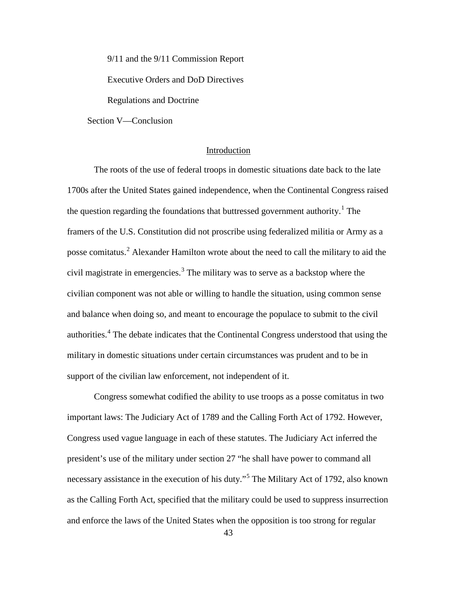9/11 and the 9/11 Commission Report

Executive Orders and DoD Directives

Regulations and Doctrine

Section V—Conclusion

### Introduction

The roots of the use of federal troops in domestic situations date back to the late 1700s after the United States gained independence, when the Continental Congress raised the question regarding the foundations that buttressed government authority.<sup>[1](#page-148-0)</sup> The framers of the U.S. Constitution did not proscribe using federalized militia or Army as a posse comitatus.<sup>[2](#page-148-1)</sup> Alexander Hamilton wrote about the need to call the military to aid the civil magistrate in emergencies. [3](#page-148-2) The military was to serve as a backstop where the civilian component was not able or willing to handle the situation, using common sense and balance when doing so, and meant to encourage the populace to submit to the civil authorities.<sup>[4](#page-148-3)</sup> The debate indicates that the Continental Congress understood that using the military in domestic situations under certain circumstances was prudent and to be in support of the civilian law enforcement, not independent of it.

Congress somewhat codified the ability to use troops as a posse comitatus in two important laws: The Judiciary Act of 1789 and the Calling Forth Act of 1792. However, Congress used vague language in each of these statutes. The Judiciary Act inferred the president's use of the military under section 27 "he shall have power to command all necessary assistance in the execution of his duty."<sup>[5](#page-148-4)</sup> The Military Act of 1792, also known as the Calling Forth Act, specified that the military could be used to suppress insurrection and enforce the laws of the United States when the opposition is too strong for regular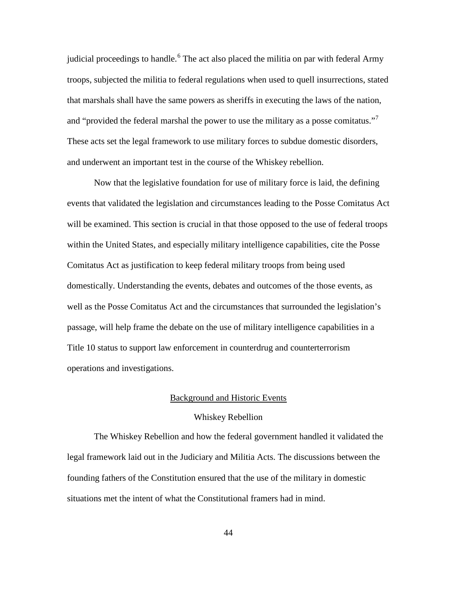judicial proceedings to handle.<sup>[6](#page-149-0)</sup> The act also placed the militia on par with federal Army troops, subjected the militia to federal regulations when used to quell insurrections, stated that marshals shall have the same powers as sheriffs in executing the laws of the nation, and "provided the federal marshal the power to use the military as a posse comitatus."<sup>[7](#page-149-1)</sup> These acts set the legal framework to use military forces to subdue domestic disorders, and underwent an important test in the course of the Whiskey rebellion.

Now that the legislative foundation for use of military force is laid, the defining events that validated the legislation and circumstances leading to the Posse Comitatus Act will be examined. This section is crucial in that those opposed to the use of federal troops within the United States, and especially military intelligence capabilities, cite the Posse Comitatus Act as justification to keep federal military troops from being used domestically. Understanding the events, debates and outcomes of the those events, as well as the Posse Comitatus Act and the circumstances that surrounded the legislation's passage, will help frame the debate on the use of military intelligence capabilities in a Title 10 status to support law enforcement in counterdrug and counterterrorism operations and investigations.

#### Background and Historic Events

## Whiskey Rebellion

The Whiskey Rebellion and how the federal government handled it validated the legal framework laid out in the Judiciary and Militia Acts. The discussions between the founding fathers of the Constitution ensured that the use of the military in domestic situations met the intent of what the Constitutional framers had in mind.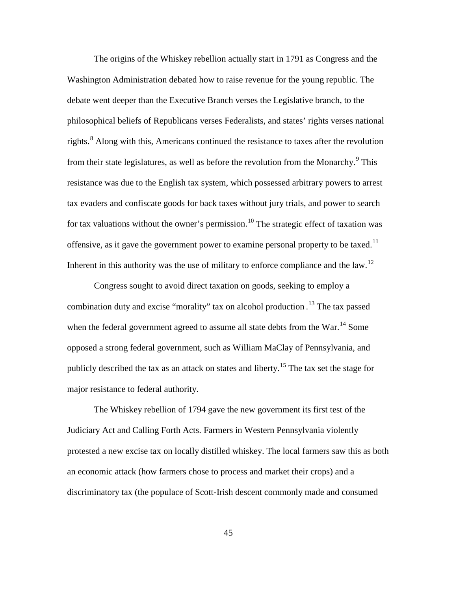The origins of the Whiskey rebellion actually start in 1791 as Congress and the Washington Administration debated how to raise revenue for the young republic. The debate went deeper than the Executive Branch verses the Legislative branch, to the philosophical beliefs of Republicans verses Federalists, and states' rights verses national rights.<sup>[8](#page-149-2)</sup> Along with this, Americans continued the resistance to taxes after the revolution from their state legislatures, as well as before the revolution from the Monarchy.<sup>[9](#page-149-3)</sup> This resistance was due to the English tax system, which possessed arbitrary powers to arrest tax evaders and confiscate goods for back taxes without jury trials, and power to search for tax valuations without the owner's permission.<sup>[10](#page-149-4)</sup> The strategic effect of taxation was offensive, as it gave the government power to examine personal property to be taxed.<sup>[11](#page-149-5)</sup> Inherent in this authority was the use of military to enforce compliance and the law.<sup>[12](#page-149-6)</sup>

Congress sought to avoid direct taxation on goods, seeking to employ a combination duty and excise "morality" tax on alcohol production.<sup>[13](#page-149-7)</sup> The tax passed when the federal government agreed to assume all state debts from the War.<sup>[14](#page-149-8)</sup> Some opposed a strong federal government, such as William MaClay of Pennsylvania, and publicly described the tax as an attack on states and liberty. [15](#page-149-9) The tax set the stage for major resistance to federal authority.

The Whiskey rebellion of 1794 gave the new government its first test of the Judiciary Act and Calling Forth Acts. Farmers in Western Pennsylvania violently protested a new excise tax on locally distilled whiskey. The local farmers saw this as both an economic attack (how farmers chose to process and market their crops) and a discriminatory tax (the populace of Scott-Irish descent commonly made and consumed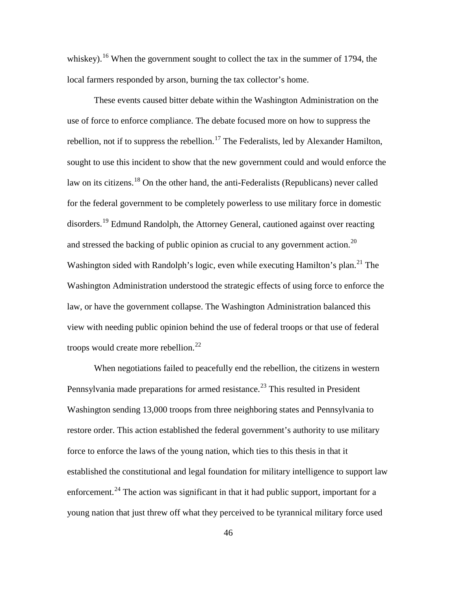whiskey).<sup>[16](#page-150-0)</sup> When the government sought to collect the tax in the summer of 1794, the local farmers responded by arson, burning the tax collector's home.

These events caused bitter debate within the Washington Administration on the use of force to enforce compliance. The debate focused more on how to suppress the rebellion, not if to suppress the rebellion.<sup>[17](#page-150-1)</sup> The Federalists, led by Alexander Hamilton, sought to use this incident to show that the new government could and would enforce the law on its citizens.<sup>[18](#page-150-2)</sup> On the other hand, the anti-Federalists (Republicans) never called for the federal government to be completely powerless to use military force in domestic disorders.<sup>[19](#page-150-3)</sup> Edmund Randolph, the Attorney General, cautioned against over reacting and stressed the backing of public opinion as crucial to any government action.<sup>[20](#page-150-4)</sup> Washington sided with Randolph's logic, even while executing Hamilton's plan.<sup>[21](#page-150-5)</sup> The Washington Administration understood the strategic effects of using force to enforce the law, or have the government collapse. The Washington Administration balanced this view with needing public opinion behind the use of federal troops or that use of federal troops would create more rebellion.<sup>[22](#page-150-6)</sup>

When negotiations failed to peacefully end the rebellion, the citizens in western Pennsylvania made preparations for armed resistance.<sup>[23](#page-150-7)</sup> This resulted in President Washington sending 13,000 troops from three neighboring states and Pennsylvania to restore order. This action established the federal government's authority to use military force to enforce the laws of the young nation, which ties to this thesis in that it established the constitutional and legal foundation for military intelligence to support law enforcement.<sup>[24](#page-150-8)</sup> The action was significant in that it had public support, important for a young nation that just threw off what they perceived to be tyrannical military force used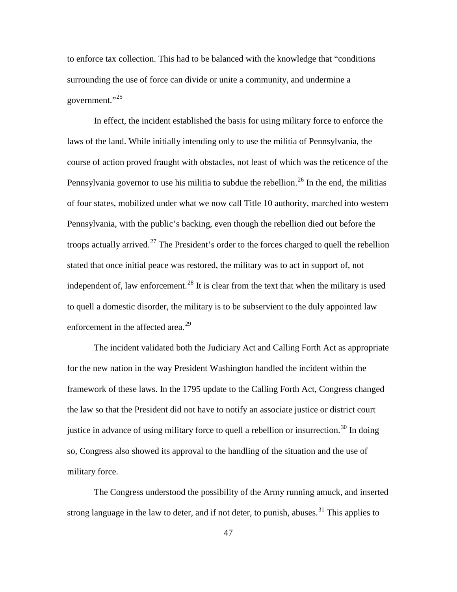to enforce tax collection. This had to be balanced with the knowledge that "conditions surrounding the use of force can divide or unite a community, and undermine a government."[25](#page-151-0)

In effect, the incident established the basis for using military force to enforce the laws of the land. While initially intending only to use the militia of Pennsylvania, the course of action proved fraught with obstacles, not least of which was the reticence of the Pennsylvania governor to use his militia to subdue the rebellion.<sup>[26](#page-151-1)</sup> In the end, the militias of four states, mobilized under what we now call Title 10 authority, marched into western Pennsylvania, with the public's backing, even though the rebellion died out before the troops actually arrived.<sup>[27](#page-151-2)</sup> The President's order to the forces charged to quell the rebellion stated that once initial peace was restored, the military was to act in support of, not independent of, law enforcement.<sup>[28](#page-151-3)</sup> It is clear from the text that when the military is used to quell a domestic disorder, the military is to be subservient to the duly appointed law enforcement in the affected area.<sup>[29](#page-151-4)</sup>

The incident validated both the Judiciary Act and Calling Forth Act as appropriate for the new nation in the way President Washington handled the incident within the framework of these laws. In the 1795 update to the Calling Forth Act, Congress changed the law so that the President did not have to notify an associate justice or district court justice in advance of using military force to quell a rebellion or insurrection.<sup>[30](#page-151-5)</sup> In doing so, Congress also showed its approval to the handling of the situation and the use of military force.

The Congress understood the possibility of the Army running amuck, and inserted strong language in the law to deter, and if not deter, to punish, abuses.<sup>[31](#page-151-6)</sup> This applies to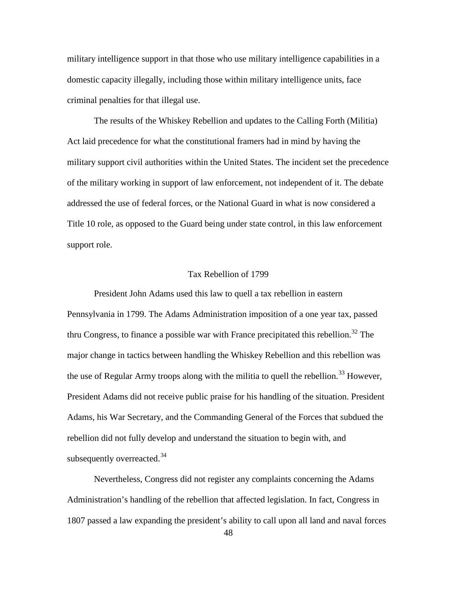military intelligence support in that those who use military intelligence capabilities in a domestic capacity illegally, including those within military intelligence units, face criminal penalties for that illegal use.

The results of the Whiskey Rebellion and updates to the Calling Forth (Militia) Act laid precedence for what the constitutional framers had in mind by having the military support civil authorities within the United States. The incident set the precedence of the military working in support of law enforcement, not independent of it. The debate addressed the use of federal forces, or the National Guard in what is now considered a Title 10 role, as opposed to the Guard being under state control, in this law enforcement support role.

## Tax Rebellion of 1799

President John Adams used this law to quell a tax rebellion in eastern Pennsylvania in 1799. The Adams Administration imposition of a one year tax, passed thru Congress, to finance a possible war with France precipitated this rebellion.<sup>[32](#page-152-0)</sup> The major change in tactics between handling the Whiskey Rebellion and this rebellion was the use of Regular Army troops along with the militia to quell the rebellion.<sup>[33](#page-152-1)</sup> However, President Adams did not receive public praise for his handling of the situation. President Adams, his War Secretary, and the Commanding General of the Forces that subdued the rebellion did not fully develop and understand the situation to begin with, and subsequently overreacted. $34$ 

Nevertheless, Congress did not register any complaints concerning the Adams Administration's handling of the rebellion that affected legislation. In fact, Congress in 1807 passed a law expanding the president's ability to call upon all land and naval forces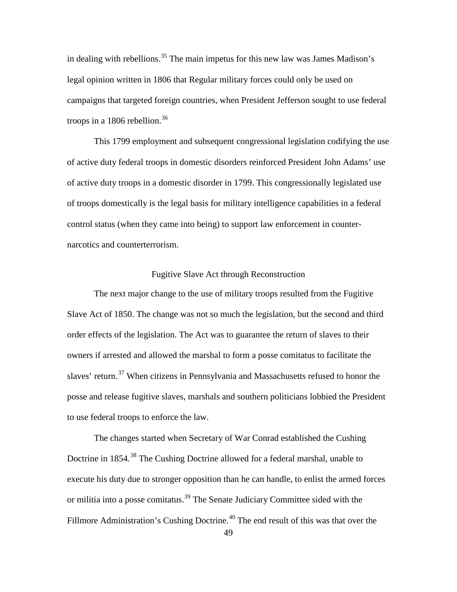in dealing with rebellions. [35](#page-153-0) The main impetus for this new law was James Madison's legal opinion written in 1806 that Regular military forces could only be used on campaigns that targeted foreign countries, when President Jefferson sought to use federal troops in a 1806 rebellion.<sup>[36](#page-153-1)</sup>

This 1799 employment and subsequent congressional legislation codifying the use of active duty federal troops in domestic disorders reinforced President John Adams' use of active duty troops in a domestic disorder in 1799. This congressionally legislated use of troops domestically is the legal basis for military intelligence capabilities in a federal control status (when they came into being) to support law enforcement in counternarcotics and counterterrorism.

### Fugitive Slave Act through Reconstruction

The next major change to the use of military troops resulted from the Fugitive Slave Act of 1850. The change was not so much the legislation, but the second and third order effects of the legislation. The Act was to guarantee the return of slaves to their owners if arrested and allowed the marshal to form a posse comitatus to facilitate the slaves' return.<sup>[37](#page-153-2)</sup> When citizens in Pennsylvania and Massachusetts refused to honor the posse and release fugitive slaves, marshals and southern politicians lobbied the President to use federal troops to enforce the law.

The changes started when Secretary of War Conrad established the Cushing Doctrine in 1854.<sup>[38](#page-153-3)</sup> The Cushing Doctrine allowed for a federal marshal, unable to execute his duty due to stronger opposition than he can handle, to enlist the armed forces or militia into a posse comitatus.<sup>[39](#page-153-4)</sup> The Senate Judiciary Committee sided with the Fillmore Administration's Cushing Doctrine.<sup>[40](#page-153-5)</sup> The end result of this was that over the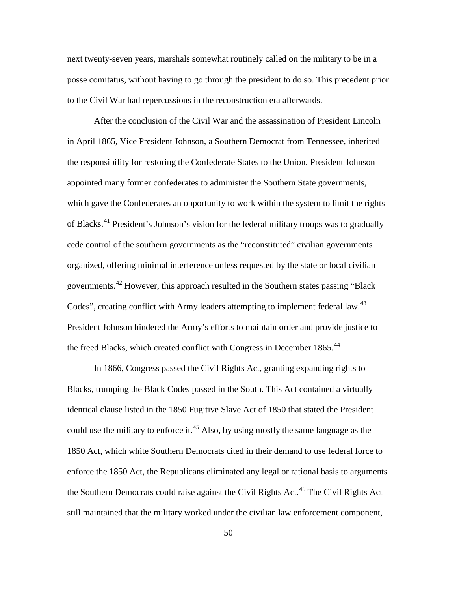next twenty-seven years, marshals somewhat routinely called on the military to be in a posse comitatus, without having to go through the president to do so. This precedent prior to the Civil War had repercussions in the reconstruction era afterwards.

After the conclusion of the Civil War and the assassination of President Lincoln in April 1865, Vice President Johnson, a Southern Democrat from Tennessee, inherited the responsibility for restoring the Confederate States to the Union. President Johnson appointed many former confederates to administer the Southern State governments, which gave the Confederates an opportunity to work within the system to limit the rights of Blacks.<sup>[41](#page-154-0)</sup> President's Johnson's vision for the federal military troops was to gradually cede control of the southern governments as the "reconstituted" civilian governments organized, offering minimal interference unless requested by the state or local civilian governments.<sup>[42](#page-154-1)</sup> However, this approach resulted in the Southern states passing "Black Codes", creating conflict with Army leaders attempting to implement federal law.<sup>[43](#page-154-2)</sup> President Johnson hindered the Army's efforts to maintain order and provide justice to the freed Blacks, which created conflict with Congress in December 1865.<sup>[44](#page-154-3)</sup>

In 1866, Congress passed the Civil Rights Act, granting expanding rights to Blacks, trumping the Black Codes passed in the South. This Act contained a virtually identical clause listed in the 1850 Fugitive Slave Act of 1850 that stated the President could use the military to enforce it.<sup>[45](#page-154-4)</sup> Also, by using mostly the same language as the 1850 Act, which white Southern Democrats cited in their demand to use federal force to enforce the 1850 Act, the Republicans eliminated any legal or rational basis to arguments the Southern Democrats could raise against the Civil Rights Act.<sup>[46](#page-154-5)</sup> The Civil Rights Act still maintained that the military worked under the civilian law enforcement component,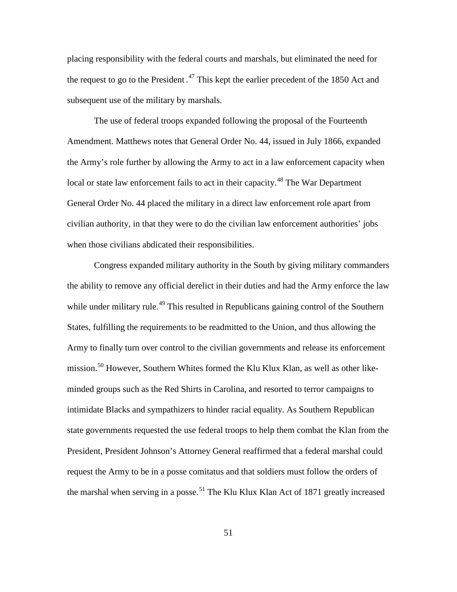placing responsibility with the federal courts and marshals, but eliminated the need for the request to go to the President.<sup>[47](#page-155-0)</sup> This kept the earlier precedent of the 1850 Act and subsequent use of the military by marshals.

The use of federal troops expanded following the proposal of the Fourteenth Amendment. Matthews notes that General Order No. 44, issued in July 1866, expanded the Army's role further by allowing the Army to act in a law enforcement capacity when local or state law enforcement fails to act in their capacity.<sup>[48](#page-155-1)</sup> The War Department General Order No. 44 placed the military in a direct law enforcement role apart from civilian authority, in that they were to do the civilian law enforcement authorities' jobs when those civilians abdicated their responsibilities.

Congress expanded military authority in the South by giving military commanders the ability to remove any official derelict in their duties and had the Army enforce the law while under military rule.<sup>[49](#page-155-2)</sup> This resulted in Republicans gaining control of the Southern States, fulfilling the requirements to be readmitted to the Union, and thus allowing the Army to finally turn over control to the civilian governments and release its enforcement mission.<sup>[50](#page-155-3)</sup> However, Southern Whites formed the Klu Klux Klan, as well as other likeminded groups such as the Red Shirts in Carolina, and resorted to terror campaigns to intimidate Blacks and sympathizers to hinder racial equality. As Southern Republican state governments requested the use federal troops to help them combat the Klan from the President, President Johnson's Attorney General reaffirmed that a federal marshal could request the Army to be in a posse comitatus and that soldiers must follow the orders of the marshal when serving in a posse.<sup>[51](#page-155-4)</sup> The Klu Klux Klan Act of 1871 greatly increased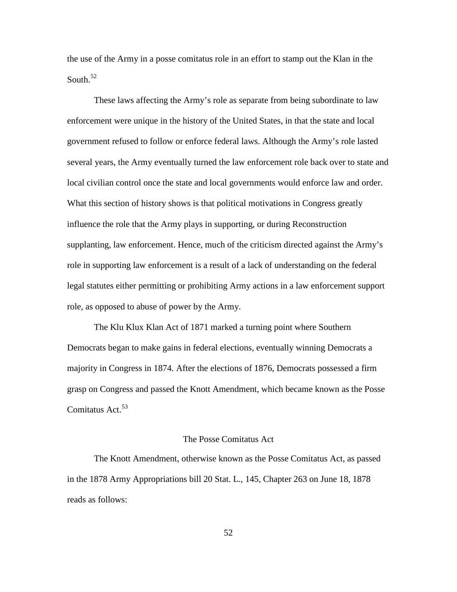the use of the Army in a posse comitatus role in an effort to stamp out the Klan in the South.<sup>[52](#page-156-0)</sup>

These laws affecting the Army's role as separate from being subordinate to law enforcement were unique in the history of the United States, in that the state and local government refused to follow or enforce federal laws. Although the Army's role lasted several years, the Army eventually turned the law enforcement role back over to state and local civilian control once the state and local governments would enforce law and order. What this section of history shows is that political motivations in Congress greatly influence the role that the Army plays in supporting, or during Reconstruction supplanting, law enforcement. Hence, much of the criticism directed against the Army's role in supporting law enforcement is a result of a lack of understanding on the federal legal statutes either permitting or prohibiting Army actions in a law enforcement support role, as opposed to abuse of power by the Army.

The Klu Klux Klan Act of 1871 marked a turning point where Southern Democrats began to make gains in federal elections, eventually winning Democrats a majority in Congress in 1874. After the elections of 1876, Democrats possessed a firm grasp on Congress and passed the Knott Amendment, which became known as the Posse Comitatus Act. [53](#page-156-1)

## The Posse Comitatus Act

The Knott Amendment, otherwise known as the Posse Comitatus Act, as passed in the 1878 Army Appropriations bill 20 Stat. L., 145, Chapter 263 on June 18, 1878 reads as follows: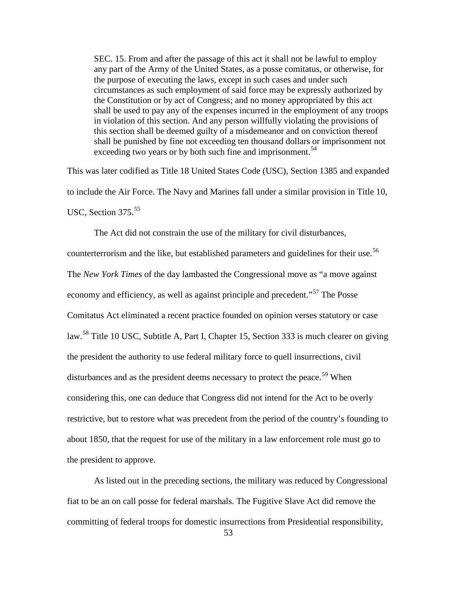SEC. 15. From and after the passage of this act it shall not be lawful to employ any part of the Army of the United States, as a posse comitatus, or otherwise, for the purpose of executing the laws, except in such cases and under such circumstances as such employment of said force may be expressly authorized by the Constitution or by act of Congress; and no money appropriated by this act shall be used to pay any of the expenses incurred in the employment of any troops in violation of this section. And any person willfully violating the provisions of this section shall be deemed guilty of a misdemeanor and on conviction thereof shall be punished by fine not exceeding ten thousand dollars or imprisonment not exceeding two years or by both such fine and imprisonment.<sup>[54](#page-157-0)</sup>

<span id="page-61-0"></span>This was later codified as Title 18 United States Code (USC), Section 1385 and expanded to include the Air Force. The Navy and Marines fall under a similar provision in Title 10, USC, Section 375. [55](#page-157-1)

The Act did not constrain the use of the military for civil disturbances, counterterrorism and the like, but established parameters and guidelines for their use.<sup>[56](#page-157-2)</sup> The *New York Times* of the day lambasted the Congressional move as "a move against economy and efficiency, as well as against principle and precedent."<sup>[57](#page-157-3)</sup> The Posse Comitatus Act eliminated a recent practice founded on opinion verses statutory or case law.<sup>[58](#page-157-4)</sup> Title 10 USC, Subtitle A, Part I, Chapter 15, Section 333 is much clearer on giving the president the authority to use federal military force to quell insurrections, civil disturbances and as the president deems necessary to protect the peace.<sup>[59](#page-157-5)</sup> When considering this, one can deduce that Congress did not intend for the Act to be overly restrictive, but to restore what was precedent from the period of the country's founding to about 1850, that the request for use of the military in a law enforcement role must go to the president to approve.

As listed out in the preceding sections, the military was reduced by Congressional fiat to be an on call posse for federal marshals. The Fugitive Slave Act did remove the committing of federal troops for domestic insurrections from Presidential responsibility,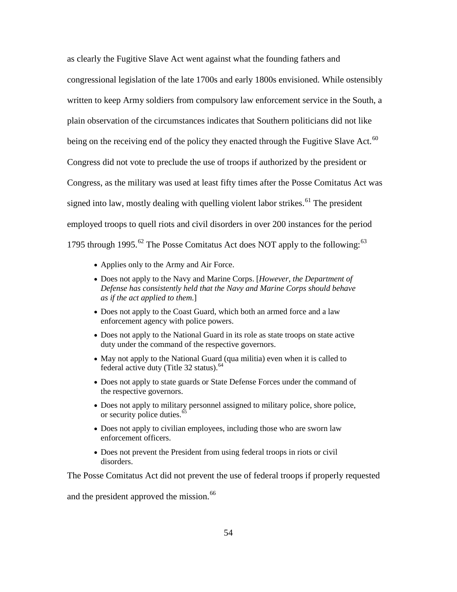as clearly the Fugitive Slave Act went against what the founding fathers and congressional legislation of the late 1700s and early 1800s envisioned. While ostensibly written to keep Army soldiers from compulsory law enforcement service in the South, a plain observation of the circumstances indicates that Southern politicians did not like being on the receiving end of the policy they enacted through the Fugitive Slave Act.<sup>[60](#page-158-0)</sup> Congress did not vote to preclude the use of troops if authorized by the president or Congress, as the military was used at least fifty times after the Posse Comitatus Act was signed into law, mostly dealing with quelling violent labor strikes.<sup>[61](#page-158-1)</sup> The president employed troops to quell riots and civil disorders in over 200 instances for the period 1795 through 1995. $^{62}$  $^{62}$  $^{62}$  The Posse Comitatus Act does NOT apply to the following: $^{63}$  $^{63}$  $^{63}$ 

- Applies only to the Army and Air Force.
- Does not apply to the Navy and Marine Corps. [*However, the Department of Defense has consistently held that the Navy and Marine Corps should behave as if the act applied to them*.]
- Does not apply to the Coast Guard, which both an armed force and a law enforcement agency with police powers.
- Does not apply to the National Guard in its role as state troops on state active duty under the command of the respective governors.
- May not apply to the National Guard (qua militia) even when it is called to federal active duty (Title 32 status). [64](#page-158-4)
- Does not apply to state guards or State Defense Forces under the command of the respective governors.
- Does not apply to military personnel assigned to military police, shore police, or security police duties.<sup>[65](#page-158-5)</sup>
- Does not apply to civilian employees, including those who are sworn law enforcement officers.
- Does not prevent the President from using federal troops in riots or civil disorders.

The Posse Comitatus Act did not prevent the use of federal troops if properly requested

and the president approved the mission.<sup>[66](#page-158-6)</sup>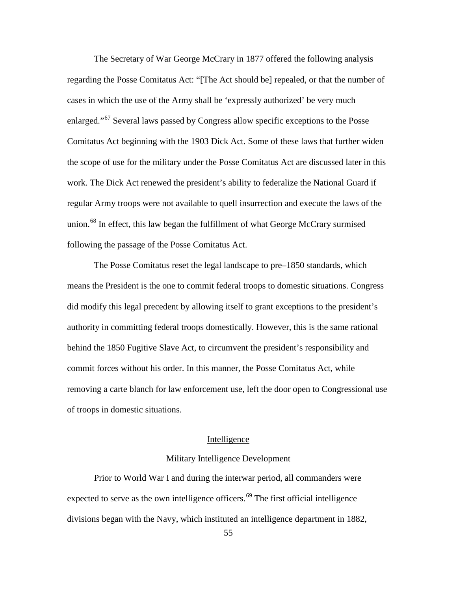The Secretary of War George McCrary in 1877 offered the following analysis regarding the Posse Comitatus Act: "[The Act should be] repealed, or that the number of cases in which the use of the Army shall be 'expressly authorized' be very much enlarged."[67](#page-159-0) Several laws passed by Congress allow specific exceptions to the Posse Comitatus Act beginning with the 1903 Dick Act. Some of these laws that further widen the scope of use for the military under the Posse Comitatus Act are discussed later in this work. The Dick Act renewed the president's ability to federalize the National Guard if regular Army troops were not available to quell insurrection and execute the laws of the union.<sup>[68](#page-159-1)</sup> In effect, this law began the fulfillment of what George McCrary surmised following the passage of the Posse Comitatus Act.

The Posse Comitatus reset the legal landscape to pre–1850 standards, which means the President is the one to commit federal troops to domestic situations. Congress did modify this legal precedent by allowing itself to grant exceptions to the president's authority in committing federal troops domestically. However, this is the same rational behind the 1850 Fugitive Slave Act, to circumvent the president's responsibility and commit forces without his order. In this manner, the Posse Comitatus Act, while removing a carte blanch for law enforcement use, left the door open to Congressional use of troops in domestic situations.

## Intelligence

### Military Intelligence Development

Prior to World War I and during the interwar period, all commanders were expected to serve as the own intelligence officers.<sup>[69](#page-159-2)</sup> The first official intelligence divisions began with the Navy, which instituted an intelligence department in 1882,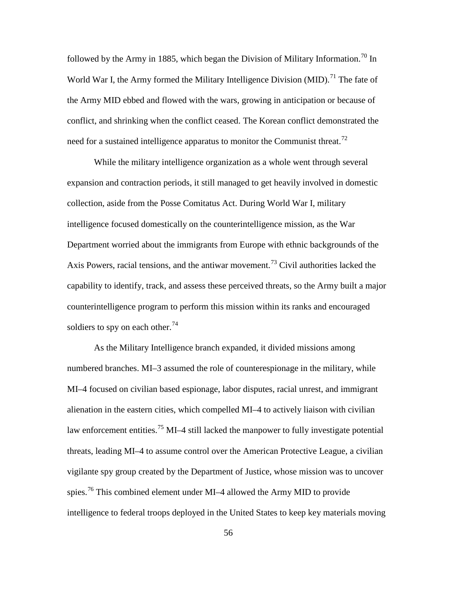followed by the Army in 1885, which began the Division of Military Information.<sup>[70](#page-160-0)</sup> In World War I, the Army formed the Military Intelligence Division (MID).<sup>[71](#page-160-1)</sup> The fate of the Army MID ebbed and flowed with the wars, growing in anticipation or because of conflict, and shrinking when the conflict ceased. The Korean conflict demonstrated the need for a sustained intelligence apparatus to monitor the Communist threat.<sup>[72](#page-160-2)</sup>

While the military intelligence organization as a whole went through several expansion and contraction periods, it still managed to get heavily involved in domestic collection, aside from the Posse Comitatus Act. During World War I, military intelligence focused domestically on the counterintelligence mission, as the War Department worried about the immigrants from Europe with ethnic backgrounds of the Axis Powers, racial tensions, and the antiwar movement.<sup>[73](#page-160-3)</sup> Civil authorities lacked the capability to identify, track, and assess these perceived threats, so the Army built a major counterintelligence program to perform this mission within its ranks and encouraged soldiers to spy on each other. $^{74}$  $^{74}$  $^{74}$ 

As the Military Intelligence branch expanded, it divided missions among numbered branches. MI–3 assumed the role of counterespionage in the military, while MI–4 focused on civilian based espionage, labor disputes, racial unrest, and immigrant alienation in the eastern cities, which compelled MI–4 to actively liaison with civilian law enforcement entities.<sup>[75](#page-160-5)</sup> MI–4 still lacked the manpower to fully investigate potential threats, leading MI–4 to assume control over the American Protective League, a civilian vigilante spy group created by the Department of Justice, whose mission was to uncover spies.<sup>[76](#page-160-6)</sup> This combined element under MI–4 allowed the Army MID to provide intelligence to federal troops deployed in the United States to keep key materials moving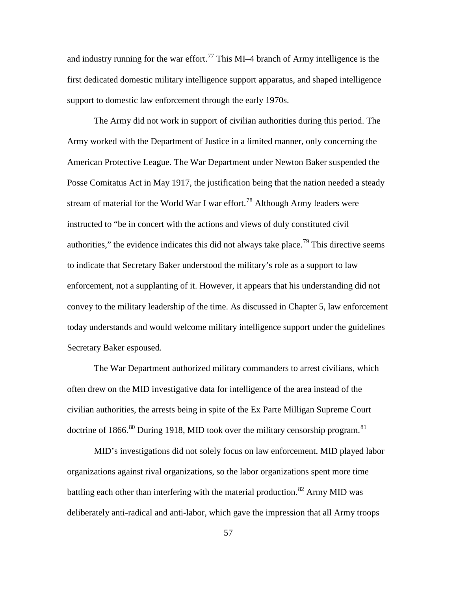and industry running for the war effort.<sup> $77$ </sup> This MI-4 branch of Army intelligence is the first dedicated domestic military intelligence support apparatus, and shaped intelligence support to domestic law enforcement through the early 1970s.

The Army did not work in support of civilian authorities during this period. The Army worked with the Department of Justice in a limited manner, only concerning the American Protective League. The War Department under Newton Baker suspended the Posse Comitatus Act in May 1917, the justification being that the nation needed a steady stream of material for the World War I war effort.<sup>[78](#page-161-1)</sup> Although Army leaders were instructed to "be in concert with the actions and views of duly constituted civil authorities," the evidence indicates this did not always take place.<sup>[79](#page-161-2)</sup> This directive seems to indicate that Secretary Baker understood the military's role as a support to law enforcement, not a supplanting of it. However, it appears that his understanding did not convey to the military leadership of the time. As discussed in Chapter 5, law enforcement today understands and would welcome military intelligence support under the guidelines Secretary Baker espoused.

The War Department authorized military commanders to arrest civilians, which often drew on the MID investigative data for intelligence of the area instead of the civilian authorities, the arrests being in spite of the Ex Parte Milligan Supreme Court doctrine of 1866.<sup>[80](#page-161-3)</sup> During 1918, MID took over the military censorship program.<sup>[81](#page-161-4)</sup>

MID's investigations did not solely focus on law enforcement. MID played labor organizations against rival organizations, so the labor organizations spent more time battling each other than interfering with the material production.<sup>[82](#page-161-5)</sup> Army MID was deliberately anti-radical and anti-labor, which gave the impression that all Army troops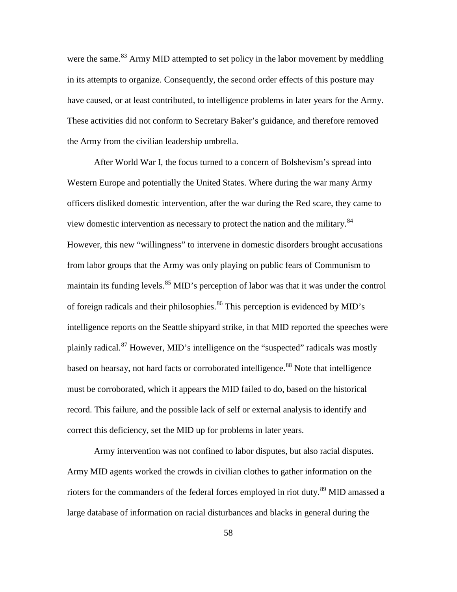were the same.<sup>[83](#page-162-0)</sup> Army MID attempted to set policy in the labor movement by meddling in its attempts to organize. Consequently, the second order effects of this posture may have caused, or at least contributed, to intelligence problems in later years for the Army. These activities did not conform to Secretary Baker's guidance, and therefore removed the Army from the civilian leadership umbrella.

After World War I, the focus turned to a concern of Bolshevism's spread into Western Europe and potentially the United States. Where during the war many Army officers disliked domestic intervention, after the war during the Red scare, they came to view domestic intervention as necessary to protect the nation and the military.<sup>[84](#page-162-1)</sup> However, this new "willingness" to intervene in domestic disorders brought accusations from labor groups that the Army was only playing on public fears of Communism to maintain its funding levels.<sup>[85](#page-162-2)</sup> MID's perception of labor was that it was under the control of foreign radicals and their philosophies.<sup>[86](#page-162-3)</sup> This perception is evidenced by MID's intelligence reports on the Seattle shipyard strike, in that MID reported the speeches were plainly radical.<sup>[87](#page-162-4)</sup> However, MID's intelligence on the "suspected" radicals was mostly based on hearsay, not hard facts or corroborated intelligence.<sup>[88](#page-162-5)</sup> Note that intelligence must be corroborated, which it appears the MID failed to do, based on the historical record. This failure, and the possible lack of self or external analysis to identify and correct this deficiency, set the MID up for problems in later years.

Army intervention was not confined to labor disputes, but also racial disputes. Army MID agents worked the crowds in civilian clothes to gather information on the rioters for the commanders of the federal forces employed in riot duty.<sup>[89](#page-162-6)</sup> MID amassed a large database of information on racial disturbances and blacks in general during the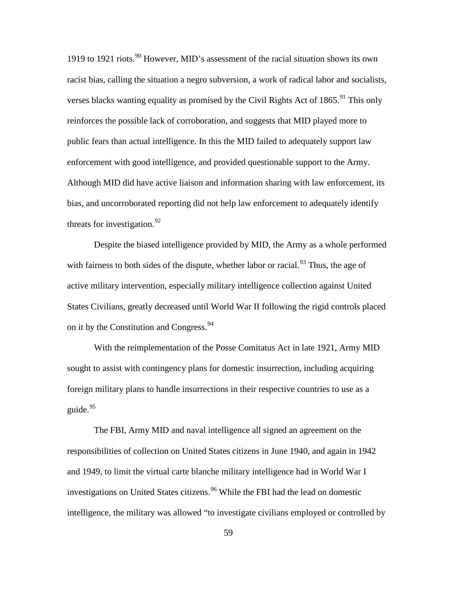1919 to 1921 riots.<sup>[90](#page-163-0)</sup> However, MID's assessment of the racial situation shows its own racist bias, calling the situation a negro subversion, a work of radical labor and socialists, verses blacks wanting equality as promised by the Civil Rights Act of 1865.<sup>[91](#page-163-1)</sup> This only reinforces the possible lack of corroboration, and suggests that MID played more to public fears than actual intelligence. In this the MID failed to adequately support law enforcement with good intelligence, and provided questionable support to the Army. Although MID did have active liaison and information sharing with law enforcement, its bias, and uncorroborated reporting did not help law enforcement to adequately identify threats for investigation.<sup>[92](#page-163-2)</sup>

Despite the biased intelligence provided by MID, the Army as a whole performed with fairness to both sides of the dispute, whether labor or racial.<sup>[93](#page-163-3)</sup> Thus, the age of active military intervention, especially military intelligence collection against United States Civilians, greatly decreased until World War II following the rigid controls placed on it by the Constitution and Congress.<sup>[94](#page-163-4)</sup>

With the reimplementation of the Posse Comitatus Act in late 1921, Army MID sought to assist with contingency plans for domestic insurrection, including acquiring foreign military plans to handle insurrections in their respective countries to use as a guide. [95](#page-163-5)

The FBI, Army MID and naval intelligence all signed an agreement on the responsibilities of collection on United States citizens in June 1940, and again in 1942 and 1949, to limit the virtual carte blanche military intelligence had in World War I investigations on United States citizens. [96](#page-163-6) While the FBI had the lead on domestic intelligence, the military was allowed "to investigate civilians employed or controlled by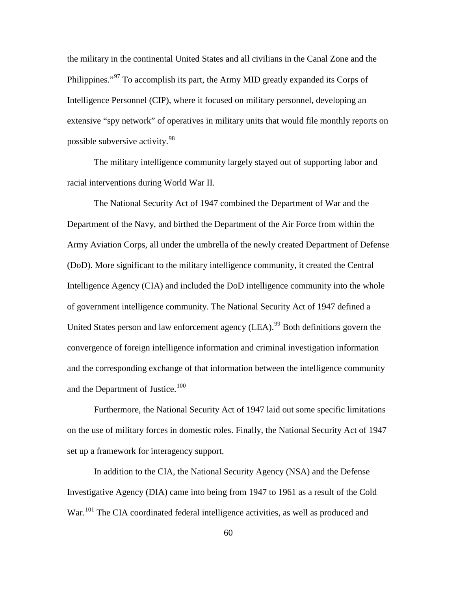the military in the continental United States and all civilians in the Canal Zone and the Philippines."[97](#page-164-0) To accomplish its part, the Army MID greatly expanded its Corps of Intelligence Personnel (CIP), where it focused on military personnel, developing an extensive "spy network" of operatives in military units that would file monthly reports on possible subversive activity.<sup>[98](#page-164-1)</sup>

The military intelligence community largely stayed out of supporting labor and racial interventions during World War II.

The National Security Act of 1947 combined the Department of War and the Department of the Navy, and birthed the Department of the Air Force from within the Army Aviation Corps, all under the umbrella of the newly created Department of Defense (DoD). More significant to the military intelligence community, it created the Central Intelligence Agency (CIA) and included the DoD intelligence community into the whole of government intelligence community. The National Security Act of 1947 defined a United States person and law enforcement agency (LEA).<sup>[99](#page-164-2)</sup> Both definitions govern the convergence of foreign intelligence information and criminal investigation information and the corresponding exchange of that information between the intelligence community and the Department of Justice.<sup>[100](#page-164-3)</sup>

Furthermore, the National Security Act of 1947 laid out some specific limitations on the use of military forces in domestic roles. Finally, the National Security Act of 1947 set up a framework for interagency support.

In addition to the CIA, the National Security Agency (NSA) and the Defense Investigative Agency (DIA) came into being from 1947 to 1961 as a result of the Cold War.<sup>[101](#page-164-4)</sup> The CIA coordinated federal intelligence activities, as well as produced and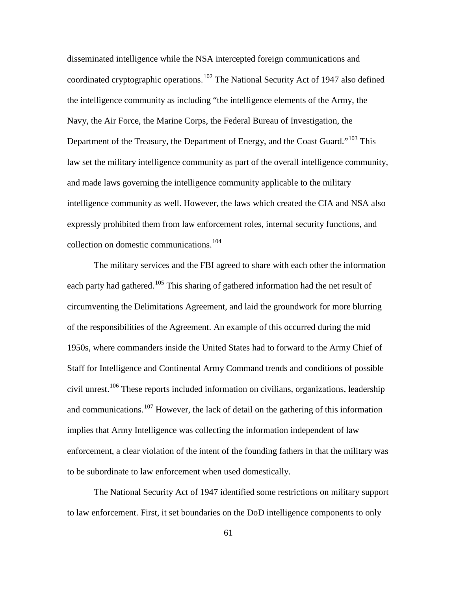disseminated intelligence while the NSA intercepted foreign communications and coordinated cryptographic operations.<sup>[102](#page-165-0)</sup> The National Security Act of 1947 also defined the intelligence community as including "the intelligence elements of the Army, the Navy, the Air Force, the Marine Corps, the Federal Bureau of Investigation, the Department of the Treasury, the Department of Energy, and the Coast Guard."<sup>[103](#page-165-1)</sup> This law set the military intelligence community as part of the overall intelligence community, and made laws governing the intelligence community applicable to the military intelligence community as well. However, the laws which created the CIA and NSA also expressly prohibited them from law enforcement roles, internal security functions, and collection on domestic communications. [104](#page-165-2)

The military services and the FBI agreed to share with each other the information each party had gathered.<sup>[105](#page-165-3)</sup> This sharing of gathered information had the net result of circumventing the Delimitations Agreement, and laid the groundwork for more blurring of the responsibilities of the Agreement. An example of this occurred during the mid 1950s, where commanders inside the United States had to forward to the Army Chief of Staff for Intelligence and Continental Army Command trends and conditions of possible civil unrest. [106](#page-165-4) These reports included information on civilians, organizations, leadership and communications.  $107$  However, the lack of detail on the gathering of this information implies that Army Intelligence was collecting the information independent of law enforcement, a clear violation of the intent of the founding fathers in that the military was to be subordinate to law enforcement when used domestically.

The National Security Act of 1947 identified some restrictions on military support to law enforcement. First, it set boundaries on the DoD intelligence components to only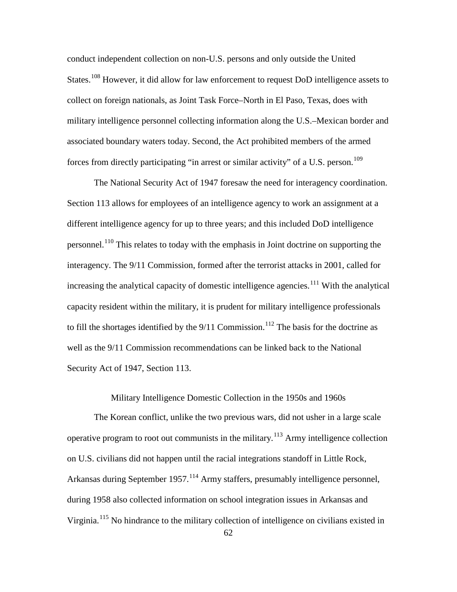conduct independent collection on non-U.S. persons and only outside the United States.<sup>[108](#page-166-0)</sup> However, it did allow for law enforcement to request DoD intelligence assets to collect on foreign nationals, as Joint Task Force–North in El Paso, Texas, does with military intelligence personnel collecting information along the U.S.–Mexican border and associated boundary waters today. Second, the Act prohibited members of the armed forces from directly participating "in arrest or similar activity" of a U.S. person.<sup>[109](#page-166-1)</sup>

The National Security Act of 1947 foresaw the need for interagency coordination. Section 113 allows for employees of an intelligence agency to work an assignment at a different intelligence agency for up to three years; and this included DoD intelligence personnel.<sup>[110](#page-166-2)</sup> This relates to today with the emphasis in Joint doctrine on supporting the interagency. The 9/11 Commission, formed after the terrorist attacks in 2001, called for increasing the analytical capacity of domestic intelligence agencies.<sup>[111](#page-166-3)</sup> With the analytical capacity resident within the military, it is prudent for military intelligence professionals to fill the shortages identified by the  $9/11$  Commission.<sup>[112](#page-166-4)</sup> The basis for the doctrine as well as the 9/11 Commission recommendations can be linked back to the National Security Act of 1947, Section 113.

Military Intelligence Domestic Collection in the 1950s and 1960s

The Korean conflict, unlike the two previous wars, did not usher in a large scale operative program to root out communists in the military.<sup>[113](#page-166-5)</sup> Army intelligence collection on U.S. civilians did not happen until the racial integrations standoff in Little Rock, Arkansas during September 1957.<sup>[114](#page-166-6)</sup> Army staffers, presumably intelligence personnel, during 1958 also collected information on school integration issues in Arkansas and Virginia.<sup>[115](#page-166-7)</sup> No hindrance to the military collection of intelligence on civilians existed in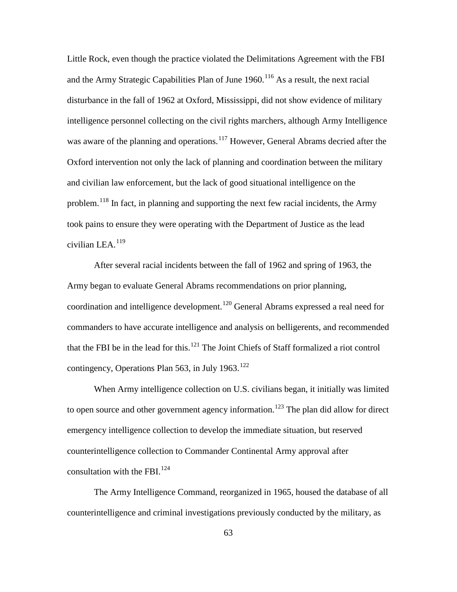Little Rock, even though the practice violated the Delimitations Agreement with the FBI and the Army Strategic Capabilities Plan of June 1960.<sup>[116](#page-167-0)</sup> As a result, the next racial disturbance in the fall of 1962 at Oxford, Mississippi, did not show evidence of military intelligence personnel collecting on the civil rights marchers, although Army Intelligence was aware of the planning and operations.<sup>[117](#page-167-1)</sup> However, General Abrams decried after the Oxford intervention not only the lack of planning and coordination between the military and civilian law enforcement, but the lack of good situational intelligence on the problem.<sup>[118](#page-167-2)</sup> In fact, in planning and supporting the next few racial incidents, the Army took pains to ensure they were operating with the Department of Justice as the lead civilian LEA. [119](#page-167-3)

After several racial incidents between the fall of 1962 and spring of 1963, the Army began to evaluate General Abrams recommendations on prior planning, coordination and intelligence development.<sup>[120](#page-167-4)</sup> General Abrams expressed a real need for commanders to have accurate intelligence and analysis on belligerents, and recommended that the FBI be in the lead for this.<sup>[121](#page-167-5)</sup> The Joint Chiefs of Staff formalized a riot control contingency, Operations Plan 563, in July 1963.<sup>[122](#page-167-6)</sup>

When Army intelligence collection on U.S. civilians began, it initially was limited to open source and other government agency information.<sup>[123](#page-167-7)</sup> The plan did allow for direct emergency intelligence collection to develop the immediate situation, but reserved counterintelligence collection to Commander Continental Army approval after consultation with the FBI. $^{124}$  $^{124}$  $^{124}$ 

The Army Intelligence Command, reorganized in 1965, housed the database of all counterintelligence and criminal investigations previously conducted by the military, as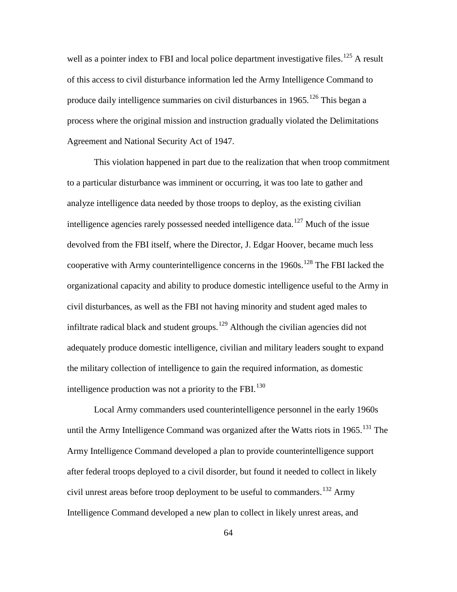well as a pointer index to FBI and local police department investigative files.<sup>[125](#page-168-0)</sup> A result of this access to civil disturbance information led the Army Intelligence Command to produce daily intelligence summaries on civil disturbances in 1965.<sup>[126](#page-168-1)</sup> This began a process where the original mission and instruction gradually violated the Delimitations Agreement and National Security Act of 1947.

This violation happened in part due to the realization that when troop commitment to a particular disturbance was imminent or occurring, it was too late to gather and analyze intelligence data needed by those troops to deploy, as the existing civilian intelligence agencies rarely possessed needed intelligence data.<sup>[127](#page-168-2)</sup> Much of the issue devolved from the FBI itself, where the Director, J. Edgar Hoover, became much less cooperative with Army counterintelligence concerns in the 1960s.<sup>[128](#page-168-3)</sup> The FBI lacked the organizational capacity and ability to produce domestic intelligence useful to the Army in civil disturbances, as well as the FBI not having minority and student aged males to infiltrate radical black and student groups.<sup>[129](#page-168-4)</sup> Although the civilian agencies did not adequately produce domestic intelligence, civilian and military leaders sought to expand the military collection of intelligence to gain the required information, as domestic intelligence production was not a priority to the FBI.<sup>[130](#page-168-5)</sup>

Local Army commanders used counterintelligence personnel in the early 1960s until the Army Intelligence Command was organized after the Watts riots in 1965.<sup>[131](#page-168-6)</sup> The Army Intelligence Command developed a plan to provide counterintelligence support after federal troops deployed to a civil disorder, but found it needed to collect in likely civil unrest areas before troop deployment to be useful to commanders. [132](#page-168-7) Army Intelligence Command developed a new plan to collect in likely unrest areas, and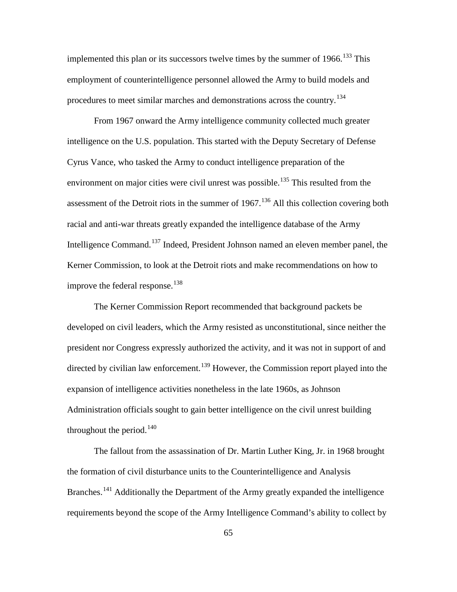implemented this plan or its successors twelve times by the summer of 1966.<sup>[133](#page-169-0)</sup> This employment of counterintelligence personnel allowed the Army to build models and procedures to meet similar marches and demonstrations across the country.<sup>[134](#page-169-1)</sup>

From 1967 onward the Army intelligence community collected much greater intelligence on the U.S. population. This started with the Deputy Secretary of Defense Cyrus Vance, who tasked the Army to conduct intelligence preparation of the environment on major cities were civil unrest was possible.<sup>[135](#page-169-2)</sup> This resulted from the assessment of the Detroit riots in the summer of 1967.<sup>[136](#page-169-3)</sup> All this collection covering both racial and anti-war threats greatly expanded the intelligence database of the Army Intelligence Command.<sup>[137](#page-169-4)</sup> Indeed, President Johnson named an eleven member panel, the Kerner Commission, to look at the Detroit riots and make recommendations on how to improve the federal response.<sup>[138](#page-169-5)</sup>

The Kerner Commission Report recommended that background packets be developed on civil leaders, which the Army resisted as unconstitutional, since neither the president nor Congress expressly authorized the activity, and it was not in support of and directed by civilian law enforcement.<sup>[139](#page-169-6)</sup> However, the Commission report played into the expansion of intelligence activities nonetheless in the late 1960s, as Johnson Administration officials sought to gain better intelligence on the civil unrest building throughout the period.  $140$ 

The fallout from the assassination of Dr. Martin Luther King, Jr. in 1968 brought the formation of civil disturbance units to the Counterintelligence and Analysis Branches.<sup>[141](#page-169-8)</sup> Additionally the Department of the Army greatly expanded the intelligence requirements beyond the scope of the Army Intelligence Command's ability to collect by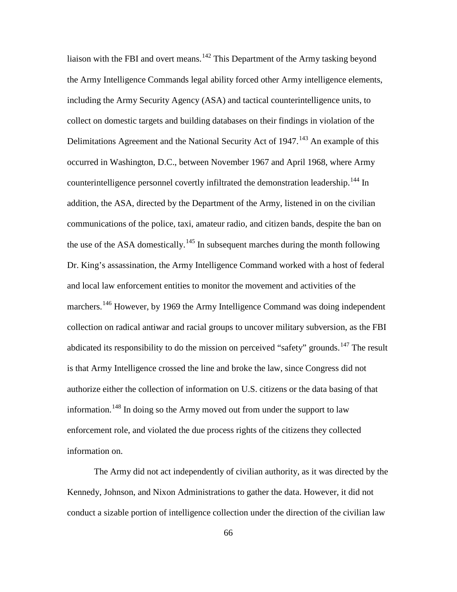liaison with the FBI and overt means.<sup>[142](#page-170-0)</sup> This Department of the Army tasking beyond the Army Intelligence Commands legal ability forced other Army intelligence elements, including the Army Security Agency (ASA) and tactical counterintelligence units, to collect on domestic targets and building databases on their findings in violation of the Delimitations Agreement and the National Security Act of 1947.<sup>[143](#page-170-1)</sup> An example of this occurred in Washington, D.C., between November 1967 and April 1968, where Army counterintelligence personnel covertly infiltrated the demonstration leadership.<sup>[144](#page-170-2)</sup> In addition, the ASA, directed by the Department of the Army, listened in on the civilian communications of the police, taxi, amateur radio, and citizen bands, despite the ban on the use of the ASA domestically.<sup>[145](#page-170-3)</sup> In subsequent marches during the month following Dr. King's assassination, the Army Intelligence Command worked with a host of federal and local law enforcement entities to monitor the movement and activities of the marchers.<sup>[146](#page-170-4)</sup> However, by 1969 the Army Intelligence Command was doing independent collection on radical antiwar and racial groups to uncover military subversion, as the FBI abdicated its responsibility to do the mission on perceived "safety" grounds.<sup>[147](#page-170-5)</sup> The result is that Army Intelligence crossed the line and broke the law, since Congress did not authorize either the collection of information on U.S. citizens or the data basing of that information. [148](#page-170-6) In doing so the Army moved out from under the support to law enforcement role, and violated the due process rights of the citizens they collected information on.

The Army did not act independently of civilian authority, as it was directed by the Kennedy, Johnson, and Nixon Administrations to gather the data. However, it did not conduct a sizable portion of intelligence collection under the direction of the civilian law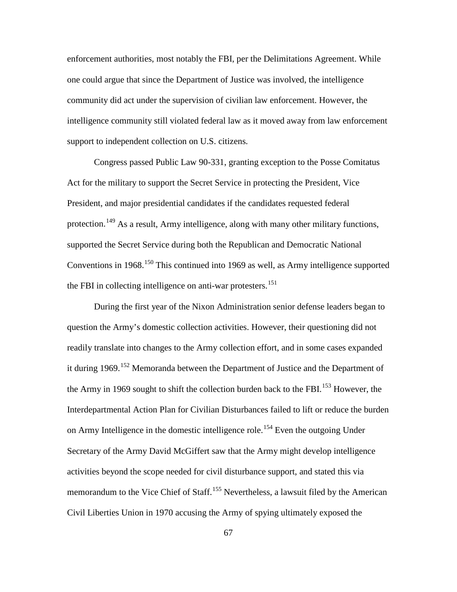enforcement authorities, most notably the FBI, per the Delimitations Agreement. While one could argue that since the Department of Justice was involved, the intelligence community did act under the supervision of civilian law enforcement. However, the intelligence community still violated federal law as it moved away from law enforcement support to independent collection on U.S. citizens.

Congress passed Public Law 90-331, granting exception to the Posse Comitatus Act for the military to support the Secret Service in protecting the President, Vice President, and major presidential candidates if the candidates requested federal protection.<sup>[149](#page-171-0)</sup> As a result, Army intelligence, along with many other military functions, supported the Secret Service during both the Republican and Democratic National Conventions in 1968.<sup>[150](#page-171-1)</sup> This continued into 1969 as well, as Army intelligence supported the FBI in collecting intelligence on anti-war protesters. [151](#page-171-2)

During the first year of the Nixon Administration senior defense leaders began to question the Army's domestic collection activities. However, their questioning did not readily translate into changes to the Army collection effort, and in some cases expanded it during 1969.<sup>[152](#page-171-3)</sup> Memoranda between the Department of Justice and the Department of the Army in 1969 sought to shift the collection burden back to the FBI.<sup>[153](#page-171-4)</sup> However, the Interdepartmental Action Plan for Civilian Disturbances failed to lift or reduce the burden on Army Intelligence in the domestic intelligence role.<sup>[154](#page-171-5)</sup> Even the outgoing Under Secretary of the Army David McGiffert saw that the Army might develop intelligence activities beyond the scope needed for civil disturbance support, and stated this via memorandum to the Vice Chief of Staff.<sup>[155](#page-171-6)</sup> Nevertheless, a lawsuit filed by the American Civil Liberties Union in 1970 accusing the Army of spying ultimately exposed the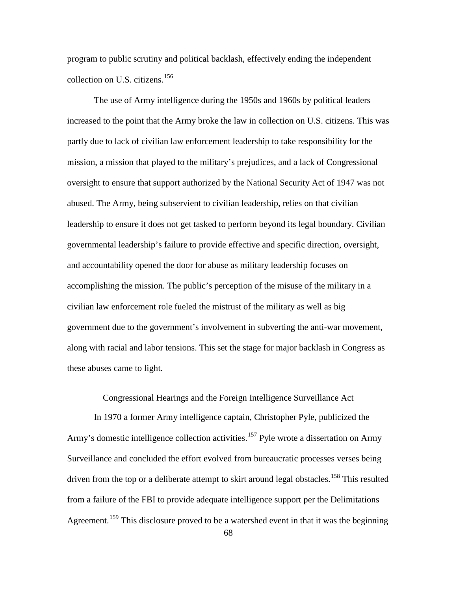program to public scrutiny and political backlash, effectively ending the independent collection on U.S. citizens. [156](#page-172-0)

The use of Army intelligence during the 1950s and 1960s by political leaders increased to the point that the Army broke the law in collection on U.S. citizens. This was partly due to lack of civilian law enforcement leadership to take responsibility for the mission, a mission that played to the military's prejudices, and a lack of Congressional oversight to ensure that support authorized by the National Security Act of 1947 was not abused. The Army, being subservient to civilian leadership, relies on that civilian leadership to ensure it does not get tasked to perform beyond its legal boundary. Civilian governmental leadership's failure to provide effective and specific direction, oversight, and accountability opened the door for abuse as military leadership focuses on accomplishing the mission. The public's perception of the misuse of the military in a civilian law enforcement role fueled the mistrust of the military as well as big government due to the government's involvement in subverting the anti-war movement, along with racial and labor tensions. This set the stage for major backlash in Congress as these abuses came to light.

Congressional Hearings and the Foreign Intelligence Surveillance Act

In 1970 a former Army intelligence captain, Christopher Pyle, publicized the Army's domestic intelligence collection activities.<sup>[157](#page-172-1)</sup> Pyle wrote a dissertation on Army Surveillance and concluded the effort evolved from bureaucratic processes verses being driven from the top or a deliberate attempt to skirt around legal obstacles.<sup>[158](#page-172-2)</sup> This resulted from a failure of the FBI to provide adequate intelligence support per the Delimitations Agreement.<sup>[159](#page-172-3)</sup> This disclosure proved to be a watershed event in that it was the beginning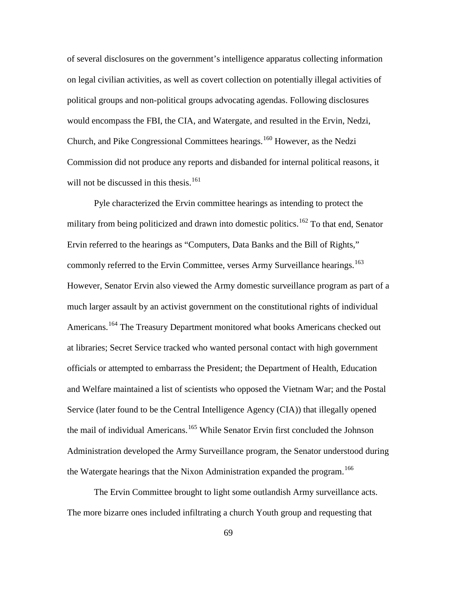of several disclosures on the government's intelligence apparatus collecting information on legal civilian activities, as well as covert collection on potentially illegal activities of political groups and non-political groups advocating agendas. Following disclosures would encompass the FBI, the CIA, and Watergate, and resulted in the Ervin, Nedzi, Church, and Pike Congressional Committees hearings.<sup>[160](#page-173-0)</sup> However, as the Nedzi Commission did not produce any reports and disbanded for internal political reasons, it will not be discussed in this thesis.<sup>[161](#page-173-1)</sup>

Pyle characterized the Ervin committee hearings as intending to protect the military from being politicized and drawn into domestic politics.<sup>[162](#page-173-2)</sup> To that end, Senator Ervin referred to the hearings as "Computers, Data Banks and the Bill of Rights," commonly referred to the Ervin Committee, verses Army Surveillance hearings.<sup>[163](#page-173-3)</sup> However, Senator Ervin also viewed the Army domestic surveillance program as part of a much larger assault by an activist government on the constitutional rights of individual Americans.<sup>[164](#page-173-4)</sup> The Treasury Department monitored what books Americans checked out at libraries; Secret Service tracked who wanted personal contact with high government officials or attempted to embarrass the President; the Department of Health, Education and Welfare maintained a list of scientists who opposed the Vietnam War; and the Postal Service (later found to be the Central Intelligence Agency (CIA)) that illegally opened the mail of individual Americans.<sup>[165](#page-173-5)</sup> While Senator Ervin first concluded the Johnson Administration developed the Army Surveillance program, the Senator understood during the Watergate hearings that the Nixon Administration expanded the program.<sup>[166](#page-173-6)</sup>

The Ervin Committee brought to light some outlandish Army surveillance acts. The more bizarre ones included infiltrating a church Youth group and requesting that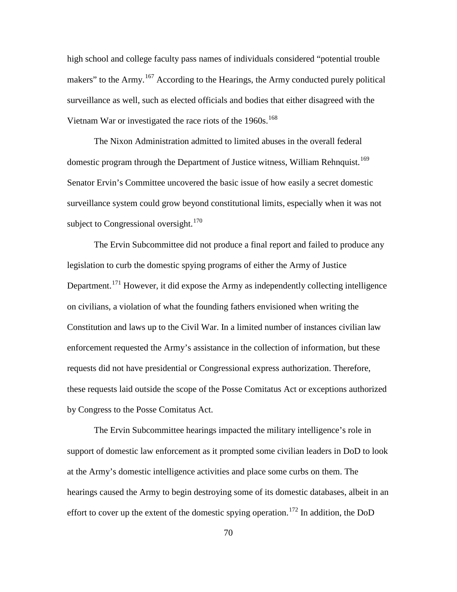high school and college faculty pass names of individuals considered "potential trouble makers" to the Army.<sup>[167](#page-174-0)</sup> According to the Hearings, the Army conducted purely political surveillance as well, such as elected officials and bodies that either disagreed with the Vietnam War or investigated the race riots of the 1960s.<sup>[168](#page-174-1)</sup>

The Nixon Administration admitted to limited abuses in the overall federal domestic program through the Department of Justice witness, William Rehnquist.<sup>[169](#page-174-2)</sup> Senator Ervin's Committee uncovered the basic issue of how easily a secret domestic surveillance system could grow beyond constitutional limits, especially when it was not subject to Congressional oversight.<sup>[170](#page-174-3)</sup>

The Ervin Subcommittee did not produce a final report and failed to produce any legislation to curb the domestic spying programs of either the Army of Justice Department.<sup>[171](#page-174-4)</sup> However, it did expose the Army as independently collecting intelligence on civilians, a violation of what the founding fathers envisioned when writing the Constitution and laws up to the Civil War. In a limited number of instances civilian law enforcement requested the Army's assistance in the collection of information, but these requests did not have presidential or Congressional express authorization. Therefore, these requests laid outside the scope of the Posse Comitatus Act or exceptions authorized by Congress to the Posse Comitatus Act.

The Ervin Subcommittee hearings impacted the military intelligence's role in support of domestic law enforcement as it prompted some civilian leaders in DoD to look at the Army's domestic intelligence activities and place some curbs on them. The hearings caused the Army to begin destroying some of its domestic databases, albeit in an effort to cover up the extent of the domestic spying operation.<sup>[172](#page-174-5)</sup> In addition, the DoD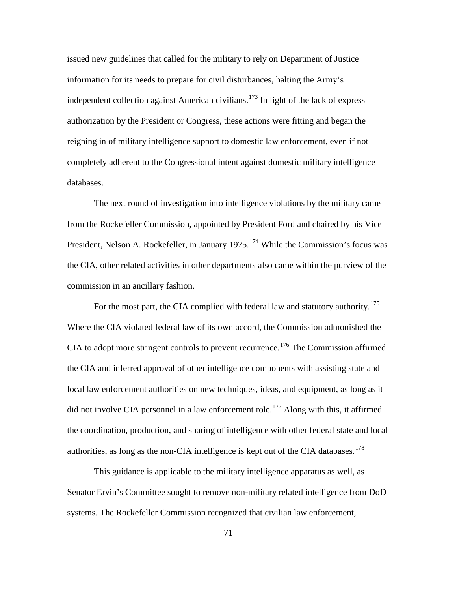issued new guidelines that called for the military to rely on Department of Justice information for its needs to prepare for civil disturbances, halting the Army's independent collection against American civilians.<sup>[173](#page-175-0)</sup> In light of the lack of express authorization by the President or Congress, these actions were fitting and began the reigning in of military intelligence support to domestic law enforcement, even if not completely adherent to the Congressional intent against domestic military intelligence databases.

The next round of investigation into intelligence violations by the military came from the Rockefeller Commission, appointed by President Ford and chaired by his Vice President, Nelson A. Rockefeller, in January 1975.<sup>[174](#page-175-1)</sup> While the Commission's focus was the CIA, other related activities in other departments also came within the purview of the commission in an ancillary fashion.

For the most part, the CIA complied with federal law and statutory authority.<sup>[175](#page-175-2)</sup> Where the CIA violated federal law of its own accord, the Commission admonished the CIA to adopt more stringent controls to prevent recurrence.<sup>[176](#page-175-3)</sup> The Commission affirmed the CIA and inferred approval of other intelligence components with assisting state and local law enforcement authorities on new techniques, ideas, and equipment, as long as it did not involve CIA personnel in a law enforcement role.<sup>[177](#page-175-4)</sup> Along with this, it affirmed the coordination, production, and sharing of intelligence with other federal state and local authorities, as long as the non-CIA intelligence is kept out of the CIA databases.<sup>[178](#page-175-5)</sup>

This guidance is applicable to the military intelligence apparatus as well, as Senator Ervin's Committee sought to remove non-military related intelligence from DoD systems. The Rockefeller Commission recognized that civilian law enforcement,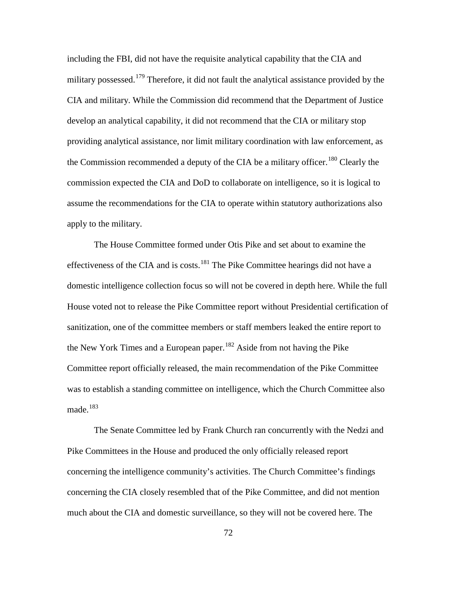including the FBI, did not have the requisite analytical capability that the CIA and military possessed.<sup>[179](#page-176-0)</sup> Therefore, it did not fault the analytical assistance provided by the CIA and military. While the Commission did recommend that the Department of Justice develop an analytical capability, it did not recommend that the CIA or military stop providing analytical assistance, nor limit military coordination with law enforcement, as the Commission recommended a deputy of the CIA be a military officer.<sup>[180](#page-176-1)</sup> Clearly the commission expected the CIA and DoD to collaborate on intelligence, so it is logical to assume the recommendations for the CIA to operate within statutory authorizations also apply to the military.

The House Committee formed under Otis Pike and set about to examine the effectiveness of the CIA and is costs.<sup>[181](#page-176-2)</sup> The Pike Committee hearings did not have a domestic intelligence collection focus so will not be covered in depth here. While the full House voted not to release the Pike Committee report without Presidential certification of sanitization, one of the committee members or staff members leaked the entire report to the New York Times and a European paper.<sup>[182](#page-176-3)</sup> Aside from not having the Pike Committee report officially released, the main recommendation of the Pike Committee was to establish a standing committee on intelligence, which the Church Committee also made. [183](#page-176-4)

The Senate Committee led by Frank Church ran concurrently with the Nedzi and Pike Committees in the House and produced the only officially released report concerning the intelligence community's activities. The Church Committee's findings concerning the CIA closely resembled that of the Pike Committee, and did not mention much about the CIA and domestic surveillance, so they will not be covered here. The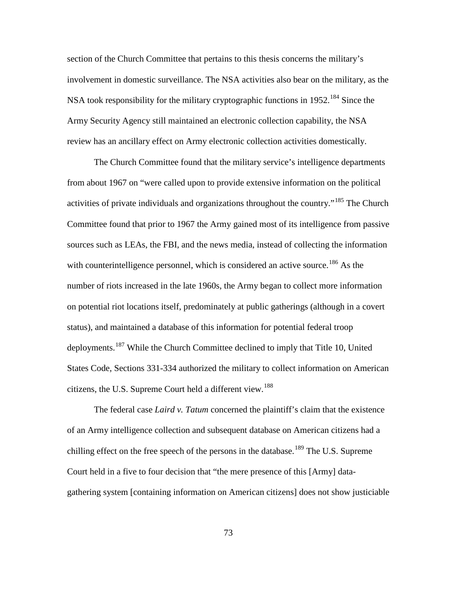section of the Church Committee that pertains to this thesis concerns the military's involvement in domestic surveillance. The NSA activities also bear on the military, as the NSA took responsibility for the military cryptographic functions in 1952.<sup>[184](#page-177-0)</sup> Since the Army Security Agency still maintained an electronic collection capability, the NSA review has an ancillary effect on Army electronic collection activities domestically.

The Church Committee found that the military service's intelligence departments from about 1967 on "were called upon to provide extensive information on the political activities of private individuals and organizations throughout the country.<sup>"[185](#page-177-1)</sup> The Church Committee found that prior to 1967 the Army gained most of its intelligence from passive sources such as LEAs, the FBI, and the news media, instead of collecting the information with counterintelligence personnel, which is considered an active source.<sup>[186](#page-177-2)</sup> As the number of riots increased in the late 1960s, the Army began to collect more information on potential riot locations itself, predominately at public gatherings (although in a covert status), and maintained a database of this information for potential federal troop deployments.<sup>[187](#page-177-3)</sup> While the Church Committee declined to imply that Title 10, United States Code, Sections 331-334 authorized the military to collect information on American citizens, the U.S. Supreme Court held a different view.<sup>[188](#page-177-4)</sup>

The federal case *Laird v. Tatum* concerned the plaintiff's claim that the existence of an Army intelligence collection and subsequent database on American citizens had a chilling effect on the free speech of the persons in the database.<sup>[189](#page-177-5)</sup> The U.S. Supreme Court held in a five to four decision that "the mere presence of this [Army] datagathering system [containing information on American citizens] does not show justiciable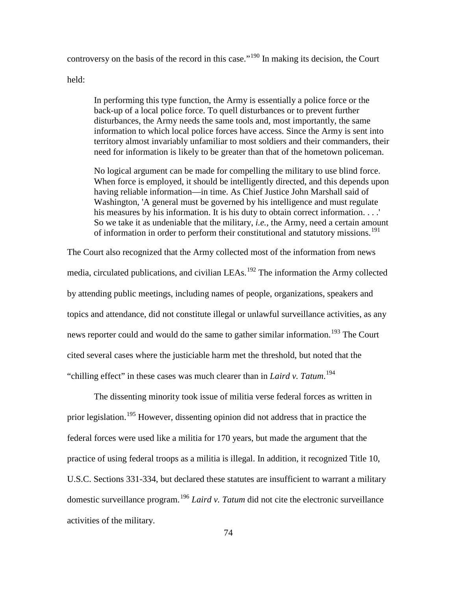controversy on the basis of the record in this case."<sup>[190](#page-178-0)</sup> In making its decision, the Court

held:

In performing this type function, the Army is essentially a police force or the back-up of a local police force. To quell disturbances or to prevent further disturbances, the Army needs the same tools and, most importantly, the same information to which local police forces have access. Since the Army is sent into territory almost invariably unfamiliar to most soldiers and their commanders, their need for information is likely to be greater than that of the hometown policeman.

No logical argument can be made for compelling the military to use blind force. When force is employed, it should be intelligently directed, and this depends upon having reliable information—in time. As Chief Justice John Marshall said of Washington, 'A general must be governed by his intelligence and must regulate his measures by his information. It is his duty to obtain correct information. . . .' So we take it as undeniable that the military, *i.e.,* the Army, need a certain amount of information in order to perform their constitutional and statutory missions.<sup>[191](#page-178-1)</sup>

The Court also recognized that the Army collected most of the information from news media, circulated publications, and civilian LEAs.<sup>[192](#page-178-2)</sup> The information the Army collected by attending public meetings, including names of people, organizations, speakers and topics and attendance, did not constitute illegal or unlawful surveillance activities, as any news reporter could and would do the same to gather similar information.<sup>[193](#page-178-3)</sup> The Court cited several cases where the justiciable harm met the threshold, but noted that the "chilling effect" in these cases was much clearer than in *Laird v. Tatum*. [194](#page-178-4)

The dissenting minority took issue of militia verse federal forces as written in prior legislation.<sup>[195](#page-178-5)</sup> However, dissenting opinion did not address that in practice the federal forces were used like a militia for 170 years, but made the argument that the practice of using federal troops as a militia is illegal. In addition, it recognized Title 10, U.S.C. Sections 331-334, but declared these statutes are insufficient to warrant a military domestic surveillance program. [196](#page-178-6) *Laird v. Tatum* did not cite the electronic surveillance activities of the military.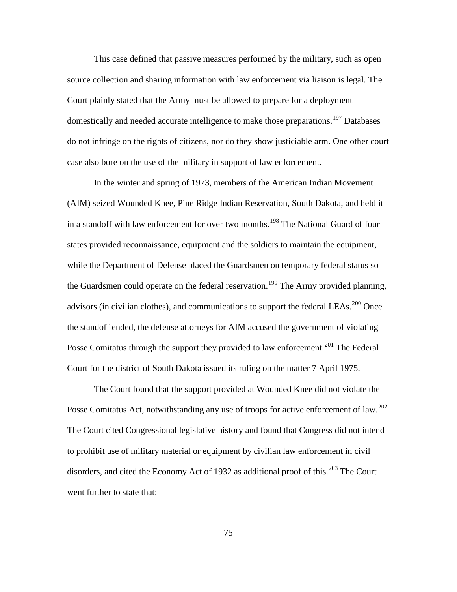This case defined that passive measures performed by the military, such as open source collection and sharing information with law enforcement via liaison is legal. The Court plainly stated that the Army must be allowed to prepare for a deployment domestically and needed accurate intelligence to make those preparations.<sup>[197](#page-179-0)</sup> Databases do not infringe on the rights of citizens, nor do they show justiciable arm. One other court case also bore on the use of the military in support of law enforcement.

In the winter and spring of 1973, members of the American Indian Movement (AIM) seized Wounded Knee, Pine Ridge Indian Reservation, South Dakota, and held it in a standoff with law enforcement for over two months. [198](#page-179-1) The National Guard of four states provided reconnaissance, equipment and the soldiers to maintain the equipment, while the Department of Defense placed the Guardsmen on temporary federal status so the Guardsmen could operate on the federal reservation.<sup>[199](#page-179-2)</sup> The Army provided planning, advisors (in civilian clothes), and communications to support the federal LEAs.<sup>[200](#page-179-3)</sup> Once the standoff ended, the defense attorneys for AIM accused the government of violating Posse Comitatus through the support they provided to law enforcement.<sup>[201](#page-179-4)</sup> The Federal Court for the district of South Dakota issued its ruling on the matter 7 April 1975.

The Court found that the support provided at Wounded Knee did not violate the Posse Comitatus Act, notwithstanding any use of troops for active enforcement of law.<sup>[202](#page-179-5)</sup> The Court cited Congressional legislative history and found that Congress did not intend to prohibit use of military material or equipment by civilian law enforcement in civil disorders, and cited the Economy Act of 1932 as additional proof of this.<sup>[203](#page-179-6)</sup> The Court went further to state that: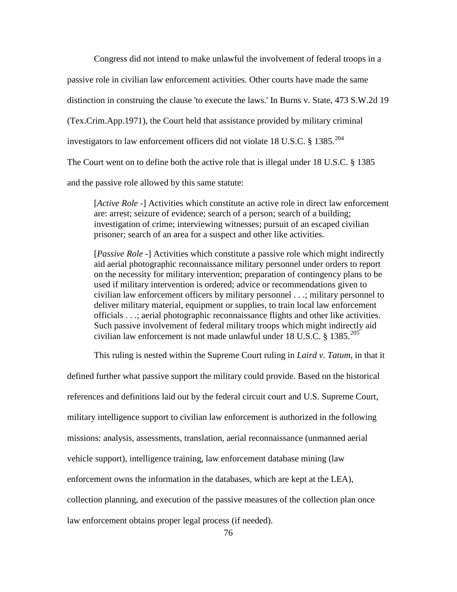Congress did not intend to make unlawful the involvement of federal troops in a

passive role in civilian law enforcement activities. Other courts have made the same

distinction in construing the clause 'to execute the laws.' In Burns v. State, 473 S.W.2d 19

(Tex.Crim.App.1971), the Court held that assistance provided by military criminal

investigators to law enforcement officers did not violate 18 U.S.C. § 1385. [204](#page-180-0)

The Court went on to define both the active role that is illegal under 18 U.S.C. § 1385

and the passive role allowed by this same statute:

[*Active Role* -] Activities which constitute an active role in direct law enforcement are: arrest; seizure of evidence; search of a person; search of a building; investigation of crime; interviewing witnesses; pursuit of an escaped civilian prisoner; search of an area for a suspect and other like activities.

[*Passive Role* -] Activities which constitute a passive role which might indirectly aid aerial photographic reconnaissance military personnel under orders to report on the necessity for military intervention; preparation of contingency plans to be used if military intervention is ordered; advice or recommendations given to civilian law enforcement officers by military personnel . . .; military personnel to deliver military material, equipment or supplies, to train local law enforcement officials . . .; aerial photographic reconnaissance flights and other like activities. Such passive involvement of federal military troops which might indirectly aid civilian law enforcement is not made unlawful under 18 U.S.C. § 1385. [205](#page-180-1)

This ruling is nested within the Supreme Court ruling in *Laird v. Tatum*, in that it

defined further what passive support the military could provide. Based on the historical references and definitions laid out by the federal circuit court and U.S. Supreme Court, military intelligence support to civilian law enforcement is authorized in the following missions: analysis, assessments, translation, aerial reconnaissance (unmanned aerial vehicle support), intelligence training, law enforcement database mining (law enforcement owns the information in the databases, which are kept at the LEA), collection planning, and execution of the passive measures of the collection plan once law enforcement obtains proper legal process (if needed).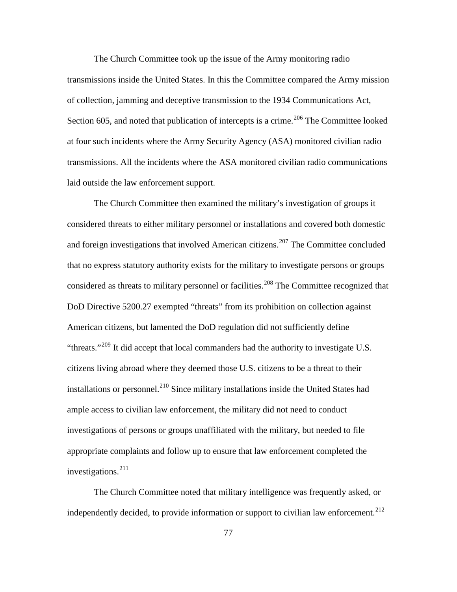The Church Committee took up the issue of the Army monitoring radio transmissions inside the United States. In this the Committee compared the Army mission of collection, jamming and deceptive transmission to the 1934 Communications Act, Section 605, and noted that publication of intercepts is a crime.<sup>[206](#page-181-0)</sup> The Committee looked at four such incidents where the Army Security Agency (ASA) monitored civilian radio transmissions. All the incidents where the ASA monitored civilian radio communications laid outside the law enforcement support.

The Church Committee then examined the military's investigation of groups it considered threats to either military personnel or installations and covered both domestic and foreign investigations that involved American citizens.<sup>[207](#page-181-1)</sup> The Committee concluded that no express statutory authority exists for the military to investigate persons or groups considered as threats to military personnel or facilities.<sup>[208](#page-181-2)</sup> The Committee recognized that DoD Directive 5200.27 exempted "threats" from its prohibition on collection against American citizens, but lamented the DoD regulation did not sufficiently define "threats."<sup>[209](#page-181-3)</sup> It did accept that local commanders had the authority to investigate U.S. citizens living abroad where they deemed those U.S. citizens to be a threat to their installations or personnel.<sup>[210](#page-181-4)</sup> Since military installations inside the United States had ample access to civilian law enforcement, the military did not need to conduct investigations of persons or groups unaffiliated with the military, but needed to file appropriate complaints and follow up to ensure that law enforcement completed the investigations. [211](#page-181-5)

The Church Committee noted that military intelligence was frequently asked, or independently decided, to provide information or support to civilian law enforcement.<sup>[212](#page-181-6)</sup>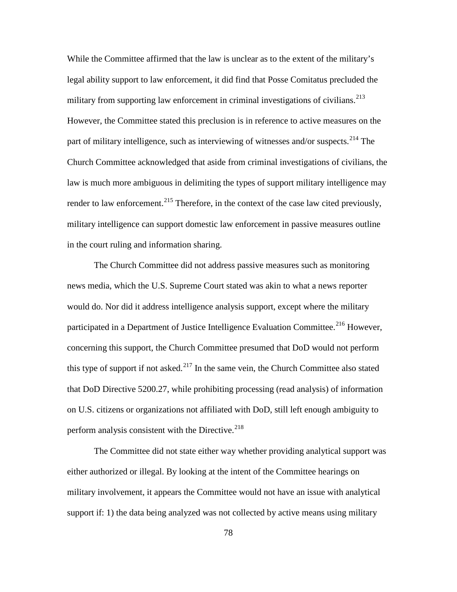While the Committee affirmed that the law is unclear as to the extent of the military's legal ability support to law enforcement, it did find that Posse Comitatus precluded the military from supporting law enforcement in criminal investigations of civilians.<sup>[213](#page-182-0)</sup> However, the Committee stated this preclusion is in reference to active measures on the part of military intelligence, such as interviewing of witnesses and/or suspects.<sup>[214](#page-182-1)</sup> The Church Committee acknowledged that aside from criminal investigations of civilians, the law is much more ambiguous in delimiting the types of support military intelligence may render to law enforcement.<sup>[215](#page-182-2)</sup> Therefore, in the context of the case law cited previously, military intelligence can support domestic law enforcement in passive measures outline in the court ruling and information sharing.

The Church Committee did not address passive measures such as monitoring news media, which the U.S. Supreme Court stated was akin to what a news reporter would do. Nor did it address intelligence analysis support, except where the military participated in a Department of Justice Intelligence Evaluation Committee.<sup>[216](#page-182-3)</sup> However, concerning this support, the Church Committee presumed that DoD would not perform this type of support if not asked. $217$  In the same vein, the Church Committee also stated that DoD Directive 5200.27, while prohibiting processing (read analysis) of information on U.S. citizens or organizations not affiliated with DoD, still left enough ambiguity to perform analysis consistent with the Directive.<sup>[218](#page-182-5)</sup>

The Committee did not state either way whether providing analytical support was either authorized or illegal. By looking at the intent of the Committee hearings on military involvement, it appears the Committee would not have an issue with analytical support if: 1) the data being analyzed was not collected by active means using military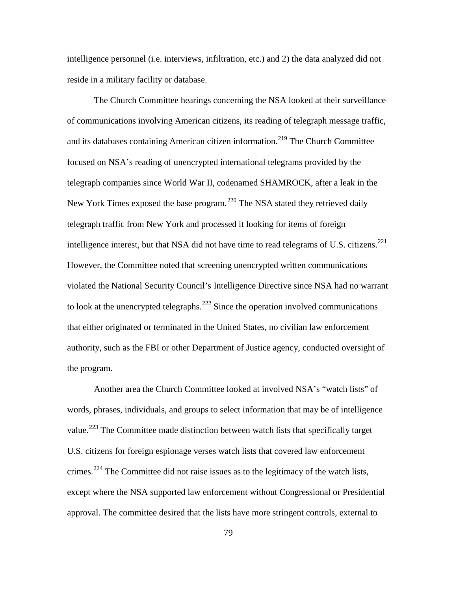intelligence personnel (i.e. interviews, infiltration, etc.) and 2) the data analyzed did not reside in a military facility or database.

The Church Committee hearings concerning the NSA looked at their surveillance of communications involving American citizens, its reading of telegraph message traffic, and its databases containing American citizen information.<sup>[219](#page-183-0)</sup> The Church Committee focused on NSA's reading of unencrypted international telegrams provided by the telegraph companies since World War II, codenamed SHAMROCK, after a leak in the New York Times exposed the base program.<sup>[220](#page-183-1)</sup> The NSA stated they retrieved daily telegraph traffic from New York and processed it looking for items of foreign intelligence interest, but that NSA did not have time to read telegrams of U.S. citizens.<sup>[221](#page-183-2)</sup> However, the Committee noted that screening unencrypted written communications violated the National Security Council's Intelligence Directive since NSA had no warrant to look at the unencrypted telegraphs.<sup>[222](#page-183-3)</sup> Since the operation involved communications that either originated or terminated in the United States, no civilian law enforcement authority, such as the FBI or other Department of Justice agency, conducted oversight of the program.

Another area the Church Committee looked at involved NSA's "watch lists" of words, phrases, individuals, and groups to select information that may be of intelligence value.<sup>[223](#page-183-4)</sup> The Committee made distinction between watch lists that specifically target U.S. citizens for foreign espionage verses watch lists that covered law enforcement crimes.<sup>[224](#page-183-5)</sup> The Committee did not raise issues as to the legitimacy of the watch lists, except where the NSA supported law enforcement without Congressional or Presidential approval. The committee desired that the lists have more stringent controls, external to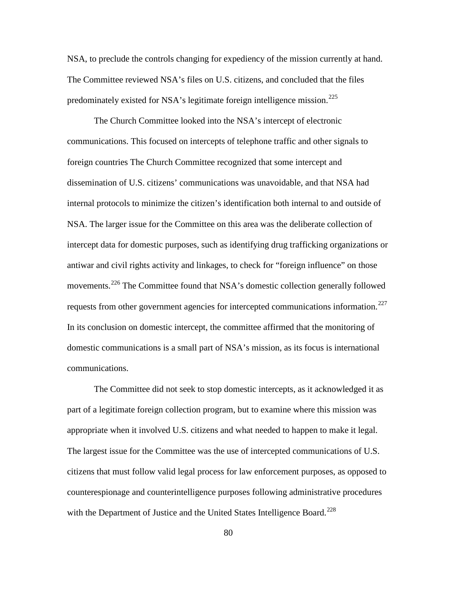NSA, to preclude the controls changing for expediency of the mission currently at hand. The Committee reviewed NSA's files on U.S. citizens, and concluded that the files predominately existed for NSA's legitimate foreign intelligence mission.<sup>[225](#page-184-0)</sup>

The Church Committee looked into the NSA's intercept of electronic communications. This focused on intercepts of telephone traffic and other signals to foreign countries The Church Committee recognized that some intercept and dissemination of U.S. citizens' communications was unavoidable, and that NSA had internal protocols to minimize the citizen's identification both internal to and outside of NSA. The larger issue for the Committee on this area was the deliberate collection of intercept data for domestic purposes, such as identifying drug trafficking organizations or antiwar and civil rights activity and linkages, to check for "foreign influence" on those movements.<sup>[226](#page-184-1)</sup> The Committee found that NSA's domestic collection generally followed requests from other government agencies for intercepted communications information.<sup>[227](#page-184-2)</sup> In its conclusion on domestic intercept, the committee affirmed that the monitoring of domestic communications is a small part of NSA's mission, as its focus is international communications.

The Committee did not seek to stop domestic intercepts, as it acknowledged it as part of a legitimate foreign collection program, but to examine where this mission was appropriate when it involved U.S. citizens and what needed to happen to make it legal. The largest issue for the Committee was the use of intercepted communications of U.S. citizens that must follow valid legal process for law enforcement purposes, as opposed to counterespionage and counterintelligence purposes following administrative procedures with the Department of Justice and the United States Intelligence Board.<sup>[228](#page-184-3)</sup>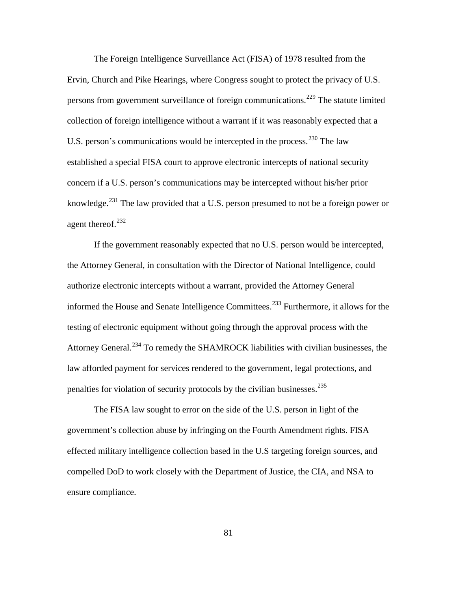The Foreign Intelligence Surveillance Act (FISA) of 1978 resulted from the Ervin, Church and Pike Hearings, where Congress sought to protect the privacy of U.S. persons from government surveillance of foreign communications.<sup>[229](#page-185-0)</sup> The statute limited collection of foreign intelligence without a warrant if it was reasonably expected that a U.S. person's communications would be intercepted in the process.<sup>[230](#page-185-1)</sup> The law established a special FISA court to approve electronic intercepts of national security concern if a U.S. person's communications may be intercepted without his/her prior knowledge.<sup>[231](#page-185-2)</sup> The law provided that a U.S. person presumed to not be a foreign power or agent thereof.<sup>[232](#page-185-3)</sup>

If the government reasonably expected that no U.S. person would be intercepted, the Attorney General, in consultation with the Director of National Intelligence, could authorize electronic intercepts without a warrant, provided the Attorney General informed the House and Senate Intelligence Committees.<sup>[233](#page-185-4)</sup> Furthermore, it allows for the testing of electronic equipment without going through the approval process with the Attorney General.<sup>[234](#page-185-5)</sup> To remedy the SHAMROCK liabilities with civilian businesses, the law afforded payment for services rendered to the government, legal protections, and penalties for violation of security protocols by the civilian businesses.<sup>[235](#page-185-6)</sup>

The FISA law sought to error on the side of the U.S. person in light of the government's collection abuse by infringing on the Fourth Amendment rights. FISA effected military intelligence collection based in the U.S targeting foreign sources, and compelled DoD to work closely with the Department of Justice, the CIA, and NSA to ensure compliance.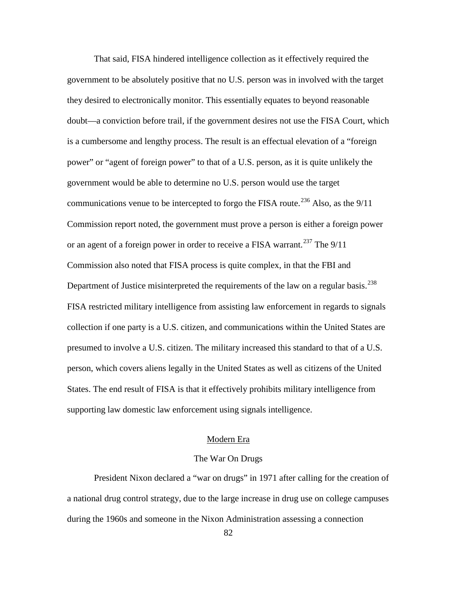That said, FISA hindered intelligence collection as it effectively required the government to be absolutely positive that no U.S. person was in involved with the target they desired to electronically monitor. This essentially equates to beyond reasonable doubt—a conviction before trail, if the government desires not use the FISA Court, which is a cumbersome and lengthy process. The result is an effectual elevation of a "foreign power" or "agent of foreign power" to that of a U.S. person, as it is quite unlikely the government would be able to determine no U.S. person would use the target communications venue to be intercepted to forgo the FISA route.<sup>[236](#page-186-0)</sup> Also, as the  $9/11$ Commission report noted, the government must prove a person is either a foreign power or an agent of a foreign power in order to receive a FISA warrant.<sup>[237](#page-186-1)</sup> The 9/11 Commission also noted that FISA process is quite complex, in that the FBI and Department of Justice misinterpreted the requirements of the law on a regular basis.<sup>[238](#page-186-2)</sup> FISA restricted military intelligence from assisting law enforcement in regards to signals collection if one party is a U.S. citizen, and communications within the United States are presumed to involve a U.S. citizen. The military increased this standard to that of a U.S. person, which covers aliens legally in the United States as well as citizens of the United States. The end result of FISA is that it effectively prohibits military intelligence from supporting law domestic law enforcement using signals intelligence.

## Modern Era

## The War On Drugs

President Nixon declared a "war on drugs" in 1971 after calling for the creation of a national drug control strategy, due to the large increase in drug use on college campuses during the 1960s and someone in the Nixon Administration assessing a connection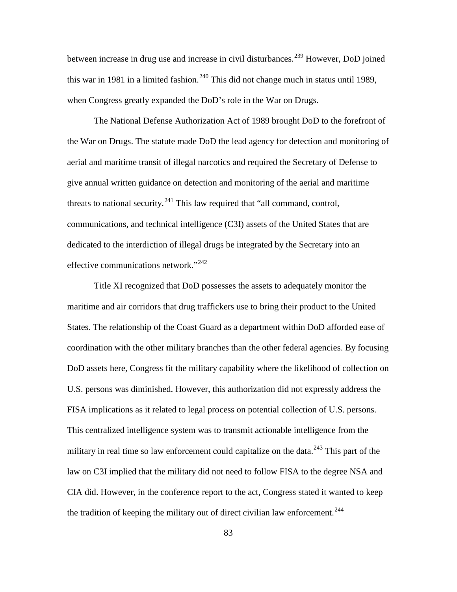between increase in drug use and increase in civil disturbances.<sup>[239](#page-187-0)</sup> However, DoD joined this war in 1981 in a limited fashion.<sup>[240](#page-187-1)</sup> This did not change much in status until 1989, when Congress greatly expanded the DoD's role in the War on Drugs.

The National Defense Authorization Act of 1989 brought DoD to the forefront of the War on Drugs. The statute made DoD the lead agency for detection and monitoring of aerial and maritime transit of illegal narcotics and required the Secretary of Defense to give annual written guidance on detection and monitoring of the aerial and maritime threats to national security. $241$  This law required that "all command, control, communications, and technical intelligence (C3I) assets of the United States that are dedicated to the interdiction of illegal drugs be integrated by the Secretary into an effective communications network." $242$ 

Title XI recognized that DoD possesses the assets to adequately monitor the maritime and air corridors that drug traffickers use to bring their product to the United States. The relationship of the Coast Guard as a department within DoD afforded ease of coordination with the other military branches than the other federal agencies. By focusing DoD assets here, Congress fit the military capability where the likelihood of collection on U.S. persons was diminished. However, this authorization did not expressly address the FISA implications as it related to legal process on potential collection of U.S. persons. This centralized intelligence system was to transmit actionable intelligence from the military in real time so law enforcement could capitalize on the data.<sup>[243](#page-187-4)</sup> This part of the law on C3I implied that the military did not need to follow FISA to the degree NSA and CIA did. However, in the conference report to the act, Congress stated it wanted to keep the tradition of keeping the military out of direct civilian law enforcement.<sup>[244](#page-187-5)</sup>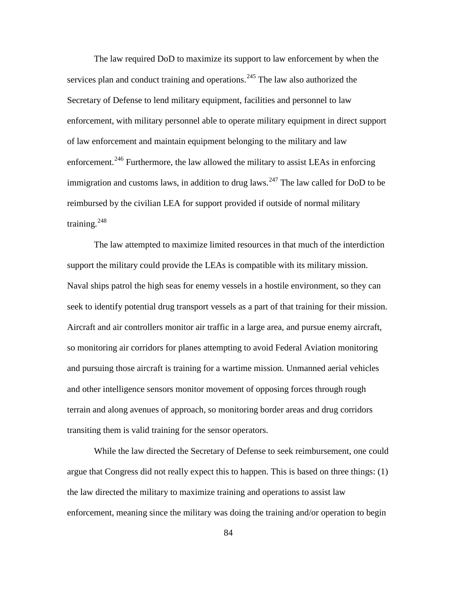The law required DoD to maximize its support to law enforcement by when the services plan and conduct training and operations.<sup>[245](#page-188-0)</sup> The law also authorized the Secretary of Defense to lend military equipment, facilities and personnel to law enforcement, with military personnel able to operate military equipment in direct support of law enforcement and maintain equipment belonging to the military and law enforcement.<sup>[246](#page-188-1)</sup> Furthermore, the law allowed the military to assist LEAs in enforcing immigration and customs laws, in addition to drug laws.<sup>[247](#page-188-2)</sup> The law called for DoD to be reimbursed by the civilian LEA for support provided if outside of normal military training. [248](#page-188-3)

The law attempted to maximize limited resources in that much of the interdiction support the military could provide the LEAs is compatible with its military mission. Naval ships patrol the high seas for enemy vessels in a hostile environment, so they can seek to identify potential drug transport vessels as a part of that training for their mission. Aircraft and air controllers monitor air traffic in a large area, and pursue enemy aircraft, so monitoring air corridors for planes attempting to avoid Federal Aviation monitoring and pursuing those aircraft is training for a wartime mission. Unmanned aerial vehicles and other intelligence sensors monitor movement of opposing forces through rough terrain and along avenues of approach, so monitoring border areas and drug corridors transiting them is valid training for the sensor operators.

While the law directed the Secretary of Defense to seek reimbursement, one could argue that Congress did not really expect this to happen. This is based on three things: (1) the law directed the military to maximize training and operations to assist law enforcement, meaning since the military was doing the training and/or operation to begin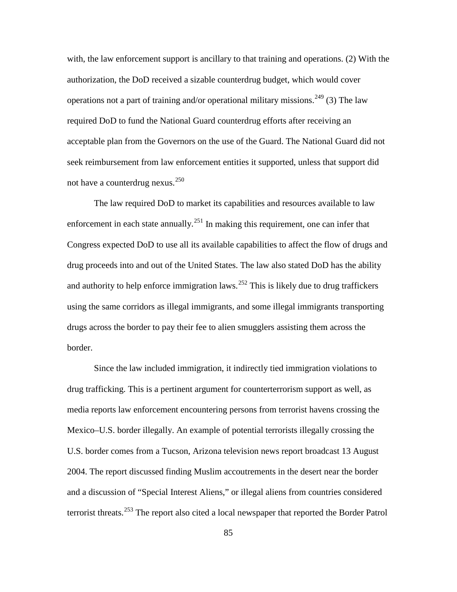with, the law enforcement support is ancillary to that training and operations. (2) With the authorization, the DoD received a sizable counterdrug budget, which would cover operations not a part of training and/or operational military missions.<sup>[249](#page-189-0)</sup> (3) The law required DoD to fund the National Guard counterdrug efforts after receiving an acceptable plan from the Governors on the use of the Guard. The National Guard did not seek reimbursement from law enforcement entities it supported, unless that support did not have a counterdrug nexus. [250](#page-189-1)

The law required DoD to market its capabilities and resources available to law enforcement in each state annually.<sup>[251](#page-189-2)</sup> In making this requirement, one can infer that Congress expected DoD to use all its available capabilities to affect the flow of drugs and drug proceeds into and out of the United States. The law also stated DoD has the ability and authority to help enforce immigration laws.<sup>[252](#page-189-3)</sup> This is likely due to drug traffickers using the same corridors as illegal immigrants, and some illegal immigrants transporting drugs across the border to pay their fee to alien smugglers assisting them across the border.

Since the law included immigration, it indirectly tied immigration violations to drug trafficking. This is a pertinent argument for counterterrorism support as well, as media reports law enforcement encountering persons from terrorist havens crossing the Mexico–U.S. border illegally. An example of potential terrorists illegally crossing the U.S. border comes from a Tucson, Arizona television news report broadcast 13 August 2004. The report discussed finding Muslim accoutrements in the desert near the border and a discussion of "Special Interest Aliens," or illegal aliens from countries considered terrorist threats.<sup>[253](#page-189-4)</sup> The report also cited a local newspaper that reported the Border Patrol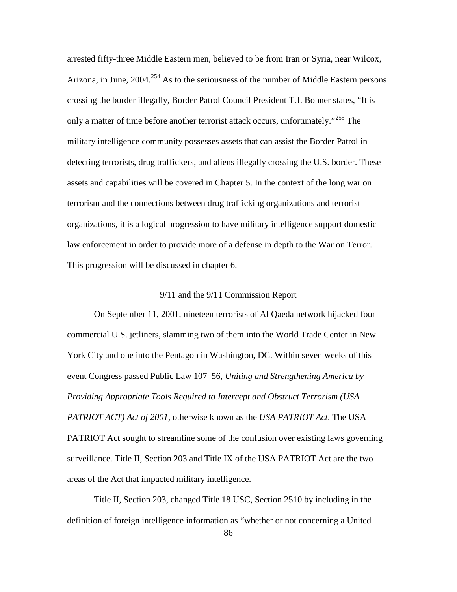arrested fifty-three Middle Eastern men, believed to be from Iran or Syria, near Wilcox, Arizona, in June, 2004.<sup>[254](#page-190-0)</sup> As to the seriousness of the number of Middle Eastern persons crossing the border illegally, Border Patrol Council President T.J. Bonner states, "It is only a matter of time before another terrorist attack occurs, unfortunately."<sup>[255](#page-190-1)</sup> The military intelligence community possesses assets that can assist the Border Patrol in detecting terrorists, drug traffickers, and aliens illegally crossing the U.S. border. These assets and capabilities will be covered in Chapter 5. In the context of the long war on terrorism and the connections between drug trafficking organizations and terrorist organizations, it is a logical progression to have military intelligence support domestic law enforcement in order to provide more of a defense in depth to the War on Terror. This progression will be discussed in chapter 6.

## 9/11 and the 9/11 Commission Report

On September 11, 2001, nineteen terrorists of Al Qaeda network hijacked four commercial U.S. jetliners, slamming two of them into the World Trade Center in New York City and one into the Pentagon in Washington, DC. Within seven weeks of this event Congress passed Public Law 107–56, *Uniting and Strengthening America by Providing Appropriate Tools Required to Intercept and Obstruct Terrorism (USA PATRIOT ACT) Act of 2001,* otherwise known as the *USA PATRIOT Act*. The USA PATRIOT Act sought to streamline some of the confusion over existing laws governing surveillance. Title II, Section 203 and Title IX of the USA PATRIOT Act are the two areas of the Act that impacted military intelligence.

Title II, Section 203, changed Title 18 USC, Section 2510 by including in the definition of foreign intelligence information as "whether or not concerning a United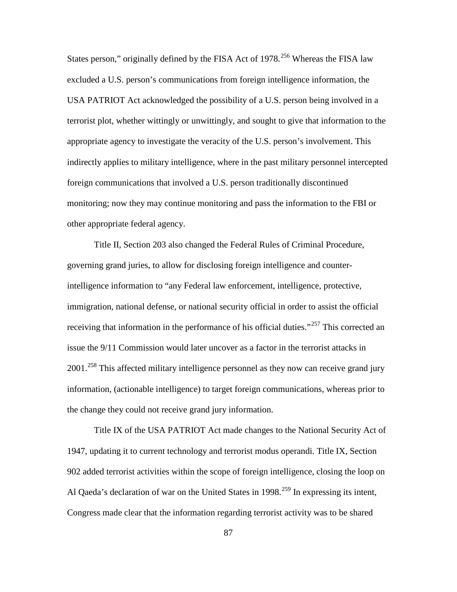States person," originally defined by the FISA Act of 1978.<sup>[256](#page-191-0)</sup> Whereas the FISA law excluded a U.S. person's communications from foreign intelligence information, the USA PATRIOT Act acknowledged the possibility of a U.S. person being involved in a terrorist plot, whether wittingly or unwittingly, and sought to give that information to the appropriate agency to investigate the veracity of the U.S. person's involvement. This indirectly applies to military intelligence, where in the past military personnel intercepted foreign communications that involved a U.S. person traditionally discontinued monitoring; now they may continue monitoring and pass the information to the FBI or other appropriate federal agency.

Title II, Section 203 also changed the Federal Rules of Criminal Procedure, governing grand juries, to allow for disclosing foreign intelligence and counterintelligence information to "any Federal law enforcement, intelligence, protective, immigration, national defense, or national security official in order to assist the official receiving that information in the performance of his official duties."<sup>[257](#page-191-1)</sup> This corrected an issue the 9/11 Commission would later uncover as a factor in the terrorist attacks in 2001.<sup>[258](#page-191-2)</sup> This affected military intelligence personnel as they now can receive grand jury information, (actionable intelligence) to target foreign communications, whereas prior to the change they could not receive grand jury information.

Title IX of the USA PATRIOT Act made changes to the National Security Act of 1947, updating it to current technology and terrorist modus operandi. Title IX, Section 902 added terrorist activities within the scope of foreign intelligence, closing the loop on Al Qaeda's declaration of war on the United States in 1998.<sup>[259](#page-191-3)</sup> In expressing its intent, Congress made clear that the information regarding terrorist activity was to be shared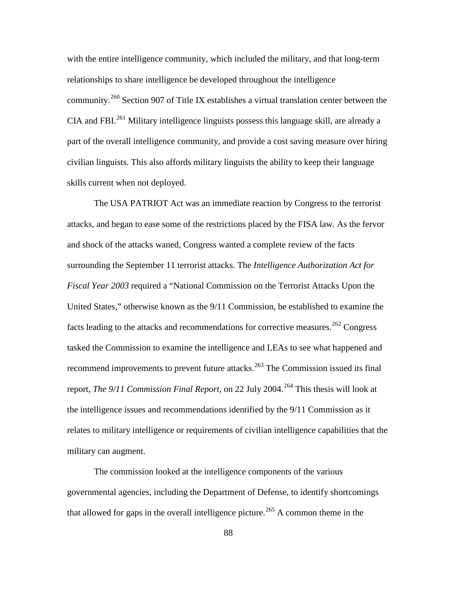with the entire intelligence community, which included the military, and that long-term relationships to share intelligence be developed throughout the intelligence community.<sup>[260](#page-192-0)</sup> Section 907 of Title IX establishes a virtual translation center between the CIA and FBI.<sup>[261](#page-192-1)</sup> Military intelligence linguists possess this language skill, are already a part of the overall intelligence community, and provide a cost saving measure over hiring civilian linguists. This also affords military linguists the ability to keep their language skills current when not deployed.

The USA PATRIOT Act was an immediate reaction by Congress to the terrorist attacks, and began to ease some of the restrictions placed by the FISA law. As the fervor and shock of the attacks waned, Congress wanted a complete review of the facts surrounding the September 11 terrorist attacks. The *Intelligence Authorization Act for Fiscal Year 2003* required a "National Commission on the Terrorist Attacks Upon the United States," otherwise known as the 9/11 Commission, be established to examine the facts leading to the attacks and recommendations for corrective measures.<sup>[262](#page-192-2)</sup> Congress tasked the Commission to examine the intelligence and LEAs to see what happened and recommend improvements to prevent future attacks.<sup>[263](#page-192-3)</sup> The Commission issued its final report, *The 9/11 Commission Final Report*, on 22 July 2004. [264](#page-192-4) This thesis will look at the intelligence issues and recommendations identified by the 9/11 Commission as it relates to military intelligence or requirements of civilian intelligence capabilities that the military can augment.

The commission looked at the intelligence components of the various governmental agencies, including the Department of Defense, to identify shortcomings that allowed for gaps in the overall intelligence picture.<sup>[265](#page-192-5)</sup> A common theme in the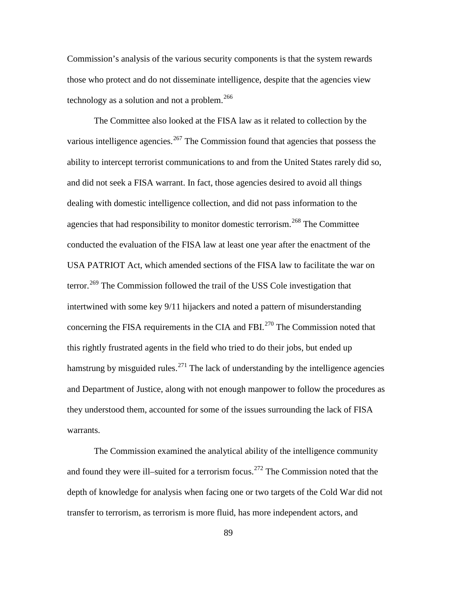Commission's analysis of the various security components is that the system rewards those who protect and do not disseminate intelligence, despite that the agencies view technology as a solution and not a problem.<sup>[266](#page-193-0)</sup>

The Committee also looked at the FISA law as it related to collection by the various intelligence agencies.<sup>[267](#page-193-1)</sup> The Commission found that agencies that possess the ability to intercept terrorist communications to and from the United States rarely did so, and did not seek a FISA warrant. In fact, those agencies desired to avoid all things dealing with domestic intelligence collection, and did not pass information to the agencies that had responsibility to monitor domestic terrorism.<sup>[268](#page-193-2)</sup> The Committee conducted the evaluation of the FISA law at least one year after the enactment of the USA PATRIOT Act, which amended sections of the FISA law to facilitate the war on terror.<sup>[269](#page-193-3)</sup> The Commission followed the trail of the USS Cole investigation that intertwined with some key 9/11 hijackers and noted a pattern of misunderstanding concerning the FISA requirements in the CIA and FBI. $^{270}$  $^{270}$  $^{270}$  The Commission noted that this rightly frustrated agents in the field who tried to do their jobs, but ended up hamstrung by misguided rules.<sup>[271](#page-193-5)</sup> The lack of understanding by the intelligence agencies and Department of Justice, along with not enough manpower to follow the procedures as they understood them, accounted for some of the issues surrounding the lack of FISA warrants.

The Commission examined the analytical ability of the intelligence community and found they were ill–suited for a terrorism focus. [272](#page-193-6) The Commission noted that the depth of knowledge for analysis when facing one or two targets of the Cold War did not transfer to terrorism, as terrorism is more fluid, has more independent actors, and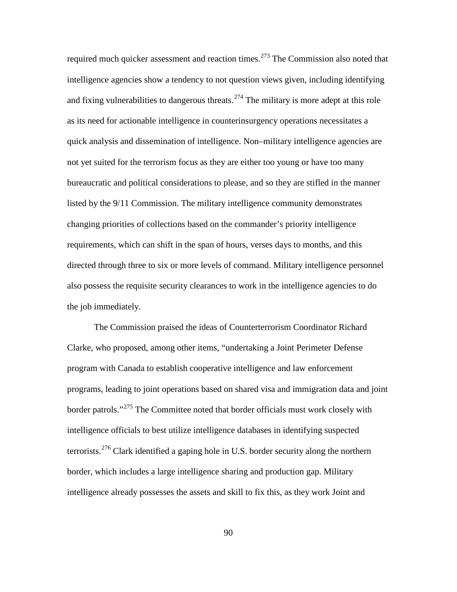required much quicker assessment and reaction times.<sup>[273](#page-194-0)</sup> The Commission also noted that intelligence agencies show a tendency to not question views given, including identifying and fixing vulnerabilities to dangerous threats. $274$  The military is more adept at this role as its need for actionable intelligence in counterinsurgency operations necessitates a quick analysis and dissemination of intelligence. Non–military intelligence agencies are not yet suited for the terrorism focus as they are either too young or have too many bureaucratic and political considerations to please, and so they are stifled in the manner listed by the 9/11 Commission. The military intelligence community demonstrates changing priorities of collections based on the commander's priority intelligence requirements, which can shift in the span of hours, verses days to months, and this directed through three to six or more levels of command. Military intelligence personnel also possess the requisite security clearances to work in the intelligence agencies to do the job immediately.

The Commission praised the ideas of Counterterrorism Coordinator Richard Clarke, who proposed, among other items, "undertaking a Joint Perimeter Defense program with Canada to establish cooperative intelligence and law enforcement programs, leading to joint operations based on shared visa and immigration data and joint border patrols."<sup>[275](#page-194-2)</sup> The Committee noted that border officials must work closely with intelligence officials to best utilize intelligence databases in identifying suspected terrorists.<sup>[276](#page-194-3)</sup> Clark identified a gaping hole in U.S. border security along the northern border, which includes a large intelligence sharing and production gap. Military intelligence already possesses the assets and skill to fix this, as they work Joint and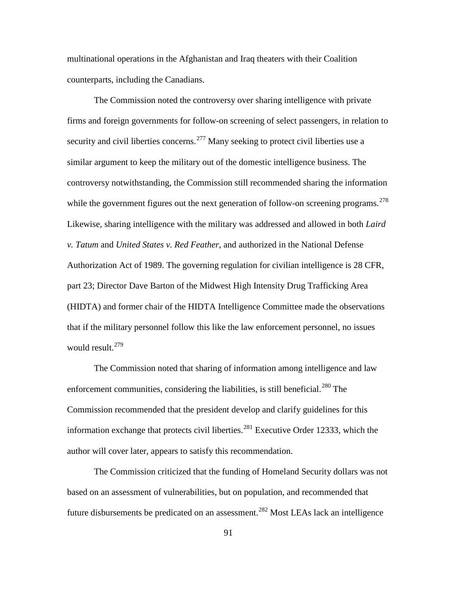multinational operations in the Afghanistan and Iraq theaters with their Coalition counterparts, including the Canadians.

The Commission noted the controversy over sharing intelligence with private firms and foreign governments for follow-on screening of select passengers, in relation to security and civil liberties concerns.<sup>[277](#page-195-0)</sup> Many seeking to protect civil liberties use a similar argument to keep the military out of the domestic intelligence business. The controversy notwithstanding, the Commission still recommended sharing the information while the government figures out the next generation of follow-on screening programs.<sup>[278](#page-195-1)</sup> Likewise, sharing intelligence with the military was addressed and allowed in both *Laird v. Tatum* and *United States v. Red Feather*, and authorized in the National Defense Authorization Act of 1989. The governing regulation for civilian intelligence is 28 CFR, part 23; Director Dave Barton of the Midwest High Intensity Drug Trafficking Area (HIDTA) and former chair of the HIDTA Intelligence Committee made the observations that if the military personnel follow this like the law enforcement personnel, no issues would result. [279](#page-195-2)

The Commission noted that sharing of information among intelligence and law enforcement communities, considering the liabilities, is still beneficial.<sup>[280](#page-195-3)</sup> The Commission recommended that the president develop and clarify guidelines for this information exchange that protects civil liberties. [281](#page-195-4) Executive Order 12333, which the author will cover later, appears to satisfy this recommendation.

The Commission criticized that the funding of Homeland Security dollars was not based on an assessment of vulnerabilities, but on population, and recommended that future disbursements be predicated on an assessment.<sup>[282](#page-195-5)</sup> Most LEAs lack an intelligence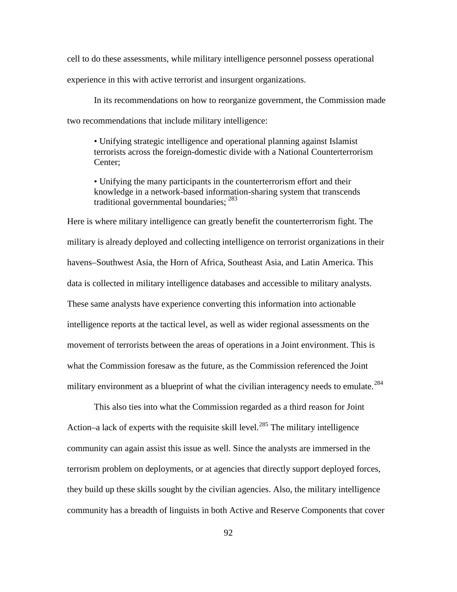cell to do these assessments, while military intelligence personnel possess operational experience in this with active terrorist and insurgent organizations.

In its recommendations on how to reorganize government, the Commission made two recommendations that include military intelligence:

• Unifying strategic intelligence and operational planning against Islamist terrorists across the foreign-domestic divide with a National Counterterrorism Center;

• Unifying the many participants in the counterterrorism effort and their knowledge in a network-based information-sharing system that transcends traditional governmental boundaries; <sup>[283](#page-196-0)</sup>

Here is where military intelligence can greatly benefit the counterterrorism fight. The military is already deployed and collecting intelligence on terrorist organizations in their havens–Southwest Asia, the Horn of Africa, Southeast Asia, and Latin America. This data is collected in military intelligence databases and accessible to military analysts. These same analysts have experience converting this information into actionable intelligence reports at the tactical level, as well as wider regional assessments on the movement of terrorists between the areas of operations in a Joint environment. This is what the Commission foresaw as the future, as the Commission referenced the Joint military environment as a blueprint of what the civilian interagency needs to emulate.<sup>[284](#page-196-1)</sup>

This also ties into what the Commission regarded as a third reason for Joint Action–a lack of experts with the requisite skill level.<sup>[285](#page-196-2)</sup> The military intelligence community can again assist this issue as well. Since the analysts are immersed in the terrorism problem on deployments, or at agencies that directly support deployed forces, they build up these skills sought by the civilian agencies. Also, the military intelligence community has a breadth of linguists in both Active and Reserve Components that cover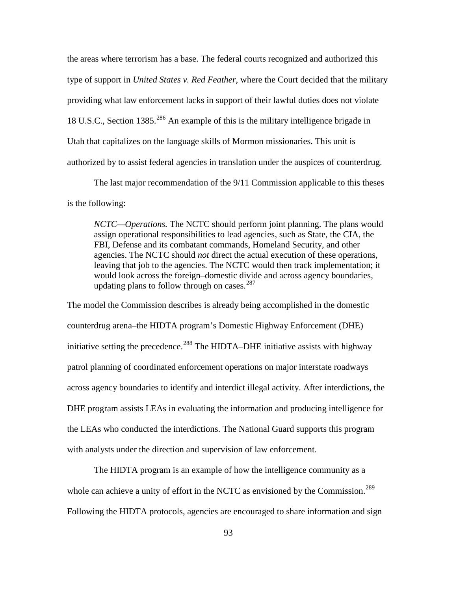the areas where terrorism has a base. The federal courts recognized and authorized this type of support in *United States v. Red Feather*, where the Court decided that the military providing what law enforcement lacks in support of their lawful duties does not violate 18 U.S.C., Section 1385.<sup>[286](#page-197-0)</sup> An example of this is the military intelligence brigade in Utah that capitalizes on the language skills of Mormon missionaries. This unit is authorized by to assist federal agencies in translation under the auspices of counterdrug.

The last major recommendation of the 9/11 Commission applicable to this theses is the following:

*NCTC—Operations.* The NCTC should perform joint planning. The plans would assign operational responsibilities to lead agencies, such as State, the CIA, the FBI, Defense and its combatant commands, Homeland Security, and other agencies. The NCTC should *not* direct the actual execution of these operations, leaving that job to the agencies. The NCTC would then track implementation; it would look across the foreign–domestic divide and across agency boundaries, updating plans to follow through on cases. $287$ 

The model the Commission describes is already being accomplished in the domestic counterdrug arena–the HIDTA program's Domestic Highway Enforcement (DHE) initiative setting the precedence.<sup>[288](#page-197-2)</sup> The HIDTA–DHE initiative assists with highway patrol planning of coordinated enforcement operations on major interstate roadways across agency boundaries to identify and interdict illegal activity. After interdictions, the DHE program assists LEAs in evaluating the information and producing intelligence for the LEAs who conducted the interdictions. The National Guard supports this program with analysts under the direction and supervision of law enforcement.

The HIDTA program is an example of how the intelligence community as a whole can achieve a unity of effort in the NCTC as envisioned by the Commission.<sup>[289](#page-197-3)</sup> Following the HIDTA protocols, agencies are encouraged to share information and sign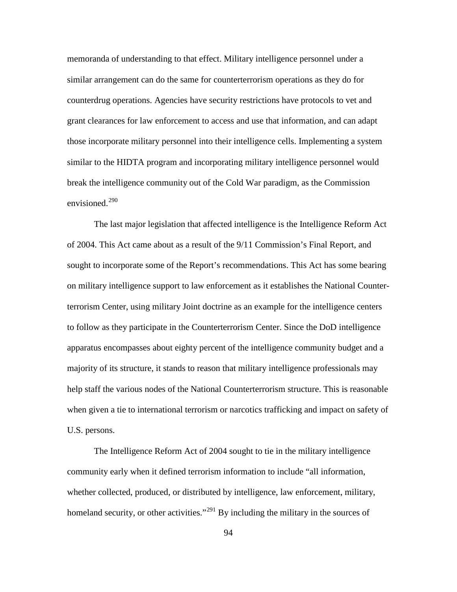memoranda of understanding to that effect. Military intelligence personnel under a similar arrangement can do the same for counterterrorism operations as they do for counterdrug operations. Agencies have security restrictions have protocols to vet and grant clearances for law enforcement to access and use that information, and can adapt those incorporate military personnel into their intelligence cells. Implementing a system similar to the HIDTA program and incorporating military intelligence personnel would break the intelligence community out of the Cold War paradigm, as the Commission envisioned. [290](#page-198-0)

The last major legislation that affected intelligence is the Intelligence Reform Act of 2004. This Act came about as a result of the 9/11 Commission's Final Report, and sought to incorporate some of the Report's recommendations. This Act has some bearing on military intelligence support to law enforcement as it establishes the National Counterterrorism Center, using military Joint doctrine as an example for the intelligence centers to follow as they participate in the Counterterrorism Center. Since the DoD intelligence apparatus encompasses about eighty percent of the intelligence community budget and a majority of its structure, it stands to reason that military intelligence professionals may help staff the various nodes of the National Counterterrorism structure. This is reasonable when given a tie to international terrorism or narcotics trafficking and impact on safety of U.S. persons.

The Intelligence Reform Act of 2004 sought to tie in the military intelligence community early when it defined terrorism information to include "all information, whether collected, produced, or distributed by intelligence, law enforcement, military, homeland security, or other activities."<sup>[291](#page-198-1)</sup> By including the military in the sources of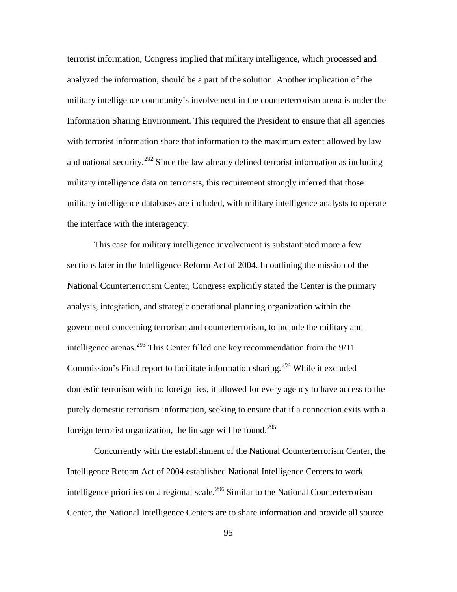terrorist information, Congress implied that military intelligence, which processed and analyzed the information, should be a part of the solution. Another implication of the military intelligence community's involvement in the counterterrorism arena is under the Information Sharing Environment. This required the President to ensure that all agencies with terrorist information share that information to the maximum extent allowed by law and national security.<sup>[292](#page-198-2)</sup> Since the law already defined terrorist information as including military intelligence data on terrorists, this requirement strongly inferred that those military intelligence databases are included, with military intelligence analysts to operate the interface with the interagency.

This case for military intelligence involvement is substantiated more a few sections later in the Intelligence Reform Act of 2004. In outlining the mission of the National Counterterrorism Center, Congress explicitly stated the Center is the primary analysis, integration, and strategic operational planning organization within the government concerning terrorism and counterterrorism, to include the military and intelligence arenas.<sup>[293](#page-198-3)</sup> This Center filled one key recommendation from the 9/11 Commission's Final report to facilitate information sharing.<sup>[294](#page-198-4)</sup> While it excluded domestic terrorism with no foreign ties, it allowed for every agency to have access to the purely domestic terrorism information, seeking to ensure that if a connection exits with a foreign terrorist organization, the linkage will be found.<sup>[295](#page-198-5)</sup>

Concurrently with the establishment of the National Counterterrorism Center, the Intelligence Reform Act of 2004 established National Intelligence Centers to work intelligence priorities on a regional scale.<sup>[296](#page-198-6)</sup> Similar to the National Counterterrorism Center, the National Intelligence Centers are to share information and provide all source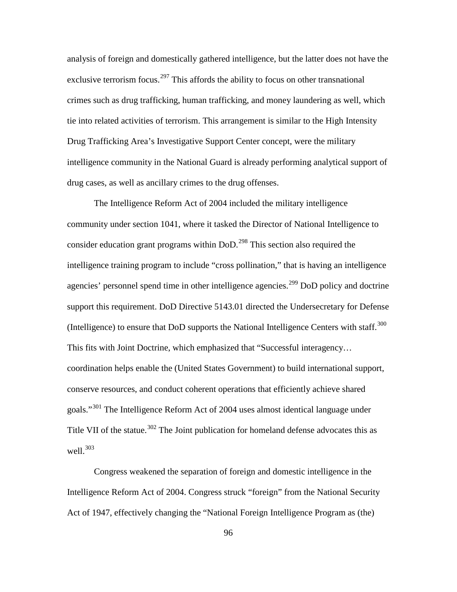analysis of foreign and domestically gathered intelligence, but the latter does not have the exclusive terrorism focus.<sup>[297](#page-198-7)</sup> This affords the ability to focus on other transnational crimes such as drug trafficking, human trafficking, and money laundering as well, which tie into related activities of terrorism. This arrangement is similar to the High Intensity Drug Trafficking Area's Investigative Support Center concept, were the military intelligence community in the National Guard is already performing analytical support of drug cases, as well as ancillary crimes to the drug offenses.

The Intelligence Reform Act of 2004 included the military intelligence community under section 1041, where it tasked the Director of National Intelligence to consider education grant programs within DoD.<sup>[298](#page-198-8)</sup> This section also required the intelligence training program to include "cross pollination," that is having an intelligence agencies' personnel spend time in other intelligence agencies.<sup>[299](#page-198-9)</sup> DoD policy and doctrine support this requirement. DoD Directive 5143.01 directed the Undersecretary for Defense (Intelligence) to ensure that DoD supports the National Intelligence Centers with staff.  $300$ This fits with Joint Doctrine, which emphasized that "Successful interagency… coordination helps enable the (United States Government) to build international support, conserve resources, and conduct coherent operations that efficiently achieve shared goals."<sup>[301](#page-198-11)</sup> The Intelligence Reform Act of 2004 uses almost identical language under Title VII of the statue.<sup>[302](#page-198-12)</sup> The Joint publication for homeland defense advocates this as well. [303](#page-198-13)

Congress weakened the separation of foreign and domestic intelligence in the Intelligence Reform Act of 2004. Congress struck "foreign" from the National Security Act of 1947, effectively changing the "National Foreign Intelligence Program as (the)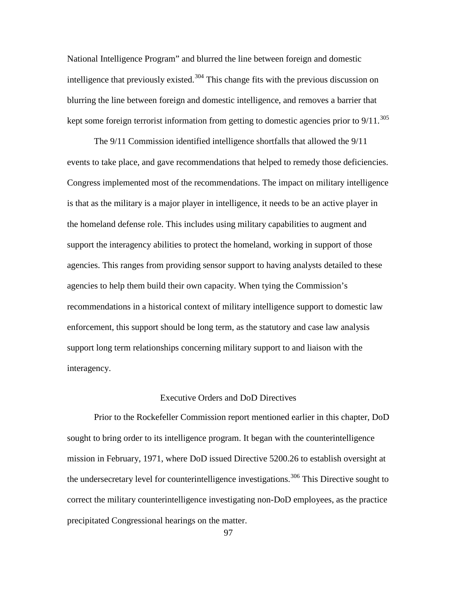National Intelligence Program" and blurred the line between foreign and domestic intelligence that previously existed.<sup>[304](#page-198-14)</sup> This change fits with the previous discussion on blurring the line between foreign and domestic intelligence, and removes a barrier that kept some foreign terrorist information from getting to domestic agencies prior to 9/11.<sup>[305](#page-198-15)</sup>

The 9/11 Commission identified intelligence shortfalls that allowed the 9/11 events to take place, and gave recommendations that helped to remedy those deficiencies. Congress implemented most of the recommendations. The impact on military intelligence is that as the military is a major player in intelligence, it needs to be an active player in the homeland defense role. This includes using military capabilities to augment and support the interagency abilities to protect the homeland, working in support of those agencies. This ranges from providing sensor support to having analysts detailed to these agencies to help them build their own capacity. When tying the Commission's recommendations in a historical context of military intelligence support to domestic law enforcement, this support should be long term, as the statutory and case law analysis support long term relationships concerning military support to and liaison with the interagency.

## Executive Orders and DoD Directives

Prior to the Rockefeller Commission report mentioned earlier in this chapter, DoD sought to bring order to its intelligence program. It began with the counterintelligence mission in February, 1971, where DoD issued Directive 5200.26 to establish oversight at the undersecretary level for counterintelligence investigations.<sup>[306](#page-198-16)</sup> This Directive sought to correct the military counterintelligence investigating non-DoD employees, as the practice precipitated Congressional hearings on the matter.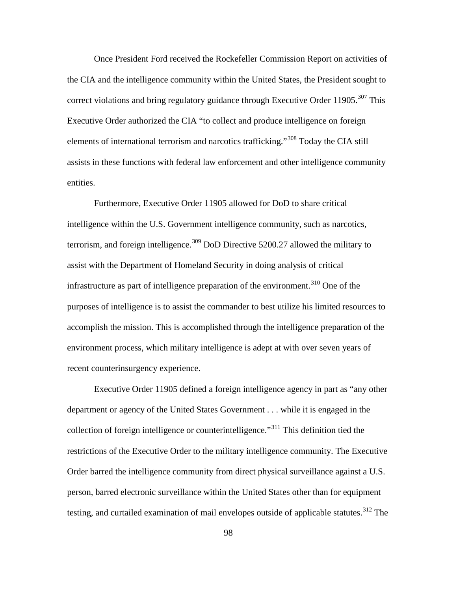Once President Ford received the Rockefeller Commission Report on activities of the CIA and the intelligence community within the United States, the President sought to correct violations and bring regulatory guidance through Executive Order 11905.<sup>[307](#page-198-17)</sup> This Executive Order authorized the CIA "to collect and produce intelligence on foreign elements of international terrorism and narcotics trafficking."<sup>[308](#page-198-3)</sup> Today the CIA still assists in these functions with federal law enforcement and other intelligence community entities.

Furthermore, Executive Order 11905 allowed for DoD to share critical intelligence within the U.S. Government intelligence community, such as narcotics, terrorism, and foreign intelligence.<sup>[309](#page-198-4)</sup> DoD Directive 5200.27 allowed the military to assist with the Department of Homeland Security in doing analysis of critical infrastructure as part of intelligence preparation of the environment.<sup>[310](#page-198-18)</sup> One of the purposes of intelligence is to assist the commander to best utilize his limited resources to accomplish the mission. This is accomplished through the intelligence preparation of the environment process, which military intelligence is adept at with over seven years of recent counterinsurgency experience.

Executive Order 11905 defined a foreign intelligence agency in part as "any other department or agency of the United States Government . . . while it is engaged in the collection of foreign intelligence or counterintelligence."<sup>[311](#page-198-6)</sup> This definition tied the restrictions of the Executive Order to the military intelligence community. The Executive Order barred the intelligence community from direct physical surveillance against a U.S. person, barred electronic surveillance within the United States other than for equipment testing, and curtailed examination of mail envelopes outside of applicable statutes.<sup>[312](#page-198-7)</sup> The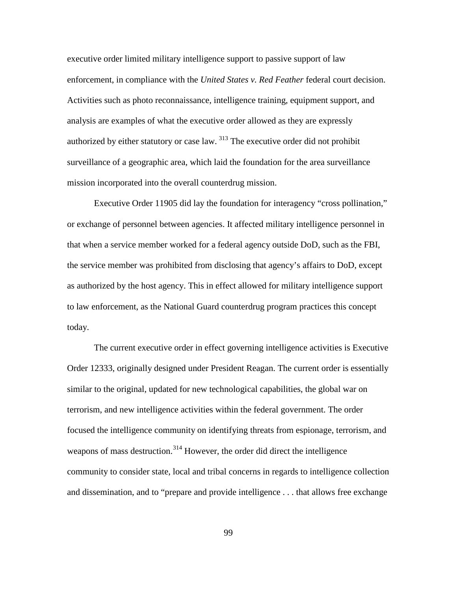executive order limited military intelligence support to passive support of law enforcement, in compliance with the *United States v. Red Feather* federal court decision. Activities such as photo reconnaissance, intelligence training, equipment support, and analysis are examples of what the executive order allowed as they are expressly authorized by either statutory or case law.  $313$  The executive order did not prohibit surveillance of a geographic area, which laid the foundation for the area surveillance mission incorporated into the overall counterdrug mission.

Executive Order 11905 did lay the foundation for interagency "cross pollination," or exchange of personnel between agencies. It affected military intelligence personnel in that when a service member worked for a federal agency outside DoD, such as the FBI, the service member was prohibited from disclosing that agency's affairs to DoD, except as authorized by the host agency. This in effect allowed for military intelligence support to law enforcement, as the National Guard counterdrug program practices this concept today.

The current executive order in effect governing intelligence activities is Executive Order 12333, originally designed under President Reagan. The current order is essentially similar to the original, updated for new technological capabilities, the global war on terrorism, and new intelligence activities within the federal government. The order focused the intelligence community on identifying threats from espionage, terrorism, and weapons of mass destruction.<sup>[314](#page-198-9)</sup> However, the order did direct the intelligence community to consider state, local and tribal concerns in regards to intelligence collection and dissemination, and to "prepare and provide intelligence . . . that allows free exchange

99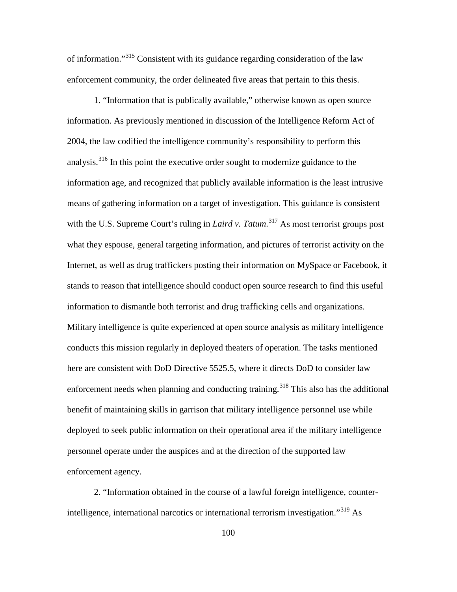of information."[315](#page-198-0) Consistent with its guidance regarding consideration of the law enforcement community, the order delineated five areas that pertain to this thesis.

1. "Information that is publically available," otherwise known as open source information. As previously mentioned in discussion of the Intelligence Reform Act of 2004, the law codified the intelligence community's responsibility to perform this analysis.<sup>[316](#page-198-1)</sup> In this point the executive order sought to modernize guidance to the information age, and recognized that publicly available information is the least intrusive means of gathering information on a target of investigation. This guidance is consistent with the U.S. Supreme Court's ruling in *Laird v. Tatum*. [317](#page-198-2) As most terrorist groups post what they espouse, general targeting information, and pictures of terrorist activity on the Internet, as well as drug traffickers posting their information on MySpace or Facebook, it stands to reason that intelligence should conduct open source research to find this useful information to dismantle both terrorist and drug trafficking cells and organizations. Military intelligence is quite experienced at open source analysis as military intelligence conducts this mission regularly in deployed theaters of operation. The tasks mentioned here are consistent with DoD Directive 5525.5, where it directs DoD to consider law enforcement needs when planning and conducting training.<sup>[318](#page-198-3)</sup> This also has the additional benefit of maintaining skills in garrison that military intelligence personnel use while deployed to seek public information on their operational area if the military intelligence personnel operate under the auspices and at the direction of the supported law enforcement agency.

2. "Information obtained in the course of a lawful foreign intelligence, counterintelligence, international narcotics or international terrorism investigation."[319](#page-198-4) As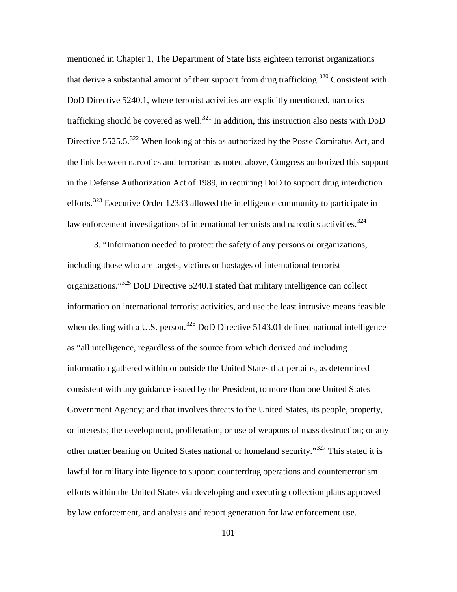mentioned in Chapter 1, The Department of State lists eighteen terrorist organizations that derive a substantial amount of their support from drug trafficking.<sup>[320](#page-198-5)</sup> Consistent with DoD Directive 5240.1, where terrorist activities are explicitly mentioned, narcotics trafficking should be covered as well.<sup>[321](#page-198-6)</sup> In addition, this instruction also nests with  $DoD$ Directive  $5525.5$ <sup>[322](#page-198-7)</sup> When looking at this as authorized by the Posse Comitatus Act, and the link between narcotics and terrorism as noted above, Congress authorized this support in the Defense Authorization Act of 1989, in requiring DoD to support drug interdiction efforts.<sup>[323](#page-198-8)</sup> Executive Order 12333 allowed the intelligence community to participate in law enforcement investigations of international terrorists and narcotics activities.<sup>[324](#page-198-9)</sup>

3. "Information needed to protect the safety of any persons or organizations, including those who are targets, victims or hostages of international terrorist organizations."[325](#page-198-10) DoD Directive 5240.1 stated that military intelligence can collect information on international terrorist activities, and use the least intrusive means feasible when dealing with a U.S. person.<sup>[326](#page-198-11)</sup> DoD Directive 5143.01 defined national intelligence as "all intelligence, regardless of the source from which derived and including information gathered within or outside the United States that pertains, as determined consistent with any guidance issued by the President, to more than one United States Government Agency; and that involves threats to the United States, its people, property, or interests; the development, proliferation, or use of weapons of mass destruction; or any other matter bearing on United States national or homeland security."[327](#page-198-12) This stated it is lawful for military intelligence to support counterdrug operations and counterterrorism efforts within the United States via developing and executing collection plans approved by law enforcement, and analysis and report generation for law enforcement use.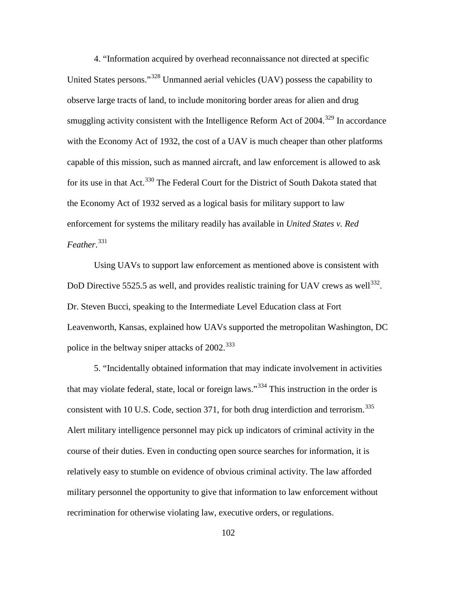4. "Information acquired by overhead reconnaissance not directed at specific United States persons."[328](#page-198-13) Unmanned aerial vehicles (UAV) possess the capability to observe large tracts of land, to include monitoring border areas for alien and drug smuggling activity consistent with the Intelligence Reform Act of 2004.<sup>[329](#page-198-14)</sup> In accordance with the Economy Act of 1932, the cost of a UAV is much cheaper than other platforms capable of this mission, such as manned aircraft, and law enforcement is allowed to ask for its use in that Act.<sup>[330](#page-198-15)</sup> The Federal Court for the District of South Dakota stated that the Economy Act of 1932 served as a logical basis for military support to law enforcement for systems the military readily has available in *United States v. Red Feather*. [331](#page-198-0)

Using UAVs to support law enforcement as mentioned above is consistent with DoD Directive 5525.5 as well, and provides realistic training for UAV crews as well<sup>[332](#page-198-1)</sup>. Dr. Steven Bucci, speaking to the Intermediate Level Education class at Fort Leavenworth, Kansas, explained how UAVs supported the metropolitan Washington, DC police in the beltway sniper attacks of 2002.<sup>[333](#page-198-3)</sup>

5. "Incidentally obtained information that may indicate involvement in activities that may violate federal, state, local or foreign laws."[334](#page-198-4) This instruction in the order is consistent with 10 U.S. Code, section 371, for both drug interdiction and terrorism.<sup>[335](#page-198-5)</sup> Alert military intelligence personnel may pick up indicators of criminal activity in the course of their duties. Even in conducting open source searches for information, it is relatively easy to stumble on evidence of obvious criminal activity. The law afforded military personnel the opportunity to give that information to law enforcement without recrimination for otherwise violating law, executive orders, or regulations.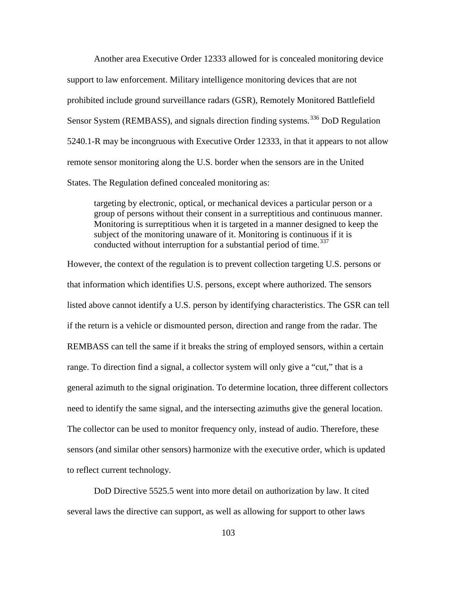Another area Executive Order 12333 allowed for is concealed monitoring device support to law enforcement. Military intelligence monitoring devices that are not prohibited include ground surveillance radars (GSR), Remotely Monitored Battlefield Sensor System (REMBASS), and signals direction finding systems.<sup>[336](#page-198-16)</sup> DoD Regulation 5240.1-R may be incongruous with Executive Order 12333, in that it appears to not allow remote sensor monitoring along the U.S. border when the sensors are in the United States. The Regulation defined concealed monitoring as:

targeting by electronic, optical, or mechanical devices a particular person or a group of persons without their consent in a surreptitious and continuous manner. Monitoring is surreptitious when it is targeted in a manner designed to keep the subject of the monitoring unaware of it. Monitoring is continuous if it is conducted without interruption for a substantial period of time.<sup>[337](#page-198-17)</sup>

However, the context of the regulation is to prevent collection targeting U.S. persons or that information which identifies U.S. persons, except where authorized. The sensors listed above cannot identify a U.S. person by identifying characteristics. The GSR can tell if the return is a vehicle or dismounted person, direction and range from the radar. The REMBASS can tell the same if it breaks the string of employed sensors, within a certain range. To direction find a signal, a collector system will only give a "cut," that is a general azimuth to the signal origination. To determine location, three different collectors need to identify the same signal, and the intersecting azimuths give the general location. The collector can be used to monitor frequency only, instead of audio. Therefore, these sensors (and similar other sensors) harmonize with the executive order, which is updated to reflect current technology.

DoD Directive 5525.5 went into more detail on authorization by law. It cited several laws the directive can support, as well as allowing for support to other laws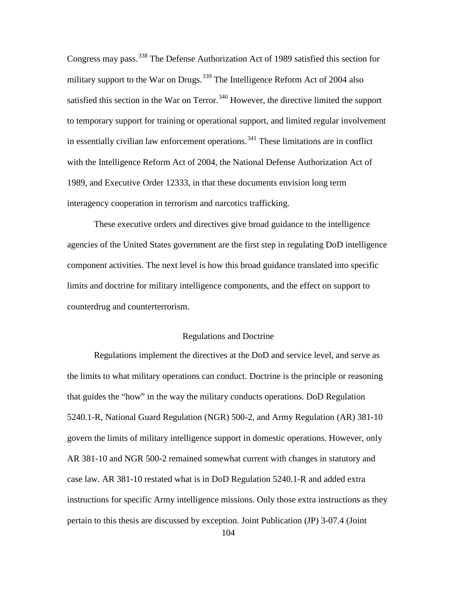Congress may pass.<sup>[338](#page-198-18)</sup> The Defense Authorization Act of 1989 satisfied this section for military support to the War on Drugs.<sup>[339](#page-198-19)</sup> The Intelligence Reform Act of 2004 also satisfied this section in the War on Terror.<sup>[340](#page-198-20)</sup> However, the directive limited the support to temporary support for training or operational support, and limited regular involvement in essentially civilian law enforcement operations.<sup>[341](#page-198-21)</sup> These limitations are in conflict with the Intelligence Reform Act of 2004, the National Defense Authorization Act of 1989, and Executive Order 12333, in that these documents envision long term interagency cooperation in terrorism and narcotics trafficking.

These executive orders and directives give broad guidance to the intelligence agencies of the United States government are the first step in regulating DoD intelligence component activities. The next level is how this broad guidance translated into specific limits and doctrine for military intelligence components, and the effect on support to counterdrug and counterterrorism.

## Regulations and Doctrine

Regulations implement the directives at the DoD and service level, and serve as the limits to what military operations can conduct. Doctrine is the principle or reasoning that guides the "how" in the way the military conducts operations. DoD Regulation 5240.1-R, National Guard Regulation (NGR) 500-2, and Army Regulation (AR) 381-10 govern the limits of military intelligence support in domestic operations. However, only AR 381-10 and NGR 500-2 remained somewhat current with changes in statutory and case law. AR 381-10 restated what is in DoD Regulation 5240.1-R and added extra instructions for specific Army intelligence missions. Only those extra instructions as they pertain to this thesis are discussed by exception. Joint Publication (JP) 3-07.4 (Joint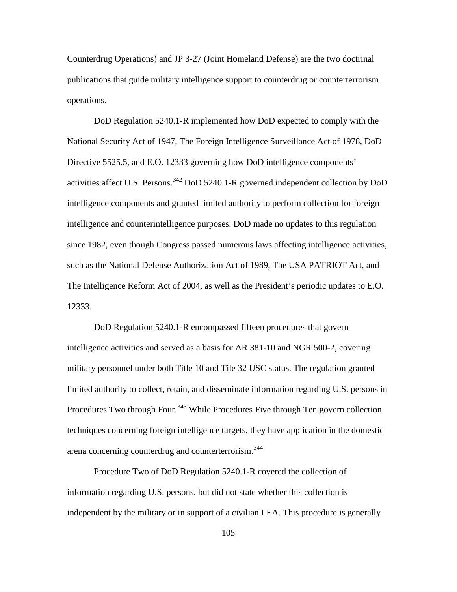Counterdrug Operations) and JP 3-27 (Joint Homeland Defense) are the two doctrinal publications that guide military intelligence support to counterdrug or counterterrorism operations.

DoD Regulation 5240.1-R implemented how DoD expected to comply with the National Security Act of 1947, The Foreign Intelligence Surveillance Act of 1978, DoD Directive 5525.5, and E.O. 12333 governing how DoD intelligence components' activities affect U.S. Persons.<sup>[342](#page-198-22)</sup> DoD 5240.1-R governed independent collection by DoD intelligence components and granted limited authority to perform collection for foreign intelligence and counterintelligence purposes. DoD made no updates to this regulation since 1982, even though Congress passed numerous laws affecting intelligence activities, such as the National Defense Authorization Act of 1989, The USA PATRIOT Act, and The Intelligence Reform Act of 2004, as well as the President's periodic updates to E.O. 12333.

DoD Regulation 5240.1-R encompassed fifteen procedures that govern intelligence activities and served as a basis for AR 381-10 and NGR 500-2, covering military personnel under both Title 10 and Tile 32 USC status. The regulation granted limited authority to collect, retain, and disseminate information regarding U.S. persons in Procedures Two through Four.<sup>[343](#page-198-23)</sup> While Procedures Five through Ten govern collection techniques concerning foreign intelligence targets, they have application in the domestic arena concerning counterdrug and counterterrorism.<sup>[344](#page-198-24)</sup>

Procedure Two of DoD Regulation 5240.1-R covered the collection of information regarding U.S. persons, but did not state whether this collection is independent by the military or in support of a civilian LEA. This procedure is generally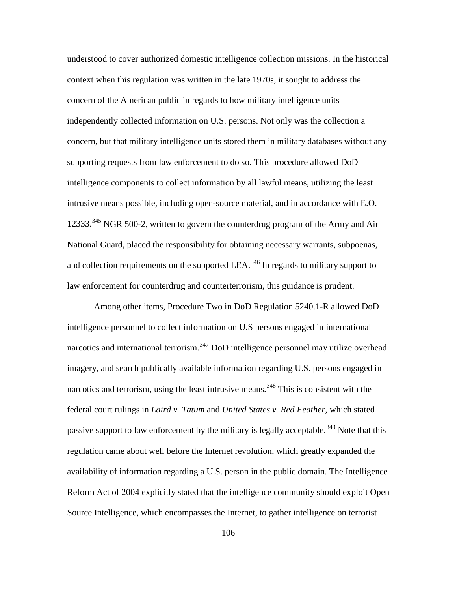understood to cover authorized domestic intelligence collection missions. In the historical context when this regulation was written in the late 1970s, it sought to address the concern of the American public in regards to how military intelligence units independently collected information on U.S. persons. Not only was the collection a concern, but that military intelligence units stored them in military databases without any supporting requests from law enforcement to do so. This procedure allowed DoD intelligence components to collect information by all lawful means, utilizing the least intrusive means possible, including open-source material, and in accordance with E.O. 12333.<sup>[345](#page-198-25)</sup> NGR 500-2, written to govern the counterdrug program of the Army and Air National Guard, placed the responsibility for obtaining necessary warrants, subpoenas, and collection requirements on the supported LEA.<sup>[346](#page-198-3)</sup> In regards to military support to law enforcement for counterdrug and counterterrorism, this guidance is prudent.

Among other items, Procedure Two in DoD Regulation 5240.1-R allowed DoD intelligence personnel to collect information on U.S persons engaged in international narcotics and international terrorism.<sup>[347](#page-198-26)</sup> DoD intelligence personnel may utilize overhead imagery, and search publically available information regarding U.S. persons engaged in narcotics and terrorism, using the least intrusive means.<sup>[348](#page-198-27)</sup> This is consistent with the federal court rulings in *Laird v. Tatum* and *United States v. Red Feather*, which stated passive support to law enforcement by the military is legally acceptable.<sup>[349](#page-198-16)</sup> Note that this regulation came about well before the Internet revolution, which greatly expanded the availability of information regarding a U.S. person in the public domain. The Intelligence Reform Act of 2004 explicitly stated that the intelligence community should exploit Open Source Intelligence, which encompasses the Internet, to gather intelligence on terrorist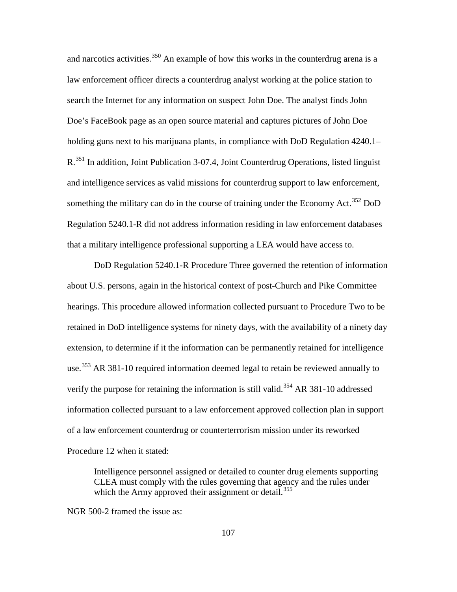and narcotics activities.<sup>[350](#page-198-28)</sup> An example of how this works in the counterdrug arena is a law enforcement officer directs a counterdrug analyst working at the police station to search the Internet for any information on suspect John Doe. The analyst finds John Doe's FaceBook page as an open source material and captures pictures of John Doe holding guns next to his marijuana plants, in compliance with DoD Regulation 4240.1– R.<sup>[351](#page-198-29)</sup> In addition, Joint Publication 3-07.4, Joint Counterdrug Operations, listed linguist and intelligence services as valid missions for counterdrug support to law enforcement, something the military can do in the course of training under the Economy Act.<sup>[352](#page-198-30)</sup> DoD Regulation 5240.1-R did not address information residing in law enforcement databases that a military intelligence professional supporting a LEA would have access to.

DoD Regulation 5240.1-R Procedure Three governed the retention of information about U.S. persons, again in the historical context of post-Church and Pike Committee hearings. This procedure allowed information collected pursuant to Procedure Two to be retained in DoD intelligence systems for ninety days, with the availability of a ninety day extension, to determine if it the information can be permanently retained for intelligence use.<sup>[353](#page-198-31)</sup> AR 381-10 required information deemed legal to retain be reviewed annually to verify the purpose for retaining the information is still valid.<sup>[354](#page-198-32)</sup> AR 381-10 addressed information collected pursuant to a law enforcement approved collection plan in support of a law enforcement counterdrug or counterterrorism mission under its reworked Procedure 12 when it stated:

Intelligence personnel assigned or detailed to counter drug elements supporting CLEA must comply with the rules governing that agency and the rules under which the Army approved their assignment or detail.<sup>[355](#page-198-33)</sup>

NGR 500-2 framed the issue as: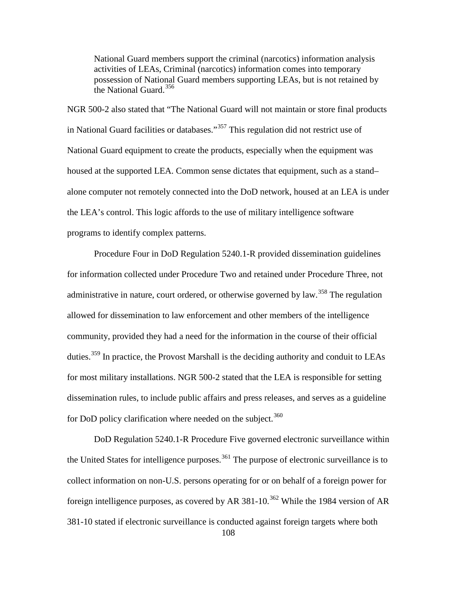National Guard members support the criminal (narcotics) information analysis activities of LEAs, Criminal (narcotics) information comes into temporary possession of National Guard members supporting LEAs, but is not retained by the National Guard.<sup>[356](#page-198-34)</sup>

NGR 500-2 also stated that "The National Guard will not maintain or store final products in National Guard facilities or databases."[357](#page-198-35) This regulation did not restrict use of National Guard equipment to create the products, especially when the equipment was housed at the supported LEA. Common sense dictates that equipment, such as a stand– alone computer not remotely connected into the DoD network, housed at an LEA is under the LEA's control. This logic affords to the use of military intelligence software programs to identify complex patterns.

Procedure Four in DoD Regulation 5240.1-R provided dissemination guidelines for information collected under Procedure Two and retained under Procedure Three, not administrative in nature, court ordered, or otherwise governed by law.<sup>[358](#page-198-36)</sup> The regulation allowed for dissemination to law enforcement and other members of the intelligence community, provided they had a need for the information in the course of their official duties.<sup>[359](#page-198-37)</sup> In practice, the Provost Marshall is the deciding authority and conduit to LEAs for most military installations. NGR 500-2 stated that the LEA is responsible for setting dissemination rules, to include public affairs and press releases, and serves as a guideline for DoD policy clarification where needed on the subject.<sup>[360](#page-198-38)</sup>

108 DoD Regulation 5240.1-R Procedure Five governed electronic surveillance within the United States for intelligence purposes.<sup>[361](#page-198-39)</sup> The purpose of electronic surveillance is to collect information on non-U.S. persons operating for or on behalf of a foreign power for foreign intelligence purposes, as covered by AR 381-10.<sup>[362](#page-198-3)</sup> While the 1984 version of AR 381-10 stated if electronic surveillance is conducted against foreign targets where both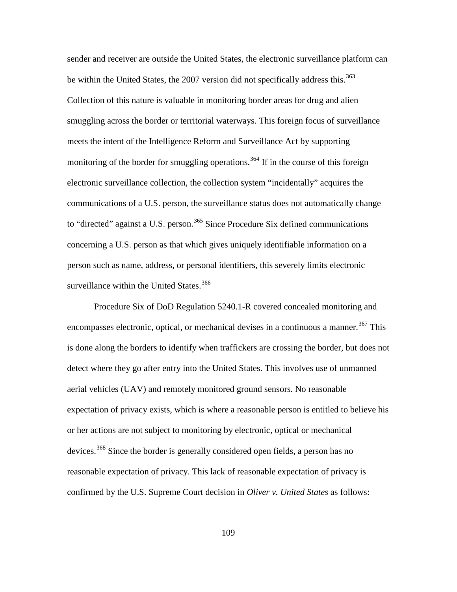sender and receiver are outside the United States, the electronic surveillance platform can be within the United States, the 2007 version did not specifically address this.<sup>[363](#page-198-26)</sup> Collection of this nature is valuable in monitoring border areas for drug and alien smuggling across the border or territorial waterways. This foreign focus of surveillance meets the intent of the Intelligence Reform and Surveillance Act by supporting monitoring of the border for smuggling operations.<sup>[364](#page-198-5)</sup> If in the course of this foreign electronic surveillance collection, the collection system "incidentally" acquires the communications of a U.S. person, the surveillance status does not automatically change to "directed" against a U.S. person.<sup>[365](#page-198-16)</sup> Since Procedure Six defined communications concerning a U.S. person as that which gives uniquely identifiable information on a person such as name, address, or personal identifiers, this severely limits electronic surveillance within the United States.<sup>[366](#page-198-7)</sup>

Procedure Six of DoD Regulation 5240.1-R covered concealed monitoring and encompasses electronic, optical, or mechanical devises in a continuous a manner.<sup>[367](#page-198-29)</sup> This is done along the borders to identify when traffickers are crossing the border, but does not detect where they go after entry into the United States. This involves use of unmanned aerial vehicles (UAV) and remotely monitored ground sensors. No reasonable expectation of privacy exists, which is where a reasonable person is entitled to believe his or her actions are not subject to monitoring by electronic, optical or mechanical devices.<sup>[368](#page-198-30)</sup> Since the border is generally considered open fields, a person has no reasonable expectation of privacy. This lack of reasonable expectation of privacy is confirmed by the U.S. Supreme Court decision in *Oliver v. United States* as follows: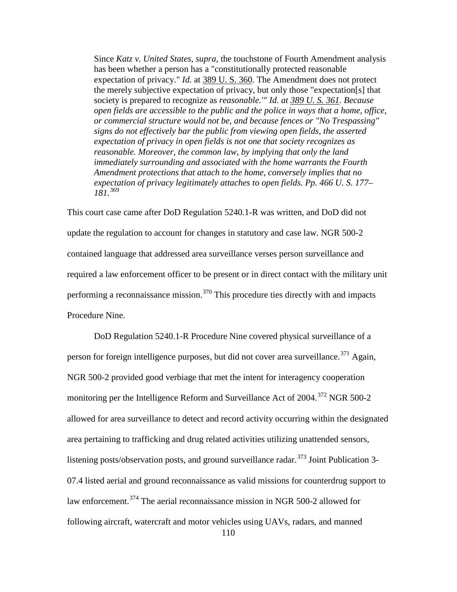Since *Katz v. United States, supra,* the touchstone of Fourth Amendment analysis has been whether a person has a "constitutionally protected reasonable expectation of privacy." *Id.* at [389 U. S. 360.](http://supreme.justia.com/us/389/347/case.html#360) The Amendment does not protect the merely subjective expectation of privacy, but only those "expectation[s] that society is prepared to recognize as *reasonable.'" Id. at [389 U. S. 361.](http://supreme.justia.com/us/389/347/case.html#361) Because open fields are accessible to the public and the police in ways that a home, office, or commercial structure would not be, and because fences or "No Trespassing" signs do not effectively bar the public from viewing open fields, the asserted expectation of privacy in open fields is not one that society recognizes as reasonable. Moreover, the common law, by implying that only the land immediately surrounding and associated with the home warrants the Fourth Amendment protections that attach to the home, conversely implies that no expectation of privacy legitimately attaches to open fields. Pp. 466 U. S. 177*– *181.*[369](#page-198-40)

This court case came after DoD Regulation 5240.1-R was written, and DoD did not update the regulation to account for changes in statutory and case law. NGR 500-2 contained language that addressed area surveillance verses person surveillance and required a law enforcement officer to be present or in direct contact with the military unit performing a reconnaissance mission.<sup>[370](#page-198-41)</sup> This procedure ties directly with and impacts Procedure Nine.

DoD Regulation 5240.1-R Procedure Nine covered physical surveillance of a person for foreign intelligence purposes, but did not cover area surveillance.<sup>[371](#page-198-42)</sup> Again, NGR 500-2 provided good verbiage that met the intent for interagency cooperation monitoring per the Intelligence Reform and Surveillance Act of 2004.<sup>[372](#page-198-43)</sup> NGR 500-2 allowed for area surveillance to detect and record activity occurring within the designated area pertaining to trafficking and drug related activities utilizing unattended sensors, listening posts/observation posts, and ground surveillance radar.<sup>[373](#page-198-44)</sup> Joint Publication 3-07.4 listed aerial and ground reconnaissance as valid missions for counterdrug support to law enforcement.<sup>[374](#page-198-36)</sup> The aerial reconnaissance mission in NGR 500-2 allowed for following aircraft, watercraft and motor vehicles using UAVs, radars, and manned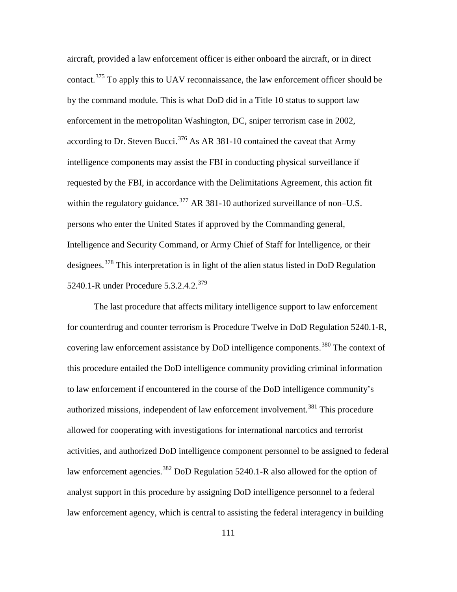aircraft, provided a law enforcement officer is either onboard the aircraft, or in direct contact.<sup>[375](#page-198-45)</sup> To apply this to UAV reconnaissance, the law enforcement officer should be by the command module. This is what DoD did in a Title 10 status to support law enforcement in the metropolitan Washington, DC, sniper terrorism case in 2002, according to Dr. Steven Bucci.<sup>[376](#page-198-38)</sup> As AR 381-10 contained the caveat that Army intelligence components may assist the FBI in conducting physical surveillance if requested by the FBI, in accordance with the Delimitations Agreement, this action fit within the regulatory guidance.<sup>[377](#page-198-2)</sup> AR 381-10 authorized surveillance of non–U.S. persons who enter the United States if approved by the Commanding general, Intelligence and Security Command, or Army Chief of Staff for Intelligence, or their designees.<sup>[378](#page-198-3)</sup> This interpretation is in light of the alien status listed in DoD Regulation 5240.1-R under Procedure 5.3.2.4.2.<sup>[379](#page-198-46)</sup>

The last procedure that affects military intelligence support to law enforcement for counterdrug and counter terrorism is Procedure Twelve in DoD Regulation 5240.1-R, covering law enforcement assistance by DoD intelligence components.<sup>[380](#page-198-5)</sup> The context of this procedure entailed the DoD intelligence community providing criminal information to law enforcement if encountered in the course of the DoD intelligence community's authorized missions, independent of law enforcement involvement.<sup>[381](#page-198-47)</sup> This procedure allowed for cooperating with investigations for international narcotics and terrorist activities, and authorized DoD intelligence component personnel to be assigned to federal law enforcement agencies.<sup>[382](#page-198-48)</sup> DoD Regulation 5240.1-R also allowed for the option of analyst support in this procedure by assigning DoD intelligence personnel to a federal law enforcement agency, which is central to assisting the federal interagency in building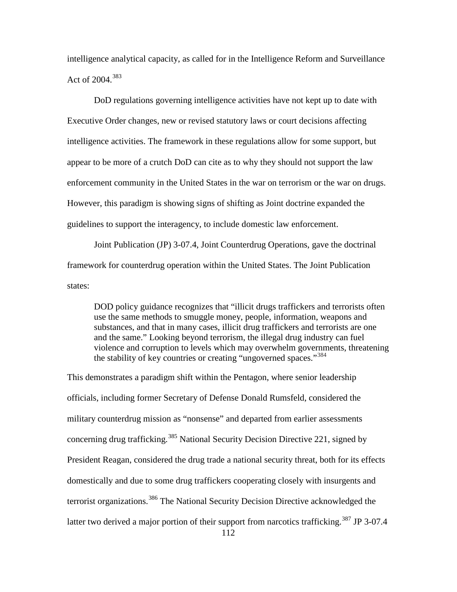intelligence analytical capacity, as called for in the Intelligence Reform and Surveillance Act of 2004. [383](#page-198-49)

DoD regulations governing intelligence activities have not kept up to date with Executive Order changes, new or revised statutory laws or court decisions affecting intelligence activities. The framework in these regulations allow for some support, but appear to be more of a crutch DoD can cite as to why they should not support the law enforcement community in the United States in the war on terrorism or the war on drugs. However, this paradigm is showing signs of shifting as Joint doctrine expanded the guidelines to support the interagency, to include domestic law enforcement.

Joint Publication (JP) 3-07.4, Joint Counterdrug Operations, gave the doctrinal framework for counterdrug operation within the United States. The Joint Publication states:

DOD policy guidance recognizes that "illicit drugs traffickers and terrorists often use the same methods to smuggle money, people, information, weapons and substances, and that in many cases, illicit drug traffickers and terrorists are one and the same." Looking beyond terrorism, the illegal drug industry can fuel violence and corruption to levels which may overwhelm governments, threatening the stability of key countries or creating "ungoverned spaces."<sup>[384](#page-198-50)</sup>

This demonstrates a paradigm shift within the Pentagon, where senior leadership officials, including former Secretary of Defense Donald Rumsfeld, considered the military counterdrug mission as "nonsense" and departed from earlier assessments concerning drug trafficking.<sup>[385](#page-198-51)</sup> National Security Decision Directive 221, signed by President Reagan, considered the drug trade a national security threat, both for its effects domestically and due to some drug traffickers cooperating closely with insurgents and terrorist organizations.<sup>[386](#page-198-52)</sup> The National Security Decision Directive acknowledged the latter two derived a major portion of their support from narcotics trafficking.<sup>[387](#page-198-53)</sup> JP 3-07.4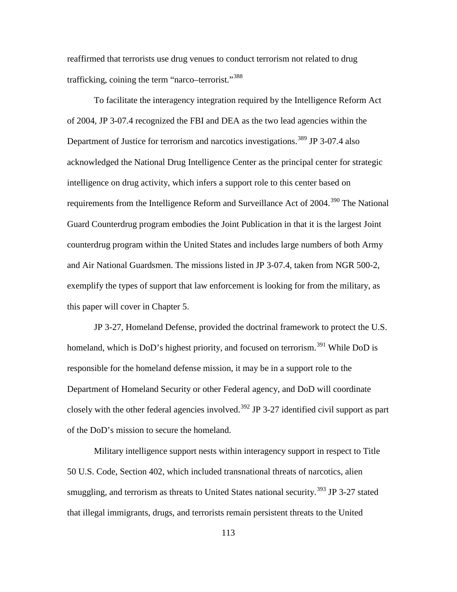reaffirmed that terrorists use drug venues to conduct terrorism not related to drug trafficking, coining the term "narco–terrorist."<sup>[388](#page-198-43)</sup>

To facilitate the interagency integration required by the Intelligence Reform Act of 2004, JP 3-07.4 recognized the FBI and DEA as the two lead agencies within the Department of Justice for terrorism and narcotics investigations.<sup>[389](#page-198-44)</sup> JP 3-07.4 also acknowledged the National Drug Intelligence Center as the principal center for strategic intelligence on drug activity, which infers a support role to this center based on requirements from the Intelligence Reform and Surveillance Act of 2004.<sup>[390](#page-198-54)</sup> The National Guard Counterdrug program embodies the Joint Publication in that it is the largest Joint counterdrug program within the United States and includes large numbers of both Army and Air National Guardsmen. The missions listed in JP 3-07.4, taken from NGR 500-2, exemplify the types of support that law enforcement is looking for from the military, as this paper will cover in Chapter 5.

JP 3-27, Homeland Defense, provided the doctrinal framework to protect the U.S. homeland, which is DoD's highest priority, and focused on terrorism.<sup>[391](#page-198-55)</sup> While DoD is responsible for the homeland defense mission, it may be in a support role to the Department of Homeland Security or other Federal agency, and DoD will coordinate closely with the other federal agencies involved.<sup>[392](#page-198-56)</sup> JP 3-27 identified civil support as part of the DoD's mission to secure the homeland.

Military intelligence support nests within interagency support in respect to Title 50 U.S. Code, Section 402, which included transnational threats of narcotics, alien smuggling, and terrorism as threats to United States national security.<sup>[393](#page-198-57)</sup> JP 3-27 stated that illegal immigrants, drugs, and terrorists remain persistent threats to the United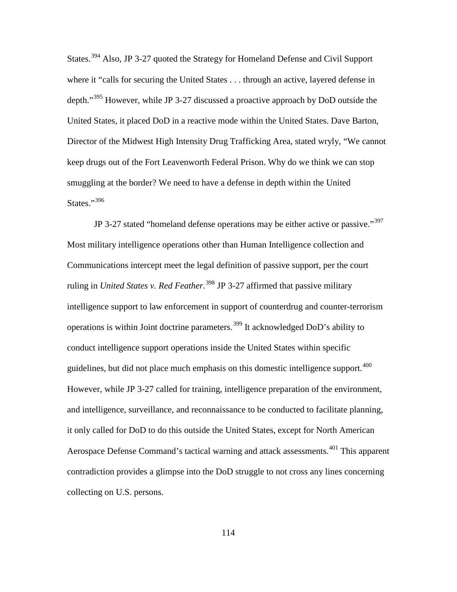States.<sup>[394](#page-198-58)</sup> Also, JP 3-27 quoted the Strategy for Homeland Defense and Civil Support where it "calls for securing the United States . . . through an active, layered defense in depth."[395](#page-198-59) However, while JP 3-27 discussed a proactive approach by DoD outside the United States, it placed DoD in a reactive mode within the United States. Dave Barton, Director of the Midwest High Intensity Drug Trafficking Area, stated wryly, "We cannot keep drugs out of the Fort Leavenworth Federal Prison. Why do we think we can stop smuggling at the border? We need to have a defense in depth within the United States."<sup>[396](#page-198-3)</sup>

JP 3-27 stated "homeland defense operations may be either active or passive."<sup>[397](#page-198-46)</sup> Most military intelligence operations other than Human Intelligence collection and Communications intercept meet the legal definition of passive support, per the court ruling in *United States v. Red Feather*. [398](#page-198-60) JP 3-27 affirmed that passive military intelligence support to law enforcement in support of counterdrug and counter-terrorism operations is within Joint doctrine parameters. [399](#page-198-61) It acknowledged DoD's ability to conduct intelligence support operations inside the United States within specific guidelines, but did not place much emphasis on this domestic intelligence support.<sup>[400](#page-198-48)</sup> However, while JP 3-27 called for training, intelligence preparation of the environment, and intelligence, surveillance, and reconnaissance to be conducted to facilitate planning, it only called for DoD to do this outside the United States, except for North American Aerospace Defense Command's tactical warning and attack assessments.<sup>[401](#page-198-49)</sup> This apparent contradiction provides a glimpse into the DoD struggle to not cross any lines concerning collecting on U.S. persons.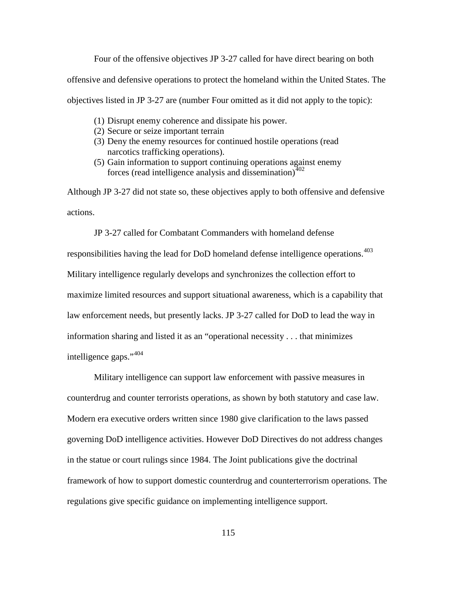Four of the offensive objectives JP 3-27 called for have direct bearing on both offensive and defensive operations to protect the homeland within the United States. The objectives listed in JP 3-27 are (number Four omitted as it did not apply to the topic):

- (1) Disrupt enemy coherence and dissipate his power.
- (2) Secure or seize important terrain
- (3) Deny the enemy resources for continued hostile operations (read narcotics trafficking operations).
- (5) Gain information to support continuing operations against enemy forces (read intelligence analysis and dissemination) $402$

Although JP 3-27 did not state so, these objectives apply to both offensive and defensive actions.

JP 3-27 called for Combatant Commanders with homeland defense responsibilities having the lead for DoD homeland defense intelligence operations.<sup>[403](#page-198-63)</sup> Military intelligence regularly develops and synchronizes the collection effort to maximize limited resources and support situational awareness, which is a capability that law enforcement needs, but presently lacks. JP 3-27 called for DoD to lead the way in information sharing and listed it as an "operational necessity . . . that minimizes intelligence gaps."[404](#page-198-64)

Military intelligence can support law enforcement with passive measures in counterdrug and counter terrorists operations, as shown by both statutory and case law. Modern era executive orders written since 1980 give clarification to the laws passed governing DoD intelligence activities. However DoD Directives do not address changes in the statue or court rulings since 1984. The Joint publications give the doctrinal framework of how to support domestic counterdrug and counterterrorism operations. The regulations give specific guidance on implementing intelligence support.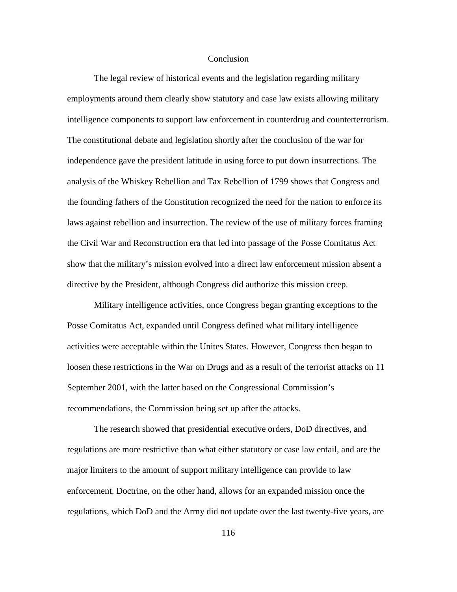## **Conclusion**

The legal review of historical events and the legislation regarding military employments around them clearly show statutory and case law exists allowing military intelligence components to support law enforcement in counterdrug and counterterrorism. The constitutional debate and legislation shortly after the conclusion of the war for independence gave the president latitude in using force to put down insurrections. The analysis of the Whiskey Rebellion and Tax Rebellion of 1799 shows that Congress and the founding fathers of the Constitution recognized the need for the nation to enforce its laws against rebellion and insurrection. The review of the use of military forces framing the Civil War and Reconstruction era that led into passage of the Posse Comitatus Act show that the military's mission evolved into a direct law enforcement mission absent a directive by the President, although Congress did authorize this mission creep.

Military intelligence activities, once Congress began granting exceptions to the Posse Comitatus Act, expanded until Congress defined what military intelligence activities were acceptable within the Unites States. However, Congress then began to loosen these restrictions in the War on Drugs and as a result of the terrorist attacks on 11 September 2001, with the latter based on the Congressional Commission's recommendations, the Commission being set up after the attacks.

The research showed that presidential executive orders, DoD directives, and regulations are more restrictive than what either statutory or case law entail, and are the major limiters to the amount of support military intelligence can provide to law enforcement. Doctrine, on the other hand, allows for an expanded mission once the regulations, which DoD and the Army did not update over the last twenty-five years, are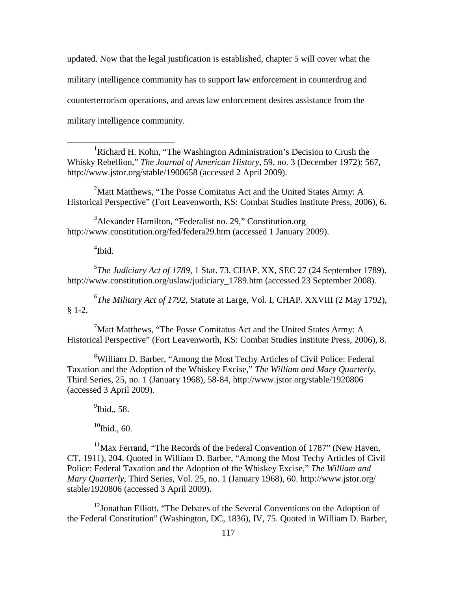updated. Now that the legal justification is established, chapter 5 will cover what the military intelligence community has to support law enforcement in counterdrug and counterterrorism operations, and areas law enforcement desires assistance from the military intelligence community.

<u>1</u> <sup>1</sup>Richard H. Kohn, "The Washington Administration's Decision to Crush the Whisky Rebellion," *The Journal of American History*, 59, no. 3 (December 1972): 567, http://www.jstor.org/stable/1900658 (accessed 2 April 2009).

 $2^2$ Matt Matthews, "The Posse Comitatus Act and the United States Army: A Historical Perspective" (Fort Leavenworth, KS: Combat Studies Institute Press, 2006), 6.

<sup>3</sup>Alexander Hamilton, "Federalist no. 29," Constitution.org http://www.constitution.org/fed/federa29.htm (accessed 1 January 2009).

4 Ibid.

5 *The Judiciary Act of 1789*, 1 Stat. 73. CHAP. XX, SEC 27 (24 September 1789). http://www.constitution.org/uslaw/judiciary\_1789.htm (accessed 23 September 2008).

6 *The Military Act of 1792,* Statute at Large, Vol. I, CHAP. XXVIII (2 May 1792), § 1-2.

 $7$ Matt Matthews, "The Posse Comitatus Act and the United States Army: A Historical Perspective" (Fort Leavenworth, KS: Combat Studies Institute Press, 2006), 8.

<sup>8</sup>William D. Barber, "Among the Most Techy Articles of Civil Police: Federal Taxation and the Adoption of the Whiskey Excise," *The William and Mary Quarterly,* Third Series, 25, no. 1 (January 1968), 58-84, http://www.jstor.org/stable/1920806 (accessed 3 April 2009).

 $<sup>9</sup>$ Ibid., 58.</sup>

 $10$ Ibid., 60.

 $11$ Max Ferrand, "The Records of the Federal Convention of 1787" (New Haven, CT, 1911), 204. Quoted in William D. Barber, "Among the Most Techy Articles of Civil Police: Federal Taxation and the Adoption of the Whiskey Excise," *The William and Mary Quarterly,* Third Series, Vol. 25, no. 1 (January 1968), 60. http://www.jstor.org/ stable/1920806 (accessed 3 April 2009).

<sup>12</sup>Jonathan Elliott, "The Debates of the Several Conventions on the Adoption of the Federal Constitution" (Washington, DC, 1836), IV, 75. Quoted in William D. Barber,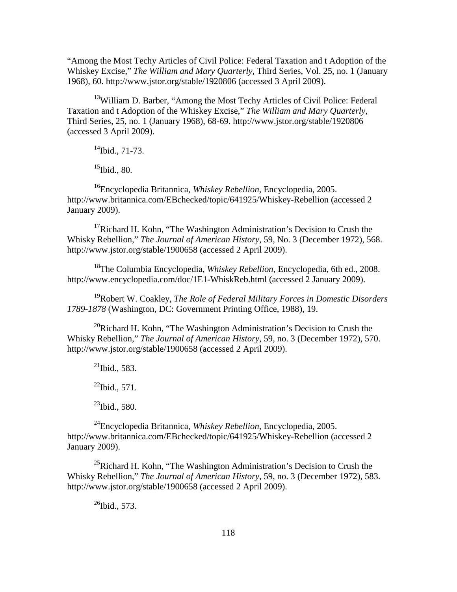"Among the Most Techy Articles of Civil Police: Federal Taxation and t Adoption of the Whiskey Excise," *The William and Mary Quarterly,* Third Series, Vol. 25, no. 1 (January 1968), 60. http://www.jstor.org/stable/1920806 (accessed 3 April 2009).

<sup>13</sup>William D. Barber, "Among the Most Techy Articles of Civil Police: Federal Taxation and t Adoption of the Whiskey Excise," *The William and Mary Quarterly,* Third Series, 25, no. 1 (January 1968), 68-69. http://www.jstor.org/stable/1920806 (accessed 3 April 2009).

 $14$ Ibid., 71-73.

 $15$ Ibid., 80.

16Encyclopedia Britannica, *Whiskey Rebellion,* Encyclopedia, 2005. http://www.britannica.com/EBchecked/topic/641925/Whiskey-Rebellion (accessed 2 January 2009).

 $17$ Richard H. Kohn, "The Washington Administration's Decision to Crush the Whisky Rebellion," *The Journal of American History*, 59, No. 3 (December 1972), 568. http://www.jstor.org/stable/1900658 (accessed 2 April 2009).

18The Columbia Encyclopedia, *Whiskey Rebellion,* Encyclopedia, 6th ed., 2008. http://www.encyclopedia.com/doc/1E1-WhiskReb.html (accessed 2 January 2009).

19Robert W. Coakley, *The Role of Federal Military Forces in Domestic Disorders 1789-1878* (Washington, DC: Government Printing Office, 1988), 19.

<sup>20</sup>Richard H. Kohn, "The Washington Administration's Decision to Crush the Whisky Rebellion," *The Journal of American History*, 59, no. 3 (December 1972), 570. http://www.jstor.org/stable/1900658 (accessed 2 April 2009).

 $^{21}$ Ibid., 583.  $^{22}$ Ibid., 571.

 $^{23}$ Ibid., 580.

24Encyclopedia Britannica, *Whiskey Rebellion,* Encyclopedia, 2005. http://www.britannica.com/EBchecked/topic/641925/Whiskey-Rebellion (accessed 2 January 2009).

 $25Richard H. Kohn, "The Washington Administration's Decision to Crush the$ Whisky Rebellion," *The Journal of American History*, 59, no. 3 (December 1972), 583. http://www.jstor.org/stable/1900658 (accessed 2 April 2009).

 $^{26}$ Ibid., 573.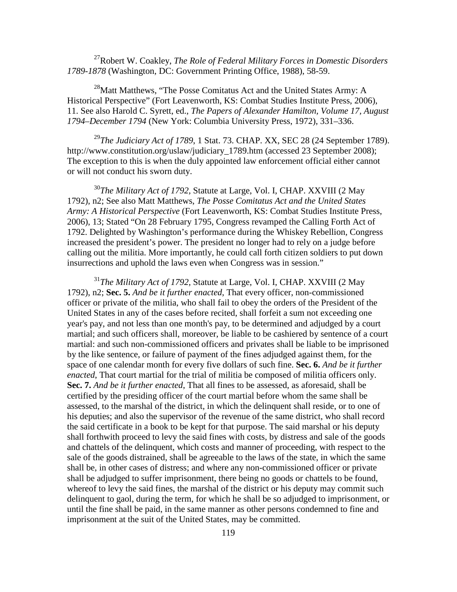27Robert W. Coakley, *The Role of Federal Military Forces in Domestic Disorders 1789-1878* (Washington, DC: Government Printing Office, 1988), 58-59.

 $^{28}$ Matt Matthews, "The Posse Comitatus Act and the United States Army: A Historical Perspective" (Fort Leavenworth, KS: Combat Studies Institute Press, 2006), 11. See also Harold C. Syrett, ed., *The Papers of Alexander Hamilton, Volume 17, August 1794–December 1794* (New York: Columbia University Press, 1972), 331–336.

<sup>29</sup>*The Judiciary Act of 1789*, 1 Stat. 73. CHAP. XX, SEC 28 (24 September 1789). http://www.constitution.org/uslaw/judiciary\_1789.htm (accessed 23 September 2008); The exception to this is when the duly appointed law enforcement official either cannot or will not conduct his sworn duty.

<sup>30</sup>*The Military Act of 1792,* Statute at Large, Vol. I, CHAP. XXVIII (2 May 1792), n2; See also Matt Matthews, *The Posse Comitatus Act and the United States Army: A Historical Perspective* (Fort Leavenworth, KS: Combat Studies Institute Press, 2006), 13; Stated "On 28 February 1795, Congress revamped the Calling Forth Act of 1792. Delighted by Washington's performance during the Whiskey Rebellion, Congress increased the president's power. The president no longer had to rely on a judge before calling out the militia. More importantly, he could call forth citizen soldiers to put down insurrections and uphold the laws even when Congress was in session."

<sup>31</sup>*The Military Act of 1792,* Statute at Large, Vol. I, CHAP. XXVIII (2 May 1792), n2; **Sec. 5.** *And be it further enacted*, That every officer, non-commissioned officer or private of the militia, who shall fail to obey the orders of the President of the United States in any of the cases before recited, shall forfeit a sum not exceeding one year's pay, and not less than one month's pay, to be determined and adjudged by a court martial; and such officers shall, moreover, be liable to be cashiered by sentence of a court martial: and such non-commissioned officers and privates shall be liable to be imprisoned by the like sentence, or failure of payment of the fines adjudged against them, for the space of one calendar month for every five dollars of such fine. **Sec. 6.** *And be it further enacted*, That court martial for the trial of militia be composed of militia officers only. **Sec. 7.** *And be it further enacted*, That all fines to be assessed, as aforesaid, shall be certified by the presiding officer of the court martial before whom the same shall be assessed, to the marshal of the district, in which the delinquent shall reside, or to one of his deputies; and also the supervisor of the revenue of the same district, who shall record the said certificate in a book to be kept for that purpose. The said marshal or his deputy shall forthwith proceed to levy the said fines with costs, by distress and sale of the goods and chattels of the delinquent, which costs and manner of proceeding, with respect to the sale of the goods distrained, shall be agreeable to the laws of the state, in which the same shall be, in other cases of distress; and where any non-commissioned officer or private shall be adjudged to suffer imprisonment, there being no goods or chattels to be found, whereof to levy the said fines, the marshal of the district or his deputy may commit such delinquent to gaol, during the term, for which he shall be so adjudged to imprisonment, or until the fine shall be paid, in the same manner as other persons condemned to fine and imprisonment at the suit of the United States, may be committed.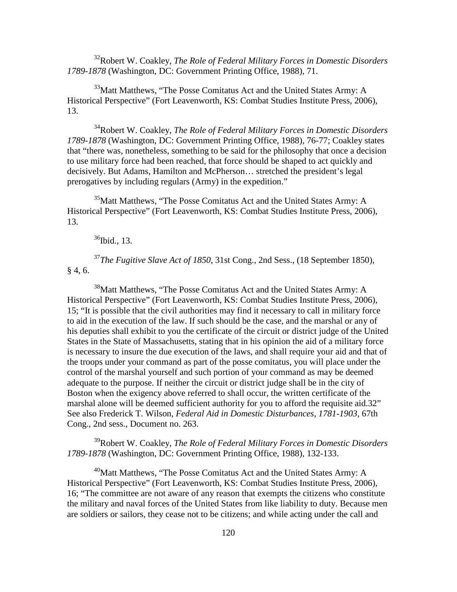32Robert W. Coakley, *The Role of Federal Military Forces in Domestic Disorders 1789-1878* (Washington, DC: Government Printing Office, 1988), 71.

<sup>33</sup>Matt Matthews, "The Posse Comitatus Act and the United States Army: A Historical Perspective" (Fort Leavenworth, KS: Combat Studies Institute Press, 2006), 13.

34Robert W. Coakley, *The Role of Federal Military Forces in Domestic Disorders 1789-1878* (Washington, DC: Government Printing Office, 1988), 76-77; Coakley states that "there was, nonetheless, something to be said for the philosophy that once a decision to use military force had been reached, that force should be shaped to act quickly and decisively. But Adams, Hamilton and McPherson… stretched the president's legal prerogatives by including regulars (Army) in the expedition."

<sup>35</sup>Matt Matthews, "The Posse Comitatus Act and the United States Army: A Historical Perspective" (Fort Leavenworth, KS: Combat Studies Institute Press, 2006), 13.

 $36$ Ibid., 13.

<sup>37</sup>*The Fugitive Slave Act of 1850*, 31st Cong., 2nd Sess., (18 September 1850), § 4, 6.

38Matt Matthews, "The Posse Comitatus Act and the United States Army: A Historical Perspective" (Fort Leavenworth, KS: Combat Studies Institute Press, 2006), 15; "It is possible that the civil authorities may find it necessary to call in military force to aid in the execution of the law. If such should be the case, and the marshal or any of his deputies shall exhibit to you the certificate of the circuit or district judge of the United States in the State of Massachusetts, stating that in his opinion the aid of a military force is necessary to insure the due execution of the laws, and shall require your aid and that of the troops under your command as part of the posse comitatus, you will place under the control of the marshal yourself and such portion of your command as may be deemed adequate to the purpose. If neither the circuit or district judge shall be in the city of Boston when the exigency above referred to shall occur, the written certificate of the marshal alone will be deemed sufficient authority for you to afford the requisite aid.32" See also Frederick T. Wilson, *Federal Aid in Domestic Disturbances, 1781-1903*, 67th Cong., 2nd sess., Document no. 263.

39Robert W. Coakley, *The Role of Federal Military Forces in Domestic Disorders 1789-1878* (Washington, DC: Government Printing Office, 1988), 132-133.

 $^{40}$ Matt Matthews, "The Posse Comitatus Act and the United States Army: A Historical Perspective" (Fort Leavenworth, KS: Combat Studies Institute Press, 2006), 16; "The committee are not aware of any reason that exempts the citizens who constitute the military and naval forces of the United States from like liability to duty. Because men are soldiers or sailors, they cease not to be citizens; and while acting under the call and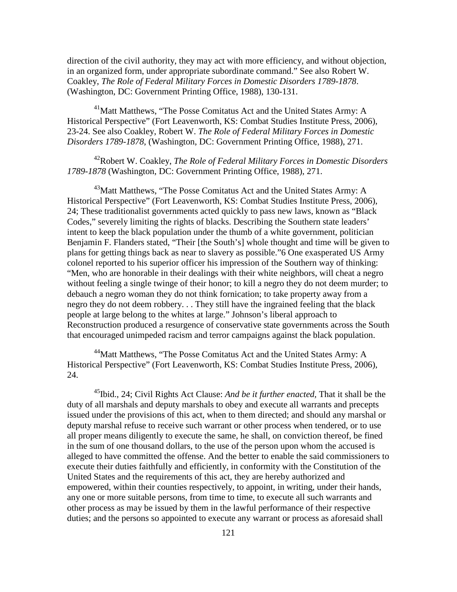direction of the civil authority, they may act with more efficiency, and without objection, in an organized form, under appropriate subordinate command." See also Robert W. Coakley, *The Role of Federal Military Forces in Domestic Disorders 1789-1878*. (Washington, DC: Government Printing Office, 1988), 130-131.

<sup>41</sup>Matt Matthews, "The Posse Comitatus Act and the United States Army: A Historical Perspective" (Fort Leavenworth, KS: Combat Studies Institute Press, 2006), 23-24. See also Coakley, Robert W. *The Role of Federal Military Forces in Domestic Disorders 1789-1878*, (Washington, DC: Government Printing Office, 1988), 271.

42Robert W. Coakley, *The Role of Federal Military Forces in Domestic Disorders 1789-1878* (Washington, DC: Government Printing Office, 1988), 271.

 $^{43}$ Matt Matthews, "The Posse Comitatus Act and the United States Army: A Historical Perspective" (Fort Leavenworth, KS: Combat Studies Institute Press, 2006), 24; These traditionalist governments acted quickly to pass new laws, known as "Black Codes," severely limiting the rights of blacks. Describing the Southern state leaders' intent to keep the black population under the thumb of a white government, politician Benjamin F. Flanders stated, "Their [the South's] whole thought and time will be given to plans for getting things back as near to slavery as possible."6 One exasperated US Army colonel reported to his superior officer his impression of the Southern way of thinking: "Men, who are honorable in their dealings with their white neighbors, will cheat a negro without feeling a single twinge of their honor; to kill a negro they do not deem murder; to debauch a negro woman they do not think fornication; to take property away from a negro they do not deem robbery. . . They still have the ingrained feeling that the black people at large belong to the whites at large." Johnson's liberal approach to Reconstruction produced a resurgence of conservative state governments across the South that encouraged unimpeded racism and terror campaigns against the black population.

<sup>44</sup>Matt Matthews, "The Posse Comitatus Act and the United States Army: A Historical Perspective" (Fort Leavenworth, KS: Combat Studies Institute Press, 2006), 24.

45Ibid., 24; Civil Rights Act Clause: *And be it further enacted,* That it shall be the duty of all marshals and deputy marshals to obey and execute all warrants and precepts issued under the provisions of this act, when to them directed; and should any marshal or deputy marshal refuse to receive such warrant or other process when tendered, or to use all proper means diligently to execute the same, he shall, on conviction thereof, be fined in the sum of one thousand dollars, to the use of the person upon whom the accused is alleged to have committed the offense. And the better to enable the said commissioners to execute their duties faithfully and efficiently, in conformity with the Constitution of the United States and the requirements of this act, they are hereby authorized and empowered, within their counties respectively, to appoint, in writing, under their hands, any one or more suitable persons, from time to time, to execute all such warrants and other process as may be issued by them in the lawful performance of their respective duties; and the persons so appointed to execute any warrant or process as aforesaid shall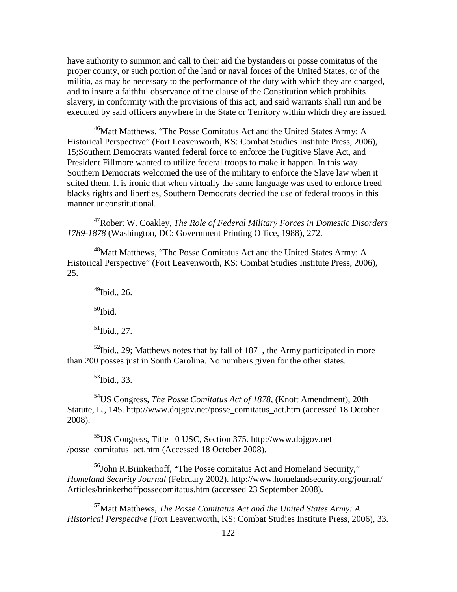have authority to summon and call to their aid the bystanders or posse comitatus of the proper county, or such portion of the land or naval forces of the United States, or of the militia, as may be necessary to the performance of the duty with which they are charged, and to insure a faithful observance of the clause of the Constitution which prohibits slavery, in conformity with the provisions of this act; and said warrants shall run and be executed by said officers anywhere in the State or Territory within which they are issued.

<sup>46</sup>Matt Matthews, "The Posse Comitatus Act and the United States Army: A Historical Perspective" (Fort Leavenworth, KS: Combat Studies Institute Press, 2006), 15;Southern Democrats wanted federal force to enforce the Fugitive Slave Act, and President Fillmore wanted to utilize federal troops to make it happen. In this way Southern Democrats welcomed the use of the military to enforce the Slave law when it suited them. It is ironic that when virtually the same language was used to enforce freed blacks rights and liberties, Southern Democrats decried the use of federal troops in this manner unconstitutional.

47Robert W. Coakley, *The Role of Federal Military Forces in Domestic Disorders 1789-1878* (Washington, DC: Government Printing Office, 1988), 272.

 $^{48}$ Matt Matthews, "The Posse Comitatus Act and the United States Army: A Historical Perspective" (Fort Leavenworth, KS: Combat Studies Institute Press, 2006), 25.

 $^{49}$ Ibid., 26.  $50$ Ibid.

 $51$ Ibid., 27.

 $52$ Ibid., 29; Matthews notes that by fall of 1871, the Army participated in more than 200 posses just in South Carolina. No numbers given for the other states.

 $53$ Ibid., 33.

54US Congress, *The Posse Comitatus Act of 1878*, (Knott Amendment), 20th Statute, L., 145. http://www.dojgov.net/posse\_comitatus\_act.htm (accessed 18 October 2008).

55US Congress, Title 10 USC, Section 375. http://www.dojgov.net /posse\_comitatus\_act.htm (Accessed 18 October 2008).

 $^{56}$ John R.Brinkerhoff, "The Posse comitatus Act and Homeland Security," *Homeland Security Journal* (February 2002). http://www.homelandsecurity.org/journal/ Articles/brinkerhoffpossecomitatus.htm (accessed 23 September 2008).

57Matt Matthews, *The Posse Comitatus Act and the United States Army: A Historical Perspective* (Fort Leavenworth, KS: Combat Studies Institute Press, 2006), 33.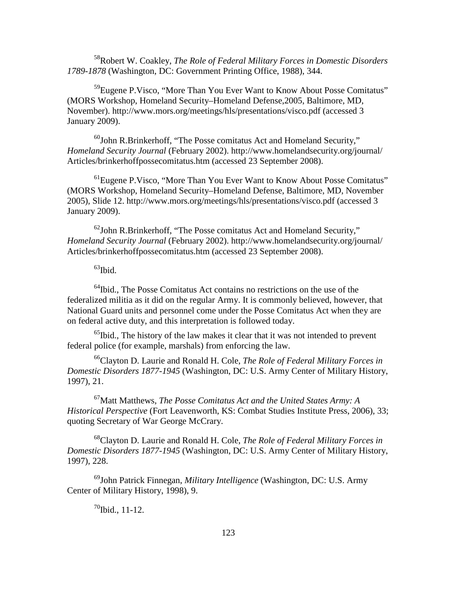58Robert W. Coakley, *The Role of Federal Military Forces in Domestic Disorders 1789-1878* (Washington, DC: Government Printing Office, 1988), 344.

<sup>59</sup>Eugene P.Visco, "More Than You Ever Want to Know About Posse Comitatus" (MORS Workshop, Homeland Security–Homeland Defense,2005, Baltimore, MD, November). http://www.mors.org/meetings/hls/presentations/visco.pdf (accessed 3 January 2009).

 $^{60}$ John R.Brinkerhoff, "The Posse comitatus Act and Homeland Security," *Homeland Security Journal* (February 2002). http://www.homelandsecurity.org/journal/ Articles/brinkerhoffpossecomitatus.htm (accessed 23 September 2008).

 $<sup>61</sup>$ Eugene P.Visco, "More Than You Ever Want to Know About Posse Comitatus"</sup> (MORS Workshop, Homeland Security–Homeland Defense, Baltimore, MD, November 2005), Slide 12. http://www.mors.org/meetings/hls/presentations/visco.pdf (accessed 3 January 2009).

 $62$  John R.Brinkerhoff, "The Posse comitatus Act and Homeland Security," *Homeland Security Journal* (February 2002). http://www.homelandsecurity.org/journal/ Articles/brinkerhoffpossecomitatus.htm (accessed 23 September 2008).

## $63$ Ibid.

 $64$ Ibid., The Posse Comitatus Act contains no restrictions on the use of the federalized militia as it did on the regular Army. It is commonly believed, however, that National Guard units and personnel come under the Posse Comitatus Act when they are on federal active duty, and this interpretation is followed today.

 $<sup>65</sup>$ Ibid., The history of the law makes it clear that it was not intended to prevent</sup> federal police (for example, marshals) from enforcing the law.

66Clayton D. Laurie and Ronald H. Cole, *The Role of Federal Military Forces in Domestic Disorders 1877-1945* (Washington, DC: U.S. Army Center of Military History, 1997), 21.

67Matt Matthews, *The Posse Comitatus Act and the United States Army: A Historical Perspective* (Fort Leavenworth, KS: Combat Studies Institute Press, 2006), 33; quoting Secretary of War George McCrary.

68Clayton D. Laurie and Ronald H. Cole, *The Role of Federal Military Forces in Domestic Disorders 1877-1945* (Washington, DC: U.S. Army Center of Military History, 1997), 228.

69John Patrick Finnegan, *Military Intelligence* (Washington, DC: U.S. Army Center of Military History, 1998), 9.

 $^{70}$ Ibid., 11-12.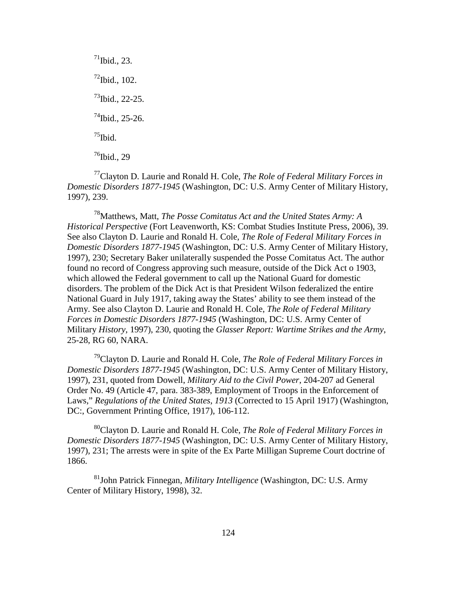$^{71}$ Ibid., 23.  $^{72}$ Ibid., 102.  $^{73}$ Ibid., 22-25.  $^{74}$ Ibid., 25-26.  $^{75}$ Ibid.  $^{76}$ Ibid., 29

77Clayton D. Laurie and Ronald H. Cole, *The Role of Federal Military Forces in Domestic Disorders 1877-1945* (Washington, DC: U.S. Army Center of Military History, 1997), 239.

78Matthews, Matt, *The Posse Comitatus Act and the United States Army: A Historical Perspective* (Fort Leavenworth, KS: Combat Studies Institute Press, 2006), 39. See also Clayton D. Laurie and Ronald H. Cole, *The Role of Federal Military Forces in Domestic Disorders 1877-1945* (Washington, DC: U.S. Army Center of Military History, 1997), 230; Secretary Baker unilaterally suspended the Posse Comitatus Act. The author found no record of Congress approving such measure, outside of the Dick Act o 1903, which allowed the Federal government to call up the National Guard for domestic disorders. The problem of the Dick Act is that President Wilson federalized the entire National Guard in July 1917, taking away the States' ability to see them instead of the Army. See also Clayton D. Laurie and Ronald H. Cole, *The Role of Federal Military Forces in Domestic Disorders 1877-1945* (Washington, DC: U.S. Army Center of Military *History*, 1997), 230, quoting the *Glasser Report: Wartime Strikes and the Army*, 25-28, RG 60, NARA.

79Clayton D. Laurie and Ronald H. Cole, *The Role of Federal Military Forces in Domestic Disorders 1877-1945* (Washington, DC: U.S. Army Center of Military History, 1997), 231, quoted from Dowell, *Military Aid to the Civil Power*, 204-207 ad General Order No. 49 (Article 47, para. 383-389, Employment of Troops in the Enforcement of Laws," *Regulations of the United States, 1913* (Corrected to 15 April 1917) (Washington, DC:, Government Printing Office, 1917), 106-112.

80Clayton D. Laurie and Ronald H. Cole, *The Role of Federal Military Forces in Domestic Disorders 1877-1945* (Washington, DC: U.S. Army Center of Military History, 1997), 231; The arrests were in spite of the Ex Parte Milligan Supreme Court doctrine of 1866.

81John Patrick Finnegan, *Military Intelligence* (Washington, DC: U.S. Army Center of Military History, 1998), 32.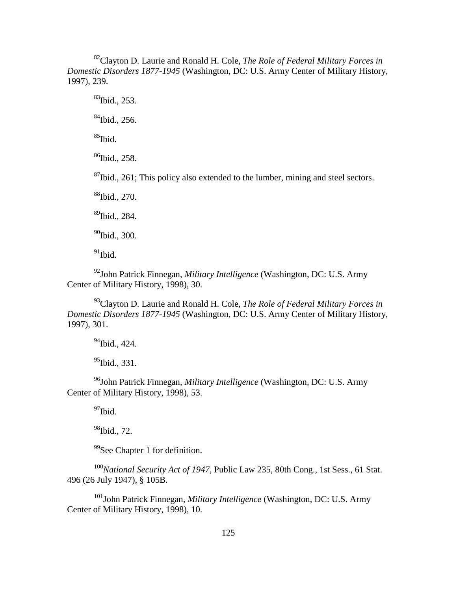82Clayton D. Laurie and Ronald H. Cole, *The Role of Federal Military Forces in Domestic Disorders 1877-1945* (Washington, DC: U.S. Army Center of Military History, 1997), 239.

 $83$ Ibid., 253.  $^{84}$ Ibid., 256.  $^{85}$ Ibid. 86Ibid., 258.  $^{87}$ Ibid., 261; This policy also extended to the lumber, mining and steel sectors. 88Ibid., 270.  $89$ Ibid., 284.  $90$ Ibid., 300.  $91$ Ibid.

92John Patrick Finnegan, *Military Intelligence* (Washington, DC: U.S. Army Center of Military History, 1998), 30.

93Clayton D. Laurie and Ronald H. Cole, *The Role of Federal Military Forces in Domestic Disorders 1877-1945* (Washington, DC: U.S. Army Center of Military History, 1997), 301.

 $94$ Ibid., 424.

 $95$ Ibid., 331.

96John Patrick Finnegan, *Military Intelligence* (Washington, DC: U.S. Army Center of Military History, 1998), 53.

 $97$ Ibid.

 $98$ Ibid., 72.

99See Chapter 1 for definition.

<sup>100</sup>*National Security Act of 1947*, Public Law 235, 80th Cong., 1st Sess., 61 Stat. 496 (26 July 1947), § 105B.

101John Patrick Finnegan, *Military Intelligence* (Washington, DC: U.S. Army Center of Military History, 1998), 10.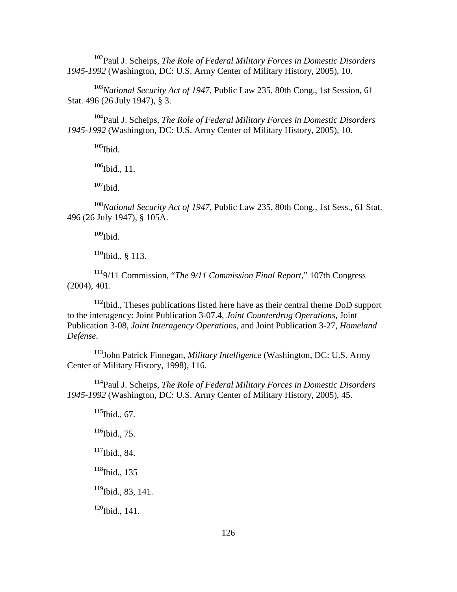102Paul J. Scheips, *The Role of Federal Military Forces in Domestic Disorders 1945-1992* (Washington, DC: U.S. Army Center of Military History, 2005), 10.

<sup>103</sup>*National Security Act of 1947*, Public Law 235, 80th Cong., 1st Session, 61 Stat. 496 (26 July 1947), § 3.

104Paul J. Scheips, *The Role of Federal Military Forces in Domestic Disorders 1945-1992* (Washington, DC: U.S. Army Center of Military History, 2005), 10.

 $105$ Ibid.

 $106$ Ibid., 11.

 $107$ Ibid.

<sup>108</sup>*National Security Act of 1947*, Public Law 235, 80th Cong., 1st Sess., 61 Stat. 496 (26 July 1947), § 105A.

 $109$ Ibid.

 $110$ Ibid., § 113.

1119/11 Commission, "*The 9/11 Commission Final Report*," 107th Congress (2004), 401.

 $112$ Ibid., Theses publications listed here have as their central theme DoD support to the interagency: Joint Publication 3-07.4, *Joint Counterdrug Operations*, Joint Publication 3-08, *Joint Interagency Operations*, and Joint Publication 3-27, *Homeland Defense*.

113John Patrick Finnegan, *Military Intelligence* (Washington, DC: U.S. Army Center of Military History, 1998), 116.

114Paul J. Scheips, *The Role of Federal Military Forces in Domestic Disorders 1945-1992* (Washington, DC: U.S. Army Center of Military History, 2005), 45.

Ibid., 67. Ibid., 75. Ibid., 84. Ibid., 135 Ibid., 83, 141. Ibid., 141.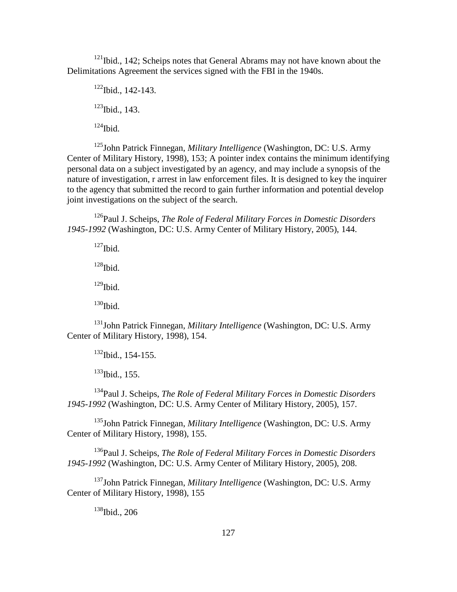$121$ Ibid., 142; Scheips notes that General Abrams may not have known about the Delimitations Agreement the services signed with the FBI in the 1940s.

 $122$ Ibid., 142-143.  $123$  Ibid., 143.  $124$  Ibid.

125John Patrick Finnegan, *Military Intelligence* (Washington, DC: U.S. Army Center of Military History, 1998), 153; A pointer index contains the minimum identifying personal data on a subject investigated by an agency, and may include a synopsis of the nature of investigation, r arrest in law enforcement files. It is designed to key the inquirer to the agency that submitted the record to gain further information and potential develop joint investigations on the subject of the search.

126Paul J. Scheips, *The Role of Federal Military Forces in Domestic Disorders 1945-1992* (Washington, DC: U.S. Army Center of Military History, 2005), 144.

 $127$ Ibid.  $128$ Ibid.  $129$ Ibid.  $130$ Ibid.

131John Patrick Finnegan, *Military Intelligence* (Washington, DC: U.S. Army Center of Military History, 1998), 154.

<sup>132</sup>Ibid., 154-155.

 $133$ Ibid., 155.

134Paul J. Scheips, *The Role of Federal Military Forces in Domestic Disorders 1945-1992* (Washington, DC: U.S. Army Center of Military History, 2005), 157.

135John Patrick Finnegan, *Military Intelligence* (Washington, DC: U.S. Army Center of Military History, 1998), 155.

136Paul J. Scheips, *The Role of Federal Military Forces in Domestic Disorders 1945-1992* (Washington, DC: U.S. Army Center of Military History, 2005), 208.

137John Patrick Finnegan, *Military Intelligence* (Washington, DC: U.S. Army Center of Military History, 1998), 155

 $138$ Ibid., 206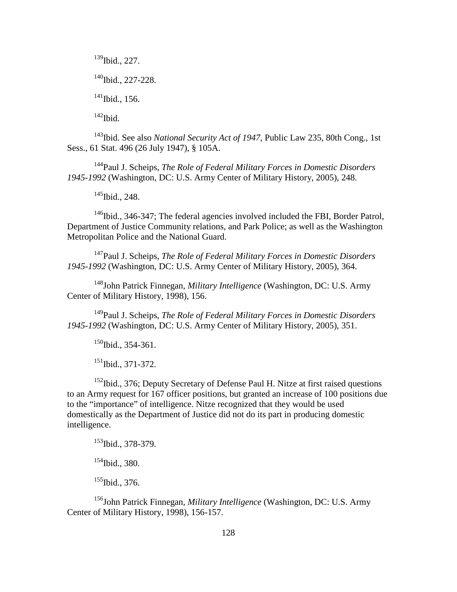<sup>139</sup>Ibid., 227. <sup>140</sup>Ibid., 227-228. <sup>141</sup>Ibid., 156.  $142$ Ibid.

143Ibid. See also *National Security Act of 1947*, Public Law 235, 80th Cong., 1st Sess., 61 Stat. 496 (26 July 1947), § 105A.

144Paul J. Scheips, *The Role of Federal Military Forces in Domestic Disorders 1945-1992* (Washington, DC: U.S. Army Center of Military History, 2005), 248.

<sup>145</sup>Ibid., 248.

<sup>146</sup>Ibid., 346-347; The federal agencies involved included the FBI, Border Patrol, Department of Justice Community relations, and Park Police; as well as the Washington Metropolitan Police and the National Guard.

147Paul J. Scheips, *The Role of Federal Military Forces in Domestic Disorders 1945-1992* (Washington, DC: U.S. Army Center of Military History, 2005), 364.

148John Patrick Finnegan, *Military Intelligence* (Washington, DC: U.S. Army Center of Military History, 1998), 156.

149Paul J. Scheips, *The Role of Federal Military Forces in Domestic Disorders 1945-1992* (Washington, DC: U.S. Army Center of Military History, 2005), 351.

<sup>150</sup>Ibid., 354-361.

 $151$ Ibid., 371-372.

<sup>152</sup>Ibid., 376; Deputy Secretary of Defense Paul H. Nitze at first raised questions to an Army request for 167 officer positions, but granted an increase of 100 positions due to the "importance" of intelligence. Nitze recognized that they would be used domestically as the Department of Justice did not do its part in producing domestic intelligence.

 $153$ Ibid., 378-379. <sup>154</sup>Ibid., 380.  $155$ Ibid., 376.

156John Patrick Finnegan, *Military Intelligence* (Washington, DC: U.S. Army Center of Military History, 1998), 156-157.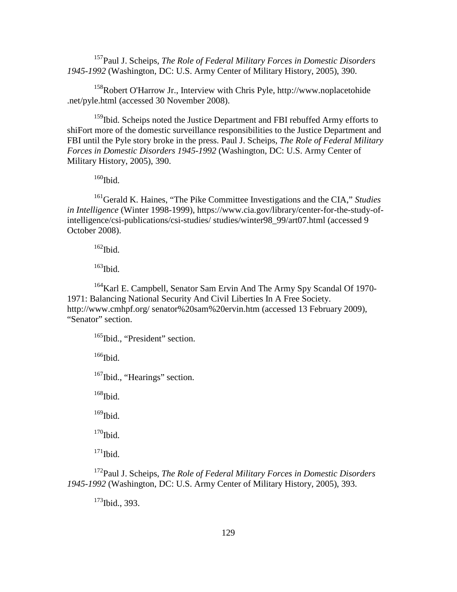157Paul J. Scheips, *The Role of Federal Military Forces in Domestic Disorders 1945-1992* (Washington, DC: U.S. Army Center of Military History, 2005), 390.

<sup>158</sup>Robert O'Harrow Jr., Interview with Chris Pyle, http://www.noplacetohide .net/pyle.html (accessed 30 November 2008).

<sup>159</sup>Ibid. Scheips noted the Justice Department and FBI rebuffed Army efforts to shiFort more of the domestic surveillance responsibilities to the Justice Department and FBI until the Pyle story broke in the press. Paul J. Scheips, *The Role of Federal Military Forces in Domestic Disorders 1945-1992* (Washington, DC: U.S. Army Center of Military History, 2005), 390.

 $160$ Ibid.

161Gerald K. Haines, "The Pike Committee Investigations and the CIA," *Studies in Intelligence* (Winter 1998-1999), https://www.cia.gov/library/center-for-the-study-ofintelligence/csi-publications/csi-studies/ studies/winter98\_99/art07.html (accessed 9 October 2008).

 $162$ Ibid.

 $163$ Ibid.

<sup>164</sup>Karl E. Campbell, Senator Sam Ervin And The Army Spy Scandal Of 1970-1971: Balancing National Security And Civil Liberties In A Free Society. http://www.cmhpf.org/ senator%20sam%20ervin.htm (accessed 13 February 2009), "Senator" section.

<sup>165</sup>Ibid., "President" section.

 $166$ Ibid.

<sup>167</sup>Ibid., "Hearings" section.

 $168$ Ibid.

 $169$ Ibid.

 $170$ Ibid.

 $171$ Ibid.

172Paul J. Scheips, *The Role of Federal Military Forces in Domestic Disorders 1945-1992* (Washington, DC: U.S. Army Center of Military History, 2005), 393.

 $173$ Ibid., 393.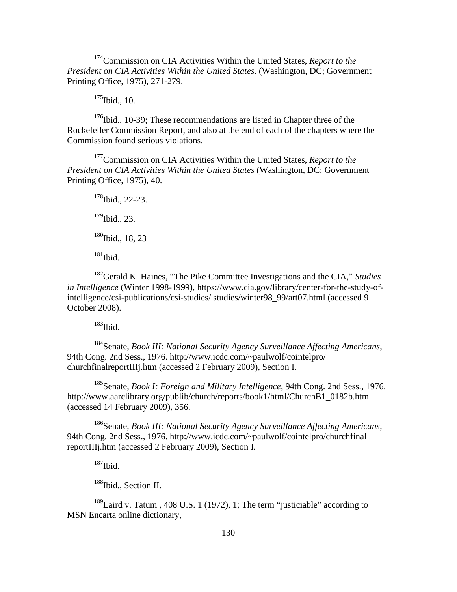174Commission on CIA Activities Within the United States, *Report to the President on CIA Activities Within the United States*. (Washington, DC; Government Printing Office, 1975), 271-279.

 $175$ Ibid., 10.

 $176$ Ibid., 10-39; These recommendations are listed in Chapter three of the Rockefeller Commission Report, and also at the end of each of the chapters where the Commission found serious violations.

177Commission on CIA Activities Within the United States, *Report to the President on CIA Activities Within the United States* (Washington, DC; Government Printing Office, 1975), 40.

Ibid., 22-23. Ibid., 23. Ibid., 18, 23  $181$ Ibid.

182Gerald K. Haines, "The Pike Committee Investigations and the CIA," *Studies in Intelligence* (Winter 1998-1999), https://www.cia.gov/library/center-for-the-study-ofintelligence/csi-publications/csi-studies/ studies/winter98\_99/art07.html (accessed 9 October 2008).

 $183$ Ibid.

184Senate, *Book III: National Security Agency Surveillance Affecting Americans*, 94th Cong. 2nd Sess., 1976. http://www.icdc.com/~paulwolf/cointelpro/ churchfinalreportIIIj.htm (accessed 2 February 2009), Section I.

185Senate, *Book I: Foreign and Military Intelligence*, 94th Cong. 2nd Sess., 1976. http://www.aarclibrary.org/publib/church/reports/book1/html/ChurchB1\_0182b.htm (accessed 14 February 2009), 356.

186Senate, *Book III: National Security Agency Surveillance Affecting Americans*, 94th Cong. 2nd Sess., 1976. http://www.icdc.com/~paulwolf/cointelpro/churchfinal reportIIIj.htm (accessed 2 February 2009), Section I.

 $187$ Ibid.

<sup>188</sup>Ibid., Section II.

 $189$ Laird v. Tatum, 408 U.S. 1 (1972), 1; The term "justiciable" according to MSN Encarta online dictionary,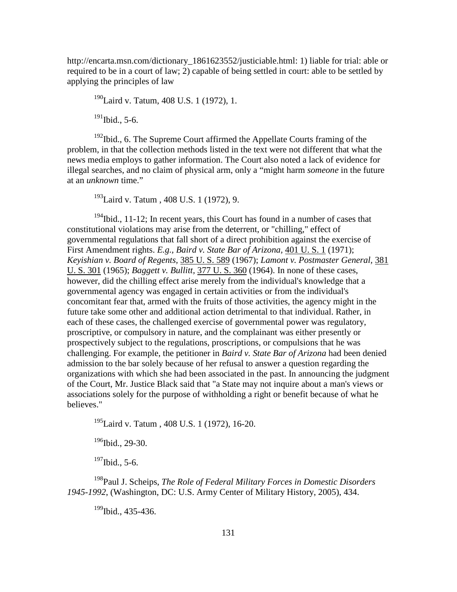http://encarta.msn.com/dictionary\_1861623552/justiciable.html: 1) liable for trial: able or required to be in a court of law; 2) capable of being settled in court: able to be settled by applying the principles of law

190Laird v. Tatum, 408 U.S. 1 (1972), 1.

 $191$ Ibid., 5-6.

 $192$ Ibid., 6. The Supreme Court affirmed the Appellate Courts framing of the problem, in that the collection methods listed in the text were not different that what the news media employs to gather information. The Court also noted a lack of evidence for illegal searches, and no claim of physical arm, only a "might harm *someone* in the future at an *unknown* time."

<sup>193</sup>Laird v. Tatum, 408 U.S. 1 (1972), 9.

 $194$ Ibid., 11-12; In recent years, this Court has found in a number of cases that constitutional violations may arise from the deterrent, or "chilling," effect of governmental regulations that fall short of a direct prohibition against the exercise of First Amendment rights. *E.g., Baird v. State Bar of Arizona,* [401 U. S. 1](http://supreme.justia.com/us/401/1/case.html) (1971); *Keyishian v. Board of Regents,* [385 U. S. 589](http://supreme.justia.com/us/385/589/case.html) (1967); *Lamont v. Postmaster General,* [381](http://supreme.justia.com/us/381/301/case.html)  [U. S. 301](http://supreme.justia.com/us/381/301/case.html) (1965); *Baggett v. Bullitt,* [377 U. S. 360](http://supreme.justia.com/us/377/360/case.html) (1964). In none of these cases, however, did the chilling effect arise merely from the individual's knowledge that a governmental agency was engaged in certain activities or from the individual's concomitant fear that, armed with the fruits of those activities, the agency might in the future take some other and additional action detrimental to that individual. Rather, in each of these cases, the challenged exercise of governmental power was regulatory, proscriptive, or compulsory in nature, and the complainant was either presently or prospectively subject to the regulations, proscriptions, or compulsions that he was challenging. For example, the petitioner in *Baird v. State Bar of Arizona* had been denied admission to the bar solely because of her refusal to answer a question regarding the organizations with which she had been associated in the past. In announcing the judgment of the Court, Mr. Justice Black said that "a State may not inquire about a man's views or associations solely for the purpose of withholding a right or benefit because of what he believes."

<sup>195</sup>Laird v. Tatum, 408 U.S. 1 (1972), 16-20.

<sup>196</sup>Ibid., 29-30.

 $197$ Ibid., 5-6.

198Paul J. Scheips, *The Role of Federal Military Forces in Domestic Disorders 1945-1992*, (Washington, DC: U.S. Army Center of Military History, 2005), 434.

 $199$ Ibid., 435-436.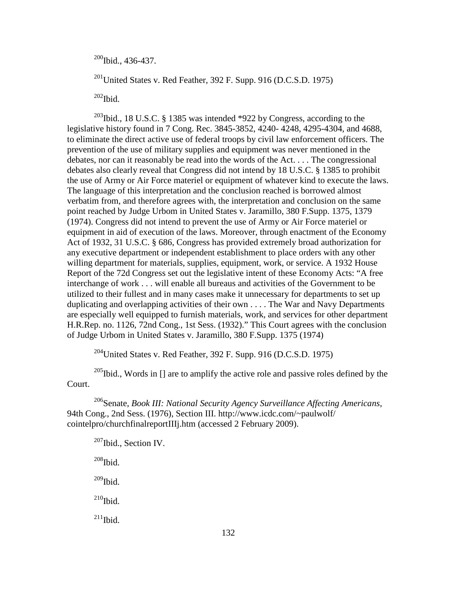$200$ Ibid., 436-437.

201United States v. Red Feather, 392 F. Supp. 916 (D.C.S.D. 1975)

 $202$ Ibid.

203Ibid., 18 U.S.C. § 1385 was intended \*922 by Congress, according to the legislative history found in 7 Cong. Rec. 3845-3852, 4240- 4248, 4295-4304, and 4688, to eliminate the direct active use of federal troops by civil law enforcement officers. The prevention of the use of military supplies and equipment was never mentioned in the debates, nor can it reasonably be read into the words of the Act. . . . The congressional debates also clearly reveal that Congress did not intend by 18 U.S.C. § 1385 to prohibit the use of Army or Air Force materiel or equipment of whatever kind to execute the laws. The language of this interpretation and the conclusion reached is borrowed almost verbatim from, and therefore agrees with, the interpretation and conclusion on the same point reached by Judge Urbom in United States v. Jaramillo, 380 F.Supp. 1375, 1379 (1974). Congress did not intend to prevent the use of Army or Air Force materiel or equipment in aid of execution of the laws. Moreover, through enactment of the Economy Act of 1932, 31 U.S.C. § 686, Congress has provided extremely broad authorization for any executive department or independent establishment to place orders with any other willing department for materials, supplies, equipment, work, or service. A 1932 House Report of the 72d Congress set out the legislative intent of these Economy Acts: "A free interchange of work . . . will enable all bureaus and activities of the Government to be utilized to their fullest and in many cases make it unnecessary for departments to set up duplicating and overlapping activities of their own . . . . The War and Navy Departments are especially well equipped to furnish materials, work, and services for other department H.R.Rep. no. 1126, 72nd Cong., 1st Sess. (1932)." This Court agrees with the conclusion of Judge Urbom in United States v. Jaramillo, 380 F.Supp. 1375 (1974)

 $^{204}$ United States v. Red Feather, 392 F. Supp. 916 (D.C.S.D. 1975)

 $205$ Ibid., Words in  $\Box$  are to amplify the active role and passive roles defined by the Court.

206Senate, *Book III: National Security Agency Surveillance Affecting Americans*, 94th Cong., 2nd Sess. (1976), Section III. http://www.icdc.com/~paulwolf/ cointelpro/churchfinalreportIIIj.htm (accessed 2 February 2009).

<sup>207</sup>Ibid., Section IV.  $208$ Ibid.  $209$ Ibid.  $210$ Ibid.  $^{211}$ Ibid.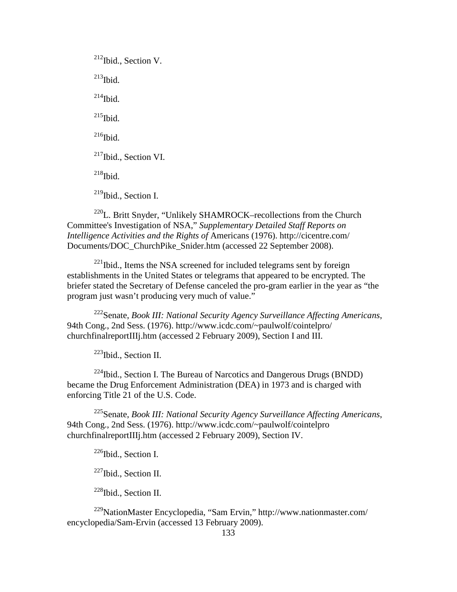$^{212}$ Ibid., Section V.  $^{213}$ Ibid.  $214$ Ibid.  $^{215}$ Ibid.  $^{216}$ Ibid. <sup>217</sup>Ibid., Section VI.  $^{218}$ Ibid. <sup>219</sup>Ibid., Section I.

<sup>220</sup>L. Britt Snyder, "Unlikely SHAMROCK–recollections from the Church Committee's Investigation of NSA," *Supplementary Detailed Staff Reports on Intelligence Activities and the Rights of* Americans (1976). http://cicentre.com/ Documents/DOC\_ChurchPike\_Snider.htm (accessed 22 September 2008).

 $^{221}$ Ibid., Items the NSA screened for included telegrams sent by foreign establishments in the United States or telegrams that appeared to be encrypted. The briefer stated the Secretary of Defense canceled the pro-gram earlier in the year as "the program just wasn't producing very much of value."

222Senate, *Book III: National Security Agency Surveillance Affecting Americans*, 94th Cong., 2nd Sess. (1976). http://www.icdc.com/~paulwolf/cointelpro/ churchfinalreportIIIj.htm (accessed 2 February 2009), Section I and III.

 $^{223}$ Ibid., Section II.

<sup>224</sup>Ibid., Section I. The Bureau of Narcotics and Dangerous Drugs (BNDD) became the Drug Enforcement Administration (DEA) in 1973 and is charged with enforcing Title 21 of the U.S. Code.

225Senate, *Book III: National Security Agency Surveillance Affecting Americans*, 94th Cong., 2nd Sess. (1976). http://www.icdc.com/~paulwolf/cointelpro churchfinalreportIIIj.htm (accessed 2 February 2009), Section IV.

<sup>226</sup>Ibid., Section I.

 $^{227}$ Ibid., Section II.

<sup>228</sup>Ibid., Section II.

229NationMaster Encyclopedia, "Sam Ervin," http://www.nationmaster.com/ encyclopedia/Sam-Ervin (accessed 13 February 2009).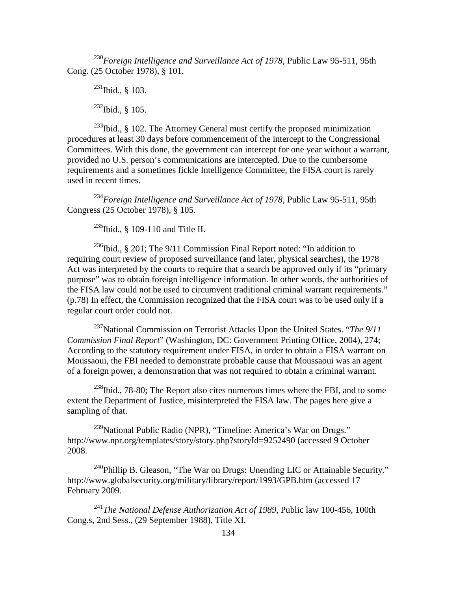<sup>230</sup>*Foreign Intelligence and Surveillance Act of 1978*, Public Law 95-511, 95th Cong. (25 October 1978), § 101.

 $^{231}$ Ibid., § 103.

 $232$ Ibid., § 105.

 $^{233}$ Ibid., § 102. The Attorney General must certify the proposed minimization procedures at least 30 days before commencement of the intercept to the Congressional Committees. With this done, the government can intercept for one year without a warrant, provided no U.S. person's communications are intercepted. Due to the cumbersome requirements and a sometimes fickle Intelligence Committee, the FISA court is rarely used in recent times.

<sup>234</sup>*Foreign Intelligence and Surveillance Act of 1978*, Public Law 95-511, 95th Congress (25 October 1978), § 105.

 $^{235}$ Ibid., § 109-110 and Title II.

<sup>236</sup>Ibid., § 201; The  $9/11$  Commission Final Report noted: "In addition to requiring court review of proposed surveillance (and later, physical searches), the 1978 Act was interpreted by the courts to require that a search be approved only if its "primary purpose" was to obtain foreign intelligence information. In other words, the authorities of the FISA law could not be used to circumvent traditional criminal warrant requirements." (p.78) In effect, the Commission recognized that the FISA court was to be used only if a regular court order could not.

<sup>237</sup>National Commission on Terrorist Attacks Upon the United States. "*The 9/11 Commission Final Report*" (Washington, DC: Government Printing Office, 2004), 274; According to the statutory requirement under FISA, in order to obtain a FISA warrant on Moussaoui, the FBI needed to demonstrate probable cause that Moussaoui was an agent of a foreign power, a demonstration that was not required to obtain a criminal warrant.

 $^{238}$ Ibid., 78-80; The Report also cites numerous times where the FBI, and to some extent the Department of Justice, misinterpreted the FISA law. The pages here give a sampling of that.

<sup>239</sup>National Public Radio (NPR), "Timeline: America's War on Drugs." http://www.npr.org/templates/story/story.php?storyId=9252490 (accessed 9 October 2008.

<sup>240</sup>Phillip B. Gleason, "The War on Drugs: Unending LIC or Attainable Security." http://www.globalsecurity.org/military/library/report/1993/GPB.htm (accessed 17 February 2009.

<sup>241</sup>*The National Defense Authorization Act of 1989*, Public law 100-456, 100th Cong.s, 2nd Sess., (29 September 1988), Title XI.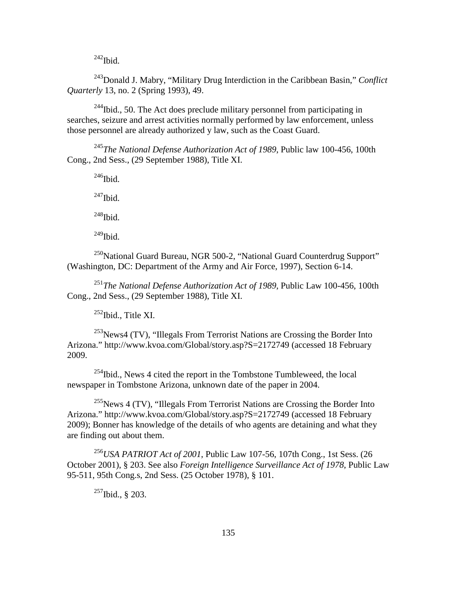$242$ Ibid.

243Donald J. Mabry, "Military Drug Interdiction in the Caribbean Basin," *Conflict Quarterly* 13, no. 2 (Spring 1993), 49.

 $244$ Ibid., 50. The Act does preclude military personnel from participating in searches, seizure and arrest activities normally performed by law enforcement, unless those personnel are already authorized y law, such as the Coast Guard.

<sup>245</sup>*The National Defense Authorization Act of 1989*, Public law 100-456, 100th Cong., 2nd Sess., (29 September 1988), Title XI.

 $^{246}$ Ibid.

 $^{247}$ Ibid.

 $^{248}$ Ibid.

 $249$ Ibid.

<sup>250</sup>National Guard Bureau, NGR 500-2, "National Guard Counterdrug Support" (Washington, DC: Department of the Army and Air Force, 1997), Section 6-14.

<sup>251</sup>*The National Defense Authorization Act of 1989*, Public Law 100-456, 100th Cong., 2nd Sess., (29 September 1988), Title XI.

 $^{252}$ Ibid., Title XI.

 $253$ News4 (TV), "Illegals From Terrorist Nations are Crossing the Border Into Arizona." http://www.kvoa.com/Global/story.asp?S=2172749 (accessed 18 February 2009.

 $^{254}$ Ibid., News 4 cited the report in the Tombstone Tumbleweed, the local newspaper in Tombstone Arizona, unknown date of the paper in 2004.

 $^{255}$ News 4 (TV), "Illegals From Terrorist Nations are Crossing the Border Into Arizona." http://www.kvoa.com/Global/story.asp?S=2172749 (accessed 18 February 2009); Bonner has knowledge of the details of who agents are detaining and what they are finding out about them.

<sup>256</sup>*USA PATRIOT Act of 2001*, Public Law 107-56, 107th Cong., 1st Sess. (26 October 2001), § 203. See also *Foreign Intelligence Surveillance Act of 1978*, Public Law 95-511, 95th Cong.s, 2nd Sess. (25 October 1978), § 101.

257Ibid., § 203.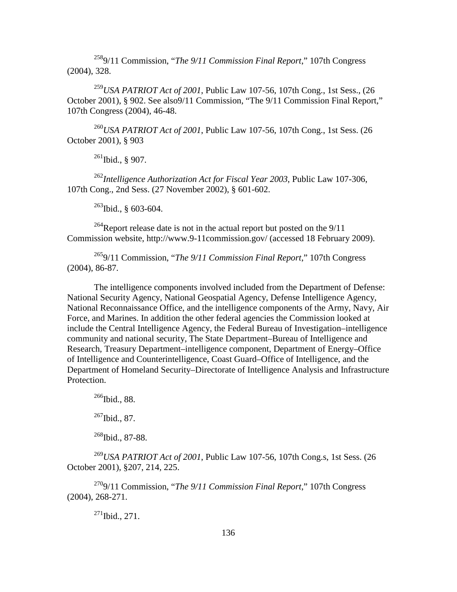2589/11 Commission, "*The 9/11 Commission Final Report*," 107th Congress (2004), 328.

<sup>259</sup>*USA PATRIOT Act of 2001*, Public Law 107-56, 107th Cong., 1st Sess., (26 October 2001), § 902. See also9/11 Commission, "The 9/11 Commission Final Report," 107th Congress (2004), 46-48.

<sup>260</sup>*USA PATRIOT Act of 2001*, Public Law 107-56, 107th Cong., 1st Sess. (26 October 2001), § 903

<sup>261</sup>Ibid., § 907.

<sup>262</sup>*Intelligence Authorization Act for Fiscal Year 2003*, Public Law 107-306, 107th Cong., 2nd Sess. (27 November 2002), § 601-602.

<sup>263</sup>Ibid., § 603-604.

 $^{264}$ Report release date is not in the actual report but posted on the 9/11 Commission website, http://www.9-11commission.gov/ (accessed 18 February 2009).

2659/11 Commission, "*The 9/11 Commission Final Report*," 107th Congress (2004), 86-87.

The intelligence components involved included from the Department of Defense: National Security Agency, National Geospatial Agency, Defense Intelligence Agency, National Reconnaissance Office, and the intelligence components of the Army, Navy, Air Force, and Marines. In addition the other federal agencies the Commission looked at include the Central Intelligence Agency, the Federal Bureau of Investigation–intelligence community and national security, The State Department–Bureau of Intelligence and Research, Treasury Department–intelligence component, Department of Energy–Office of Intelligence and Counterintelligence, Coast Guard–Office of Intelligence, and the Department of Homeland Security–Directorate of Intelligence Analysis and Infrastructure Protection.

<sup>266</sup>Ibid., 88. 267Ibid., 87.

 $268$ Ibid., 87-88.

<sup>269</sup>*USA PATRIOT Act of 2001*, Public Law 107-56, 107th Cong.s, 1st Sess. (26 October 2001), §207, 214, 225.

2709/11 Commission, "*The 9/11 Commission Final Report*," 107th Congress (2004), 268-271.

 $^{271}$ Ibid., 271.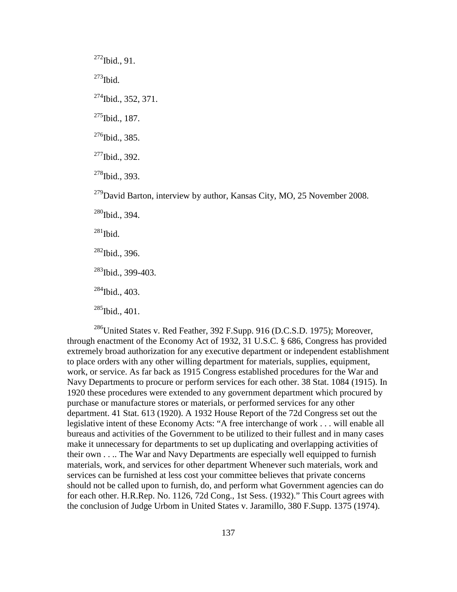272Ibid., 91.  $273$ Ibid. <sup>274</sup>Ibid., 352, 371.  $275$ Ibid., 187.  $^{276}$ Ibid., 385.  $^{277}$ Ibid., 392.  $278$ Ibid., 393.  $^{279}$ David Barton, interview by author, Kansas City, MO, 25 November 2008. <sup>280</sup>Ibid., 394.  $281$ Ibid.  $282$ Ibid., 396. <sup>283</sup>Ibid., 399-403. <sup>284</sup>Ibid., 403. 285Ibid., 401.

 $^{286}$ United States v. Red Feather, 392 F.Supp. 916 (D.C.S.D. 1975); Moreover, through enactment of the Economy Act of 1932, 31 U.S.C. § 686, Congress has provided extremely broad authorization for any executive department or independent establishment to place orders with any other willing department for materials, supplies, equipment, work, or service. As far back as 1915 Congress established procedures for the War and Navy Departments to procure or perform services for each other. 38 Stat. 1084 (1915). In 1920 these procedures were extended to any government department which procured by purchase or manufacture stores or materials, or performed services for any other department. 41 Stat. 613 (1920). A 1932 House Report of the 72d Congress set out the legislative intent of these Economy Acts: "A free interchange of work . . . will enable all bureaus and activities of the Government to be utilized to their fullest and in many cases make it unnecessary for departments to set up duplicating and overlapping activities of their own . . .. The War and Navy Departments are especially well equipped to furnish materials, work, and services for other department Whenever such materials, work and services can be furnished at less cost your committee believes that private concerns should not be called upon to furnish, do, and perform what Government agencies can do for each other. H.R.Rep. No. 1126, 72d Cong., 1st Sess. (1932)." This Court agrees with the conclusion of Judge Urbom in United States v. Jaramillo, 380 F.Supp. 1375 (1974).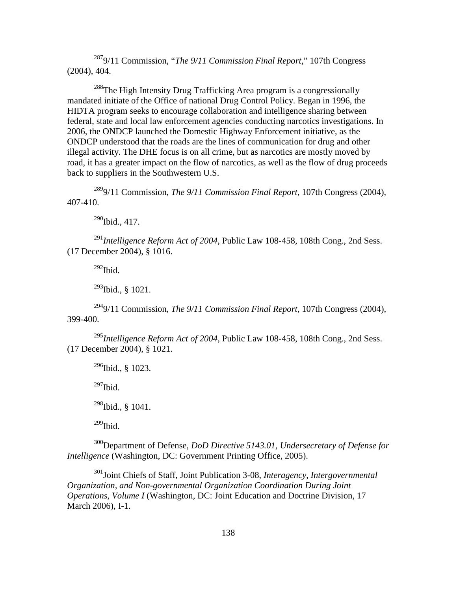2879/11 Commission, "*The 9/11 Commission Final Report*," 107th Congress (2004), 404.

<sup>288</sup>The High Intensity Drug Trafficking Area program is a congressionally mandated initiate of the Office of national Drug Control Policy. Began in 1996, the HIDTA program seeks to encourage collaboration and intelligence sharing between federal, state and local law enforcement agencies conducting narcotics investigations. In 2006, the ONDCP launched the Domestic Highway Enforcement initiative, as the ONDCP understood that the roads are the lines of communication for drug and other illegal activity. The DHE focus is on all crime, but as narcotics are mostly moved by road, it has a greater impact on the flow of narcotics, as well as the flow of drug proceeds back to suppliers in the Southwestern U.S.

2899/11 Commission, *The 9/11 Commission Final Report*, 107th Congress (2004), 407-410.

<sup>290</sup>Ibid., 417.

<sup>291</sup>*Intelligence Reform Act of 2004*, Public Law 108-458, 108th Cong., 2nd Sess. (17 December 2004), § 1016.

 $292$ Ibid.

 $293$ Ibid., § 1021.

2949/11 Commission, *The 9/11 Commission Final Report*, 107th Congress (2004), 399-400.

<sup>295</sup>*Intelligence Reform Act of 2004*, Public Law 108-458, 108th Cong., 2nd Sess. (17 December 2004), § 1021.

 $296$ Ibid., § 1023.

 $^{297}$ Ibid.

 $^{298}$ Ibid., § 1041.

 $299$ Ibid.

300Department of Defense, *DoD Directive 5143.01, Undersecretary of Defense for Intelligence* (Washington, DC: Government Printing Office, 2005).

301Joint Chiefs of Staff, Joint Publication 3-08, *Interagency, Intergovernmental Organization, and Non-governmental Organization Coordination During Joint Operations, Volume I* (Washington, DC: Joint Education and Doctrine Division, 17 March 2006), I-1.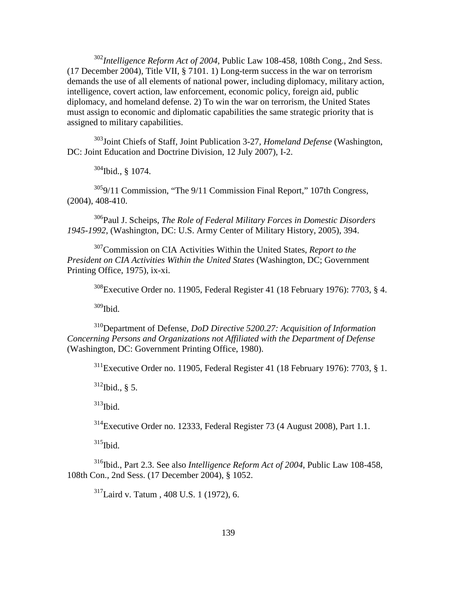<sup>302</sup>*Intelligence Reform Act of 2004*, Public Law 108-458, 108th Cong., 2nd Sess. (17 December 2004), Title VII, § 7101. 1) Long-term success in the war on terrorism demands the use of all elements of national power, including diplomacy, military action, intelligence, covert action, law enforcement, economic policy, foreign aid, public diplomacy, and homeland defense. 2) To win the war on terrorism, the United States must assign to economic and diplomatic capabilities the same strategic priority that is assigned to military capabilities.

303Joint Chiefs of Staff, Joint Publication 3-27*, Homeland Defense* (Washington, DC: Joint Education and Doctrine Division, 12 July 2007), I-2.

 $304$ Ibid., § 1074.

3059/11 Commission, "The 9/11 Commission Final Report," 107th Congress, (2004), 408-410.

306Paul J. Scheips, *The Role of Federal Military Forces in Domestic Disorders 1945-1992*, (Washington, DC: U.S. Army Center of Military History, 2005), 394.

307Commission on CIA Activities Within the United States, *Report to the President on CIA Activities Within the United States* (Washington, DC; Government Printing Office, 1975), ix-xi.

308Executive Order no. 11905, Federal Register 41 (18 February 1976): 7703, § 4.

 $^{309}$  Ibid.

310Department of Defense, *DoD Directive 5200.27: Acquisition of Information Concerning Persons and Organizations not Affiliated with the Department of Defense* (Washington, DC: Government Printing Office, 1980).

 $311$ Executive Order no. 11905, Federal Register 41 (18 February 1976): 7703, § 1.

 $312$ Ibid., § 5.

 $313$ Ibid.

314Executive Order no. 12333, Federal Register 73 (4 August 2008), Part 1.1.

 $315$ Ibid.

316Ibid., Part 2.3. See also *Intelligence Reform Act of 2004*, Public Law 108-458, 108th Con., 2nd Sess. (17 December 2004), § 1052.

317Laird v. Tatum , 408 U.S. 1 (1972), 6.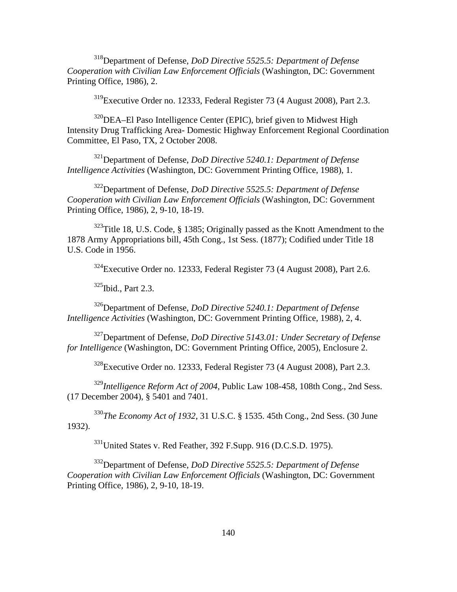318Department of Defense, *DoD Directive 5525.5: Department of Defense Cooperation with Civilian Law Enforcement Officials* (Washington, DC: Government Printing Office, 1986), 2.

319Executive Order no. 12333, Federal Register 73 (4 August 2008), Part 2.3.

 $320$ DEA–El Paso Intelligence Center (EPIC), brief given to Midwest High Intensity Drug Trafficking Area- Domestic Highway Enforcement Regional Coordination Committee, El Paso, TX, 2 October 2008.

321Department of Defense, *DoD Directive 5240.1: Department of Defense Intelligence Activities* (Washington, DC: Government Printing Office, 1988), 1.

322Department of Defense, *DoD Directive 5525.5: Department of Defense Cooperation with Civilian Law Enforcement Officials* (Washington, DC: Government Printing Office, 1986), 2, 9-10, 18-19.

<sup>323</sup>Title 18, U.S. Code, § 1385; Originally passed as the Knott Amendment to the 1878 Army Appropriations bill, 45th Cong., 1st Sess. (1877); Codified under Title 18 U.S. Code in 1956.

 $324$ Executive Order no. 12333, Federal Register 73 (4 August 2008), Part 2.6.

<sup>325</sup>Ibid., Part 2.3.

326Department of Defense, *DoD Directive 5240.1: Department of Defense Intelligence Activities* (Washington, DC: Government Printing Office, 1988), 2, 4.

327Department of Defense, *DoD Directive 5143.01: Under Secretary of Defense for Intelligence* (Washington, DC: Government Printing Office, 2005), Enclosure 2.

328Executive Order no. 12333, Federal Register 73 (4 August 2008), Part 2.3.

<sup>329</sup>*Intelligence Reform Act of 2004*, Public Law 108-458, 108th Cong., 2nd Sess. (17 December 2004), § 5401 and 7401.

<sup>330</sup>*The Economy Act of 1932*, 31 U.S.C. § 1535. 45th Cong., 2nd Sess. (30 June 1932).

331United States v. Red Feather, 392 F.Supp. 916 (D.C.S.D. 1975).

332Department of Defense, *DoD Directive 5525.5: Department of Defense Cooperation with Civilian Law Enforcement Officials* (Washington, DC: Government Printing Office, 1986), 2, 9-10, 18-19.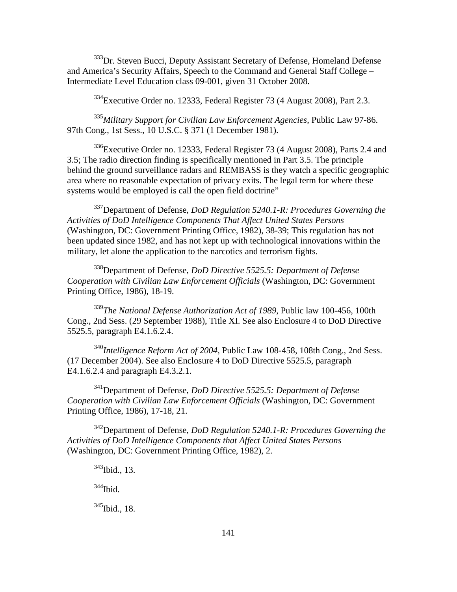<sup>333</sup>Dr. Steven Bucci, Deputy Assistant Secretary of Defense, Homeland Defense and America's Security Affairs, Speech to the Command and General Staff College – Intermediate Level Education class 09-001, given 31 October 2008.

<sup>334</sup>Executive Order no. 12333, Federal Register 73 (4 August 2008), Part 2.3.

<sup>335</sup>*Military Support for Civilian Law Enforcement Agencies*, Public Law 97-86. 97th Cong., 1st Sess., 10 U.S.C. § 371 (1 December 1981).

 $336$ Executive Order no. 12333, Federal Register 73 (4 August 2008), Parts 2.4 and 3.5; The radio direction finding is specifically mentioned in Part 3.5. The principle behind the ground surveillance radars and REMBASS is they watch a specific geographic area where no reasonable expectation of privacy exits. The legal term for where these systems would be employed is call the open field doctrine"

337Department of Defense, *DoD Regulation 5240.1-R: Procedures Governing the Activities of DoD Intelligence Components That Affect United States Persons* (Washington, DC: Government Printing Office, 1982), 38-39; This regulation has not been updated since 1982, and has not kept up with technological innovations within the military, let alone the application to the narcotics and terrorism fights.

338Department of Defense, *DoD Directive 5525.5: Department of Defense Cooperation with Civilian Law Enforcement Officials* (Washington, DC: Government Printing Office, 1986), 18-19.

<sup>339</sup>*The National Defense Authorization Act of 1989*, Public law 100-456, 100th Cong., 2nd Sess. (29 September 1988), Title XI. See also Enclosure 4 to DoD Directive 5525.5, paragraph E4.1.6.2.4.

<sup>340</sup>*Intelligence Reform Act of 2004*, Public Law 108-458, 108th Cong., 2nd Sess. (17 December 2004). See also Enclosure 4 to DoD Directive 5525.5, paragraph E4.1.6.2.4 and paragraph E4.3.2.1.

341Department of Defense, *DoD Directive 5525.5: Department of Defense Cooperation with Civilian Law Enforcement Officials* (Washington, DC: Government Printing Office, 1986), 17-18, 21.

342Department of Defense, *DoD Regulation 5240.1-R: Procedures Governing the Activities of DoD Intelligence Components that Affect United States Persons* (Washington, DC: Government Printing Office, 1982), 2.

<sup>343</sup>Ibid., 13.

 $344$ Ibid.

 $345$ Ibid., 18.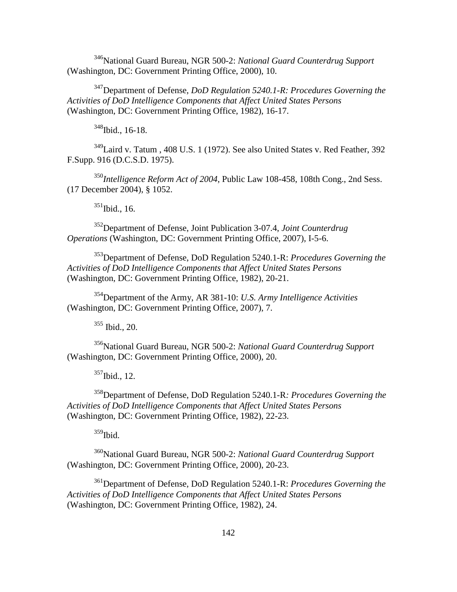346National Guard Bureau, NGR 500-2: *National Guard Counterdrug Support* (Washington, DC: Government Printing Office, 2000), 10.

347Department of Defense, *DoD Regulation 5240.1-R: Procedures Governing the Activities of DoD Intelligence Components that Affect United States Persons* (Washington, DC: Government Printing Office, 1982), 16-17.

<sup>348</sup>Ibid., 16-18.

<sup>349</sup>Laird v. Tatum , 408 U.S. 1 (1972). See also United States v. Red Feather, 392 F.Supp. 916 (D.C.S.D. 1975).

<sup>350</sup>*Intelligence Reform Act of 2004*, Public Law 108-458, 108th Cong., 2nd Sess. (17 December 2004), § 1052.

 $351$ Ibid., 16.

352Department of Defense, Joint Publication 3-07.4, *Joint Counterdrug Operations* (Washington, DC: Government Printing Office, 2007), I-5-6.

353Department of Defense, DoD Regulation 5240.1-R: *Procedures Governing the Activities of DoD Intelligence Components that Affect United States Persons* (Washington, DC: Government Printing Office, 1982), 20-21.

354Department of the Army, AR 381-10: *U.S. Army Intelligence Activities* (Washington, DC: Government Printing Office, 2007), 7.

<sup>355</sup> Ibid., 20.

356National Guard Bureau, NGR 500-2: *National Guard Counterdrug Support* (Washington, DC: Government Printing Office, 2000), 20.

357Ibid., 12.

358Department of Defense, DoD Regulation 5240.1-R*: Procedures Governing the Activities of DoD Intelligence Components that Affect United States Persons* (Washington, DC: Government Printing Office, 1982), 22-23.

 $359$ Ibid.

360National Guard Bureau, NGR 500-2: *National Guard Counterdrug Support* (Washington, DC: Government Printing Office, 2000), 20-23.

361Department of Defense, DoD Regulation 5240.1-R: *Procedures Governing the Activities of DoD Intelligence Components that Affect United States Persons* (Washington, DC: Government Printing Office, 1982), 24.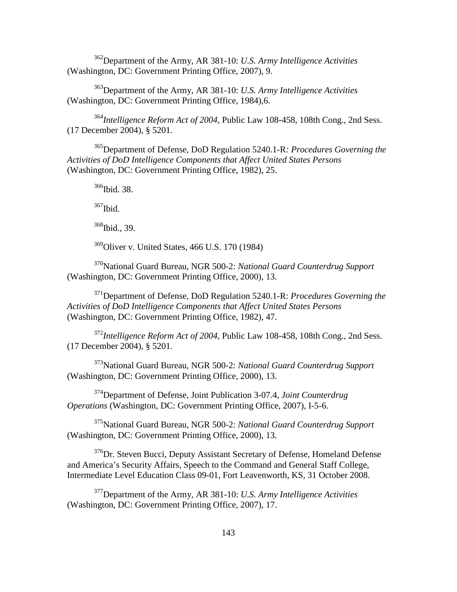362Department of the Army, AR 381-10: *U.S. Army Intelligence Activities* (Washington, DC: Government Printing Office, 2007), 9.

363Department of the Army, AR 381-10: *U.S. Army Intelligence Activities* (Washington, DC: Government Printing Office, 1984),6.

<sup>364</sup>*Intelligence Reform Act of 2004*, Public Law 108-458, 108th Cong., 2nd Sess. (17 December 2004), § 5201.

365Department of Defense, DoD Regulation 5240.1-R*: Procedures Governing the Activities of DoD Intelligence Components that Affect United States Persons* (Washington, DC: Government Printing Office, 1982), 25.

<sup>366</sup>Ibid. 38.

 $367$ Ibid.

368Ibid., 39.

369Oliver v. United States, 466 U.S. 170 (1984)

370National Guard Bureau*,* NGR 500-2: *National Guard Counterdrug Support* (Washington, DC: Government Printing Office, 2000), 13.

371Department of Defense, DoD Regulation 5240.1-R: *Procedures Governing the Activities of DoD Intelligence Components that Affect United States Persons* (Washington, DC: Government Printing Office, 1982), 47.

<sup>372</sup>*Intelligence Reform Act of 2004*, Public Law 108-458, 108th Cong., 2nd Sess. (17 December 2004), § 5201.

373National Guard Bureau, NGR 500-2: *National Guard Counterdrug Support* (Washington, DC: Government Printing Office, 2000), 13.

374Department of Defense, Joint Publication 3-07.4, *Joint Counterdrug Operations* (Washington, DC: Government Printing Office, 2007), I-5-6.

375National Guard Bureau, NGR 500-2: *National Guard Counterdrug Support* (Washington, DC: Government Printing Office, 2000), 13.

<sup>376</sup>Dr. Steven Bucci, Deputy Assistant Secretary of Defense, Homeland Defense and America's Security Affairs, Speech to the Command and General Staff College, Intermediate Level Education Class 09-01, Fort Leavenworth, KS, 31 October 2008.

377Department of the Army, AR 381-10: *U.S. Army Intelligence Activities* (Washington, DC: Government Printing Office, 2007), 17.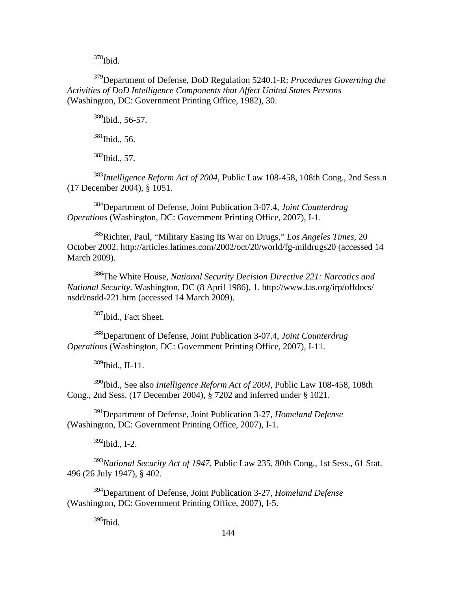$378$ Ibid.

379Department of Defense, DoD Regulation 5240.1-R: *Procedures Governing the Activities of DoD Intelligence Components that Affect United States Persons* (Washington, DC: Government Printing Office, 1982), 30.

 $380$ Ibid., 56-57.

 $381$  Ibid., 56.

382Ibid., 57.

<sup>383</sup>*Intelligence Reform Act of 2004*, Public Law 108-458, 108th Cong., 2nd Sess.n (17 December 2004), § 1051.

384Department of Defense, Joint Publication 3-07.4*, Joint Counterdrug Operations* (Washington, DC: Government Printing Office, 2007), I-1.

385Richter, Paul, "Military Easing Its War on Drugs," *Los Angeles Times*, 20 October 2002. http://articles.latimes.com/2002/oct/20/world/fg-mildrugs20 (accessed 14 March 2009).

386The White House, *National Security Decision Directive 221: Narcotics and National Security*. Washington, DC (8 April 1986), 1. http://www.fas.org/irp/offdocs/ nsdd/nsdd-221.htm (accessed 14 March 2009).

<sup>387</sup>Ibid., Fact Sheet.

388Department of Defense, Joint Publication 3-07.4, *Joint Counterdrug Operations* (Washington, DC: Government Printing Office, 2007), I-11.

 $389$ Ibid., II-11.

390Ibid., See also *Intelligence Reform Act of 2004*, Public Law 108-458, 108th Cong., 2nd Sess. (17 December 2004), § 7202 and inferred under § 1021.

391Department of Defense, Joint Publication 3-27, *Homeland Defense* (Washington, DC: Government Printing Office, 2007), I-1.

 $392$ Ibid., I-2.

<sup>393</sup>*National Security Act of 1947*, Public Law 235, 80th Cong., 1st Sess., 61 Stat. 496 (26 July 1947), § 402.

394Department of Defense, Joint Publication 3-27, *Homeland Defense* (Washington, DC: Government Printing Office, 2007), I-5.

 $395$ Thid.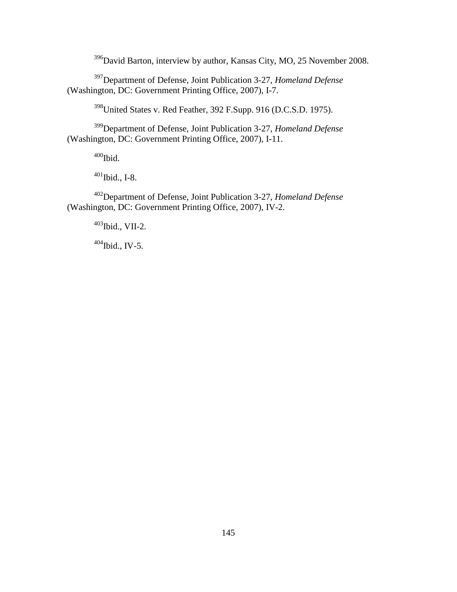<sup>396</sup>David Barton, interview by author, Kansas City, MO, 25 November 2008.

397Department of Defense, Joint Publication 3-27, *Homeland Defense* (Washington, DC: Government Printing Office, 2007), I-7.

398United States v. Red Feather, 392 F.Supp. 916 (D.C.S.D. 1975).

399Department of Defense, Joint Publication 3-27, *Homeland Defense* (Washington, DC: Government Printing Office, 2007), I-11.

 $^{400}$ Ibid.

 $401$ Ibid., I-8.

402Department of Defense, Joint Publication 3-27, *Homeland Defense* (Washington, DC: Government Printing Office, 2007), IV-2.

 $403$ Ibid., VII-2.

 $404$ Ibid., IV-5.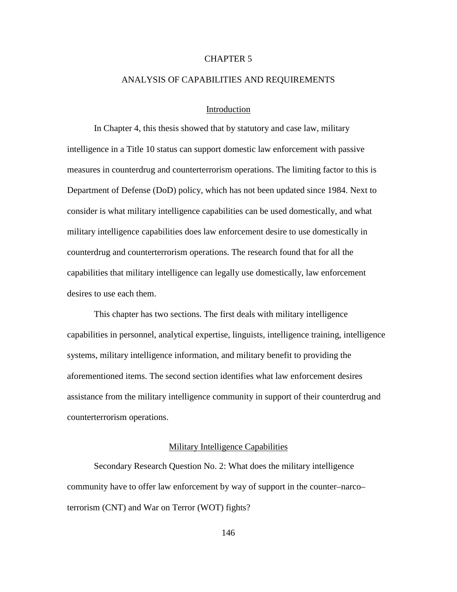# CHAPTER 5

# ANALYSIS OF CAPABILITIES AND REQUIREMENTS

# Introduction

In Chapter 4, this thesis showed that by statutory and case law, military intelligence in a Title 10 status can support domestic law enforcement with passive measures in counterdrug and counterterrorism operations. The limiting factor to this is Department of Defense (DoD) policy, which has not been updated since 1984. Next to consider is what military intelligence capabilities can be used domestically, and what military intelligence capabilities does law enforcement desire to use domestically in counterdrug and counterterrorism operations. The research found that for all the capabilities that military intelligence can legally use domestically, law enforcement desires to use each them.

This chapter has two sections. The first deals with military intelligence capabilities in personnel, analytical expertise, linguists, intelligence training, intelligence systems, military intelligence information, and military benefit to providing the aforementioned items. The second section identifies what law enforcement desires assistance from the military intelligence community in support of their counterdrug and counterterrorism operations.

## Military Intelligence Capabilities

Secondary Research Question No. 2: What does the military intelligence community have to offer law enforcement by way of support in the counter–narco– terrorism (CNT) and War on Terror (WOT) fights?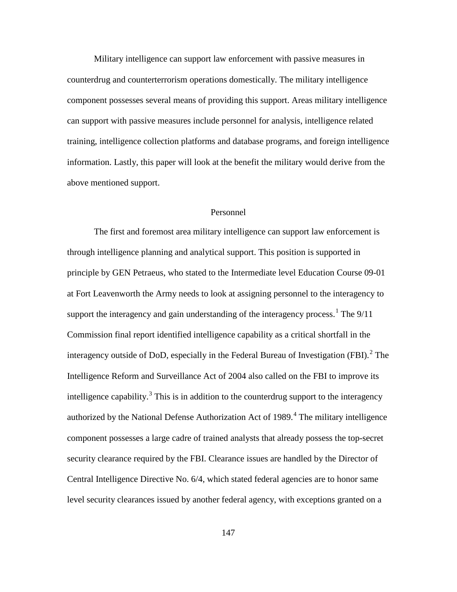Military intelligence can support law enforcement with passive measures in counterdrug and counterterrorism operations domestically. The military intelligence component possesses several means of providing this support. Areas military intelligence can support with passive measures include personnel for analysis, intelligence related training, intelligence collection platforms and database programs, and foreign intelligence information. Lastly, this paper will look at the benefit the military would derive from the above mentioned support.

### Personnel

The first and foremost area military intelligence can support law enforcement is through intelligence planning and analytical support. This position is supported in principle by GEN Petraeus, who stated to the Intermediate level Education Course 09-01 at Fort Leavenworth the Army needs to look at assigning personnel to the interagency to support the interagency and gain understanding of the interagency process.<sup>[1](#page-198-0)</sup> The  $9/11$ Commission final report identified intelligence capability as a critical shortfall in the interagency outside of DoD, especially in the Federal Bureau of Investigation (FBI). $^{2}$  $^{2}$  $^{2}$  The Intelligence Reform and Surveillance Act of 2004 also called on the FBI to improve its intelligence capability.<sup>[3](#page-198-2)</sup> This is in addition to the counterdrug support to the interagency authorized by the National Defense Authorization Act of 1989. [4](#page-198-3) The military intelligence component possesses a large cadre of trained analysts that already possess the top-secret security clearance required by the FBI. Clearance issues are handled by the Director of Central Intelligence Directive No. 6/4, which stated federal agencies are to honor same level security clearances issued by another federal agency, with exceptions granted on a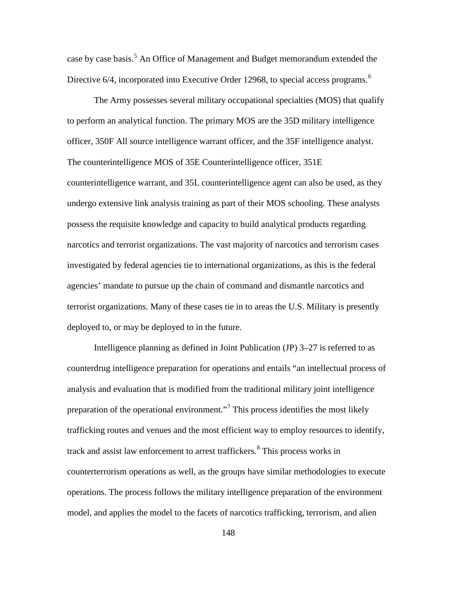case by case basis. [5](#page-198-4) An Office of Management and Budget memorandum extended the Directive [6](#page-198-5)/4, incorporated into Executive Order 12968, to special access programs.<sup>6</sup>

The Army possesses several military occupational specialties (MOS) that qualify to perform an analytical function. The primary MOS are the 35D military intelligence officer, 350F All source intelligence warrant officer, and the 35F intelligence analyst. The counterintelligence MOS of 35E Counterintelligence officer, 351E counterintelligence warrant, and 35L counterintelligence agent can also be used, as they undergo extensive link analysis training as part of their MOS schooling. These analysts possess the requisite knowledge and capacity to build analytical products regarding narcotics and terrorist organizations. The vast majority of narcotics and terrorism cases investigated by federal agencies tie to international organizations, as this is the federal agencies' mandate to pursue up the chain of command and dismantle narcotics and terrorist organizations. Many of these cases tie in to areas the U.S. Military is presently deployed to, or may be deployed to in the future.

Intelligence planning as defined in Joint Publication (JP) 3–27 is referred to as counterdrug intelligence preparation for operations and entails "an intellectual process of analysis and evaluation that is modified from the traditional military joint intelligence preparation of the operational environment. $\frac{1}{10}$  This process identifies the most likely trafficking routes and venues and the most efficient way to employ resources to identify, track and assist law enforcement to arrest traffickers. [8](#page-198-7) This process works in counterterrorism operations as well, as the groups have similar methodologies to execute operations. The process follows the military intelligence preparation of the environment model, and applies the model to the facets of narcotics trafficking, terrorism, and alien

148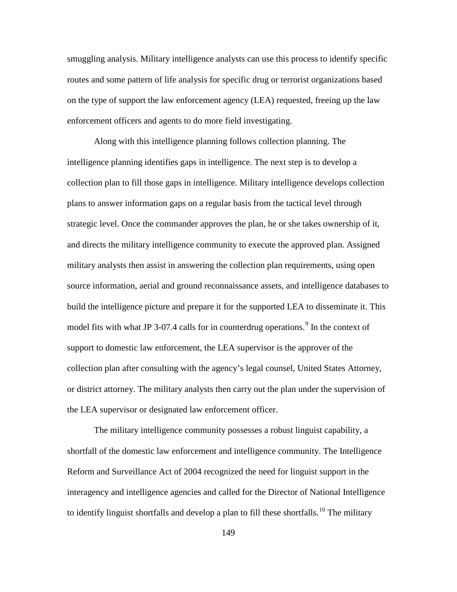smuggling analysis. Military intelligence analysts can use this process to identify specific routes and some pattern of life analysis for specific drug or terrorist organizations based on the type of support the law enforcement agency (LEA) requested, freeing up the law enforcement officers and agents to do more field investigating.

Along with this intelligence planning follows collection planning. The intelligence planning identifies gaps in intelligence. The next step is to develop a collection plan to fill those gaps in intelligence. Military intelligence develops collection plans to answer information gaps on a regular basis from the tactical level through strategic level. Once the commander approves the plan, he or she takes ownership of it, and directs the military intelligence community to execute the approved plan. Assigned military analysts then assist in answering the collection plan requirements, using open source information, aerial and ground reconnaissance assets, and intelligence databases to build the intelligence picture and prepare it for the supported LEA to disseminate it. This model fits with what JP 3-07.4 calls for in counterdrug operations.<sup>[9](#page-198-8)</sup> In the context of support to domestic law enforcement, the LEA supervisor is the approver of the collection plan after consulting with the agency's legal counsel, United States Attorney, or district attorney. The military analysts then carry out the plan under the supervision of the LEA supervisor or designated law enforcement officer.

The military intelligence community possesses a robust linguist capability, a shortfall of the domestic law enforcement and intelligence community. The Intelligence Reform and Surveillance Act of 2004 recognized the need for linguist support in the interagency and intelligence agencies and called for the Director of National Intelligence to identify linguist shortfalls and develop a plan to fill these shortfalls.<sup>[10](#page-198-9)</sup> The military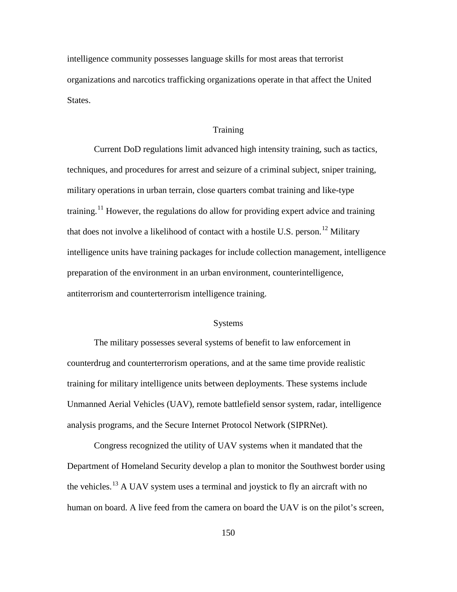intelligence community possesses language skills for most areas that terrorist organizations and narcotics trafficking organizations operate in that affect the United States.

# **Training**

Current DoD regulations limit advanced high intensity training, such as tactics, techniques, and procedures for arrest and seizure of a criminal subject, sniper training, military operations in urban terrain, close quarters combat training and like-type training.<sup>[11](#page-198-10)</sup> However, the regulations do allow for providing expert advice and training that does not involve a likelihood of contact with a hostile U.S. person.<sup>[12](#page-198-11)</sup> Military intelligence units have training packages for include collection management, intelligence preparation of the environment in an urban environment, counterintelligence, antiterrorism and counterterrorism intelligence training.

#### Systems

The military possesses several systems of benefit to law enforcement in counterdrug and counterterrorism operations, and at the same time provide realistic training for military intelligence units between deployments. These systems include Unmanned Aerial Vehicles (UAV), remote battlefield sensor system, radar, intelligence analysis programs, and the Secure Internet Protocol Network (SIPRNet).

Congress recognized the utility of UAV systems when it mandated that the Department of Homeland Security develop a plan to monitor the Southwest border using the vehicles.<sup>[13](#page-198-12)</sup> A UAV system uses a terminal and joystick to fly an aircraft with no human on board. A live feed from the camera on board the UAV is on the pilot's screen,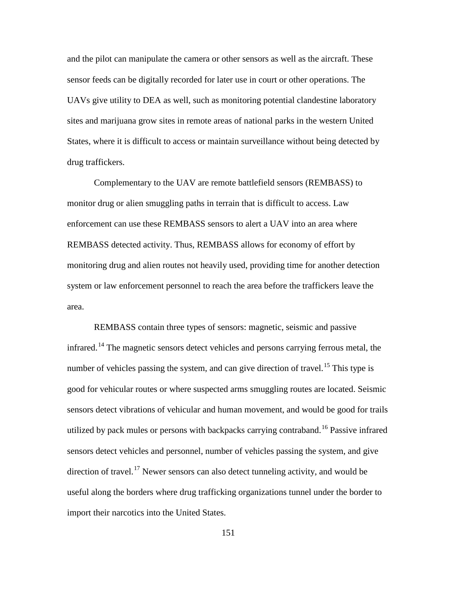and the pilot can manipulate the camera or other sensors as well as the aircraft. These sensor feeds can be digitally recorded for later use in court or other operations. The UAVs give utility to DEA as well, such as monitoring potential clandestine laboratory sites and marijuana grow sites in remote areas of national parks in the western United States, where it is difficult to access or maintain surveillance without being detected by drug traffickers.

Complementary to the UAV are remote battlefield sensors (REMBASS) to monitor drug or alien smuggling paths in terrain that is difficult to access. Law enforcement can use these REMBASS sensors to alert a UAV into an area where REMBASS detected activity. Thus, REMBASS allows for economy of effort by monitoring drug and alien routes not heavily used, providing time for another detection system or law enforcement personnel to reach the area before the traffickers leave the area.

REMBASS contain three types of sensors: magnetic, seismic and passive infrared.<sup>[14](#page-198-13)</sup> The magnetic sensors detect vehicles and persons carrying ferrous metal, the number of vehicles passing the system, and can give direction of travel.<sup>[15](#page-198-14)</sup> This type is good for vehicular routes or where suspected arms smuggling routes are located. Seismic sensors detect vibrations of vehicular and human movement, and would be good for trails utilized by pack mules or persons with backpacks carrying contraband.<sup>[16](#page-198-15)</sup> Passive infrared sensors detect vehicles and personnel, number of vehicles passing the system, and give direction of travel.<sup>[17](#page-198-16)</sup> Newer sensors can also detect tunneling activity, and would be useful along the borders where drug trafficking organizations tunnel under the border to import their narcotics into the United States.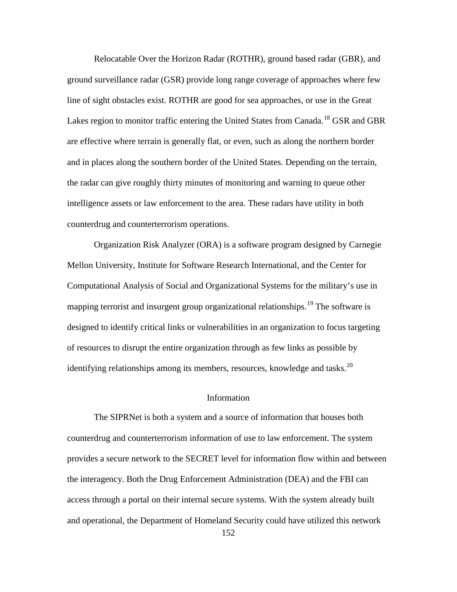Relocatable Over the Horizon Radar (ROTHR), ground based radar (GBR), and ground surveillance radar (GSR) provide long range coverage of approaches where few line of sight obstacles exist. ROTHR are good for sea approaches, or use in the Great Lakes region to monitor traffic entering the United States from Canada.<sup>[18](#page-198-17)</sup> GSR and GBR are effective where terrain is generally flat, or even, such as along the northern border and in places along the southern border of the United States. Depending on the terrain, the radar can give roughly thirty minutes of monitoring and warning to queue other intelligence assets or law enforcement to the area. These radars have utility in both counterdrug and counterterrorism operations.

Organization Risk Analyzer (ORA) is a software program designed by Carnegie Mellon University, Institute for Software Research International, and the Center for Computational Analysis of Social and Organizational Systems for the military's use in mapping terrorist and insurgent group organizational relationships.<sup>[19](#page-198-18)</sup> The software is designed to identify critical links or vulnerabilities in an organization to focus targeting of resources to disrupt the entire organization through as few links as possible by identifying relationships among its members, resources, knowledge and tasks.<sup>[20](#page-198-19)</sup>

# Information

The SIPRNet is both a system and a source of information that houses both counterdrug and counterterrorism information of use to law enforcement. The system provides a secure network to the SECRET level for information flow within and between the interagency. Both the Drug Enforcement Administration (DEA) and the FBI can access through a portal on their internal secure systems. With the system already built and operational, the Department of Homeland Security could have utilized this network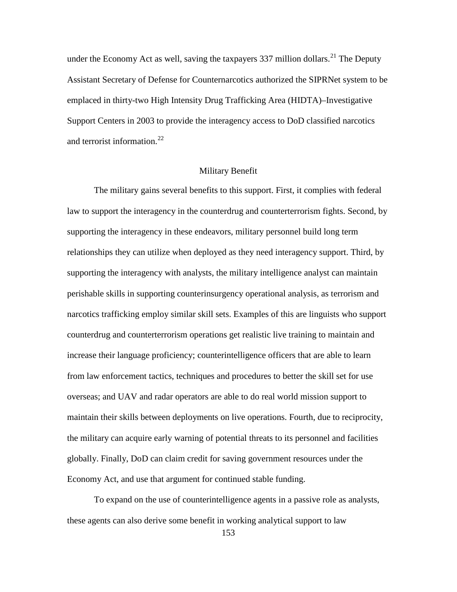under the Economy Act as well, saving the taxpayers 337 million dollars.<sup>[21](#page-198-20)</sup> The Deputy Assistant Secretary of Defense for Counternarcotics authorized the SIPRNet system to be emplaced in thirty-two High Intensity Drug Trafficking Area (HIDTA)–Investigative Support Centers in 2003 to provide the interagency access to DoD classified narcotics and terrorist information.<sup>[22](#page-198-21)</sup>

### Military Benefit

The military gains several benefits to this support. First, it complies with federal law to support the interagency in the counterdrug and counterterrorism fights. Second, by supporting the interagency in these endeavors, military personnel build long term relationships they can utilize when deployed as they need interagency support. Third, by supporting the interagency with analysts, the military intelligence analyst can maintain perishable skills in supporting counterinsurgency operational analysis, as terrorism and narcotics trafficking employ similar skill sets. Examples of this are linguists who support counterdrug and counterterrorism operations get realistic live training to maintain and increase their language proficiency; counterintelligence officers that are able to learn from law enforcement tactics, techniques and procedures to better the skill set for use overseas; and UAV and radar operators are able to do real world mission support to maintain their skills between deployments on live operations. Fourth, due to reciprocity, the military can acquire early warning of potential threats to its personnel and facilities globally. Finally, DoD can claim credit for saving government resources under the Economy Act, and use that argument for continued stable funding.

To expand on the use of counterintelligence agents in a passive role as analysts, these agents can also derive some benefit in working analytical support to law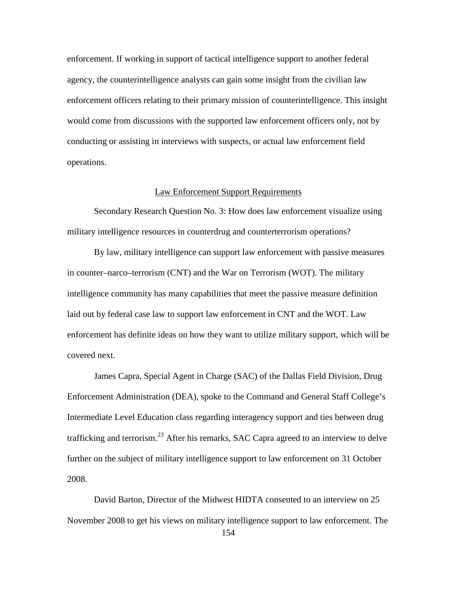enforcement. If working in support of tactical intelligence support to another federal agency, the counterintelligence analysts can gain some insight from the civilian law enforcement officers relating to their primary mission of counterintelligence. This insight would come from discussions with the supported law enforcement officers only, not by conducting or assisting in interviews with suspects, or actual law enforcement field operations.

# Law Enforcement Support Requirements

Secondary Research Question No. 3: How does law enforcement visualize using military intelligence resources in counterdrug and counterterrorism operations?

By law, military intelligence can support law enforcement with passive measures in counter–narco–terrorism (CNT) and the War on Terrorism (WOT). The military intelligence community has many capabilities that meet the passive measure definition laid out by federal case law to support law enforcement in CNT and the WOT. Law enforcement has definite ideas on how they want to utilize military support, which will be covered next.

James Capra, Special Agent in Charge (SAC) of the Dallas Field Division, Drug Enforcement Administration (DEA), spoke to the Command and General Staff College's Intermediate Level Education class regarding interagency support and ties between drug trafficking and terrorism.<sup>[23](#page-198-22)</sup> After his remarks, SAC Capra agreed to an interview to delve further on the subject of military intelligence support to law enforcement on 31 October 2008.

David Barton, Director of the Midwest HIDTA consented to an interview on 25 November 2008 to get his views on military intelligence support to law enforcement. The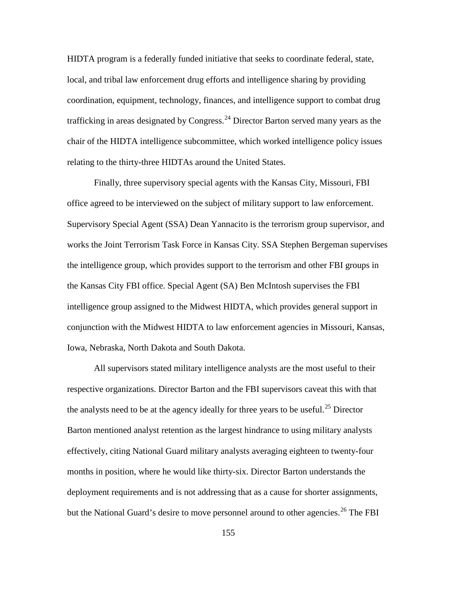HIDTA program is a federally funded initiative that seeks to coordinate federal, state, local, and tribal law enforcement drug efforts and intelligence sharing by providing coordination, equipment, technology, finances, and intelligence support to combat drug trafficking in areas designated by Congress.<sup>[24](#page-198-23)</sup> Director Barton served many years as the chair of the HIDTA intelligence subcommittee, which worked intelligence policy issues relating to the thirty-three HIDTAs around the United States.

Finally, three supervisory special agents with the Kansas City, Missouri, FBI office agreed to be interviewed on the subject of military support to law enforcement. Supervisory Special Agent (SSA) Dean Yannacito is the terrorism group supervisor, and works the Joint Terrorism Task Force in Kansas City. SSA Stephen Bergeman supervises the intelligence group, which provides support to the terrorism and other FBI groups in the Kansas City FBI office. Special Agent (SA) Ben McIntosh supervises the FBI intelligence group assigned to the Midwest HIDTA, which provides general support in conjunction with the Midwest HIDTA to law enforcement agencies in Missouri, Kansas, Iowa, Nebraska, North Dakota and South Dakota.

All supervisors stated military intelligence analysts are the most useful to their respective organizations. Director Barton and the FBI supervisors caveat this with that the analysts need to be at the agency ideally for three years to be useful.<sup>[25](#page-198-9)</sup> Director Barton mentioned analyst retention as the largest hindrance to using military analysts effectively, citing National Guard military analysts averaging eighteen to twenty-four months in position, where he would like thirty-six. Director Barton understands the deployment requirements and is not addressing that as a cause for shorter assignments, but the National Guard's desire to move personnel around to other agencies.<sup>[26](#page-198-24)</sup> The FBI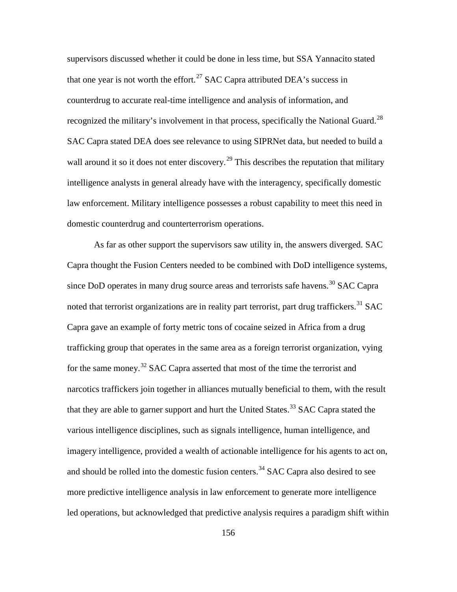supervisors discussed whether it could be done in less time, but SSA Yannacito stated that one year is not worth the effort.<sup>[27](#page-198-11)</sup> SAC Capra attributed DEA's success in counterdrug to accurate real-time intelligence and analysis of information, and recognized the military's involvement in that process, specifically the National Guard.<sup>[28](#page-198-25)</sup> SAC Capra stated DEA does see relevance to using SIPRNet data, but needed to build a wall around it so it does not enter discovery.<sup>[29](#page-198-13)</sup> This describes the reputation that military intelligence analysts in general already have with the interagency, specifically domestic law enforcement. Military intelligence possesses a robust capability to meet this need in domestic counterdrug and counterterrorism operations.

As far as other support the supervisors saw utility in, the answers diverged. SAC Capra thought the Fusion Centers needed to be combined with DoD intelligence systems, since DoD operates in many drug source areas and terrorists safe havens.<sup>[30](#page-198-26)</sup> SAC Capra noted that terrorist organizations are in reality part terrorist, part drug traffickers.<sup>[31](#page-198-27)</sup> SAC Capra gave an example of forty metric tons of cocaine seized in Africa from a drug trafficking group that operates in the same area as a foreign terrorist organization, vying for the same money.<sup>[32](#page-198-28)</sup> SAC Capra asserted that most of the time the terrorist and narcotics traffickers join together in alliances mutually beneficial to them, with the result that they are able to garner support and hurt the United States.<sup>[33](#page-198-29)</sup> SAC Capra stated the various intelligence disciplines, such as signals intelligence, human intelligence, and imagery intelligence, provided a wealth of actionable intelligence for his agents to act on, and should be rolled into the domestic fusion centers.<sup>[34](#page-198-30)</sup> SAC Capra also desired to see more predictive intelligence analysis in law enforcement to generate more intelligence led operations, but acknowledged that predictive analysis requires a paradigm shift within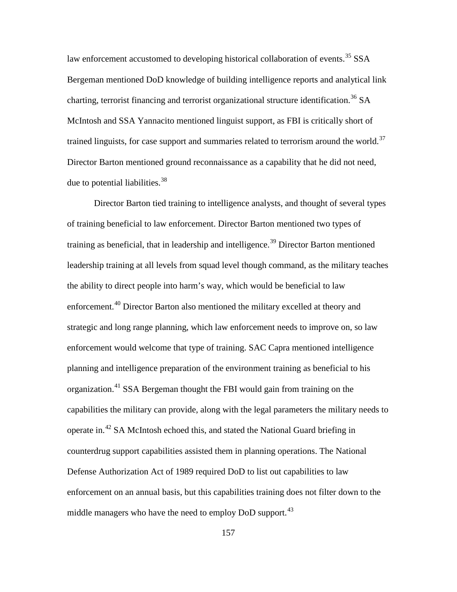law enforcement accustomed to developing historical collaboration of events.<sup>[35](#page-198-31)</sup> SSA Bergeman mentioned DoD knowledge of building intelligence reports and analytical link charting, terrorist financing and terrorist organizational structure identification. [36](#page-198-32) SA McIntosh and SSA Yannacito mentioned linguist support, as FBI is critically short of trained linguists, for case support and summaries related to terrorism around the world.<sup>[37](#page-198-33)</sup> Director Barton mentioned ground reconnaissance as a capability that he did not need, due to potential liabilities.<sup>[38](#page-198-22)</sup>

Director Barton tied training to intelligence analysts, and thought of several types of training beneficial to law enforcement. Director Barton mentioned two types of training as beneficial, that in leadership and intelligence.<sup>[39](#page-198-34)</sup> Director Barton mentioned leadership training at all levels from squad level though command, as the military teaches the ability to direct people into harm's way, which would be beneficial to law enforcement.<sup>[40](#page-198-35)</sup> Director Barton also mentioned the military excelled at theory and strategic and long range planning, which law enforcement needs to improve on, so law enforcement would welcome that type of training. SAC Capra mentioned intelligence planning and intelligence preparation of the environment training as beneficial to his organization. [41](#page-198-9) SSA Bergeman thought the FBI would gain from training on the capabilities the military can provide, along with the legal parameters the military needs to operate in.<sup>[42](#page-198-10)</sup> SA McIntosh echoed this, and stated the National Guard briefing in counterdrug support capabilities assisted them in planning operations. The National Defense Authorization Act of 1989 required DoD to list out capabilities to law enforcement on an annual basis, but this capabilities training does not filter down to the middle managers who have the need to employ DoD support.<sup>[43](#page-198-11)</sup>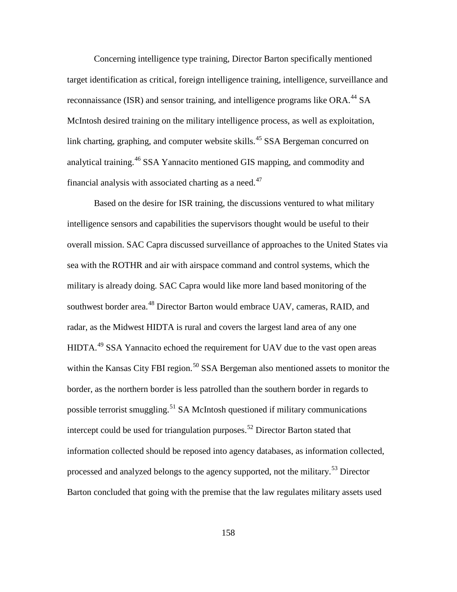Concerning intelligence type training, Director Barton specifically mentioned target identification as critical, foreign intelligence training, intelligence, surveillance and reconnaissance (ISR) and sensor training, and intelligence programs like ORA.<sup>[44](#page-198-25)</sup> SA McIntosh desired training on the military intelligence process, as well as exploitation, link charting, graphing, and computer website skills.<sup>[45](#page-198-36)</sup> SSA Bergeman concurred on analytical training. [46](#page-198-37) SSA Yannacito mentioned GIS mapping, and commodity and financial analysis with associated charting as a need.<sup>[47](#page-198-38)</sup>

Based on the desire for ISR training, the discussions ventured to what military intelligence sensors and capabilities the supervisors thought would be useful to their overall mission. SAC Capra discussed surveillance of approaches to the United States via sea with the ROTHR and air with airspace command and control systems, which the military is already doing. SAC Capra would like more land based monitoring of the southwest border area.<sup>[48](#page-198-39)</sup> Director Barton would embrace UAV, cameras, RAID, and radar, as the Midwest HIDTA is rural and covers the largest land area of any one  $HIDTA<sup>49</sup> SSA Yannacito echced the requirement for UAV due to the vast open areas$  $HIDTA<sup>49</sup> SSA Yannacito echced the requirement for UAV due to the vast open areas$  $HIDTA<sup>49</sup> SSA Yannacito echced the requirement for UAV due to the vast open areas$ within the Kansas City FBI region.<sup>[50](#page-198-41)</sup> SSA Bergeman also mentioned assets to monitor the border, as the northern border is less patrolled than the southern border in regards to possible terrorist smuggling.<sup>[51](#page-198-42)</sup> SA McIntosh questioned if military communications intercept could be used for triangulation purposes.<sup>[52](#page-198-43)</sup> Director Barton stated that information collected should be reposed into agency databases, as information collected, processed and analyzed belongs to the agency supported, not the military.<sup>[53](#page-198-44)</sup> Director Barton concluded that going with the premise that the law regulates military assets used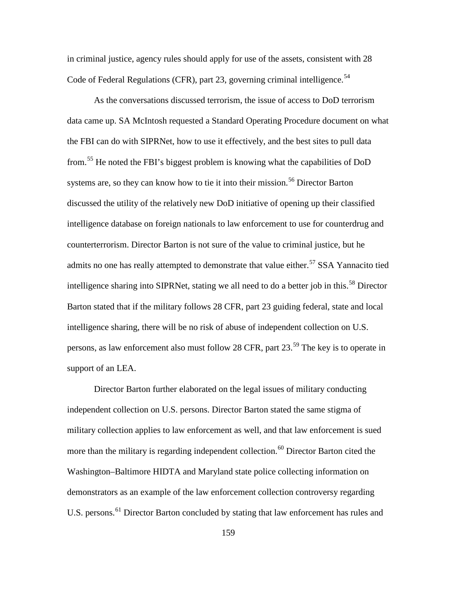in criminal justice, agency rules should apply for use of the assets, consistent with 28 Code of Federal Regulations (CFR), part 23, governing criminal intelligence.<sup>[54](#page-198-45)</sup>

As the conversations discussed terrorism, the issue of access to DoD terrorism data came up. SA McIntosh requested a Standard Operating Procedure document on what the FBI can do with SIPRNet, how to use it effectively, and the best sites to pull data from.<sup>[55](#page-198-46)</sup> He noted the FBI's biggest problem is knowing what the capabilities of DoD systems are, so they can know how to tie it into their mission. [56](#page-198-47) Director Barton discussed the utility of the relatively new DoD initiative of opening up their classified intelligence database on foreign nationals to law enforcement to use for counterdrug and counterterrorism. Director Barton is not sure of the value to criminal justice, but he admits no one has really attempted to demonstrate that value either.<sup>[57](#page-198-48)</sup> SSA Yannacito tied intelligence sharing into SIPRNet, stating we all need to do a better job in this. [58](#page-198-49) Director Barton stated that if the military follows 28 CFR, part 23 guiding federal, state and local intelligence sharing, there will be no risk of abuse of independent collection on U.S. persons, as law enforcement also must follow 28 CFR, part 23.<sup>[59](#page-198-50)</sup> The key is to operate in support of an LEA.

Director Barton further elaborated on the legal issues of military conducting independent collection on U.S. persons. Director Barton stated the same stigma of military collection applies to law enforcement as well, and that law enforcement is sued more than the military is regarding independent collection.<sup>[60](#page-198-51)</sup> Director Barton cited the Washington–Baltimore HIDTA and Maryland state police collecting information on demonstrators as an example of the law enforcement collection controversy regarding U.S. persons.<sup>[61](#page-198-9)</sup> Director Barton concluded by stating that law enforcement has rules and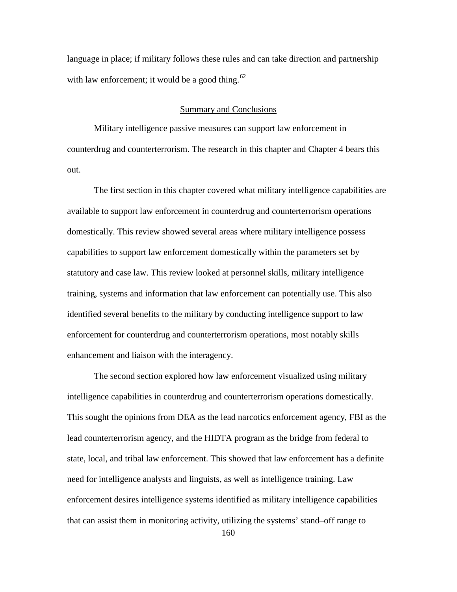language in place; if military follows these rules and can take direction and partnership with law enforcement; it would be a good thing.<sup>[62](#page-198-52)</sup>

# Summary and Conclusions

Military intelligence passive measures can support law enforcement in counterdrug and counterterrorism. The research in this chapter and Chapter 4 bears this out.

The first section in this chapter covered what military intelligence capabilities are available to support law enforcement in counterdrug and counterterrorism operations domestically. This review showed several areas where military intelligence possess capabilities to support law enforcement domestically within the parameters set by statutory and case law. This review looked at personnel skills, military intelligence training, systems and information that law enforcement can potentially use. This also identified several benefits to the military by conducting intelligence support to law enforcement for counterdrug and counterterrorism operations, most notably skills enhancement and liaison with the interagency.

The second section explored how law enforcement visualized using military intelligence capabilities in counterdrug and counterterrorism operations domestically. This sought the opinions from DEA as the lead narcotics enforcement agency, FBI as the lead counterterrorism agency, and the HIDTA program as the bridge from federal to state, local, and tribal law enforcement. This showed that law enforcement has a definite need for intelligence analysts and linguists, as well as intelligence training. Law enforcement desires intelligence systems identified as military intelligence capabilities that can assist them in monitoring activity, utilizing the systems' stand–off range to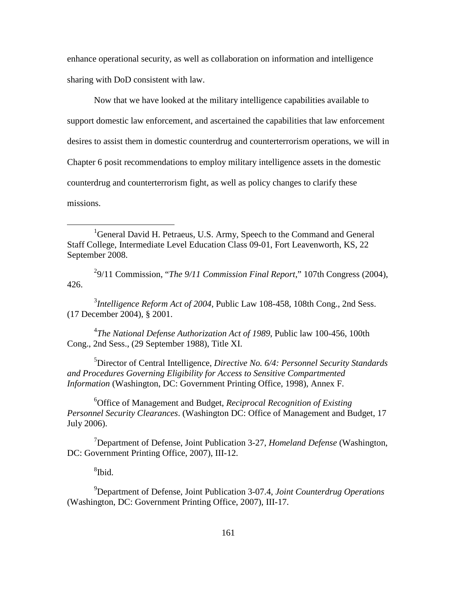enhance operational security, as well as collaboration on information and intelligence sharing with DoD consistent with law.

Now that we have looked at the military intelligence capabilities available to support domestic law enforcement, and ascertained the capabilities that law enforcement desires to assist them in domestic counterdrug and counterterrorism operations, we will in Chapter 6 posit recommendations to employ military intelligence assets in the domestic counterdrug and counterterrorism fight, as well as policy changes to clarify these missions.

2 9/11 Commission, "*The 9/11 Commission Final Report*," 107th Congress (2004), 426.

3 *Intelligence Reform Act of 2004*, Public Law 108-458, 108th Cong., 2nd Sess. (17 December 2004), § 2001.

4 *The National Defense Authorization Act of 1989*, Public law 100-456, 100th Cong., 2nd Sess., (29 September 1988), Title XI.

5 Director of Central Intelligence, *Directive No. 6/4: Personnel Security Standards and Procedures Governing Eligibility for Access to Sensitive Compartmented Information* (Washington, DC: Government Printing Office, 1998), Annex F.

6 Office of Management and Budget, *Reciprocal Recognition of Existing Personnel Security Clearances*. (Washington DC: Office of Management and Budget, 17 July 2006).

7 Department of Defense, Joint Publication 3-27, *Homeland Defense* (Washington, DC: Government Printing Office, 2007), III-12.

8 Ibid.

9 Department of Defense, Joint Publication 3-07.4, *Joint Counterdrug Operations* (Washington, DC: Government Printing Office, 2007), III-17.

<sup>&</sup>lt;u>1</u> <sup>1</sup>General David H. Petraeus, U.S. Army, Speech to the Command and General Staff College, Intermediate Level Education Class 09-01, Fort Leavenworth, KS, 22 September 2008.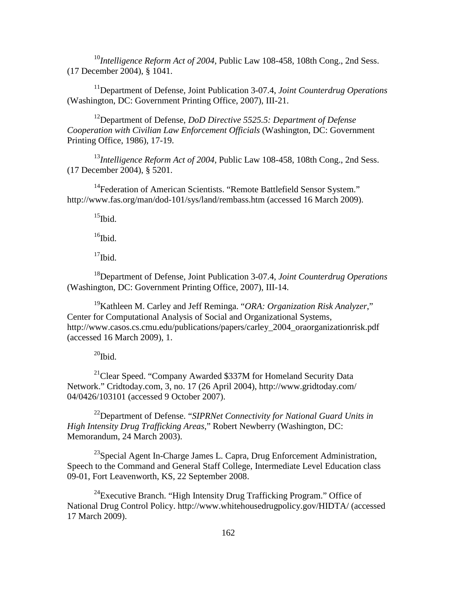<sup>10</sup>*Intelligence Reform Act of 2004*, Public Law 108-458, 108th Cong., 2nd Sess. (17 December 2004), § 1041.

<sup>11</sup>Department of Defense, Joint Publication 3-07.4, *Joint Counterdrug Operations* (Washington, DC: Government Printing Office, 2007), III-21.

12Department of Defense, *DoD Directive 5525.5: Department of Defense Cooperation with Civilian Law Enforcement Officials* (Washington, DC: Government Printing Office, 1986), 17-19.

<sup>13</sup>*Intelligence Reform Act of 2004*, Public Law 108-458, 108th Cong., 2nd Sess. (17 December 2004), § 5201.

<sup>14</sup>Federation of American Scientists. "Remote Battlefield Sensor System." http://www.fas.org/man/dod-101/sys/land/rembass.htm (accessed 16 March 2009).

 $15$ Ibid.

 $16$ Ibid.

 $17$ Ibid.

18Department of Defense, Joint Publication 3-07.4, *Joint Counterdrug Operations* (Washington, DC: Government Printing Office, 2007), III-14.

19Kathleen M. Carley and Jeff Reminga. "*ORA: Organization Risk Analyzer*," Center for Computational Analysis of Social and Organizational Systems, http://www.casos.cs.cmu.edu/publications/papers/carley\_2004\_oraorganizationrisk.pdf (accessed 16 March 2009), 1.

 $^{20}$ Ibid.

<sup>21</sup>Clear Speed. "Company Awarded \$337M for Homeland Security Data Network." Cridtoday.com, 3, no. 17 (26 April 2004), http://www.gridtoday.com/ 04/0426/103101 (accessed 9 October 2007).

22Department of Defense. "*SIPRNet Connectivity for National Guard Units in High Intensity Drug Trafficking Areas*," Robert Newberry (Washington, DC: Memorandum, 24 March 2003).

 $^{23}$ Special Agent In-Charge James L. Capra, Drug Enforcement Administration, Speech to the Command and General Staff College, Intermediate Level Education class 09-01, Fort Leavenworth, KS, 22 September 2008.

<sup>24</sup>Executive Branch. "High Intensity Drug Trafficking Program." Office of National Drug Control Policy. http://www.whitehousedrugpolicy.gov/HIDTA/ (accessed 17 March 2009).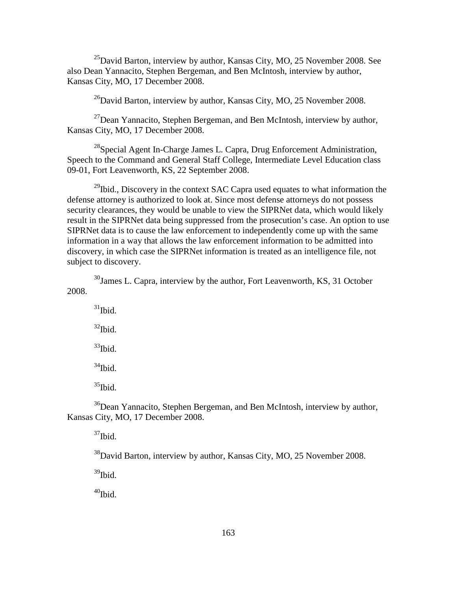$^{25}$ David Barton, interview by author, Kansas City, MO, 25 November 2008. See also Dean Yannacito, Stephen Bergeman, and Ben McIntosh, interview by author, Kansas City, MO, 17 December 2008.

<sup>26</sup>David Barton, interview by author, Kansas City, MO, 25 November 2008.

 $^{27}$ Dean Yannacito, Stephen Bergeman, and Ben McIntosh, interview by author, Kansas City, MO, 17 December 2008.

 $^{28}$ Special Agent In-Charge James L. Capra, Drug Enforcement Administration, Speech to the Command and General Staff College, Intermediate Level Education class 09-01, Fort Leavenworth, KS, 22 September 2008.

<sup>29</sup>Ibid., Discovery in the context SAC Capra used equates to what information the defense attorney is authorized to look at. Since most defense attorneys do not possess security clearances, they would be unable to view the SIPRNet data, which would likely result in the SIPRNet data being suppressed from the prosecution's case. An option to use SIPRNet data is to cause the law enforcement to independently come up with the same information in a way that allows the law enforcement information to be admitted into discovery, in which case the SIPRNet information is treated as an intelligence file, not subject to discovery.

 $30J$ ames L. Capra, interview by the author, Fort Leavenworth, KS, 31 October 2008.

 $31$ Ibid.

 $32$ Ibid.

 $33$ Ibid.

 $34$ Ibid.

 $35$ Ibid.

<sup>36</sup>Dean Yannacito, Stephen Bergeman, and Ben McIntosh, interview by author, Kansas City, MO, 17 December 2008.

 $37$ Ibid.

 $38$ David Barton, interview by author, Kansas City, MO, 25 November 2008.

39Ibid.

 $40$ Ibid.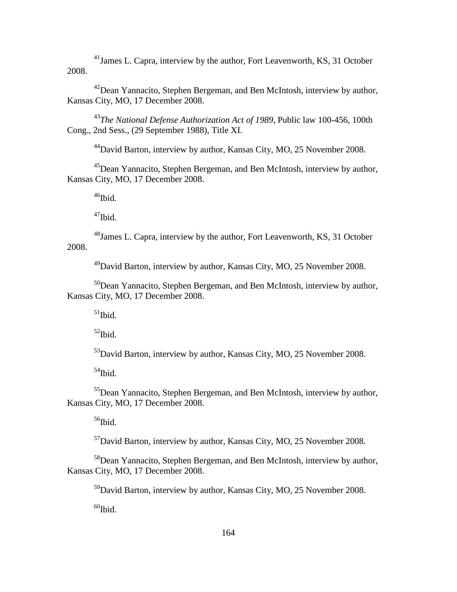<sup>41</sup> James L. Capra, interview by the author, Fort Leavenworth, KS, 31 October 2008.

42Dean Yannacito, Stephen Bergeman, and Ben McIntosh, interview by author, Kansas City, MO, 17 December 2008.

<sup>43</sup>*The National Defense Authorization Act of 1989*, Public law 100-456, 100th Cong., 2nd Sess., (29 September 1988), Title XI.

44David Barton, interview by author, Kansas City, MO, 25 November 2008.

45Dean Yannacito, Stephen Bergeman, and Ben McIntosh, interview by author, Kansas City, MO, 17 December 2008.

 $46$ Ibid.

 $47$ Ibid.

<sup>48</sup> James L. Capra, interview by the author, Fort Leavenworth, KS, 31 October 2008.

49David Barton, interview by author, Kansas City, MO, 25 November 2008.

<sup>50</sup>Dean Yannacito, Stephen Bergeman, and Ben McIntosh, interview by author, Kansas City, MO, 17 December 2008.

 $51$ Ibid.

 $52$ Ibid.

<sup>53</sup>David Barton, interview by author, Kansas City, MO, 25 November 2008.

 $54$ Ibid.

<sup>55</sup>Dean Yannacito, Stephen Bergeman, and Ben McIntosh, interview by author, Kansas City, MO, 17 December 2008.

<sup>56</sup>Ibid.

57David Barton, interview by author, Kansas City, MO, 25 November 2008.

<sup>58</sup>Dean Yannacito, Stephen Bergeman, and Ben McIntosh, interview by author, Kansas City, MO, 17 December 2008.

<sup>59</sup>David Barton, interview by author, Kansas City, MO, 25 November 2008.

 $60$ Ibid.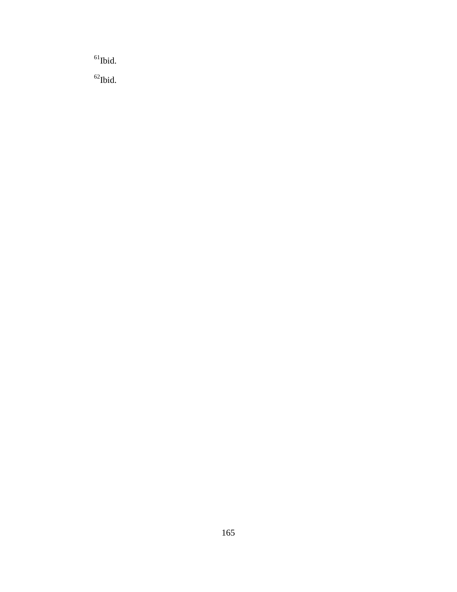Ibid.

Ibid.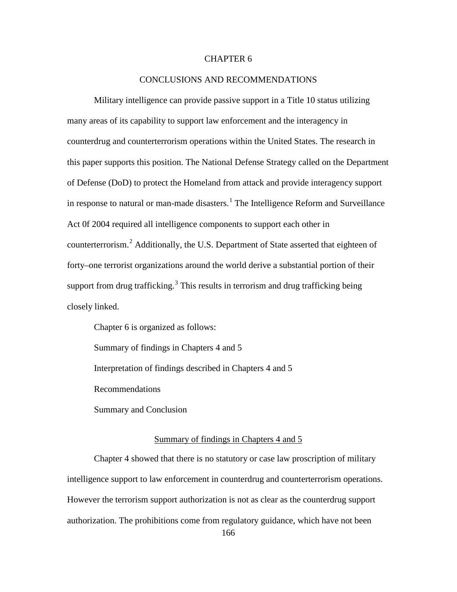# CHAPTER 6

# CONCLUSIONS AND RECOMMENDATIONS

Military intelligence can provide passive support in a Title 10 status utilizing many areas of its capability to support law enforcement and the interagency in counterdrug and counterterrorism operations within the United States. The research in this paper supports this position. The National Defense Strategy called on the Department of Defense (DoD) to protect the Homeland from attack and provide interagency support in response to natural or man-made disasters.<sup>[1](#page-198-53)</sup> The Intelligence Reform and Surveillance Act 0f 2004 required all intelligence components to support each other in counterterrorism.<sup>[2](#page-198-54)</sup> Additionally, the U.S. Department of State asserted that eighteen of forty–one terrorist organizations around the world derive a substantial portion of their support from drug trafficking.<sup>[3](#page-198-9)</sup> This results in terrorism and drug trafficking being closely linked.

Chapter 6 is organized as follows: Summary of findings in Chapters 4 and 5 Interpretation of findings described in Chapters 4 and 5 Recommendations Summary and Conclusion

# Summary of findings in Chapters 4 and 5

Chapter 4 showed that there is no statutory or case law proscription of military intelligence support to law enforcement in counterdrug and counterterrorism operations. However the terrorism support authorization is not as clear as the counterdrug support authorization. The prohibitions come from regulatory guidance, which have not been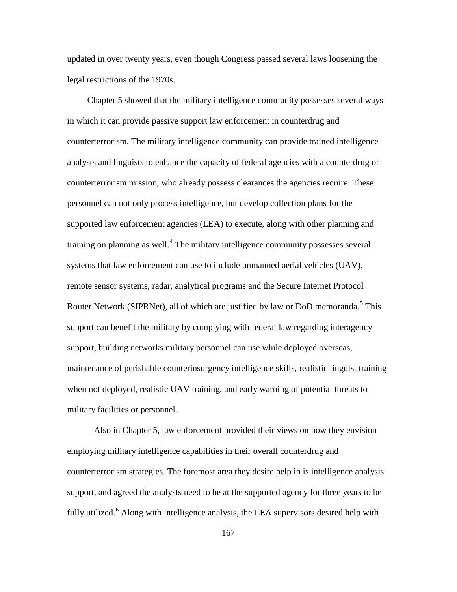updated in over twenty years, even though Congress passed several laws loosening the legal restrictions of the 1970s.

Chapter 5 showed that the military intelligence community possesses several ways in which it can provide passive support law enforcement in counterdrug and counterterrorism. The military intelligence community can provide trained intelligence analysts and linguists to enhance the capacity of federal agencies with a counterdrug or counterterrorism mission, who already possess clearances the agencies require. These personnel can not only process intelligence, but develop collection plans for the supported law enforcement agencies (LEA) to execute, along with other planning and training on planning as well.<sup>[4](#page-198-24)</sup> The military intelligence community possesses several systems that law enforcement can use to include unmanned aerial vehicles (UAV), remote sensor systems, radar, analytical programs and the Secure Internet Protocol Router Network (SIPRNet), all of which are justified by law or DoD memoranda.<sup>[5](#page-198-55)</sup> This support can benefit the military by complying with federal law regarding interagency support, building networks military personnel can use while deployed overseas, maintenance of perishable counterinsurgency intelligence skills, realistic linguist training when not deployed, realistic UAV training, and early warning of potential threats to military facilities or personnel.

Also in Chapter 5, law enforcement provided their views on how they envision employing military intelligence capabilities in their overall counterdrug and counterterrorism strategies. The foremost area they desire help in is intelligence analysis support, and agreed the analysts need to be at the supported agency for three years to be fully utilized.<sup>[6](#page-198-56)</sup> Along with intelligence analysis, the LEA supervisors desired help with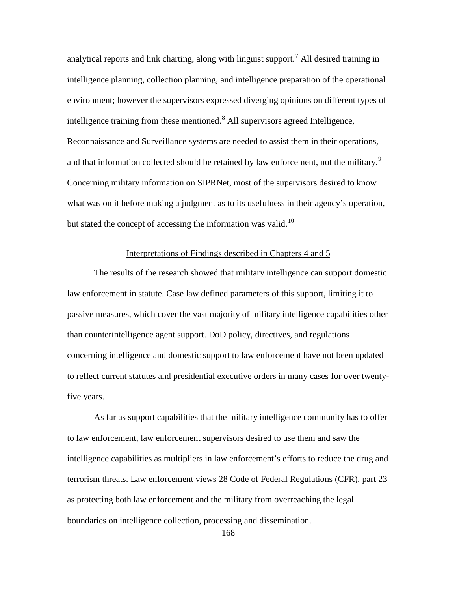analytical reports and link charting, along with linguist support.<sup>[7](#page-198-57)</sup> All desired training in intelligence planning, collection planning, and intelligence preparation of the operational environment; however the supervisors expressed diverging opinions on different types of intelligence training from these mentioned. [8](#page-198-58) All supervisors agreed Intelligence, Reconnaissance and Surveillance systems are needed to assist them in their operations, and that information collected should be retained by law enforcement, not the military.<sup>[9](#page-198-59)</sup> Concerning military information on SIPRNet, most of the supervisors desired to know what was on it before making a judgment as to its usefulness in their agency's operation, but stated the concept of accessing the information was valid.<sup>[10](#page-198-60)</sup>

### Interpretations of Findings described in Chapters 4 and 5

The results of the research showed that military intelligence can support domestic law enforcement in statute. Case law defined parameters of this support, limiting it to passive measures, which cover the vast majority of military intelligence capabilities other than counterintelligence agent support. DoD policy, directives, and regulations concerning intelligence and domestic support to law enforcement have not been updated to reflect current statutes and presidential executive orders in many cases for over twentyfive years.

As far as support capabilities that the military intelligence community has to offer to law enforcement, law enforcement supervisors desired to use them and saw the intelligence capabilities as multipliers in law enforcement's efforts to reduce the drug and terrorism threats. Law enforcement views 28 Code of Federal Regulations (CFR), part 23 as protecting both law enforcement and the military from overreaching the legal boundaries on intelligence collection, processing and dissemination.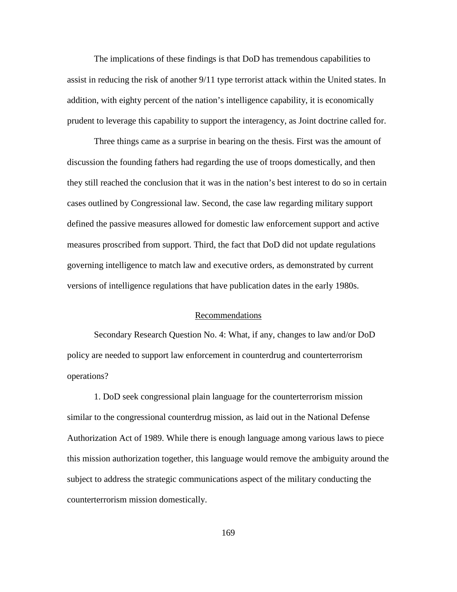The implications of these findings is that DoD has tremendous capabilities to assist in reducing the risk of another 9/11 type terrorist attack within the United states. In addition, with eighty percent of the nation's intelligence capability, it is economically prudent to leverage this capability to support the interagency, as Joint doctrine called for.

Three things came as a surprise in bearing on the thesis. First was the amount of discussion the founding fathers had regarding the use of troops domestically, and then they still reached the conclusion that it was in the nation's best interest to do so in certain cases outlined by Congressional law. Second, the case law regarding military support defined the passive measures allowed for domestic law enforcement support and active measures proscribed from support. Third, the fact that DoD did not update regulations governing intelligence to match law and executive orders, as demonstrated by current versions of intelligence regulations that have publication dates in the early 1980s.

#### Recommendations

Secondary Research Question No. 4: What, if any, changes to law and/or DoD policy are needed to support law enforcement in counterdrug and counterterrorism operations?

1. DoD seek congressional plain language for the counterterrorism mission similar to the congressional counterdrug mission, as laid out in the National Defense Authorization Act of 1989. While there is enough language among various laws to piece this mission authorization together, this language would remove the ambiguity around the subject to address the strategic communications aspect of the military conducting the counterterrorism mission domestically.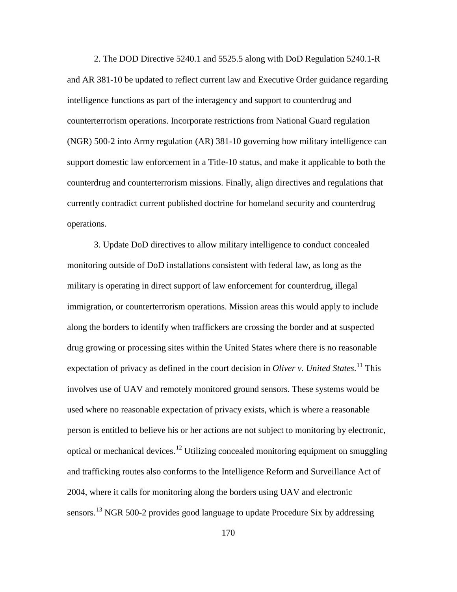2. The DOD Directive 5240.1 and 5525.5 along with DoD Regulation 5240.1-R and AR 381-10 be updated to reflect current law and Executive Order guidance regarding intelligence functions as part of the interagency and support to counterdrug and counterterrorism operations. Incorporate restrictions from National Guard regulation (NGR) 500-2 into Army regulation (AR) 381-10 governing how military intelligence can support domestic law enforcement in a Title-10 status, and make it applicable to both the counterdrug and counterterrorism missions. Finally, align directives and regulations that currently contradict current published doctrine for homeland security and counterdrug operations.

3. Update DoD directives to allow military intelligence to conduct concealed monitoring outside of DoD installations consistent with federal law, as long as the military is operating in direct support of law enforcement for counterdrug, illegal immigration, or counterterrorism operations. Mission areas this would apply to include along the borders to identify when traffickers are crossing the border and at suspected drug growing or processing sites within the United States where there is no reasonable expectation of privacy as defined in the court decision in *Oliver v. United States*.<sup>[11](#page-198-61)</sup> This involves use of UAV and remotely monitored ground sensors. These systems would be used where no reasonable expectation of privacy exists, which is where a reasonable person is entitled to believe his or her actions are not subject to monitoring by electronic, optical or mechanical devices.<sup>[12](#page-198-62)</sup> Utilizing concealed monitoring equipment on smuggling and trafficking routes also conforms to the Intelligence Reform and Surveillance Act of 2004, where it calls for monitoring along the borders using UAV and electronic sensors.<sup>[13](#page-198-63)</sup> NGR 500-2 provides good language to update Procedure Six by addressing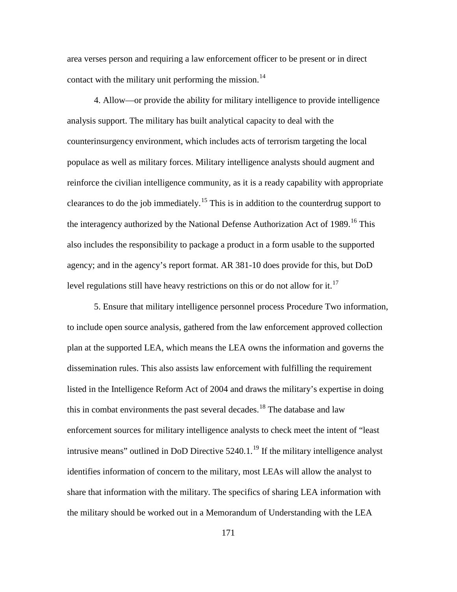area verses person and requiring a law enforcement officer to be present or in direct contact with the military unit performing the mission.<sup>[14](#page-198-64)</sup>

4. Allow––or provide the ability for military intelligence to provide intelligence analysis support. The military has built analytical capacity to deal with the counterinsurgency environment, which includes acts of terrorism targeting the local populace as well as military forces. Military intelligence analysts should augment and reinforce the civilian intelligence community, as it is a ready capability with appropriate clearances to do the job immediately.<sup>[15](#page-198-65)</sup> This is in addition to the counterdrug support to the interagency authorized by the National Defense Authorization Act of 1989.<sup>[16](#page-198-66)</sup> This also includes the responsibility to package a product in a form usable to the supported agency; and in the agency's report format. AR 381-10 does provide for this, but DoD level regulations still have heavy restrictions on this or do not allow for it.<sup>[17](#page-198-9)</sup>

5. Ensure that military intelligence personnel process Procedure Two information, to include open source analysis, gathered from the law enforcement approved collection plan at the supported LEA, which means the LEA owns the information and governs the dissemination rules. This also assists law enforcement with fulfilling the requirement listed in the Intelligence Reform Act of 2004 and draws the military's expertise in doing this in combat environments the past several decades.<sup>[18](#page-198-10)</sup> The database and law enforcement sources for military intelligence analysts to check meet the intent of "least intrusive means" outlined in DoD Directive  $5240.1$ <sup>[19](#page-198-11)</sup> If the military intelligence analyst identifies information of concern to the military, most LEAs will allow the analyst to share that information with the military. The specifics of sharing LEA information with the military should be worked out in a Memorandum of Understanding with the LEA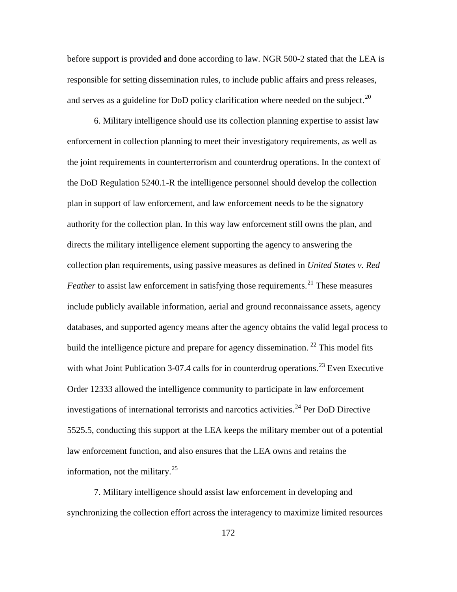before support is provided and done according to law. NGR 500-2 stated that the LEA is responsible for setting dissemination rules, to include public affairs and press releases, and serves as a guideline for DoD policy clarification where needed on the subject.<sup>[20](#page-198-0)</sup>

6. Military intelligence should use its collection planning expertise to assist law enforcement in collection planning to meet their investigatory requirements, as well as the joint requirements in counterterrorism and counterdrug operations. In the context of the DoD Regulation 5240.1-R the intelligence personnel should develop the collection plan in support of law enforcement, and law enforcement needs to be the signatory authority for the collection plan. In this way law enforcement still owns the plan, and directs the military intelligence element supporting the agency to answering the collection plan requirements, using passive measures as defined in *United States v. Red Feather* to assist law enforcement in satisfying those requirements.<sup>[21](#page-198-1)</sup> These measures include publicly available information, aerial and ground reconnaissance assets, agency databases, and supported agency means after the agency obtains the valid legal process to build the intelligence picture and prepare for agency dissemination.  $^{22}$  $^{22}$  $^{22}$  This model fits with what Joint Publication 3-07.4 calls for in counterdrug operations.<sup>[23](#page-198-3)</sup> Even Executive Order 12333 allowed the intelligence community to participate in law enforcement investigations of international terrorists and narcotics activities.<sup>[24](#page-198-4)</sup> Per DoD Directive 5525.5, conducting this support at the LEA keeps the military member out of a potential law enforcement function, and also ensures that the LEA owns and retains the information, not the military. $^{25}$  $^{25}$  $^{25}$ 

7. Military intelligence should assist law enforcement in developing and synchronizing the collection effort across the interagency to maximize limited resources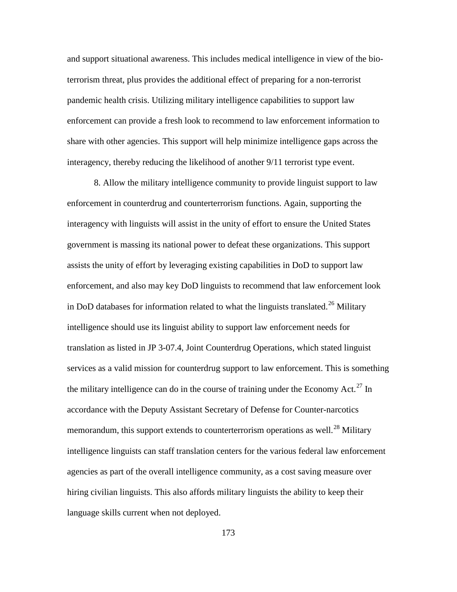and support situational awareness. This includes medical intelligence in view of the bioterrorism threat, plus provides the additional effect of preparing for a non-terrorist pandemic health crisis. Utilizing military intelligence capabilities to support law enforcement can provide a fresh look to recommend to law enforcement information to share with other agencies. This support will help minimize intelligence gaps across the interagency, thereby reducing the likelihood of another 9/11 terrorist type event.

8. Allow the military intelligence community to provide linguist support to law enforcement in counterdrug and counterterrorism functions. Again, supporting the interagency with linguists will assist in the unity of effort to ensure the United States government is massing its national power to defeat these organizations. This support assists the unity of effort by leveraging existing capabilities in DoD to support law enforcement, and also may key DoD linguists to recommend that law enforcement look in DoD databases for information related to what the linguists translated.<sup>[26](#page-198-6)</sup> Military intelligence should use its linguist ability to support law enforcement needs for translation as listed in JP 3-07.4, Joint Counterdrug Operations, which stated linguist services as a valid mission for counterdrug support to law enforcement. This is something the military intelligence can do in the course of training under the Economy Act.<sup>[27](#page-198-7)</sup> In accordance with the Deputy Assistant Secretary of Defense for Counter-narcotics memorandum, this support extends to counterterrorism operations as well.<sup>[28](#page-198-8)</sup> Military intelligence linguists can staff translation centers for the various federal law enforcement agencies as part of the overall intelligence community, as a cost saving measure over hiring civilian linguists. This also affords military linguists the ability to keep their language skills current when not deployed.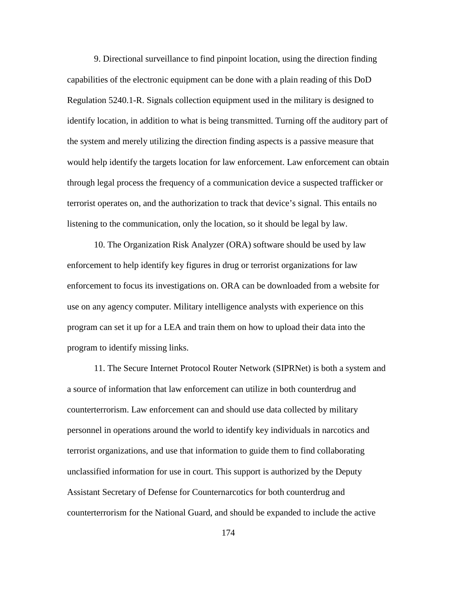9. Directional surveillance to find pinpoint location, using the direction finding capabilities of the electronic equipment can be done with a plain reading of this DoD Regulation 5240.1-R. Signals collection equipment used in the military is designed to identify location, in addition to what is being transmitted. Turning off the auditory part of the system and merely utilizing the direction finding aspects is a passive measure that would help identify the targets location for law enforcement. Law enforcement can obtain through legal process the frequency of a communication device a suspected trafficker or terrorist operates on, and the authorization to track that device's signal. This entails no listening to the communication, only the location, so it should be legal by law.

10. The Organization Risk Analyzer (ORA) software should be used by law enforcement to help identify key figures in drug or terrorist organizations for law enforcement to focus its investigations on. ORA can be downloaded from a website for use on any agency computer. Military intelligence analysts with experience on this program can set it up for a LEA and train them on how to upload their data into the program to identify missing links.

11. The Secure Internet Protocol Router Network (SIPRNet) is both a system and a source of information that law enforcement can utilize in both counterdrug and counterterrorism. Law enforcement can and should use data collected by military personnel in operations around the world to identify key individuals in narcotics and terrorist organizations, and use that information to guide them to find collaborating unclassified information for use in court. This support is authorized by the Deputy Assistant Secretary of Defense for Counternarcotics for both counterdrug and counterterrorism for the National Guard, and should be expanded to include the active

174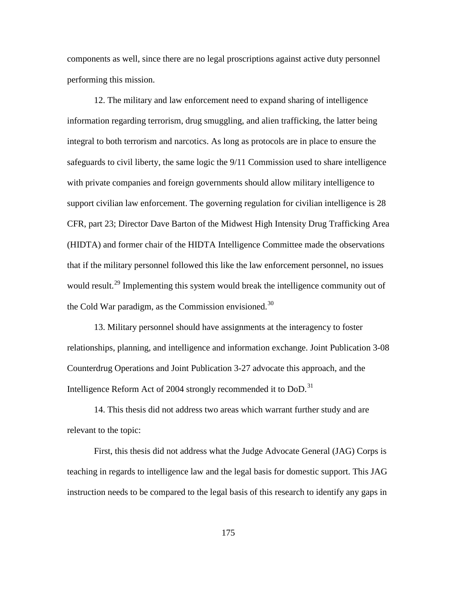components as well, since there are no legal proscriptions against active duty personnel performing this mission.

12. The military and law enforcement need to expand sharing of intelligence information regarding terrorism, drug smuggling, and alien trafficking, the latter being integral to both terrorism and narcotics. As long as protocols are in place to ensure the safeguards to civil liberty, the same logic the 9/11 Commission used to share intelligence with private companies and foreign governments should allow military intelligence to support civilian law enforcement. The governing regulation for civilian intelligence is 28 CFR, part 23; Director Dave Barton of the Midwest High Intensity Drug Trafficking Area (HIDTA) and former chair of the HIDTA Intelligence Committee made the observations that if the military personnel followed this like the law enforcement personnel, no issues would result.<sup>[29](#page-198-9)</sup> Implementing this system would break the intelligence community out of the Cold War paradigm, as the Commission envisioned.<sup>[30](#page-198-10)</sup>

13. Military personnel should have assignments at the interagency to foster relationships, planning, and intelligence and information exchange. Joint Publication 3-08 Counterdrug Operations and Joint Publication 3-27 advocate this approach, and the Intelligence Reform Act of 2004 strongly recommended it to DoD.<sup>[31](#page-198-11)</sup>

14. This thesis did not address two areas which warrant further study and are relevant to the topic:

First, this thesis did not address what the Judge Advocate General (JAG) Corps is teaching in regards to intelligence law and the legal basis for domestic support. This JAG instruction needs to be compared to the legal basis of this research to identify any gaps in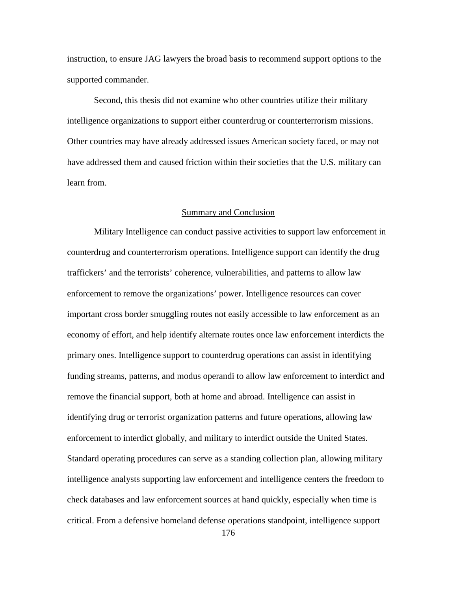instruction, to ensure JAG lawyers the broad basis to recommend support options to the supported commander.

Second, this thesis did not examine who other countries utilize their military intelligence organizations to support either counterdrug or counterterrorism missions. Other countries may have already addressed issues American society faced, or may not have addressed them and caused friction within their societies that the U.S. military can learn from.

### Summary and Conclusion

Military Intelligence can conduct passive activities to support law enforcement in counterdrug and counterterrorism operations. Intelligence support can identify the drug traffickers' and the terrorists' coherence, vulnerabilities, and patterns to allow law enforcement to remove the organizations' power. Intelligence resources can cover important cross border smuggling routes not easily accessible to law enforcement as an economy of effort, and help identify alternate routes once law enforcement interdicts the primary ones. Intelligence support to counterdrug operations can assist in identifying funding streams, patterns, and modus operandi to allow law enforcement to interdict and remove the financial support, both at home and abroad. Intelligence can assist in identifying drug or terrorist organization patterns and future operations, allowing law enforcement to interdict globally, and military to interdict outside the United States. Standard operating procedures can serve as a standing collection plan, allowing military intelligence analysts supporting law enforcement and intelligence centers the freedom to check databases and law enforcement sources at hand quickly, especially when time is critical. From a defensive homeland defense operations standpoint, intelligence support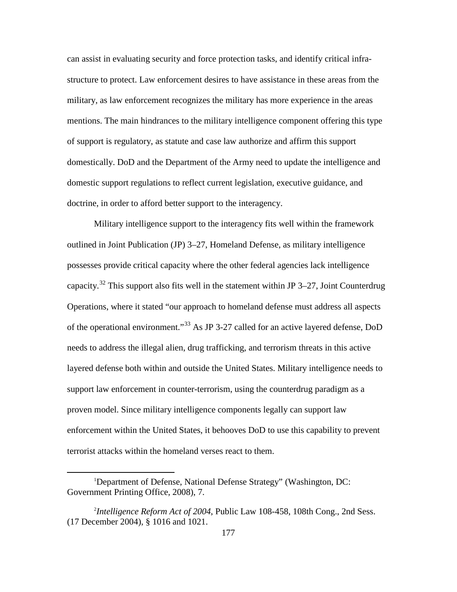can assist in evaluating security and force protection tasks, and identify critical infrastructure to protect. Law enforcement desires to have assistance in these areas from the military, as law enforcement recognizes the military has more experience in the areas mentions. The main hindrances to the military intelligence component offering this type of support is regulatory, as statute and case law authorize and affirm this support domestically. DoD and the Department of the Army need to update the intelligence and domestic support regulations to reflect current legislation, executive guidance, and doctrine, in order to afford better support to the interagency.

Military intelligence support to the interagency fits well within the framework outlined in Joint Publication (JP) 3–27, Homeland Defense, as military intelligence possesses provide critical capacity where the other federal agencies lack intelligence capacity.<sup>[32](#page-198-12)</sup> This support also fits well in the statement within JP 3–27, Joint Counterdrug Operations, where it stated "our approach to homeland defense must address all aspects of the operational environment."[33](#page-198-13) As JP 3-27 called for an active layered defense, DoD needs to address the illegal alien, drug trafficking, and terrorism threats in this active layered defense both within and outside the United States. Military intelligence needs to support law enforcement in counter-terrorism, using the counterdrug paradigm as a proven model. Since military intelligence components legally can support law enforcement within the United States, it behooves DoD to use this capability to prevent terrorist attacks within the homeland verses react to them.

<sup>1</sup> Department of Defense, National Defense Strategy" (Washington, DC: Government Printing Office, 2008), 7.

<sup>2</sup> *Intelligence Reform Act of 2004*, Public Law 108-458, 108th Cong., 2nd Sess. (17 December 2004), § 1016 and 1021.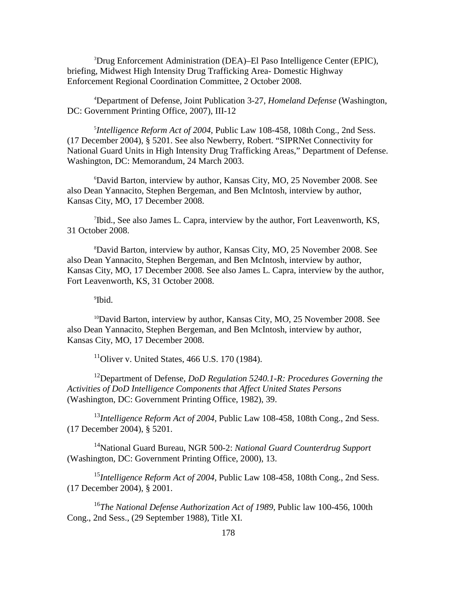3 Drug Enforcement Administration (DEA)–El Paso Intelligence Center (EPIC), briefing, Midwest High Intensity Drug Trafficking Area- Domestic Highway Enforcement Regional Coordination Committee, 2 October 2008.

4 Department of Defense, Joint Publication 3-27, *Homeland Defense* (Washington, DC: Government Printing Office, 2007), III-12

5 *Intelligence Reform Act of 2004*, Public Law 108-458, 108th Cong., 2nd Sess. (17 December 2004), § 5201. See also Newberry, Robert. "SIPRNet Connectivity for National Guard Units in High Intensity Drug Trafficking Areas," Department of Defense. Washington, DC: Memorandum, 24 March 2003.

6 David Barton, interview by author, Kansas City, MO, 25 November 2008. See also Dean Yannacito, Stephen Bergeman, and Ben McIntosh, interview by author, Kansas City, MO, 17 December 2008.

7 Ibid., See also James L. Capra, interview by the author, Fort Leavenworth, KS, 31 October 2008.

8 David Barton, interview by author, Kansas City, MO, 25 November 2008. See also Dean Yannacito, Stephen Bergeman, and Ben McIntosh, interview by author, Kansas City, MO, 17 December 2008. See also James L. Capra, interview by the author, Fort Leavenworth, KS, 31 October 2008.

9 Ibid.

<sup>10</sup>David Barton, interview by author, Kansas City, MO, 25 November 2008. See also Dean Yannacito, Stephen Bergeman, and Ben McIntosh, interview by author, Kansas City, MO, 17 December 2008.

 $11$ Oliver v. United States, 466 U.S. 170 (1984).

<sup>12</sup>Department of Defense, *DoD Regulation 5240.1-R: Procedures Governing the Activities of DoD Intelligence Components that Affect United States Persons* (Washington, DC: Government Printing Office, 1982), 39.

<sup>13</sup>*Intelligence Reform Act of 2004*, Public Law 108-458, 108th Cong., 2nd Sess. (17 December 2004), § 5201.

14National Guard Bureau, NGR 500-2: *National Guard Counterdrug Support* (Washington, DC: Government Printing Office, 2000), 13.

<sup>15</sup>*Intelligence Reform Act of 2004*, Public Law 108-458, 108th Cong., 2nd Sess. (17 December 2004), § 2001.

<sup>16</sup>*The National Defense Authorization Act of 1989*, Public law 100-456, 100th Cong., 2nd Sess., (29 September 1988), Title XI.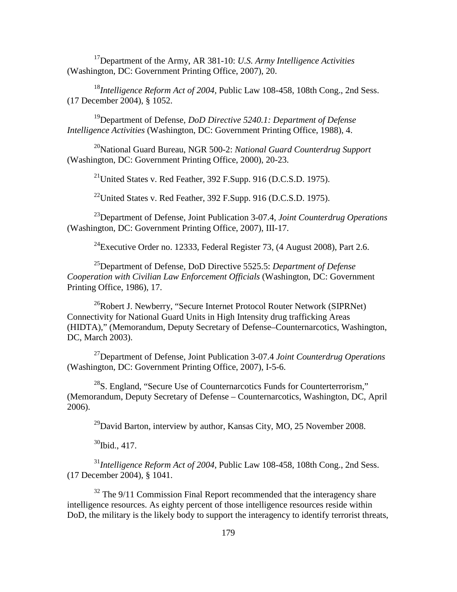17Department of the Army, AR 381-10: *U.S. Army Intelligence Activities* (Washington, DC: Government Printing Office, 2007), 20.

<sup>18</sup>*Intelligence Reform Act of 2004*, Public Law 108-458, 108th Cong., 2nd Sess. (17 December 2004), § 1052.

19Department of Defense*, DoD Directive 5240.1: Department of Defense Intelligence Activities* (Washington, DC: Government Printing Office, 1988), 4.

20National Guard Bureau, NGR 500-2: *National Guard Counterdrug Support* (Washington, DC: Government Printing Office, 2000), 20-23.

<sup>21</sup>United States v. Red Feather, 392 F.Supp. 916 (D.C.S.D. 1975).

 $^{22}$ United States v. Red Feather, 392 F.Supp. 916 (D.C.S.D. 1975).

23Department of Defense, Joint Publication 3-07.4*, Joint Counterdrug Operations* (Washington, DC: Government Printing Office, 2007), III-17.

<sup>24</sup>Executive Order no. 12333, Federal Register 73,  $(4 \text{ August } 2008)$ , Part 2.6.

25Department of Defense, DoD Directive 5525.5: *Department of Defense Cooperation with Civilian Law Enforcement Officials* (Washington, DC: Government Printing Office, 1986), 17.

<sup>26</sup>Robert J. Newberry, "Secure Internet Protocol Router Network (SIPRNet) Connectivity for National Guard Units in High Intensity drug trafficking Areas (HIDTA)," (Memorandum, Deputy Secretary of Defense–Counternarcotics, Washington, DC, March 2003).

27Department of Defense, Joint Publication 3-07.4 *Joint Counterdrug Operations* (Washington, DC: Government Printing Office, 2007), I-5-6.

28S. England, "Secure Use of Counternarcotics Funds for Counterterrorism," (Memorandum, Deputy Secretary of Defense – Counternarcotics, Washington, DC, April 2006).

 $^{29}$ David Barton, interview by author, Kansas City, MO, 25 November 2008.

30Ibid., 417.

<sup>31</sup>*Intelligence Reform Act of 2004*, Public Law 108-458, 108th Cong., 2nd Sess. (17 December 2004), § 1041.

 $32$  The  $9/11$  Commission Final Report recommended that the interagency share intelligence resources. As eighty percent of those intelligence resources reside within DoD, the military is the likely body to support the interagency to identify terrorist threats,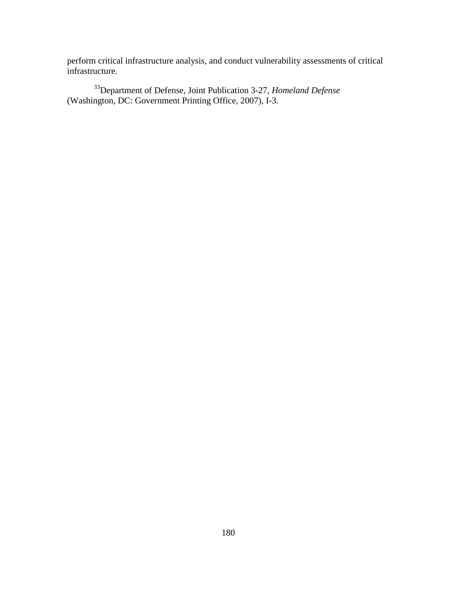perform critical infrastructure analysis, and conduct vulnerability assessments of critical infrastructure.

33Department of Defense, Joint Publication 3-27*, Homeland Defense* (Washington, DC: Government Printing Office, 2007), I-3.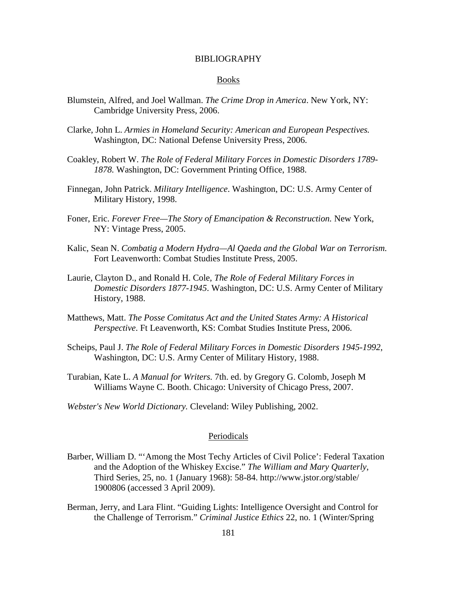### BIBLIOGRAPHY

#### Books

- Blumstein, Alfred, and Joel Wallman. *The Crime Drop in America*. New York, NY: Cambridge University Press, 2006.
- Clarke, John L. *Armies in Homeland Security: American and European Pespectives.* Washington, DC: National Defense University Press, 2006.
- Coakley, Robert W. *The Role of Federal Military Forces in Domestic Disorders 1789- 1878.* Washington, DC: Government Printing Office, 1988.
- Finnegan, John Patrick. *Military Intelligence*. Washington, DC: U.S. Army Center of Military History, 1998.
- Foner, Eric. *Forever Free—The Story of Emancipation & Reconstruction.* New York, NY: Vintage Press, 2005.
- Kalic, Sean N. *Combatig a Modern Hydra—Al Qaeda and the Global War on Terrorism.* Fort Leavenworth: Combat Studies Institute Press, 2005.
- Laurie, Clayton D., and Ronald H. Cole, *The Role of Federal Military Forces in Domestic Disorders 1877-1945*. Washington, DC: U.S. Army Center of Military History, 1988.
- Matthews, Matt. *The Posse Comitatus Act and the United States Army: A Historical Perspective*. Ft Leavenworth, KS: Combat Studies Institute Press, 2006.
- Scheips, Paul J. *The Role of Federal Military Forces in Domestic Disorders 1945-1992*, Washington, DC: U.S. Army Center of Military History, 1988.
- Turabian, Kate L. *A Manual for Writers.* 7th. ed. by Gregory G. Colomb, Joseph M Williams Wayne C. Booth. Chicago: University of Chicago Press, 2007.
- *Webster's New World Dictionary.* Cleveland: Wiley Publishing, 2002.

# Periodicals

- Barber, William D. "'Among the Most Techy Articles of Civil Police': Federal Taxation and the Adoption of the Whiskey Excise." *The William and Mary Quarterly*, Third Series, 25, no. 1 (January 1968): 58-84. http://www.jstor.org/stable/ 1900806 (accessed 3 April 2009).
- Berman, Jerry, and Lara Flint. "Guiding Lights: Intelligence Oversight and Control for the Challenge of Terrorism." *Criminal Justice Ethics* 22, no. 1 (Winter/Spring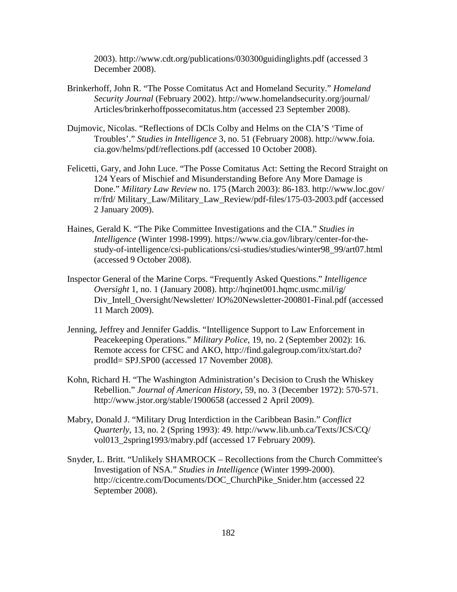2003). http://www.cdt.org/publications/030300guidinglights.pdf (accessed 3 December 2008).

- Brinkerhoff, John R. "The Posse Comitatus Act and Homeland Security." *Homeland Security Journal* (February 2002). http://www.homelandsecurity.org/journal/ Articles/brinkerhoffpossecomitatus.htm (accessed 23 September 2008).
- Dujmovic, Nicolas. "Reflections of DCls Colby and Helms on the CIA'S 'Time of Troubles'." *Studies in Intelligence* 3, no. 51 (February 2008). http://www.foia. cia.gov/helms/pdf/reflections.pdf (accessed 10 October 2008).
- Felicetti, Gary, and John Luce. "The Posse Comitatus Act: Setting the Record Straight on 124 Years of Mischief and Misunderstanding Before Any More Damage is Done." *Military Law Review* no. 175 (March 2003): 86-183. http://www.loc.gov/ rr/frd/ Military\_Law/Military\_Law\_Review/pdf-files/175-03-2003.pdf (accessed 2 January 2009).
- Haines, Gerald K. "The Pike Committee Investigations and the CIA." *Studies in Intelligence* (Winter 1998-1999). https://www.cia.gov/library/center-for-thestudy-of-intelligence/csi-publications/csi-studies/studies/winter98\_99/art07.html (accessed 9 October 2008).
- Inspector General of the Marine Corps. "Frequently Asked Questions." *Intelligence Oversight* 1, no. 1 (January 2008). http://hqinet001.hqmc.usmc.mil/ig/ Div\_Intell\_Oversight/Newsletter/ IO%20Newsletter-200801-Final.pdf (accessed 11 March 2009).
- Jenning, Jeffrey and Jennifer Gaddis. "Intelligence Support to Law Enforcement in Peacekeeping Operations." *Military Police,* 19, no. 2 (September 2002): 16. Remote access for CFSC and AKO, http://find.galegroup.com/itx/start.do? prodId= SPJ.SP00 (accessed 17 November 2008).
- Kohn, Richard H. "The Washington Administration's Decision to Crush the Whiskey Rebellion." *Journal of American History*, 59, no. 3 (December 1972): 570-571. http://www.jstor.org/stable/1900658 (accessed 2 April 2009).
- Mabry, Donald J. "Military Drug Interdiction in the Caribbean Basin." *Conflict Quarterly,* 13, no. 2 (Spring 1993): 49. http://www.lib.unb.ca/Texts/JCS/CQ/ vol013\_2spring1993/mabry.pdf (accessed 17 February 2009).
- Snyder, L. Britt. "Unlikely SHAMROCK Recollections from the Church Committee's Investigation of NSA." *Studies in Intelligence* (Winter 1999-2000). http://cicentre.com/Documents/DOC\_ChurchPike\_Snider.htm (accessed 22 September 2008).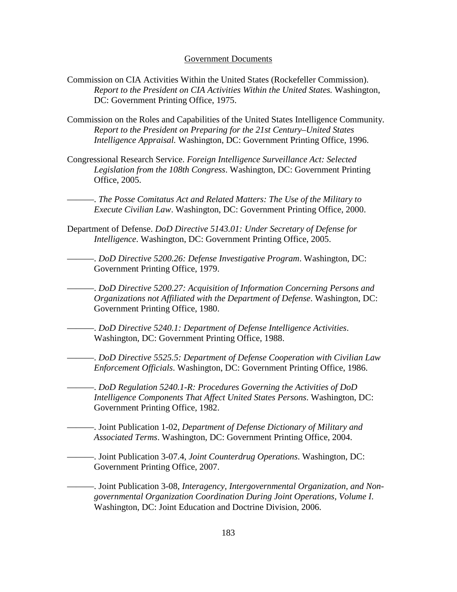#### Government Documents

- Commission on CIA Activities Within the United States (Rockefeller Commission). *Report to the President on CIA Activities Within the United States.* Washington, DC: Government Printing Office, 1975.
- Commission on the Roles and Capabilities of the United States Intelligence Community. *Report to the President on Preparing for the 21st Century–United States Intelligence Appraisal.* Washington, DC: Government Printing Office, 1996.
- Congressional Research Service. *Foreign Intelligence Surveillance Act: Selected Legislation from the 108th Congress*. Washington, DC: Government Printing Office, 2005.
- ———. *The Posse Comitatus Act and Related Matters: The Use of the Military to Execute Civilian Law*. Washington, DC: Government Printing Office, 2000.
- Department of Defense. *DoD Directive 5143.01: Under Secretary of Defense for Intelligence*. Washington, DC: Government Printing Office, 2005.
	- ———. *DoD Directive 5200.26: Defense Investigative Program*. Washington, DC: Government Printing Office, 1979.
	- ———. *DoD Directive 5200.27: Acquisition of Information Concerning Persons and Organizations not Affiliated with the Department of Defense*. Washington, DC: Government Printing Office, 1980.
		- ———. *DoD Directive 5240.1: Department of Defense Intelligence Activities*. Washington, DC: Government Printing Office, 1988.
		- ———. *DoD Directive 5525.5: Department of Defense Cooperation with Civilian Law Enforcement Officials*. Washington, DC: Government Printing Office, 1986.
		- ———. *DoD Regulation 5240.1-R: Procedures Governing the Activities of DoD Intelligence Components That Affect United States Persons*. Washington, DC: Government Printing Office, 1982.
		- ———. Joint Publication 1-02, *Department of Defense Dictionary of Military and Associated Terms*. Washington, DC: Government Printing Office, 2004.
- ———. Joint Publication 3-07.4, *Joint Counterdrug Operations*. Washington, DC: Government Printing Office, 2007.

———. Joint Publication 3-08, *Interagency, Intergovernmental Organization, and Nongovernmental Organization Coordination During Joint Operations, Volume I*. Washington, DC: Joint Education and Doctrine Division, 2006.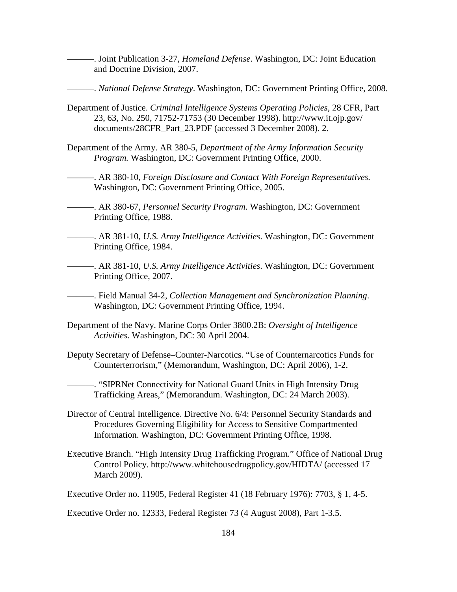———. Joint Publication 3-27, *Homeland Defense*. Washington, DC: Joint Education and Doctrine Division, 2007.

- ———. *National Defense Strategy*. Washington, DC: Government Printing Office, 2008.
- Department of Justice. *Criminal Intelligence Systems Operating Policies,* 28 CFR, Part 23, 63, No. 250, 71752-71753 (30 December 1998). http://www.it.ojp.gov/ documents/28CFR\_Part\_23.PDF (accessed 3 December 2008). 2.
- Department of the Army. AR 380-5, *Department of the Army Information Security Program.* Washington, DC: Government Printing Office, 2000.
	- ———. AR 380-10, *Foreign Disclosure and Contact With Foreign Representatives.* Washington, DC: Government Printing Office, 2005.
- ———. AR 380-67, *Personnel Security Program*. Washington, DC: Government Printing Office, 1988.
- ———. AR 381-10*, U.S. Army Intelligence Activities*. Washington, DC: Government Printing Office, 1984.
- ———. AR 381-10, *U.S. Army Intelligence Activities*. Washington, DC: Government Printing Office, 2007.
- ———. Field Manual 34-2, *Collection Management and Synchronization Planning*. Washington, DC: Government Printing Office, 1994.
- Department of the Navy. Marine Corps Order 3800.2B: *Oversight of Intelligence Activities*. Washington, DC: 30 April 2004.
- Deputy Secretary of Defense–Counter-Narcotics. "Use of Counternarcotics Funds for Counterterrorism," (Memorandum, Washington, DC: April 2006), 1-2.
	- ———. "SIPRNet Connectivity for National Guard Units in High Intensity Drug Trafficking Areas," (Memorandum. Washington, DC: 24 March 2003).
- Director of Central Intelligence. Directive No. 6/4: Personnel Security Standards and Procedures Governing Eligibility for Access to Sensitive Compartmented Information. Washington, DC: Government Printing Office, 1998.
- Executive Branch. "High Intensity Drug Trafficking Program." Office of National Drug Control Policy. http://www.whitehousedrugpolicy.gov/HIDTA/ (accessed 17 March 2009).

Executive Order no. 11905, Federal Register 41 (18 February 1976): 7703, § 1, 4-5.

Executive Order no. 12333, Federal Register 73 (4 August 2008), Part 1-3.5.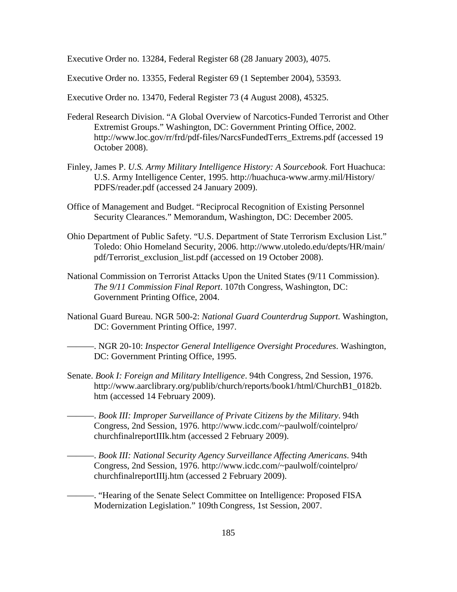Executive Order no. 13284, Federal Register 68 (28 January 2003), 4075.

Executive Order no. 13355, Federal Register 69 (1 September 2004), 53593.

Executive Order no. 13470, Federal Register 73 (4 August 2008), 45325.

- Federal Research Division. "A Global Overview of Narcotics-Funded Terrorist and Other Extremist Groups." Washington, DC: Government Printing Office, 2002. http://www.loc.gov/rr/frd/pdf-files/NarcsFundedTerrs\_Extrems.pdf (accessed 19 October 2008).
- Finley, James P. *U.S. Army Military Intelligence History: A Sourcebook.* Fort Huachuca: U.S. Army Intelligence Center, 1995. http://huachuca-www.army.mil/History/ PDFS/reader.pdf (accessed 24 January 2009).
- Office of Management and Budget. "Reciprocal Recognition of Existing Personnel Security Clearances." Memorandum, Washington, DC: December 2005.
- Ohio Department of Public Safety. "U.S. Department of State Terrorism Exclusion List." Toledo: Ohio Homeland Security, 2006. http://www.utoledo.edu/depts/HR/main/ pdf/Terrorist\_exclusion\_list.pdf (accessed on 19 October 2008).
- National Commission on Terrorist Attacks Upon the United States (9/11 Commission). *The 9/11 Commission Final Report*. 107th Congress, Washington, DC: Government Printing Office, 2004.
- National Guard Bureau. NGR 500-2: *National Guard Counterdrug Support*. Washington, DC: Government Printing Office, 1997.
- ———. NGR 20-10: *Inspector General Intelligence Oversight Procedures*. Washington, DC: Government Printing Office, 1995.
- Senate. *Book I: Foreign and Military Intelligence*. 94th Congress, 2nd Session, 1976. http://www.aarclibrary.org/publib/church/reports/book1/html/ChurchB1\_0182b. htm (accessed 14 February 2009).

———. *Book III: Improper Surveillance of Private Citizens by the Military*. 94th Congress, 2nd Session, 1976. http://www.icdc.com/~paulwolf/cointelpro/ churchfinalreportIIIk.htm (accessed 2 February 2009).

———. *Book III: National Security Agency Surveillance Affecting Americans*. 94th Congress, 2nd Session, 1976. http://www.icdc.com/~paulwolf/cointelpro/ churchfinalreportIIIj.htm (accessed 2 February 2009).

-. "Hearing of the Senate Select Committee on Intelligence: Proposed FISA Modernization Legislation." 109th Congress, 1st Session, 2007.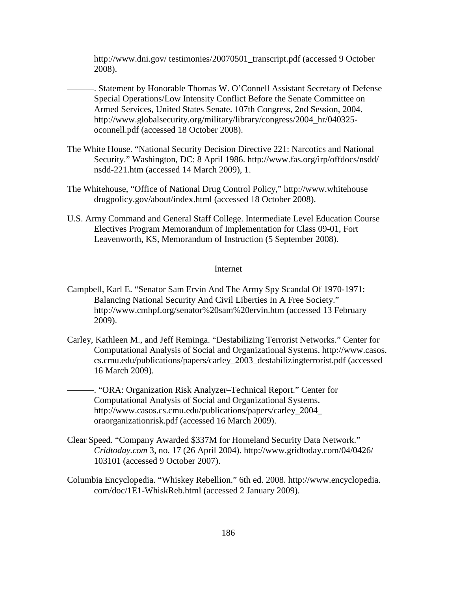http://www.dni.gov/ testimonies/20070501\_transcript.pdf (accessed 9 October 2008).

- ———. Statement by Honorable Thomas W. O'Connell Assistant Secretary of Defense Special Operations/Low Intensity Conflict Before the Senate Committee on Armed Services, United States Senate. 107th Congress, 2nd Session, 2004. http://www.globalsecurity.org/military/library/congress/2004\_hr/040325 oconnell.pdf (accessed 18 October 2008).
- The White House. "National Security Decision Directive 221: Narcotics and National Security." Washington, DC: 8 April 1986. http://www.fas.org/irp/offdocs/nsdd/ nsdd-221.htm (accessed 14 March 2009), 1.
- The Whitehouse, "Office of National Drug Control Policy," http://www.whitehouse drugpolicy.gov/about/index.html (accessed 18 October 2008).
- U.S. Army Command and General Staff College. Intermediate Level Education Course Electives Program Memorandum of Implementation for Class 09-01, Fort Leavenworth, KS, Memorandum of Instruction (5 September 2008).

## Internet

- Campbell, Karl E. "Senator Sam Ervin And The Army Spy Scandal Of 1970-1971: Balancing National Security And Civil Liberties In A Free Society." http://www.cmhpf.org/senator%20sam%20ervin.htm (accessed 13 February 2009).
- Carley, Kathleen M., and Jeff Reminga. "Destabilizing Terrorist Networks." Center for Computational Analysis of Social and Organizational Systems. http://www.casos. cs.cmu.edu/publications/papers/carley\_2003\_destabilizingterrorist.pdf (accessed 16 March 2009).
	- ———. "ORA: Organization Risk Analyzer–Technical Report." Center for Computational Analysis of Social and Organizational Systems. http://www.casos.cs.cmu.edu/publications/papers/carley\_2004\_ oraorganizationrisk.pdf (accessed 16 March 2009).
- Clear Speed. "Company Awarded \$337M for Homeland Security Data Network." *Cridtoday.com* 3, no. 17 (26 April 2004). http://www.gridtoday.com/04/0426/ 103101 (accessed 9 October 2007).
- Columbia Encyclopedia. "Whiskey Rebellion." 6th ed. 2008. http://www.encyclopedia. com/doc/1E1-WhiskReb.html (accessed 2 January 2009).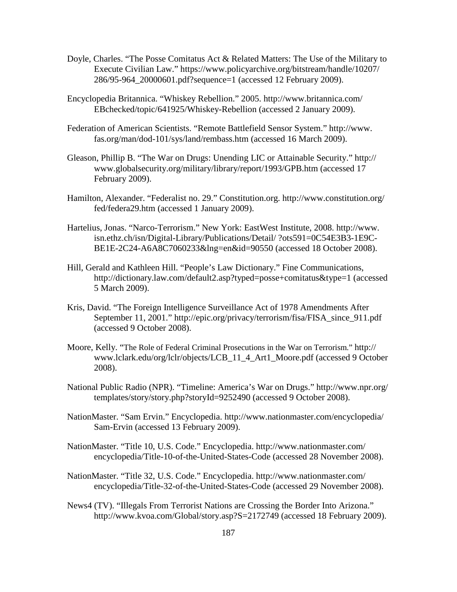- Doyle, Charles. "The Posse Comitatus Act & Related Matters: The Use of the Military to Execute Civilian Law." https://www.policyarchive.org/bitstream/handle/10207/ 286/95-964\_20000601.pdf?sequence=1 (accessed 12 February 2009).
- Encyclopedia Britannica. "Whiskey Rebellion." 2005. http://www.britannica.com/ EBchecked/topic/641925/Whiskey-Rebellion (accessed 2 January 2009).
- Federation of American Scientists. "Remote Battlefield Sensor System." http://www. fas.org/man/dod-101/sys/land/rembass.htm (accessed 16 March 2009).
- Gleason, Phillip B. "The War on Drugs: Unending LIC or Attainable Security." http:// www.globalsecurity.org/military/library/report/1993/GPB.htm (accessed 17 February 2009).
- Hamilton, Alexander. "Federalist no. 29." Constitution.org. http://www.constitution.org/ fed/federa29.htm (accessed 1 January 2009).
- Hartelius, Jonas. "Narco-Terrorism." New York: EastWest Institute, 2008. http://www. isn.ethz.ch/isn/Digital-Library/Publications/Detail/ ?ots591=0C54E3B3-1E9C-BE1E-2C24-A6A8C7060233&lng=en&id=90550 (accessed 18 October 2008).
- Hill, Gerald and Kathleen Hill. "People's Law Dictionary." Fine Communications, http://dictionary.law.com/default2.asp?typed=posse+comitatus&type=1 (accessed 5 March 2009).
- Kris, David. "The Foreign Intelligence Surveillance Act of 1978 Amendments After September 11, 2001." http://epic.org/privacy/terrorism/fisa/FISA\_since\_911.pdf (accessed 9 October 2008).
- Moore, Kelly. "The Role of Federal Criminal Prosecutions in the War on Terrorism." http:// www.lclark.edu/org/lclr/objects/LCB\_11\_4\_Art1\_Moore.pdf (accessed 9 October 2008).
- National Public Radio (NPR). "Timeline: America's War on Drugs." http://www.npr.org/ templates/story/story.php?storyId=9252490 (accessed 9 October 2008).
- NationMaster. "Sam Ervin." Encyclopedia. http://www.nationmaster.com/encyclopedia/ Sam-Ervin (accessed 13 February 2009).
- NationMaster. "Title 10, U.S. Code." Encyclopedia. http://www.nationmaster.com/ encyclopedia/Title-10-of-the-United-States-Code (accessed 28 November 2008).
- NationMaster. "Title 32, U.S. Code." Encyclopedia. http://www.nationmaster.com/ encyclopedia/Title-32-of-the-United-States-Code (accessed 29 November 2008).
- News4 (TV). "Illegals From Terrorist Nations are Crossing the Border Into Arizona." http://www.kvoa.com/Global/story.asp?S=2172749 (accessed 18 February 2009).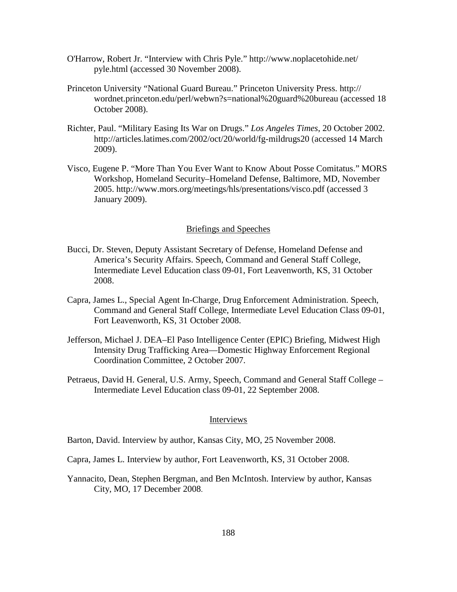- O'Harrow, Robert Jr. "Interview with Chris Pyle." http://www.noplacetohide.net/ pyle.html (accessed 30 November 2008).
- Princeton University "National Guard Bureau." Princeton University Press. http:// wordnet.princeton.edu/perl/webwn?s=national%20guard%20bureau (accessed 18 October 2008).
- Richter, Paul. "Military Easing Its War on Drugs." *Los Angeles Times*, 20 October 2002. http://articles.latimes.com/2002/oct/20/world/fg-mildrugs20 (accessed 14 March 2009).
- Visco, Eugene P. "More Than You Ever Want to Know About Posse Comitatus." MORS Workshop, Homeland Security–Homeland Defense, Baltimore, MD, November 2005. http://www.mors.org/meetings/hls/presentations/visco.pdf (accessed 3 January 2009).

# Briefings and Speeches

- Bucci, Dr. Steven, Deputy Assistant Secretary of Defense, Homeland Defense and America's Security Affairs. Speech, Command and General Staff College, Intermediate Level Education class 09-01, Fort Leavenworth, KS, 31 October 2008.
- Capra, James L., Special Agent In-Charge, Drug Enforcement Administration. Speech, Command and General Staff College, Intermediate Level Education Class 09-01, Fort Leavenworth, KS, 31 October 2008.
- Jefferson, Michael J. DEA–El Paso Intelligence Center (EPIC) Briefing, Midwest High Intensity Drug Trafficking Area—Domestic Highway Enforcement Regional Coordination Committee, 2 October 2007.
- Petraeus, David H. General, U.S. Army, Speech, Command and General Staff College Intermediate Level Education class 09-01, 22 September 2008.

#### Interviews

Barton, David. Interview by author, Kansas City, MO, 25 November 2008.

- Capra, James L. Interview by author, Fort Leavenworth, KS, 31 October 2008.
- Yannacito, Dean, Stephen Bergman, and Ben McIntosh. Interview by author, Kansas City, MO, 17 December 2008.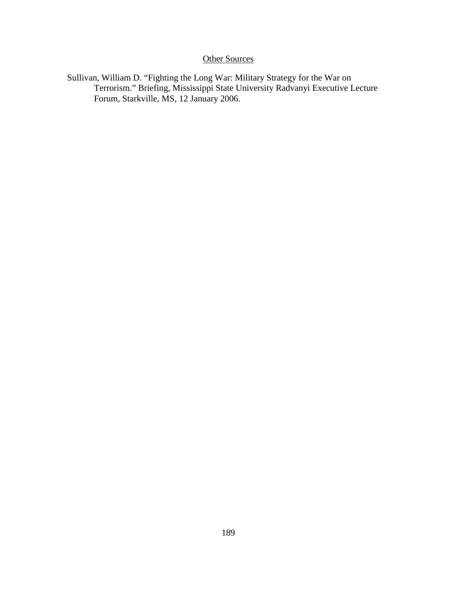# Other Sources

Sullivan, William D. "Fighting the Long War: Military Strategy for the War on Terrorism." Briefing, Mississippi State University Radvanyi Executive Lecture Forum, Starkville, MS, 12 January 2006.